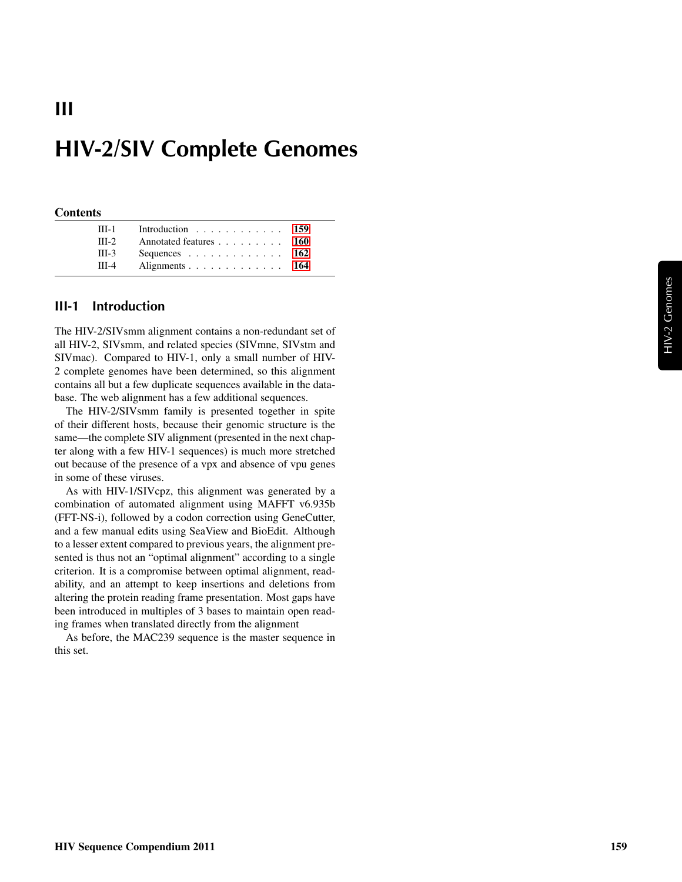# HIV-2/SIV Complete Genomes

#### **Contents**

III

| $III-1$ | Introduction 159       |  |
|---------|------------------------|--|
| $III-2$ | Annotated features 160 |  |
| $III-3$ | Sequences 162          |  |
| $III-4$ | Alignments 164         |  |

#### <span id="page-0-0"></span>III-1 Introduction

The HIV-2/SIVsmm alignment contains a non-redundant set of all HIV-2, SIVsmm, and related species (SIVmne, SIVstm and SIVmac). Compared to HIV-1, only a small number of HIV-2 complete genomes have been determined, so this alignment contains all but a few duplicate sequences available in the database. The web alignment has a few additional sequences.

The HIV-2/SIVsmm family is presented together in spite of their different hosts, because their genomic structure is the same—the complete SIV alignment (presented in the next chapter along with a few HIV-1 sequences) is much more stretched out because of the presence of a vpx and absence of vpu genes in some of these viruses.

As with HIV-1/SIVcpz, this alignment was generated by a combination of automated alignment using MAFFT v6.935b (FFT-NS-i), followed by a codon correction using GeneCutter, and a few manual edits using SeaView and BioEdit. Although to a lesser extent compared to previous years, the alignment presented is thus not an "optimal alignment" according to a single criterion. It is a compromise between optimal alignment, readability, and an attempt to keep insertions and deletions from altering the protein reading frame presentation. Most gaps have been introduced in multiples of 3 bases to maintain open reading frames when translated directly from the alignment

As before, the MAC239 sequence is the master sequence in this set.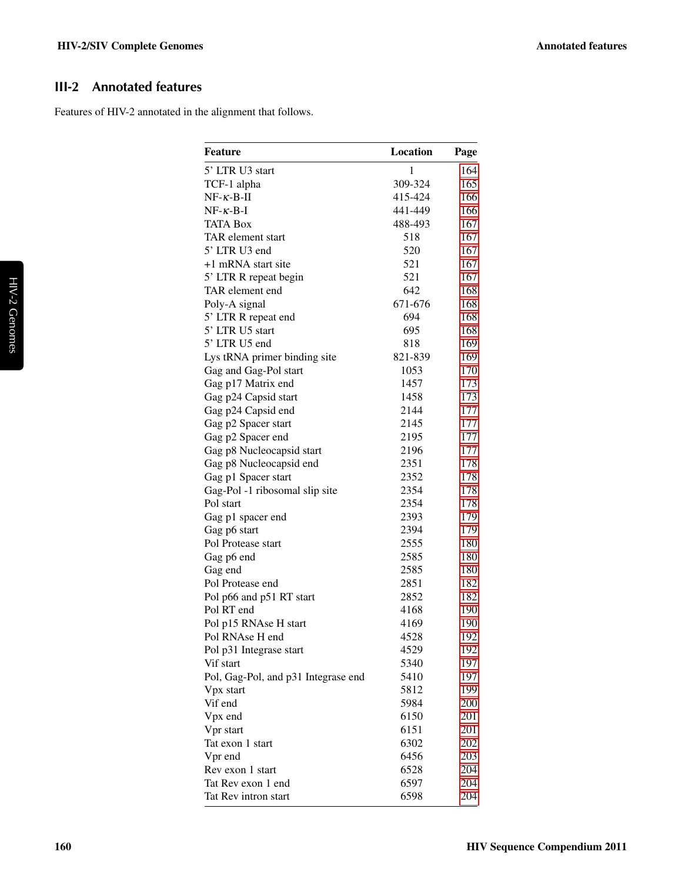### <span id="page-1-0"></span>III-2 Annotated features

Features of HIV-2 annotated in the alignment that follows.

| <b>Feature</b>                      | Location     | Page |
|-------------------------------------|--------------|------|
| 5' LTR U3 start                     | $\mathbf{1}$ | 164  |
| TCF-1 alpha                         | 309-324      | 165  |
| $NF-\kappa-B-\Pi$                   | 415-424      | 166  |
| $NF - \kappa - B - I$               | 441-449      | 166  |
| <b>TATA Box</b>                     | 488-493      | 167  |
| TAR element start                   | 518          | 167  |
| 5' LTR U3 end                       | 520          | 167  |
| +1 mRNA start site                  | 521          | 167  |
| 5' LTR R repeat begin               | 521          | 167  |
| TAR element end                     | 642          | 168  |
| Poly-A signal                       | 671-676      | 168  |
| 5' LTR R repeat end                 | 694          | 168  |
| 5' LTR U5 start                     | 695          | 168  |
| 5' LTR U5 end                       | 818          | 169  |
| Lys tRNA primer binding site        | 821-839      | 169  |
| Gag and Gag-Pol start               | 1053         | 170  |
| Gag p17 Matrix end                  | 1457         | 173  |
| Gag p24 Capsid start                | 1458         | 173  |
| Gag p24 Capsid end                  | 2144         | 177  |
| Gag p2 Spacer start                 | 2145         | 177  |
| Gag p2 Spacer end                   | 2195         | 177  |
| Gag p8 Nucleocapsid start           | 2196         | 177  |
| Gag p8 Nucleocapsid end             | 2351         | 178  |
| Gag p1 Spacer start                 | 2352         | 178  |
| Gag-Pol -1 ribosomal slip site      | 2354         | 178  |
| Pol start                           | 2354         | 178  |
| Gag p1 spacer end                   | 2393         | 179  |
| Gag p6 start                        | 2394         | 179  |
| Pol Protease start                  | 2555         | 180  |
| Gag p6 end                          | 2585         | 180  |
| Gag end                             | 2585         | 180  |
| Pol Protease end                    | 2851         | 182  |
| Pol p66 and p51 RT start            | 2852         | 182  |
| Pol RT end                          | 4168         | 190  |
| Pol p15 RNAse H start               | 4169         | 190  |
| Pol RNAse H end                     | 4528         | 192  |
| Pol p31 Integrase start             | 4529         | 192  |
| Vif start                           | 5340         | 197  |
| Pol, Gag-Pol, and p31 Integrase end | 5410         | 197  |
| Vpx start                           | 5812         | 199  |
| Vif end                             | 5984         | 200  |
| Vpx end                             | 6150         | 201  |
| Vpr start                           | 6151         | 201  |
| Tat exon 1 start                    | 6302         | 202  |
| Vpr end                             | 6456         | 203  |
| Rev exon 1 start                    | 6528         | 204  |
| Tat Rev exon 1 end                  | 6597         | 204  |
| Tat Rev intron start                | 6598         | 204  |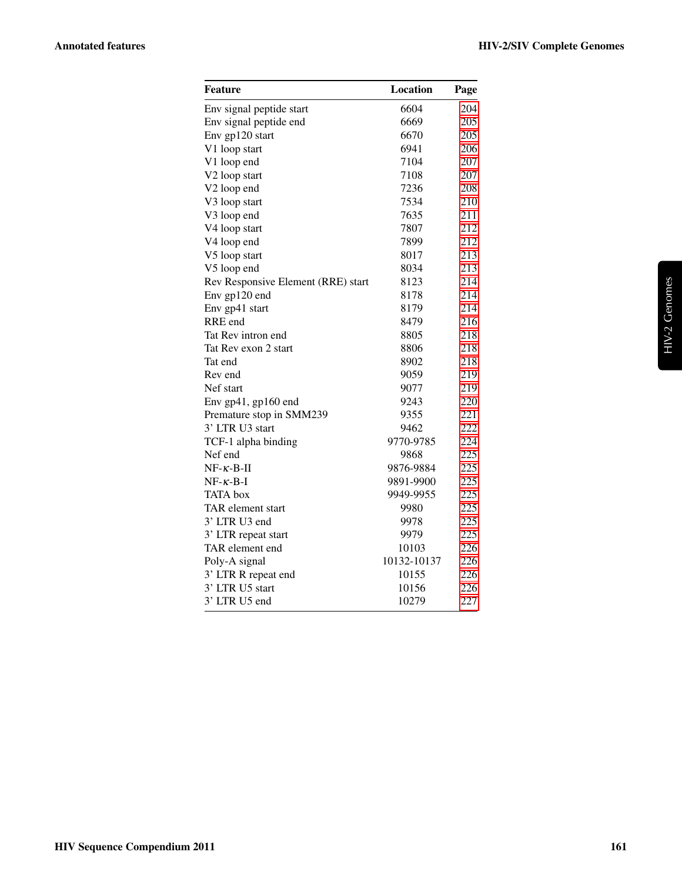| Feature                            | Location    | Page |
|------------------------------------|-------------|------|
| Env signal peptide start           | 6604        | 204  |
| Env signal peptide end             | 6669        | 205  |
| Env gp120 start                    | 6670        | 205  |
| V1 loop start                      | 6941        | 206  |
| V1 loop end                        | 7104        | 207  |
| V2 loop start                      | 7108        | 207  |
| V <sub>2</sub> loop end            | 7236        | 208  |
| V3 loop start                      | 7534        | 210  |
| V3 loop end                        | 7635        | 211  |
| V4 loop start                      | 7807        | 212  |
| V4 loop end                        | 7899        | 212  |
| V5 loop start                      | 8017        | 213  |
| V5 loop end                        | 8034        | 213  |
| Rev Responsive Element (RRE) start | 8123        | 214  |
| Env gp120 end                      | 8178        | 214  |
| Env gp41 start                     | 8179        | 214  |
| RRE end                            | 8479        | 216  |
| Tat Rev intron end                 | 8805        | 218  |
| Tat Rev exon 2 start               | 8806        | 218  |
| Tat end                            | 8902        | 218  |
| Rev end                            | 9059        | 219  |
| Nef start                          | 9077        | 219  |
| Env gp41, gp160 end                | 9243        | 220  |
| Premature stop in SMM239           | 9355        | 221  |
| 3' LTR U3 start                    | 9462        | 222  |
| TCF-1 alpha binding                | 9770-9785   | 224  |
| Nef end                            | 9868        | 225  |
| $NF-\kappa-B-II$                   | 9876-9884   | 225  |
| $NF - \kappa - B - I$              | 9891-9900   | 225  |
| <b>TATA</b> box                    | 9949-9955   | 225  |
| TAR element start                  | 9980        | 225  |
| 3' LTR U3 end                      | 9978        | 225  |
| 3' LTR repeat start                | 9979        | 225  |
| TAR element end                    | 10103       | 226  |
| Poly-A signal                      | 10132-10137 | 226  |
| 3' LTR R repeat end                | 10155       | 226  |
| 3' LTR U5 start                    | 10156       | 226  |
| 3' LTR U5 end                      | 10279       | 227  |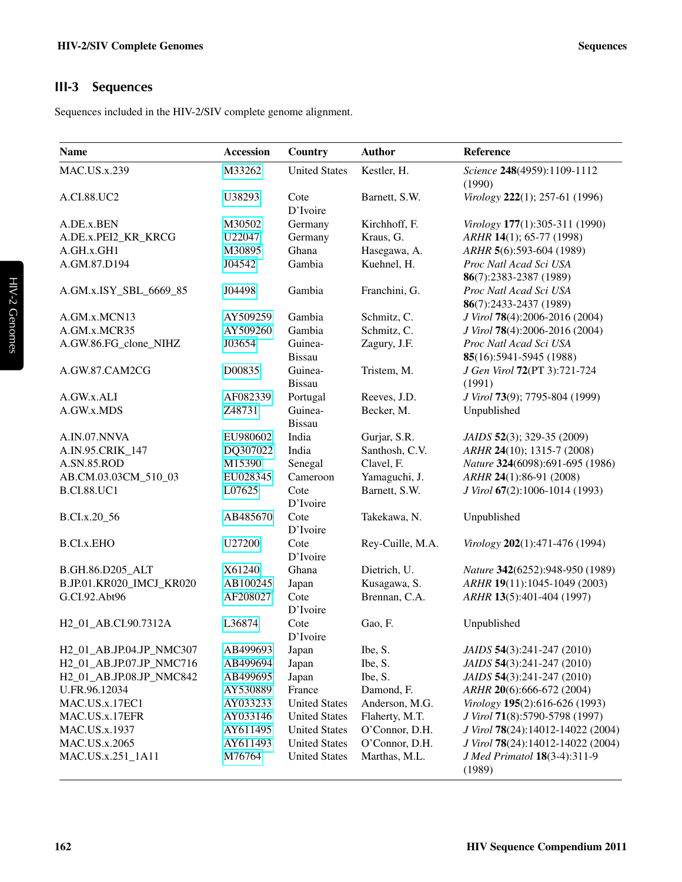#### <span id="page-3-0"></span>III-3 Sequences

Sequences included in the HIV-2/SIV complete genome alignment.

| <b>Name</b>              | <b>Accession</b> | Country              | <b>Author</b>    | Reference                              |
|--------------------------|------------------|----------------------|------------------|----------------------------------------|
| <b>MAC.US.x.239</b>      | M33262           | <b>United States</b> | Kestler, H.      | Science 248(4959):1109-1112<br>(1990)  |
| A.CI.88.UC2              | U38293           | Cote<br>D'Ivoire     | Barnett, S.W.    | Virology 222(1); 257-61 (1996)         |
| A.DE.x.BEN               | M30502           | Germany              | Kirchhoff, F.    | Virology 177(1):305-311 (1990)         |
| A.DE.x.PEI2_KR_KRCG      | U22047           | Germany              | Kraus, G.        | ARHR 14(1); 65-77 (1998)               |
| A.GH.x.GH1               | M30895           | Ghana                | Hasegawa, A.     | ARHR 5(6):593-604 (1989)               |
| A.GM.87.D194             | J04542           | Gambia               | Kuehnel, H.      | Proc Natl Acad Sci USA                 |
|                          |                  |                      |                  | 86(7):2383-2387 (1989)                 |
| A.GM.x.ISY_SBL_6669_85   | J04498           | Gambia               | Franchini, G.    | Proc Natl Acad Sci USA                 |
|                          |                  |                      |                  | 86(7):2433-2437 (1989)                 |
| A.GM.x.MCN13             | AY509259         | Gambia               | Schmitz, C.      | J Virol 78(4):2006-2016 (2004)         |
| A.GM.x.MCR35             | AY509260         | Gambia               | Schmitz, C.      | J Virol 78(4):2006-2016 (2004)         |
| A.GW.86.FG_clone_NIHZ    | J03654           | Guinea-              | Zagury, J.F.     | Proc Natl Acad Sci USA                 |
|                          |                  | <b>Bissau</b>        |                  | 85(16):5941-5945 (1988)                |
| A.GW.87.CAM2CG           | D00835           | Guinea-              | Tristem, M.      | J Gen Virol 72(PT 3):721-724           |
|                          |                  | <b>Bissau</b>        |                  | (1991)                                 |
| A.GW.x.ALI               | AF082339         | Portugal             | Reeves, J.D.     | J Virol 73(9); 7795-804 (1999)         |
| A.GW.x.MDS               | Z48731           | Guinea-              | Becker, M.       | Unpublished                            |
|                          |                  | <b>Bissau</b>        |                  |                                        |
| A.IN.07.NNVA             | EU980602         | India                | Gurjar, S.R.     | JAIDS 52(3); 329-35 (2009)             |
| A.IN.95.CRIK_147         | DQ307022         | India                | Santhosh, C.V.   | ARHR 24(10); 1315-7 (2008)             |
| A.SN.85.ROD              | M15390           | Senegal              | Clavel, F.       | Nature 324(6098):691-695 (1986)        |
| AB.CM.03.03CM_510_03     | EU028345         | Cameroon             | Yamaguchi, J.    | ARHR 24(1):86-91 (2008)                |
| <b>B.CI.88.UC1</b>       | L07625           | Cote                 | Barnett, S.W.    | J Virol 67(2):1006-1014 (1993)         |
|                          |                  | D'Ivoire             |                  |                                        |
| B.CI.x.20_56             | AB485670         | Cote                 | Takekawa, N.     | Unpublished                            |
|                          |                  | D'Ivoire             |                  |                                        |
| <b>B.CI.x.EHO</b>        | U27200           | Cote                 | Rey-Cuille, M.A. | Virology 202(1):471-476 (1994)         |
|                          |                  | D'Ivoire             |                  |                                        |
| B.GH.86.D205_ALT         | X61240           | Ghana                | Dietrich, U.     | Nature 342(6252):948-950 (1989)        |
| B.JP.01.KR020_IMCJ_KR020 | AB100245         | Japan                | Kusagawa, S.     | ARHR 19(11):1045-1049 (2003)           |
| G.CI.92.Abt96            | AF208027         | Cote                 | Brennan, C.A.    | ARHR 13(5):401-404 (1997)              |
|                          |                  | D'Ivoire             |                  |                                        |
| H2 01 AB.CI.90.7312A     | L36874           | Cote                 | Gao, F.          | Unpublished                            |
|                          |                  | D'Ivoire             |                  |                                        |
| H2_01_AB.JP.04.JP_NMC307 | AB499693         | Japan                | Ibe, S.          | JAIDS 54(3):241-247 (2010)             |
| H2_01_AB.JP.07.JP_NMC716 | AB499694         | Japan                | Ibe, S.          | JAIDS 54(3):241-247 (2010)             |
| H2_01_AB.JP.08.JP_NMC842 | AB499695         | Japan                | Ibe, S.          | JAIDS 54(3):241-247 (2010)             |
| U.FR.96.12034            | AY530889         | France               | Damond, F.       | ARHR 20(6):666-672 (2004)              |
| MAC.US.x.17EC1           | AY033233         | <b>United States</b> | Anderson, M.G.   | Virology 195(2):616-626 (1993)         |
| MAC.US.x.17EFR           | AY033146         | <b>United States</b> | Flaherty, M.T.   | J Virol 71(8):5790-5798 (1997)         |
| MAC.US.x.1937            | AY611495         | <b>United States</b> | O'Connor, D.H.   | J Virol 78(24):14012-14022 (2004)      |
| MAC.US.x.2065            | AY611493         | <b>United States</b> | O'Connor, D.H.   | J Virol 78(24):14012-14022 (2004)      |
| MAC.US.x.251_1A11        | M76764           | <b>United States</b> | Marthas, M.L.    | J Med Primatol 18(3-4):311-9<br>(1989) |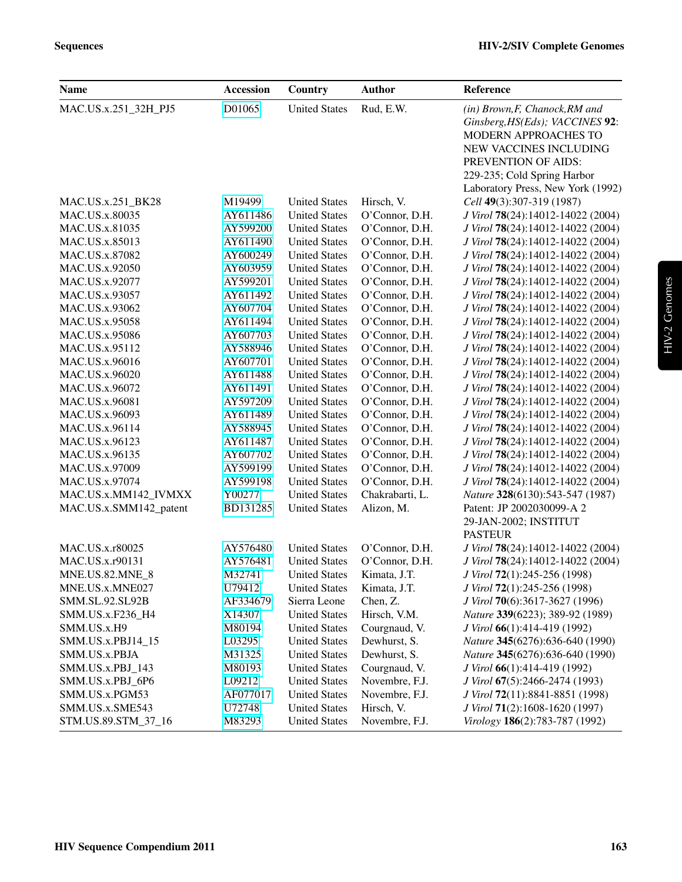| <b>Name</b>            | <b>Accession</b> | Country              | <b>Author</b>   | Reference                                                                                                                                                                                                             |
|------------------------|------------------|----------------------|-----------------|-----------------------------------------------------------------------------------------------------------------------------------------------------------------------------------------------------------------------|
| MAC.US.x.251_32H_PJ5   | D01065           | <b>United States</b> | Rud, E.W.       | (in) Brown, F, Chanock, RM and<br>Ginsberg, HS(Eds); VACCINES 92:<br><b>MODERN APPROACHES TO</b><br>NEW VACCINES INCLUDING<br>PREVENTION OF AIDS:<br>229-235; Cold Spring Harbor<br>Laboratory Press, New York (1992) |
| MAC.US.x.251_BK28      | M19499           | <b>United States</b> | Hirsch, V.      | Cell 49(3):307-319 (1987)                                                                                                                                                                                             |
| MAC.US.x.80035         | AY611486         | <b>United States</b> | O'Connor, D.H.  | J Virol 78(24):14012-14022 (2004)                                                                                                                                                                                     |
| MAC.US.x.81035         | AY599200         | <b>United States</b> | O'Connor, D.H.  | J Virol 78(24):14012-14022 (2004)                                                                                                                                                                                     |
| MAC.US.x.85013         | AY611490         | <b>United States</b> | O'Connor, D.H.  | J Virol 78(24):14012-14022 (2004)                                                                                                                                                                                     |
| MAC.US.x.87082         | AY600249         | <b>United States</b> | O'Connor, D.H.  | J Virol 78(24):14012-14022 (2004)                                                                                                                                                                                     |
| MAC.US.x.92050         | AY603959         | <b>United States</b> | O'Connor, D.H.  | J Virol 78(24):14012-14022 (2004)                                                                                                                                                                                     |
| MAC.US.x.92077         | AY599201         | <b>United States</b> | O'Connor, D.H.  | J Virol 78(24):14012-14022 (2004)                                                                                                                                                                                     |
| MAC.US.x.93057         | AY611492         | <b>United States</b> | O'Connor, D.H.  | J Virol 78(24):14012-14022 (2004)                                                                                                                                                                                     |
| MAC.US.x.93062         | AY607704         | <b>United States</b> | O'Connor, D.H.  | J Virol 78(24):14012-14022 (2004)                                                                                                                                                                                     |
| MAC.US.x.95058         | AY611494         | <b>United States</b> | O'Connor, D.H.  | J Virol 78(24):14012-14022 (2004)                                                                                                                                                                                     |
| <b>MAC.US.x.95086</b>  | AY607703         | <b>United States</b> | O'Connor, D.H.  | J Virol 78(24):14012-14022 (2004)                                                                                                                                                                                     |
| MAC.US.x.95112         | AY588946         | <b>United States</b> | O'Connor, D.H.  | J Virol 78(24):14012-14022 (2004)                                                                                                                                                                                     |
| MAC.US.x.96016         | AY607701         | <b>United States</b> | O'Connor, D.H.  | J Virol 78(24):14012-14022 (2004)                                                                                                                                                                                     |
| MAC.US.x.96020         | AY611488         | <b>United States</b> | O'Connor, D.H.  | J Virol 78(24):14012-14022 (2004)                                                                                                                                                                                     |
| MAC.US.x.96072         | AY611491         | <b>United States</b> | O'Connor, D.H.  | J Virol 78(24):14012-14022 (2004)                                                                                                                                                                                     |
| MAC.US.x.96081         | AY597209         | <b>United States</b> | O'Connor, D.H.  | J Virol 78(24):14012-14022 (2004)                                                                                                                                                                                     |
| MAC.US.x.96093         | AY611489         | <b>United States</b> | O'Connor, D.H.  | J Virol 78(24):14012-14022 (2004)                                                                                                                                                                                     |
| MAC.US.x.96114         | AY588945         | <b>United States</b> | O'Connor, D.H.  | J Virol 78(24):14012-14022 (2004)                                                                                                                                                                                     |
| MAC.US.x.96123         | AY611487         | <b>United States</b> | O'Connor, D.H.  | J Virol 78(24):14012-14022 (2004)                                                                                                                                                                                     |
| MAC.US.x.96135         | AY607702         | <b>United States</b> | O'Connor, D.H.  | J Virol 78(24):14012-14022 (2004)                                                                                                                                                                                     |
| MAC.US.x.97009         | AY599199         | <b>United States</b> | O'Connor, D.H.  | J Virol 78(24):14012-14022 (2004)                                                                                                                                                                                     |
| MAC.US.x.97074         | AY599198         | <b>United States</b> | O'Connor, D.H.  | J Virol 78(24):14012-14022 (2004)                                                                                                                                                                                     |
| MAC.US.x.MM142_IVMXX   | Y00277           | <b>United States</b> | Chakrabarti, L. | Nature 328(6130):543-547 (1987)                                                                                                                                                                                       |
| MAC.US.x.SMM142_patent | BD131285         | <b>United States</b> | Alizon, M.      | Patent: JP 2002030099-A 2                                                                                                                                                                                             |
|                        |                  |                      |                 | 29-JAN-2002; INSTITUT                                                                                                                                                                                                 |
|                        |                  |                      |                 | <b>PASTEUR</b>                                                                                                                                                                                                        |
| MAC.US.x.r80025        | AY576480         | <b>United States</b> | O'Connor, D.H.  | J Virol 78(24):14012-14022 (2004)                                                                                                                                                                                     |
| MAC.US.x.r90131        | AY576481         | <b>United States</b> | O'Connor, D.H.  | J Virol 78(24):14012-14022 (2004)                                                                                                                                                                                     |
| MNE.US.82.MNE_8        | M32741           | <b>United States</b> | Kimata, J.T.    | J Virol 72(1):245-256 (1998)                                                                                                                                                                                          |
| MNE.US.x.MNE027        | U79412           | <b>United States</b> | Kimata, J.T.    | J Virol 72(1):245-256 (1998)                                                                                                                                                                                          |
| SMM.SL.92.SL92B        | AF334679         | Sierra Leone         | Chen, Z.        | J Virol 70(6):3617-3627 (1996)                                                                                                                                                                                        |
| SMM.US.x.F236_H4       | X14307           | <b>United States</b> | Hirsch, V.M.    | Nature 339(6223); 389-92 (1989)                                                                                                                                                                                       |
| SMM.US.x.H9            | M80194           | <b>United States</b> | Courgnaud, V.   | J Virol 66(1):414-419 (1992)                                                                                                                                                                                          |
| SMM.US.x.PBJ14_15      | L03295           | <b>United States</b> | Dewhurst, S.    | Nature 345(6276):636-640 (1990)                                                                                                                                                                                       |
| SMM.US.x.PBJA          | M31325           | <b>United States</b> | Dewhurst, S.    | Nature 345(6276):636-640 (1990)                                                                                                                                                                                       |
| SMM.US.x.PBJ_143       | M80193           | <b>United States</b> | Courgnaud, V.   | J Virol 66(1):414-419 (1992)                                                                                                                                                                                          |
| SMM.US.x.PBJ_6P6       | L09212           | <b>United States</b> | Novembre, F.J.  | J Virol 67(5):2466-2474 (1993)                                                                                                                                                                                        |
| SMM.US.x.PGM53         | AF077017         | <b>United States</b> | Novembre, F.J.  | J Virol 72(11):8841-8851 (1998)                                                                                                                                                                                       |
| SMM.US.x.SME543        | U72748           | <b>United States</b> | Hirsch, V.      | J Virol 71(2):1608-1620 (1997)                                                                                                                                                                                        |
| STM.US.89.STM_37_16    | M83293           | <b>United States</b> | Novembre, F.J.  | Virology 186(2):783-787 (1992)                                                                                                                                                                                        |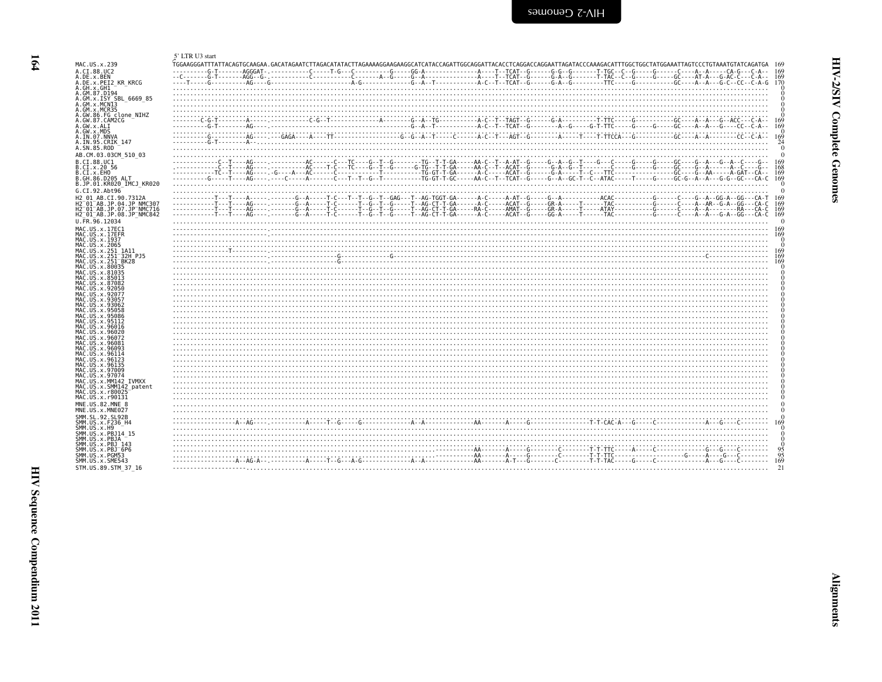<span id="page-5-1"></span>

| ؟<br>i<br>ì<br>ć |
|------------------|
| i<br>ì           |

<span id="page-5-0"></span>

|                                                                             | 5' LTR U3 start                                                                                                                                                                                                                                                                                                                                                                                                                                                                        |
|-----------------------------------------------------------------------------|----------------------------------------------------------------------------------------------------------------------------------------------------------------------------------------------------------------------------------------------------------------------------------------------------------------------------------------------------------------------------------------------------------------------------------------------------------------------------------------|
| MAC.US.x.239                                                                |                                                                                                                                                                                                                                                                                                                                                                                                                                                                                        |
| A.CI.88.UC2<br>A.DE.x.BEN                                                   | 169                                                                                                                                                                                                                                                                                                                                                                                                                                                                                    |
| A.DE.x.PEI2 KR KRCG                                                         |                                                                                                                                                                                                                                                                                                                                                                                                                                                                                        |
| A.GH.x.GH1<br>A.GM.87.D194                                                  |                                                                                                                                                                                                                                                                                                                                                                                                                                                                                        |
| A.GM.x.ISY SBL 6669 85                                                      |                                                                                                                                                                                                                                                                                                                                                                                                                                                                                        |
| A.GM.x.MCNI3<br>A.GM.X.MCR35                                                |                                                                                                                                                                                                                                                                                                                                                                                                                                                                                        |
| A.GW.86.FG clone NIHZ<br>A.GW.87.CAM2CG                                     |                                                                                                                                                                                                                                                                                                                                                                                                                                                                                        |
| A.GW.x.ALI                                                                  | 169                                                                                                                                                                                                                                                                                                                                                                                                                                                                                    |
| A.GW.x.MDS<br>A.IN.07.NNVA                                                  |                                                                                                                                                                                                                                                                                                                                                                                                                                                                                        |
| A.IN.95.CRIK 147                                                            |                                                                                                                                                                                                                                                                                                                                                                                                                                                                                        |
| A.SN.85.ROD<br>AB.CM.03.03CM 510 03                                         |                                                                                                                                                                                                                                                                                                                                                                                                                                                                                        |
| B.CI.88.UC1                                                                 |                                                                                                                                                                                                                                                                                                                                                                                                                                                                                        |
| B.CI.x.20 56                                                                |                                                                                                                                                                                                                                                                                                                                                                                                                                                                                        |
| B.CI.x.EHO<br>B.GH.86.D205 ALT                                              |                                                                                                                                                                                                                                                                                                                                                                                                                                                                                        |
| B.JP.01.KR020 IMCJ KR020                                                    |                                                                                                                                                                                                                                                                                                                                                                                                                                                                                        |
| G.CI.92.Abt96<br>H2 01 AB.CI.90.7312A                                       |                                                                                                                                                                                                                                                                                                                                                                                                                                                                                        |
| H2 <sup>-01-AB.JP.04.JP NMC307</sup>                                        |                                                                                                                                                                                                                                                                                                                                                                                                                                                                                        |
| H2 01 AB.JP.07.JP NMC716<br>H2 <sup>-01-AB.JP.08.JP<sup>-</sup>NMC842</sup> |                                                                                                                                                                                                                                                                                                                                                                                                                                                                                        |
| U.FR.96.12034                                                               |                                                                                                                                                                                                                                                                                                                                                                                                                                                                                        |
| MAC.US.x.17EC1                                                              |                                                                                                                                                                                                                                                                                                                                                                                                                                                                                        |
| MAC.US.x.17EFR<br>MAC.US.x.1937                                             |                                                                                                                                                                                                                                                                                                                                                                                                                                                                                        |
| MAC.US.x.2065                                                               | 169                                                                                                                                                                                                                                                                                                                                                                                                                                                                                    |
| MAC.US.x.251 1A11<br>MAC.US.x.251 32H PJ5                                   | 169                                                                                                                                                                                                                                                                                                                                                                                                                                                                                    |
| MAC.US.x.251 <sup>-</sup> BK28<br>MAC.US.x.80035                            | 169                                                                                                                                                                                                                                                                                                                                                                                                                                                                                    |
| MAC.US.x.81035<br>MAC.US.x.85013                                            |                                                                                                                                                                                                                                                                                                                                                                                                                                                                                        |
| MAC.US.x.87082                                                              |                                                                                                                                                                                                                                                                                                                                                                                                                                                                                        |
| MAC.US.x.92050                                                              |                                                                                                                                                                                                                                                                                                                                                                                                                                                                                        |
| MAC.US.x.92077<br>MAC.US.x.93057                                            |                                                                                                                                                                                                                                                                                                                                                                                                                                                                                        |
| MAC.US.x.93062<br>MAC.US.x.95058                                            |                                                                                                                                                                                                                                                                                                                                                                                                                                                                                        |
| MAC.US.x.95086                                                              |                                                                                                                                                                                                                                                                                                                                                                                                                                                                                        |
| MAC.US.x.95112<br>MAC.US.x.96016                                            |                                                                                                                                                                                                                                                                                                                                                                                                                                                                                        |
| MAC.US.x.96020                                                              |                                                                                                                                                                                                                                                                                                                                                                                                                                                                                        |
| MAC.US.x.96072<br>MAC.US.x.96081                                            |                                                                                                                                                                                                                                                                                                                                                                                                                                                                                        |
| MAC. US. x. 96093<br>MAC.US.x.96114                                         |                                                                                                                                                                                                                                                                                                                                                                                                                                                                                        |
| MAC.US.x.96123                                                              |                                                                                                                                                                                                                                                                                                                                                                                                                                                                                        |
| MAC. US. x. 96135<br>MAC.US.x.97009                                         |                                                                                                                                                                                                                                                                                                                                                                                                                                                                                        |
| MAC.US.x.97074                                                              |                                                                                                                                                                                                                                                                                                                                                                                                                                                                                        |
| MAC.US.x.MM142 IVMXX<br>MAC.US.x.SMM142 patent                              |                                                                                                                                                                                                                                                                                                                                                                                                                                                                                        |
| MAC. US. x. r80025<br>MAC.US.x.r90131                                       |                                                                                                                                                                                                                                                                                                                                                                                                                                                                                        |
| MNE.US.82.MNE 8                                                             |                                                                                                                                                                                                                                                                                                                                                                                                                                                                                        |
| MNE.US.x.MNE027                                                             |                                                                                                                                                                                                                                                                                                                                                                                                                                                                                        |
| SMM.SL.92.SL92B<br>SMM.US.x.F236 H4                                         | $\lambda_1 \lambda_2 \ldots \lambda_{n-1} \lambda_3 \ldots \lambda_{n-2} \ldots \lambda_{n-1} \ldots \lambda_{n-1} \ldots \lambda_{n-1} \ldots \lambda_{n-1} \ldots \lambda_{n-1} \ldots \lambda_{n-1} \ldots \lambda_{n-1} \ldots \lambda_{n-1} \ldots \lambda_{n-1} \ldots \lambda_{n-1} \ldots \lambda_{n-1} \ldots \lambda_{n-1} \ldots \lambda_{n-1} \ldots \lambda_{n-1} \ldots \lambda_{n-1} \ldots \lambda_{n-1} \ldots \lambda_{n-1} \ldots \lambda_{n-1} \ldots \lambda_{n-$ |
| SMM.US.x.H9                                                                 |                                                                                                                                                                                                                                                                                                                                                                                                                                                                                        |
| SMM.US.x.PBJ14 15<br>SMM.US.x.PBJA                                          |                                                                                                                                                                                                                                                                                                                                                                                                                                                                                        |
| SMM. US. x. PBJ 143<br>SMM.US.x.PBJ <sup>-6P6</sup>                         |                                                                                                                                                                                                                                                                                                                                                                                                                                                                                        |
| SMM.US.x.PGM53                                                              |                                                                                                                                                                                                                                                                                                                                                                                                                                                                                        |
| SMM.US.x.SME543<br>STM.US.89.STM 37 16                                      | 169                                                                                                                                                                                                                                                                                                                                                                                                                                                                                    |
|                                                                             |                                                                                                                                                                                                                                                                                                                                                                                                                                                                                        |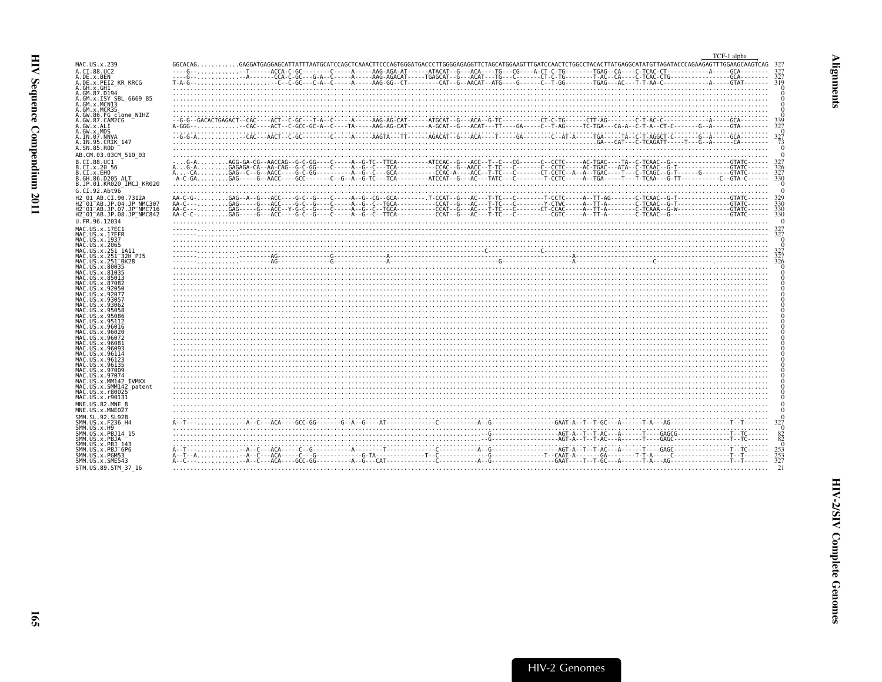<span id="page-6-0"></span>

| $GGCACAG. \dots\dots\dots\dots GAGGATGAGGAGAGATATTTTATGCATCTCCAGCTCAAACTTCCCAGTGGGATGACCCTTGGGGAGGGGGGAGGGTTCTAGGGAGTTTTGATCCCAACTCTGGCCTTATGAGCTTATGAGGCATATGTTAGATACCCAGAGGATTTGGAAGCAAGTTTGGAGAGGTTTGAGCTGGGGATGAGGTTTTTGAGGAGTGGGATGAGGTTTTTGAGGAGTGGGATGAGGTTTTTGGGGATGAGGTTTTTGGGGATGAGGTTTTTGGGGATGAGGTTTTTGGGGATGAGTTTTGGGGATGAGTTTTTGAGTTTTGAGGCTGAGTTTTGGGGATG$<br>A.DE.x.BEN<br>319<br>A.DE.x.PEI2 KR KRCG<br>A.GM.x.ISY SBL 6669 85<br>A.GM.x.MCNI3<br>A.GW.86.FG clone NIHZ<br>A.GW.87.CAM2CG<br>327<br>A.IN.07.NNVA<br>A.IN.95.CRIK 147<br>B.CI.x.20 56<br>B.CI.x.EHO<br>B.JP.01.KR020 IMCJ KR020<br>G.CI.92.Abt96<br>H2 01 AB.CI.90.7312A<br>H2 <sup>-01-AB.JP.04.JP NMC307</sup><br>H2 <sup>-01-AB.JP.08.JP-NMC842</sup><br>U.FR.96.12034<br>MAC.US.x.17EC1<br>$\frac{1}{3}$<br>MAC.US.x.17EFR<br>MAC.US.x.2065<br>$A_6$ . The contract of the contract of the contract of the contract of the contract of the contract of the contract of the contract of the contract of the contract of the contract of the contract of the contract of the c<br>MAC.US.x.251 1A11<br>327<br>MAC.US.x.251 <sup>-</sup> 32H PJ5<br>MAC.US.x.80035<br>MAC.US.x.81035<br>MAC.US.x.87082<br>MAC.US.x.92050<br>MAC.US.x.93062<br>MAC.US.x.95058<br>MAC.US.x.95112<br>MAC.US.x.96016<br>MAC.US.x.96081<br>MAC.US.x.96093<br>MAC.US.x.96123<br>MAC.US.x.96135<br>MAC.US.x.97074<br>MAC.US.x.MM142 IVMXX<br>MAC.US.x.SMM142 patent<br>MAC.US.x.r90131<br>MNE.US.82.MNE 8<br>MNE.US.x.MNE027<br>SMM.SL.92.SL92B<br>SMM.US.x.H9<br>SMM.US.x.PBJ14 15<br>$^{82}_{82}$<br>$\frac{25}{25}$<br>$\frac{25}{32}$<br>SMM.US.x.PBJ <sup>-</sup> 6P6<br>SMM.US.x.PGM53 |                                                   | TCF-1 alpha |
|--------------------------------------------------------------------------------------------------------------------------------------------------------------------------------------------------------------------------------------------------------------------------------------------------------------------------------------------------------------------------------------------------------------------------------------------------------------------------------------------------------------------------------------------------------------------------------------------------------------------------------------------------------------------------------------------------------------------------------------------------------------------------------------------------------------------------------------------------------------------------------------------------------------------------------------------------------------------------------------------------------------------------------------------------------------------------------------------------------------------------------------------------------------------------------------------------------------------------------------------------------------------------------------------------------------------------------------------------------------------------------------------------------------------------------------------------------------------------------------------------------------------------------------------------------------------------------------------------------------------------------------------------------|---------------------------------------------------|-------------|
|                                                                                                                                                                                                                                                                                                                                                                                                                                                                                                                                                                                                                                                                                                                                                                                                                                                                                                                                                                                                                                                                                                                                                                                                                                                                                                                                                                                                                                                                                                                                                                                                                                                        | MAC.US.x.239                                      |             |
|                                                                                                                                                                                                                                                                                                                                                                                                                                                                                                                                                                                                                                                                                                                                                                                                                                                                                                                                                                                                                                                                                                                                                                                                                                                                                                                                                                                                                                                                                                                                                                                                                                                        | A.CI.88.UC2                                       |             |
|                                                                                                                                                                                                                                                                                                                                                                                                                                                                                                                                                                                                                                                                                                                                                                                                                                                                                                                                                                                                                                                                                                                                                                                                                                                                                                                                                                                                                                                                                                                                                                                                                                                        |                                                   |             |
|                                                                                                                                                                                                                                                                                                                                                                                                                                                                                                                                                                                                                                                                                                                                                                                                                                                                                                                                                                                                                                                                                                                                                                                                                                                                                                                                                                                                                                                                                                                                                                                                                                                        | A.GH.x.GH1                                        |             |
|                                                                                                                                                                                                                                                                                                                                                                                                                                                                                                                                                                                                                                                                                                                                                                                                                                                                                                                                                                                                                                                                                                                                                                                                                                                                                                                                                                                                                                                                                                                                                                                                                                                        | A.GM.87.D194                                      |             |
|                                                                                                                                                                                                                                                                                                                                                                                                                                                                                                                                                                                                                                                                                                                                                                                                                                                                                                                                                                                                                                                                                                                                                                                                                                                                                                                                                                                                                                                                                                                                                                                                                                                        |                                                   |             |
|                                                                                                                                                                                                                                                                                                                                                                                                                                                                                                                                                                                                                                                                                                                                                                                                                                                                                                                                                                                                                                                                                                                                                                                                                                                                                                                                                                                                                                                                                                                                                                                                                                                        | A.GM.x.MCR35                                      |             |
|                                                                                                                                                                                                                                                                                                                                                                                                                                                                                                                                                                                                                                                                                                                                                                                                                                                                                                                                                                                                                                                                                                                                                                                                                                                                                                                                                                                                                                                                                                                                                                                                                                                        |                                                   |             |
|                                                                                                                                                                                                                                                                                                                                                                                                                                                                                                                                                                                                                                                                                                                                                                                                                                                                                                                                                                                                                                                                                                                                                                                                                                                                                                                                                                                                                                                                                                                                                                                                                                                        | A.GW.x.ALI                                        |             |
|                                                                                                                                                                                                                                                                                                                                                                                                                                                                                                                                                                                                                                                                                                                                                                                                                                                                                                                                                                                                                                                                                                                                                                                                                                                                                                                                                                                                                                                                                                                                                                                                                                                        | A.GW.x.MDS                                        |             |
|                                                                                                                                                                                                                                                                                                                                                                                                                                                                                                                                                                                                                                                                                                                                                                                                                                                                                                                                                                                                                                                                                                                                                                                                                                                                                                                                                                                                                                                                                                                                                                                                                                                        |                                                   |             |
|                                                                                                                                                                                                                                                                                                                                                                                                                                                                                                                                                                                                                                                                                                                                                                                                                                                                                                                                                                                                                                                                                                                                                                                                                                                                                                                                                                                                                                                                                                                                                                                                                                                        | A.SN.85.ROD                                       |             |
|                                                                                                                                                                                                                                                                                                                                                                                                                                                                                                                                                                                                                                                                                                                                                                                                                                                                                                                                                                                                                                                                                                                                                                                                                                                                                                                                                                                                                                                                                                                                                                                                                                                        | AB.CM.03.03CM 510 03                              |             |
|                                                                                                                                                                                                                                                                                                                                                                                                                                                                                                                                                                                                                                                                                                                                                                                                                                                                                                                                                                                                                                                                                                                                                                                                                                                                                                                                                                                                                                                                                                                                                                                                                                                        | B.CI.88.UC1                                       |             |
|                                                                                                                                                                                                                                                                                                                                                                                                                                                                                                                                                                                                                                                                                                                                                                                                                                                                                                                                                                                                                                                                                                                                                                                                                                                                                                                                                                                                                                                                                                                                                                                                                                                        |                                                   |             |
|                                                                                                                                                                                                                                                                                                                                                                                                                                                                                                                                                                                                                                                                                                                                                                                                                                                                                                                                                                                                                                                                                                                                                                                                                                                                                                                                                                                                                                                                                                                                                                                                                                                        | B.GH.86.D205 ALT                                  |             |
|                                                                                                                                                                                                                                                                                                                                                                                                                                                                                                                                                                                                                                                                                                                                                                                                                                                                                                                                                                                                                                                                                                                                                                                                                                                                                                                                                                                                                                                                                                                                                                                                                                                        |                                                   |             |
|                                                                                                                                                                                                                                                                                                                                                                                                                                                                                                                                                                                                                                                                                                                                                                                                                                                                                                                                                                                                                                                                                                                                                                                                                                                                                                                                                                                                                                                                                                                                                                                                                                                        |                                                   |             |
|                                                                                                                                                                                                                                                                                                                                                                                                                                                                                                                                                                                                                                                                                                                                                                                                                                                                                                                                                                                                                                                                                                                                                                                                                                                                                                                                                                                                                                                                                                                                                                                                                                                        |                                                   |             |
|                                                                                                                                                                                                                                                                                                                                                                                                                                                                                                                                                                                                                                                                                                                                                                                                                                                                                                                                                                                                                                                                                                                                                                                                                                                                                                                                                                                                                                                                                                                                                                                                                                                        | H2 <sup>-</sup> 01 <sup>-AB.JP.07.JP-NMC716</sup> |             |
|                                                                                                                                                                                                                                                                                                                                                                                                                                                                                                                                                                                                                                                                                                                                                                                                                                                                                                                                                                                                                                                                                                                                                                                                                                                                                                                                                                                                                                                                                                                                                                                                                                                        |                                                   |             |
|                                                                                                                                                                                                                                                                                                                                                                                                                                                                                                                                                                                                                                                                                                                                                                                                                                                                                                                                                                                                                                                                                                                                                                                                                                                                                                                                                                                                                                                                                                                                                                                                                                                        |                                                   |             |
|                                                                                                                                                                                                                                                                                                                                                                                                                                                                                                                                                                                                                                                                                                                                                                                                                                                                                                                                                                                                                                                                                                                                                                                                                                                                                                                                                                                                                                                                                                                                                                                                                                                        |                                                   |             |
|                                                                                                                                                                                                                                                                                                                                                                                                                                                                                                                                                                                                                                                                                                                                                                                                                                                                                                                                                                                                                                                                                                                                                                                                                                                                                                                                                                                                                                                                                                                                                                                                                                                        | MAC.US.x.1937                                     |             |
|                                                                                                                                                                                                                                                                                                                                                                                                                                                                                                                                                                                                                                                                                                                                                                                                                                                                                                                                                                                                                                                                                                                                                                                                                                                                                                                                                                                                                                                                                                                                                                                                                                                        |                                                   |             |
|                                                                                                                                                                                                                                                                                                                                                                                                                                                                                                                                                                                                                                                                                                                                                                                                                                                                                                                                                                                                                                                                                                                                                                                                                                                                                                                                                                                                                                                                                                                                                                                                                                                        |                                                   |             |
|                                                                                                                                                                                                                                                                                                                                                                                                                                                                                                                                                                                                                                                                                                                                                                                                                                                                                                                                                                                                                                                                                                                                                                                                                                                                                                                                                                                                                                                                                                                                                                                                                                                        | MAC.US.x.251 <sup>-</sup> BK28                    |             |
|                                                                                                                                                                                                                                                                                                                                                                                                                                                                                                                                                                                                                                                                                                                                                                                                                                                                                                                                                                                                                                                                                                                                                                                                                                                                                                                                                                                                                                                                                                                                                                                                                                                        |                                                   |             |
|                                                                                                                                                                                                                                                                                                                                                                                                                                                                                                                                                                                                                                                                                                                                                                                                                                                                                                                                                                                                                                                                                                                                                                                                                                                                                                                                                                                                                                                                                                                                                                                                                                                        | MAC.US.x.85013                                    |             |
|                                                                                                                                                                                                                                                                                                                                                                                                                                                                                                                                                                                                                                                                                                                                                                                                                                                                                                                                                                                                                                                                                                                                                                                                                                                                                                                                                                                                                                                                                                                                                                                                                                                        |                                                   |             |
|                                                                                                                                                                                                                                                                                                                                                                                                                                                                                                                                                                                                                                                                                                                                                                                                                                                                                                                                                                                                                                                                                                                                                                                                                                                                                                                                                                                                                                                                                                                                                                                                                                                        | MAC.US.x.92077                                    |             |
|                                                                                                                                                                                                                                                                                                                                                                                                                                                                                                                                                                                                                                                                                                                                                                                                                                                                                                                                                                                                                                                                                                                                                                                                                                                                                                                                                                                                                                                                                                                                                                                                                                                        | MAC.US.x.93057                                    |             |
|                                                                                                                                                                                                                                                                                                                                                                                                                                                                                                                                                                                                                                                                                                                                                                                                                                                                                                                                                                                                                                                                                                                                                                                                                                                                                                                                                                                                                                                                                                                                                                                                                                                        |                                                   |             |
|                                                                                                                                                                                                                                                                                                                                                                                                                                                                                                                                                                                                                                                                                                                                                                                                                                                                                                                                                                                                                                                                                                                                                                                                                                                                                                                                                                                                                                                                                                                                                                                                                                                        | MAC.US.x.95086                                    |             |
|                                                                                                                                                                                                                                                                                                                                                                                                                                                                                                                                                                                                                                                                                                                                                                                                                                                                                                                                                                                                                                                                                                                                                                                                                                                                                                                                                                                                                                                                                                                                                                                                                                                        |                                                   |             |
|                                                                                                                                                                                                                                                                                                                                                                                                                                                                                                                                                                                                                                                                                                                                                                                                                                                                                                                                                                                                                                                                                                                                                                                                                                                                                                                                                                                                                                                                                                                                                                                                                                                        | MAC.US.x.96020                                    |             |
|                                                                                                                                                                                                                                                                                                                                                                                                                                                                                                                                                                                                                                                                                                                                                                                                                                                                                                                                                                                                                                                                                                                                                                                                                                                                                                                                                                                                                                                                                                                                                                                                                                                        | MAC.US.x.96072                                    |             |
|                                                                                                                                                                                                                                                                                                                                                                                                                                                                                                                                                                                                                                                                                                                                                                                                                                                                                                                                                                                                                                                                                                                                                                                                                                                                                                                                                                                                                                                                                                                                                                                                                                                        |                                                   |             |
|                                                                                                                                                                                                                                                                                                                                                                                                                                                                                                                                                                                                                                                                                                                                                                                                                                                                                                                                                                                                                                                                                                                                                                                                                                                                                                                                                                                                                                                                                                                                                                                                                                                        | MAC.US.x.96114                                    |             |
|                                                                                                                                                                                                                                                                                                                                                                                                                                                                                                                                                                                                                                                                                                                                                                                                                                                                                                                                                                                                                                                                                                                                                                                                                                                                                                                                                                                                                                                                                                                                                                                                                                                        |                                                   |             |
|                                                                                                                                                                                                                                                                                                                                                                                                                                                                                                                                                                                                                                                                                                                                                                                                                                                                                                                                                                                                                                                                                                                                                                                                                                                                                                                                                                                                                                                                                                                                                                                                                                                        | MAC.US.x.97009                                    |             |
|                                                                                                                                                                                                                                                                                                                                                                                                                                                                                                                                                                                                                                                                                                                                                                                                                                                                                                                                                                                                                                                                                                                                                                                                                                                                                                                                                                                                                                                                                                                                                                                                                                                        |                                                   |             |
|                                                                                                                                                                                                                                                                                                                                                                                                                                                                                                                                                                                                                                                                                                                                                                                                                                                                                                                                                                                                                                                                                                                                                                                                                                                                                                                                                                                                                                                                                                                                                                                                                                                        |                                                   |             |
|                                                                                                                                                                                                                                                                                                                                                                                                                                                                                                                                                                                                                                                                                                                                                                                                                                                                                                                                                                                                                                                                                                                                                                                                                                                                                                                                                                                                                                                                                                                                                                                                                                                        | MAC.US.x.r80025                                   |             |
|                                                                                                                                                                                                                                                                                                                                                                                                                                                                                                                                                                                                                                                                                                                                                                                                                                                                                                                                                                                                                                                                                                                                                                                                                                                                                                                                                                                                                                                                                                                                                                                                                                                        |                                                   |             |
|                                                                                                                                                                                                                                                                                                                                                                                                                                                                                                                                                                                                                                                                                                                                                                                                                                                                                                                                                                                                                                                                                                                                                                                                                                                                                                                                                                                                                                                                                                                                                                                                                                                        |                                                   |             |
|                                                                                                                                                                                                                                                                                                                                                                                                                                                                                                                                                                                                                                                                                                                                                                                                                                                                                                                                                                                                                                                                                                                                                                                                                                                                                                                                                                                                                                                                                                                                                                                                                                                        |                                                   |             |
|                                                                                                                                                                                                                                                                                                                                                                                                                                                                                                                                                                                                                                                                                                                                                                                                                                                                                                                                                                                                                                                                                                                                                                                                                                                                                                                                                                                                                                                                                                                                                                                                                                                        | SMM.US.x.F236 H4                                  |             |
|                                                                                                                                                                                                                                                                                                                                                                                                                                                                                                                                                                                                                                                                                                                                                                                                                                                                                                                                                                                                                                                                                                                                                                                                                                                                                                                                                                                                                                                                                                                                                                                                                                                        |                                                   |             |
|                                                                                                                                                                                                                                                                                                                                                                                                                                                                                                                                                                                                                                                                                                                                                                                                                                                                                                                                                                                                                                                                                                                                                                                                                                                                                                                                                                                                                                                                                                                                                                                                                                                        | SMM.US.x.PBJA                                     |             |
|                                                                                                                                                                                                                                                                                                                                                                                                                                                                                                                                                                                                                                                                                                                                                                                                                                                                                                                                                                                                                                                                                                                                                                                                                                                                                                                                                                                                                                                                                                                                                                                                                                                        | SMM.US.x.PBJ 143                                  |             |
|                                                                                                                                                                                                                                                                                                                                                                                                                                                                                                                                                                                                                                                                                                                                                                                                                                                                                                                                                                                                                                                                                                                                                                                                                                                                                                                                                                                                                                                                                                                                                                                                                                                        |                                                   |             |
|                                                                                                                                                                                                                                                                                                                                                                                                                                                                                                                                                                                                                                                                                                                                                                                                                                                                                                                                                                                                                                                                                                                                                                                                                                                                                                                                                                                                                                                                                                                                                                                                                                                        | SMM.US.x.SME543                                   |             |
|                                                                                                                                                                                                                                                                                                                                                                                                                                                                                                                                                                                                                                                                                                                                                                                                                                                                                                                                                                                                                                                                                                                                                                                                                                                                                                                                                                                                                                                                                                                                                                                                                                                        | STM.US.89.STM 37 16                               |             |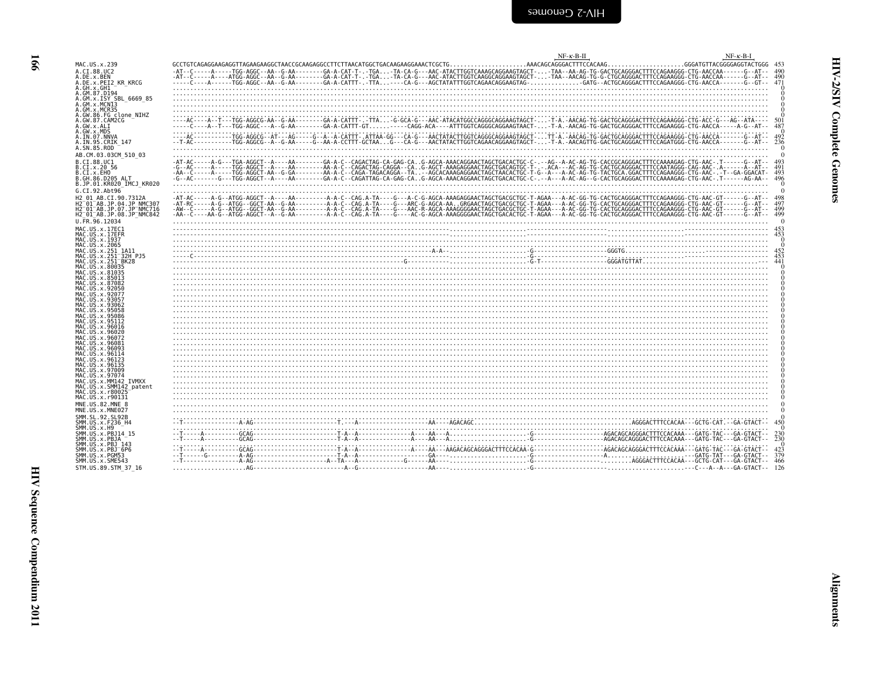| MAC.US.x.239                                                                                                                                  |                                                                                                                                                                                                                                                                                                                                                                                                                                                           |  |  |                  |
|-----------------------------------------------------------------------------------------------------------------------------------------------|-----------------------------------------------------------------------------------------------------------------------------------------------------------------------------------------------------------------------------------------------------------------------------------------------------------------------------------------------------------------------------------------------------------------------------------------------------------|--|--|------------------|
| A.CI.88.UC2                                                                                                                                   |                                                                                                                                                                                                                                                                                                                                                                                                                                                           |  |  |                  |
| A.DE.x.BEN<br>A.DE.X.PEI2 KR KRCG                                                                                                             |                                                                                                                                                                                                                                                                                                                                                                                                                                                           |  |  |                  |
| A.GH.x.GH1<br>A.GM.87.D194                                                                                                                    |                                                                                                                                                                                                                                                                                                                                                                                                                                                           |  |  |                  |
| A.GM.x.ISY SBL 6669 85                                                                                                                        |                                                                                                                                                                                                                                                                                                                                                                                                                                                           |  |  |                  |
| A.GM.X.MCN13<br>A.GM.x.MCR35                                                                                                                  |                                                                                                                                                                                                                                                                                                                                                                                                                                                           |  |  |                  |
| A.GW.86.FG clone NIHZ                                                                                                                         |                                                                                                                                                                                                                                                                                                                                                                                                                                                           |  |  |                  |
| A.GW.87.CAM2CG                                                                                                                                |                                                                                                                                                                                                                                                                                                                                                                                                                                                           |  |  |                  |
| A.GW.x.ALI                                                                                                                                    |                                                                                                                                                                                                                                                                                                                                                                                                                                                           |  |  | 487              |
| A.GW.x.MD5<br>A.IN.07.NNVA<br>A.IN.95.CRIK_147                                                                                                |                                                                                                                                                                                                                                                                                                                                                                                                                                                           |  |  |                  |
| A.SN.85.ROD                                                                                                                                   |                                                                                                                                                                                                                                                                                                                                                                                                                                                           |  |  | 236              |
| AB.CM.03.03CM 510 03                                                                                                                          |                                                                                                                                                                                                                                                                                                                                                                                                                                                           |  |  |                  |
| B.CT.88.UC1                                                                                                                                   |                                                                                                                                                                                                                                                                                                                                                                                                                                                           |  |  |                  |
| B.CI.x.20 56                                                                                                                                  |                                                                                                                                                                                                                                                                                                                                                                                                                                                           |  |  |                  |
| B.CI.x.EHO<br>B.GH.86.D205 ALT                                                                                                                |                                                                                                                                                                                                                                                                                                                                                                                                                                                           |  |  | 493<br>496       |
| B.JP.01.KR020 IMCJ KR020                                                                                                                      |                                                                                                                                                                                                                                                                                                                                                                                                                                                           |  |  |                  |
| G.CI.92.Abt96                                                                                                                                 |                                                                                                                                                                                                                                                                                                                                                                                                                                                           |  |  |                  |
| H2 01 AB.CI.90.7312A<br>H2-01-AB.JP.04.JP NMC307                                                                                              |                                                                                                                                                                                                                                                                                                                                                                                                                                                           |  |  |                  |
| H2 <sup>-01-AB.JP.07.JP-NMC716</sup>                                                                                                          |                                                                                                                                                                                                                                                                                                                                                                                                                                                           |  |  |                  |
| H2 <sup>-01-AB.JP.08.JP<sup>-</sup>NMC842</sup>                                                                                               |                                                                                                                                                                                                                                                                                                                                                                                                                                                           |  |  |                  |
| $U. \overline{FR.96.12034}$                                                                                                                   |                                                                                                                                                                                                                                                                                                                                                                                                                                                           |  |  |                  |
| MAC.US.x.17EC1<br>MAC.US.x.17EFR                                                                                                              |                                                                                                                                                                                                                                                                                                                                                                                                                                                           |  |  |                  |
| MAC. US. x. 1937                                                                                                                              |                                                                                                                                                                                                                                                                                                                                                                                                                                                           |  |  |                  |
| MAC.US.x.2065<br>MAC.US.x.251 1A11                                                                                                            |                                                                                                                                                                                                                                                                                                                                                                                                                                                           |  |  |                  |
| MAC.US.x.251 <sup>-</sup> 32H PJ5                                                                                                             |                                                                                                                                                                                                                                                                                                                                                                                                                                                           |  |  |                  |
| MAC.US.x.251 <sup>-</sup> BK28                                                                                                                |                                                                                                                                                                                                                                                                                                                                                                                                                                                           |  |  |                  |
| MAC. US. x. 231<br>MAC. US. x. 80035<br>MAC. US. x. 81035<br>MAC. US. x. 85013<br>MAC. US. x. 92050<br>MAC. US. x. 92057<br>MAC. US. x. 92077 |                                                                                                                                                                                                                                                                                                                                                                                                                                                           |  |  |                  |
|                                                                                                                                               |                                                                                                                                                                                                                                                                                                                                                                                                                                                           |  |  |                  |
|                                                                                                                                               |                                                                                                                                                                                                                                                                                                                                                                                                                                                           |  |  |                  |
| MAC. US. x. 9305.                                                                                                                             |                                                                                                                                                                                                                                                                                                                                                                                                                                                           |  |  |                  |
| MAC. US. x. 93062                                                                                                                             |                                                                                                                                                                                                                                                                                                                                                                                                                                                           |  |  |                  |
| MAC.US.x.95058                                                                                                                                |                                                                                                                                                                                                                                                                                                                                                                                                                                                           |  |  |                  |
| MAC.US.x.95086<br>MAC.US.x.95112                                                                                                              |                                                                                                                                                                                                                                                                                                                                                                                                                                                           |  |  |                  |
| MAC.US.x.96016                                                                                                                                |                                                                                                                                                                                                                                                                                                                                                                                                                                                           |  |  |                  |
| MAC.US.x.96020<br>MAC.US.x.96072                                                                                                              |                                                                                                                                                                                                                                                                                                                                                                                                                                                           |  |  |                  |
| MAC.US.x.96081                                                                                                                                |                                                                                                                                                                                                                                                                                                                                                                                                                                                           |  |  |                  |
| MAC.US.x.96093<br>MAC.US.x.96114                                                                                                              |                                                                                                                                                                                                                                                                                                                                                                                                                                                           |  |  |                  |
| MAC.US.x.96123<br>MAC.US.x.96135                                                                                                              |                                                                                                                                                                                                                                                                                                                                                                                                                                                           |  |  |                  |
| MAC. US. x. 97009                                                                                                                             |                                                                                                                                                                                                                                                                                                                                                                                                                                                           |  |  |                  |
| MAC.US.x.97074                                                                                                                                |                                                                                                                                                                                                                                                                                                                                                                                                                                                           |  |  |                  |
| MAC.US.x.MM142 IVMXX<br>MAC.US.x.SMM142 patent                                                                                                |                                                                                                                                                                                                                                                                                                                                                                                                                                                           |  |  |                  |
| MAC. US. x. r80025                                                                                                                            |                                                                                                                                                                                                                                                                                                                                                                                                                                                           |  |  |                  |
| MAC.US.x.r90131                                                                                                                               |                                                                                                                                                                                                                                                                                                                                                                                                                                                           |  |  |                  |
| MNE.US.82.MNE 8<br>MNE.US.x.MNE027                                                                                                            |                                                                                                                                                                                                                                                                                                                                                                                                                                                           |  |  |                  |
| SMM. SL. 92. SL92B                                                                                                                            |                                                                                                                                                                                                                                                                                                                                                                                                                                                           |  |  |                  |
| SMM. US. x. F236_H4                                                                                                                           |                                                                                                                                                                                                                                                                                                                                                                                                                                                           |  |  |                  |
| $SMM. US. \times . H9SMM. US. x. PBJ14 15$                                                                                                    |                                                                                                                                                                                                                                                                                                                                                                                                                                                           |  |  |                  |
| SMM.US.x.PBJA                                                                                                                                 |                                                                                                                                                                                                                                                                                                                                                                                                                                                           |  |  | $^{230}_{230}$   |
| SMM.US.x.PBJ 143<br>SMM.US.x.PBJ 6P6                                                                                                          |                                                                                                                                                                                                                                                                                                                                                                                                                                                           |  |  |                  |
| SMM.US.x.PGM53                                                                                                                                |                                                                                                                                                                                                                                                                                                                                                                                                                                                           |  |  | $\frac{42}{375}$ |
| SMM. US. x. SME543                                                                                                                            |                                                                                                                                                                                                                                                                                                                                                                                                                                                           |  |  | -466             |
| STM.US.89.STM 37 16                                                                                                                           | $A_1 \cdot C_2 \cdot D_3 \cdot D_4 \cdot D_5 \cdot D_6 \cdot D_7 \cdot D_8 \cdot D_9 \cdot D_1 \cdot D_1 \cdot D_1 \cdot D_2 \cdot D_3 \cdot D_1 \cdot D_2 \cdot D_3 \cdot D_4 \cdot D_5 \cdot D_6 \cdot D_1 \cdot D_2 \cdot D_5 \cdot D_6 \cdot D_1 \cdot D_1 \cdot D_2 \cdot D_1 \cdot D_2 \cdot D_3 \cdot D_1 \cdot D_2 \cdot D_3 \cdot D_1 \cdot D_2 \cdot D_3 \cdot D_1 \cdot D_2 \cdot D_3 \cdot D_1 \cdot D_2 \cdot D_3 \cdot D_1 \cdot D_2 \cdot$ |  |  |                  |

 $NF - K - B - I$ 

<span id="page-7-0"></span> $NF - K - B - II$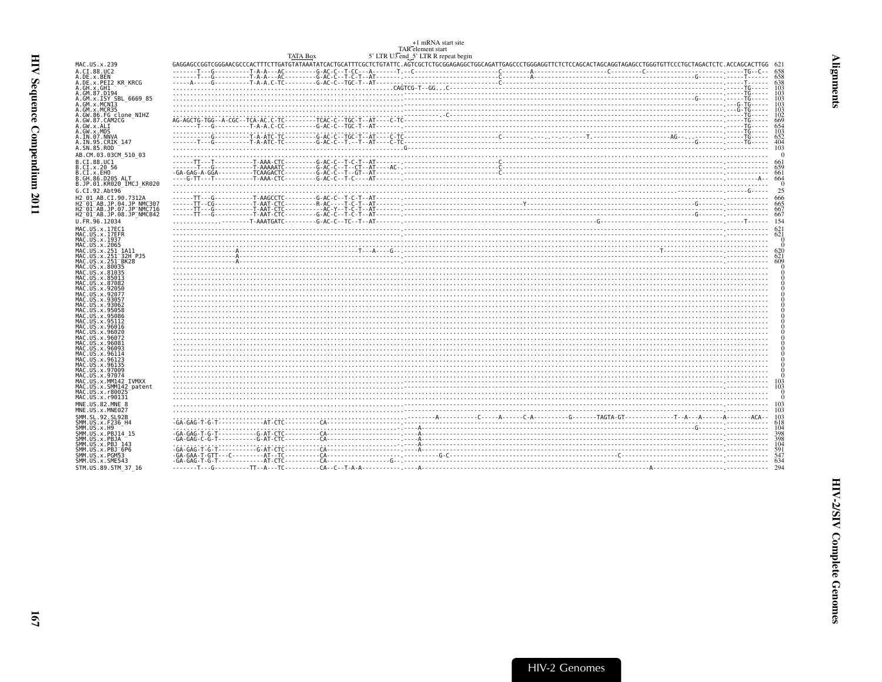<span id="page-8-0"></span>

|                                                                                                    |                 | TAR element start                   | +1 mRNA start site                                                                                                                                                                               |  |            |
|----------------------------------------------------------------------------------------------------|-----------------|-------------------------------------|--------------------------------------------------------------------------------------------------------------------------------------------------------------------------------------------------|--|------------|
|                                                                                                    | <b>TATA Box</b> | 5' LTR U3 end 5' LTR R repeat begin | GAGGAGCCGAGGAGAGCCCCACTTTCTTGATTATAATATACACTGCATTTCGCTCTGTATAATATCACTCCTCTGTATAATATCACTCCTGTATATACACTCCCTGGAGAGGCCCGGAGAGTGGGGGAGTTCTCCCGGCACCTAGCAGGTAGAGCCTGGGTGTTCCCTGCTAGACTCTC.ACCAGCACTTGG |  |            |
| MAC.US.x.239                                                                                       |                 |                                     |                                                                                                                                                                                                  |  |            |
| A.CI.88.UC2<br>A.DE.x.BEN                                                                          |                 |                                     |                                                                                                                                                                                                  |  |            |
| A.DE.X.PEI2_KR_KRCG<br>A.GH.x.GH1                                                                  |                 |                                     |                                                                                                                                                                                                  |  |            |
|                                                                                                    |                 |                                     |                                                                                                                                                                                                  |  |            |
| A.GM.87.D194<br>A.GM.x.ISY SBL 6669 85                                                             |                 |                                     |                                                                                                                                                                                                  |  |            |
| A.GM.x.MCNI3                                                                                       |                 |                                     |                                                                                                                                                                                                  |  |            |
| A.GM.x.MCR35                                                                                       |                 |                                     |                                                                                                                                                                                                  |  |            |
| A.GW.86.FG clone NIHZ<br>A.GW.87.CAM2CG                                                            |                 |                                     |                                                                                                                                                                                                  |  |            |
| A.GW.x.ALI                                                                                         |                 |                                     |                                                                                                                                                                                                  |  |            |
| A.GW.x.MDS                                                                                         |                 |                                     |                                                                                                                                                                                                  |  |            |
| A.IN.07.NNVA<br>A.IN.95.CRIK 147                                                                   |                 |                                     |                                                                                                                                                                                                  |  | 652<br>404 |
| A.SN.85.ROD                                                                                        |                 |                                     |                                                                                                                                                                                                  |  |            |
| AB.CM.03.03CM 510 03                                                                               |                 |                                     |                                                                                                                                                                                                  |  |            |
| B.CI.88.UC1                                                                                        |                 |                                     |                                                                                                                                                                                                  |  |            |
| B.CI.x.20 56                                                                                       |                 |                                     |                                                                                                                                                                                                  |  |            |
| B.CI.X.EHO<br>B.GH.86.D205_ALT                                                                     |                 |                                     |                                                                                                                                                                                                  |  |            |
| B.JP.01.KR020 IMCJ KR020                                                                           |                 |                                     |                                                                                                                                                                                                  |  |            |
| G.CI.92.Abt96                                                                                      |                 |                                     |                                                                                                                                                                                                  |  |            |
| H2 01 AB.CI.90.7312A                                                                               |                 |                                     |                                                                                                                                                                                                  |  |            |
| H2 01 AB.JP.04.JP NMC307                                                                           |                 |                                     |                                                                                                                                                                                                  |  |            |
| H2 <sup>-01-AB.JP.07.JP<sup>-</sup>NMC716</sup><br>H2 <sup>-01-AB.JP.08.JP<sup>-</sup>NMC842</sup> |                 |                                     |                                                                                                                                                                                                  |  |            |
| U.FR.96.12034                                                                                      |                 |                                     |                                                                                                                                                                                                  |  |            |
| MAC.US.x.17EC1                                                                                     |                 |                                     |                                                                                                                                                                                                  |  |            |
| MAC.US.x.17EFR                                                                                     |                 |                                     |                                                                                                                                                                                                  |  |            |
| MAC. US. x. 1937<br>MAC. US. x. 2065                                                               |                 |                                     |                                                                                                                                                                                                  |  |            |
| MAC.US.x.251 1A11                                                                                  |                 |                                     |                                                                                                                                                                                                  |  |            |
| MAC.US.x.251 32H PJ5                                                                               |                 |                                     |                                                                                                                                                                                                  |  |            |
| MAC.US.x.251 BK28                                                                                  |                 |                                     |                                                                                                                                                                                                  |  |            |
| MAC.US.x.80035<br>MAC.US.x.81035                                                                   |                 |                                     |                                                                                                                                                                                                  |  |            |
| MAC.US.x.85013                                                                                     |                 |                                     |                                                                                                                                                                                                  |  |            |
| MAC.US.x.87082                                                                                     |                 |                                     |                                                                                                                                                                                                  |  |            |
| MAC.US.x.92050                                                                                     |                 |                                     |                                                                                                                                                                                                  |  |            |
| MAC.US.x.9207<br>MAC.US.x.9305                                                                     |                 |                                     |                                                                                                                                                                                                  |  |            |
| MAC.US.x.93062                                                                                     |                 |                                     |                                                                                                                                                                                                  |  |            |
| MAC.US.x.95058                                                                                     |                 |                                     |                                                                                                                                                                                                  |  |            |
| MAC.US.x.95086<br>MAC.US.x.95112                                                                   |                 |                                     |                                                                                                                                                                                                  |  |            |
| MAC.US.x.96016                                                                                     |                 |                                     |                                                                                                                                                                                                  |  |            |
| MAC.US.x.96020                                                                                     |                 |                                     |                                                                                                                                                                                                  |  |            |
| MAC.US.x.96072<br>MAC.US.x.96081                                                                   |                 |                                     |                                                                                                                                                                                                  |  |            |
| MAC.US.x.96093                                                                                     |                 |                                     |                                                                                                                                                                                                  |  |            |
| MAC.US.x.96114                                                                                     |                 |                                     |                                                                                                                                                                                                  |  |            |
| MAC.US.x.96123<br>MAC.US.x.96135                                                                   |                 |                                     |                                                                                                                                                                                                  |  |            |
| MAC.US.x.97009                                                                                     |                 |                                     |                                                                                                                                                                                                  |  |            |
| MAC.US.x.97074                                                                                     |                 |                                     |                                                                                                                                                                                                  |  |            |
| MAC.US.x.MM142 IVMXX<br>MAC.US.x.SMM142 patent                                                     |                 |                                     |                                                                                                                                                                                                  |  |            |
| MAC.US.x.r80025                                                                                    |                 |                                     |                                                                                                                                                                                                  |  |            |
| MAC. US. x. r90131                                                                                 |                 |                                     |                                                                                                                                                                                                  |  |            |
| MNE.US.82.MNE 8                                                                                    |                 |                                     |                                                                                                                                                                                                  |  |            |
| MNE.US.x.MNE027                                                                                    |                 |                                     |                                                                                                                                                                                                  |  |            |
| SMM.SL.92.SL92B<br>SMM. US. x. F236_H4                                                             |                 |                                     |                                                                                                                                                                                                  |  |            |
| SMM. US. x. H9                                                                                     |                 |                                     |                                                                                                                                                                                                  |  |            |
| SMM. US. x. PBJ14 15                                                                               |                 |                                     |                                                                                                                                                                                                  |  |            |
| SMM.US.x.PBJA<br>SMM.US.x.PBJ 143                                                                  |                 |                                     |                                                                                                                                                                                                  |  | 104        |
| SMM.US.x.PBJ <sup>-6P6</sup>                                                                       |                 |                                     |                                                                                                                                                                                                  |  |            |
| SMM.US.x.PGM53                                                                                     |                 |                                     |                                                                                                                                                                                                  |  |            |
| SMM. US. x. SME543                                                                                 |                 |                                     |                                                                                                                                                                                                  |  |            |
| STM.US.89.STM 37 16                                                                                |                 |                                     |                                                                                                                                                                                                  |  |            |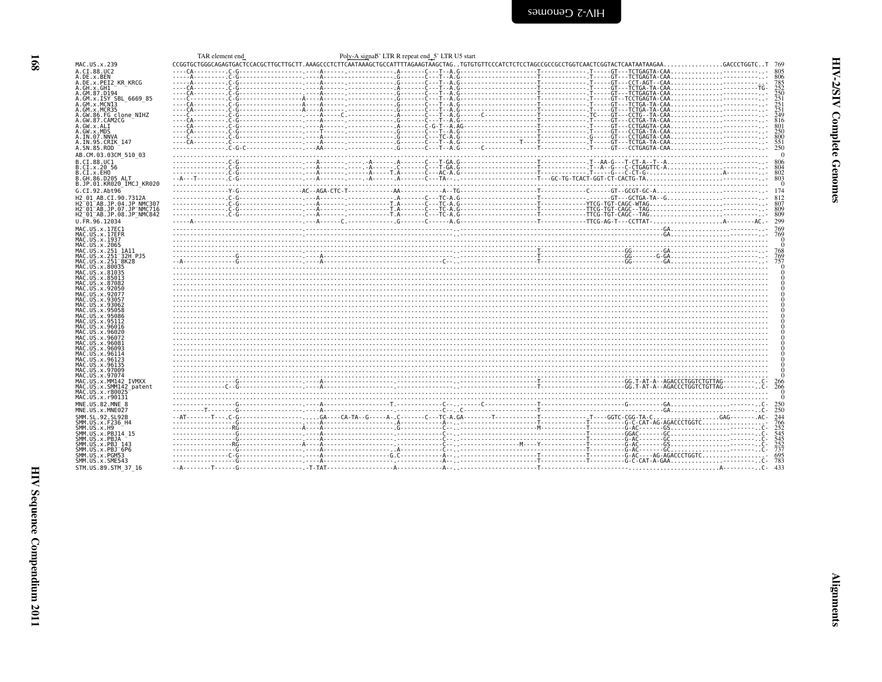<span id="page-9-0"></span>

| <b>SamonaD</b> Z-VIH |  |
|----------------------|--|
|                      |  |

|                                                                                                                                                                                                                                                                                                                             | TAR element end | Poly-A signab' LTR R repeat end_5' LTR U5 start |                                                                                                                                                                                                                                                                                                                                                                 |  |
|-----------------------------------------------------------------------------------------------------------------------------------------------------------------------------------------------------------------------------------------------------------------------------------------------------------------------------|-----------------|-------------------------------------------------|-----------------------------------------------------------------------------------------------------------------------------------------------------------------------------------------------------------------------------------------------------------------------------------------------------------------------------------------------------------------|--|
| MAC.US.x.239                                                                                                                                                                                                                                                                                                                |                 |                                                 | $CCGGTGCTGGGCAGAGTGACTCCACGCTTGCTTCT. AAAGCCCTCTTCATAAAGCTGCCATTTTAGAAGTAAGCTAGGACTAG. TGTGTTTCCCATCTCTCTCTGCTAGCCCGCCCGCCGTGGTACATCGGTACTCGATTAATAAGAA. GCCCTGGTC. . T 769$                                                                                                                                                                                    |  |
| A.CI.88.UC2                                                                                                                                                                                                                                                                                                                 |                 |                                                 |                                                                                                                                                                                                                                                                                                                                                                 |  |
| A.DE.x.BEN                                                                                                                                                                                                                                                                                                                  |                 |                                                 |                                                                                                                                                                                                                                                                                                                                                                 |  |
| A.DE.x.PEI2 KR KRCG                                                                                                                                                                                                                                                                                                         |                 |                                                 |                                                                                                                                                                                                                                                                                                                                                                 |  |
| A.GH.x.GH1                                                                                                                                                                                                                                                                                                                  |                 |                                                 |                                                                                                                                                                                                                                                                                                                                                                 |  |
| A.GM.87.D194                                                                                                                                                                                                                                                                                                                |                 |                                                 |                                                                                                                                                                                                                                                                                                                                                                 |  |
| A.GM.x.ISY SBL 6669 85                                                                                                                                                                                                                                                                                                      |                 |                                                 |                                                                                                                                                                                                                                                                                                                                                                 |  |
| A.GM.x.MCN13                                                                                                                                                                                                                                                                                                                |                 |                                                 |                                                                                                                                                                                                                                                                                                                                                                 |  |
| A.GM.x.MCR35                                                                                                                                                                                                                                                                                                                |                 |                                                 |                                                                                                                                                                                                                                                                                                                                                                 |  |
| A.GW.86.FG clone_NIHZ<br>A.GW.87.CAM2CG                                                                                                                                                                                                                                                                                     |                 |                                                 |                                                                                                                                                                                                                                                                                                                                                                 |  |
| A.GW.x.ALI                                                                                                                                                                                                                                                                                                                  |                 |                                                 | $\begin{bmatrix}\n 0 & 0 & 0 & 0 \\  0 & 0 & 0 & 0 & 0 \\  0 & 0 & 0 & 0 & 0 \\  0 & 0 & 0 & 0 & 0 & 0\n\end{bmatrix}\n, \begin{bmatrix}\n 0 & 0 & 0 & 0 & 0 \\  0 & 0 & 0 & 0 & 0 \\  0 & 0 & 0 & 0 & 0 \\  0 & 0 & 0 & 0 & 0 \\  0 & 0 & 0 & 0 & 0\n\end{bmatrix}\n, \begin{bmatrix}\n 0 & 0 & 0 & 0 & 0 \\  0 & 0 & 0 & 0 & 0 \\  0 & 0 & 0 & 0 & 0 \\  0 &$ |  |
| A.GW.x.MDS                                                                                                                                                                                                                                                                                                                  |                 |                                                 |                                                                                                                                                                                                                                                                                                                                                                 |  |
| A.IN.07.NNVA                                                                                                                                                                                                                                                                                                                |                 |                                                 |                                                                                                                                                                                                                                                                                                                                                                 |  |
| A.IN.95.CRIK 147                                                                                                                                                                                                                                                                                                            |                 |                                                 |                                                                                                                                                                                                                                                                                                                                                                 |  |
| A.SN.85.ROD                                                                                                                                                                                                                                                                                                                 |                 |                                                 |                                                                                                                                                                                                                                                                                                                                                                 |  |
|                                                                                                                                                                                                                                                                                                                             |                 |                                                 |                                                                                                                                                                                                                                                                                                                                                                 |  |
| AB.CM.03.03CM 510 03                                                                                                                                                                                                                                                                                                        |                 |                                                 |                                                                                                                                                                                                                                                                                                                                                                 |  |
| B.CI.88.UC1                                                                                                                                                                                                                                                                                                                 |                 |                                                 |                                                                                                                                                                                                                                                                                                                                                                 |  |
| B.CI.x.20 56                                                                                                                                                                                                                                                                                                                |                 |                                                 |                                                                                                                                                                                                                                                                                                                                                                 |  |
| B.CI.X.EHO                                                                                                                                                                                                                                                                                                                  |                 |                                                 |                                                                                                                                                                                                                                                                                                                                                                 |  |
| B.GH.86.D205 ALT                                                                                                                                                                                                                                                                                                            |                 |                                                 |                                                                                                                                                                                                                                                                                                                                                                 |  |
| B.JP.01.KR020 IMCJ KR020                                                                                                                                                                                                                                                                                                    |                 |                                                 |                                                                                                                                                                                                                                                                                                                                                                 |  |
| G.CI.92.Abt96                                                                                                                                                                                                                                                                                                               |                 |                                                 |                                                                                                                                                                                                                                                                                                                                                                 |  |
| H2 01 AB.CI.90.7312A                                                                                                                                                                                                                                                                                                        |                 |                                                 |                                                                                                                                                                                                                                                                                                                                                                 |  |
| H2 <sup>-01-AB.JP.04.JP NMC307</sup>                                                                                                                                                                                                                                                                                        |                 |                                                 |                                                                                                                                                                                                                                                                                                                                                                 |  |
| H2 <sup>-</sup> 01 <sup>-</sup> AB.JP.07.JP <sup>-</sup> NMC716                                                                                                                                                                                                                                                             |                 |                                                 |                                                                                                                                                                                                                                                                                                                                                                 |  |
| H2 <sup>-01-AB.JP.08.JP<sup>-</sup>NMC842</sup>                                                                                                                                                                                                                                                                             |                 |                                                 |                                                                                                                                                                                                                                                                                                                                                                 |  |
| U.FR.96.12034                                                                                                                                                                                                                                                                                                               |                 |                                                 |                                                                                                                                                                                                                                                                                                                                                                 |  |
| MAC.US.x.17EC1                                                                                                                                                                                                                                                                                                              |                 |                                                 |                                                                                                                                                                                                                                                                                                                                                                 |  |
| MAC.US.x.17EFR                                                                                                                                                                                                                                                                                                              |                 |                                                 |                                                                                                                                                                                                                                                                                                                                                                 |  |
| MAC.US.x.1937                                                                                                                                                                                                                                                                                                               |                 |                                                 |                                                                                                                                                                                                                                                                                                                                                                 |  |
| MAC.US.x.2065                                                                                                                                                                                                                                                                                                               |                 |                                                 |                                                                                                                                                                                                                                                                                                                                                                 |  |
| MAC.US.x.251 1A11                                                                                                                                                                                                                                                                                                           |                 |                                                 |                                                                                                                                                                                                                                                                                                                                                                 |  |
| MAC.US.x.251 32H PJ5                                                                                                                                                                                                                                                                                                        |                 |                                                 |                                                                                                                                                                                                                                                                                                                                                                 |  |
| MAC.US.x.251 <sup>-</sup> BK28                                                                                                                                                                                                                                                                                              |                 |                                                 |                                                                                                                                                                                                                                                                                                                                                                 |  |
| MAC.US.x.80035                                                                                                                                                                                                                                                                                                              |                 |                                                 |                                                                                                                                                                                                                                                                                                                                                                 |  |
| MAC.US.x.81035                                                                                                                                                                                                                                                                                                              |                 |                                                 |                                                                                                                                                                                                                                                                                                                                                                 |  |
| MAC.US.x.85013                                                                                                                                                                                                                                                                                                              |                 |                                                 |                                                                                                                                                                                                                                                                                                                                                                 |  |
| MAC.US.x.87082                                                                                                                                                                                                                                                                                                              |                 |                                                 |                                                                                                                                                                                                                                                                                                                                                                 |  |
| MAC.US.x.92050                                                                                                                                                                                                                                                                                                              |                 |                                                 |                                                                                                                                                                                                                                                                                                                                                                 |  |
| MAC.US.x.92077<br>MAC.US.x.93057                                                                                                                                                                                                                                                                                            |                 |                                                 |                                                                                                                                                                                                                                                                                                                                                                 |  |
| MAC. US. x. 93062                                                                                                                                                                                                                                                                                                           |                 |                                                 |                                                                                                                                                                                                                                                                                                                                                                 |  |
| MAC.US.x.95058                                                                                                                                                                                                                                                                                                              |                 |                                                 |                                                                                                                                                                                                                                                                                                                                                                 |  |
| MAC.US.x.95086                                                                                                                                                                                                                                                                                                              |                 |                                                 |                                                                                                                                                                                                                                                                                                                                                                 |  |
| MAC.US.x.95112                                                                                                                                                                                                                                                                                                              |                 |                                                 |                                                                                                                                                                                                                                                                                                                                                                 |  |
| MAC.US.x.96016                                                                                                                                                                                                                                                                                                              |                 |                                                 |                                                                                                                                                                                                                                                                                                                                                                 |  |
| MAC.US.x.96020                                                                                                                                                                                                                                                                                                              |                 |                                                 |                                                                                                                                                                                                                                                                                                                                                                 |  |
| MAC.US.x.96072                                                                                                                                                                                                                                                                                                              |                 |                                                 |                                                                                                                                                                                                                                                                                                                                                                 |  |
| MAC.US.x.96081                                                                                                                                                                                                                                                                                                              |                 |                                                 |                                                                                                                                                                                                                                                                                                                                                                 |  |
| MAC.US.x.96093                                                                                                                                                                                                                                                                                                              |                 |                                                 |                                                                                                                                                                                                                                                                                                                                                                 |  |
| MAC.US.x.96114                                                                                                                                                                                                                                                                                                              |                 |                                                 |                                                                                                                                                                                                                                                                                                                                                                 |  |
| MAC. US. x. 96123                                                                                                                                                                                                                                                                                                           |                 |                                                 |                                                                                                                                                                                                                                                                                                                                                                 |  |
| MAC. US. x. 96135                                                                                                                                                                                                                                                                                                           |                 |                                                 |                                                                                                                                                                                                                                                                                                                                                                 |  |
| MAC.US.x.97009                                                                                                                                                                                                                                                                                                              |                 |                                                 |                                                                                                                                                                                                                                                                                                                                                                 |  |
|                                                                                                                                                                                                                                                                                                                             |                 |                                                 |                                                                                                                                                                                                                                                                                                                                                                 |  |
|                                                                                                                                                                                                                                                                                                                             |                 |                                                 |                                                                                                                                                                                                                                                                                                                                                                 |  |
|                                                                                                                                                                                                                                                                                                                             |                 |                                                 |                                                                                                                                                                                                                                                                                                                                                                 |  |
|                                                                                                                                                                                                                                                                                                                             |                 |                                                 |                                                                                                                                                                                                                                                                                                                                                                 |  |
|                                                                                                                                                                                                                                                                                                                             |                 |                                                 |                                                                                                                                                                                                                                                                                                                                                                 |  |
|                                                                                                                                                                                                                                                                                                                             |                 |                                                 |                                                                                                                                                                                                                                                                                                                                                                 |  |
|                                                                                                                                                                                                                                                                                                                             |                 |                                                 |                                                                                                                                                                                                                                                                                                                                                                 |  |
|                                                                                                                                                                                                                                                                                                                             |                 |                                                 |                                                                                                                                                                                                                                                                                                                                                                 |  |
|                                                                                                                                                                                                                                                                                                                             |                 |                                                 |                                                                                                                                                                                                                                                                                                                                                                 |  |
|                                                                                                                                                                                                                                                                                                                             |                 |                                                 |                                                                                                                                                                                                                                                                                                                                                                 |  |
|                                                                                                                                                                                                                                                                                                                             |                 |                                                 |                                                                                                                                                                                                                                                                                                                                                                 |  |
|                                                                                                                                                                                                                                                                                                                             |                 |                                                 |                                                                                                                                                                                                                                                                                                                                                                 |  |
|                                                                                                                                                                                                                                                                                                                             |                 |                                                 |                                                                                                                                                                                                                                                                                                                                                                 |  |
|                                                                                                                                                                                                                                                                                                                             |                 |                                                 |                                                                                                                                                                                                                                                                                                                                                                 |  |
|                                                                                                                                                                                                                                                                                                                             |                 |                                                 |                                                                                                                                                                                                                                                                                                                                                                 |  |
|                                                                                                                                                                                                                                                                                                                             |                 |                                                 |                                                                                                                                                                                                                                                                                                                                                                 |  |
| MAC.US.x.97074<br>MAC.US.x.MM142 IVMXX<br>MAC.US.x.SMM142 patent<br>MAC.US.x.r80025<br>MAC.US.x.r90131<br>MNE.US.82.MNE 8<br>MNE.US.x.MNE027<br>SMM.SL.92.SL92B<br>SMM.US.x.F236 H4<br>SMM.US.x.H9<br>SMM.US.x.PBJ14 15<br>SMM.US.x.PBJA<br>SMM. US. x. PBJ 143<br>SMM. US. x. PBJ 6P6<br>SMM.US.x.PGM53<br>SMM.US.x.SME543 |                 |                                                 |                                                                                                                                                                                                                                                                                                                                                                 |  |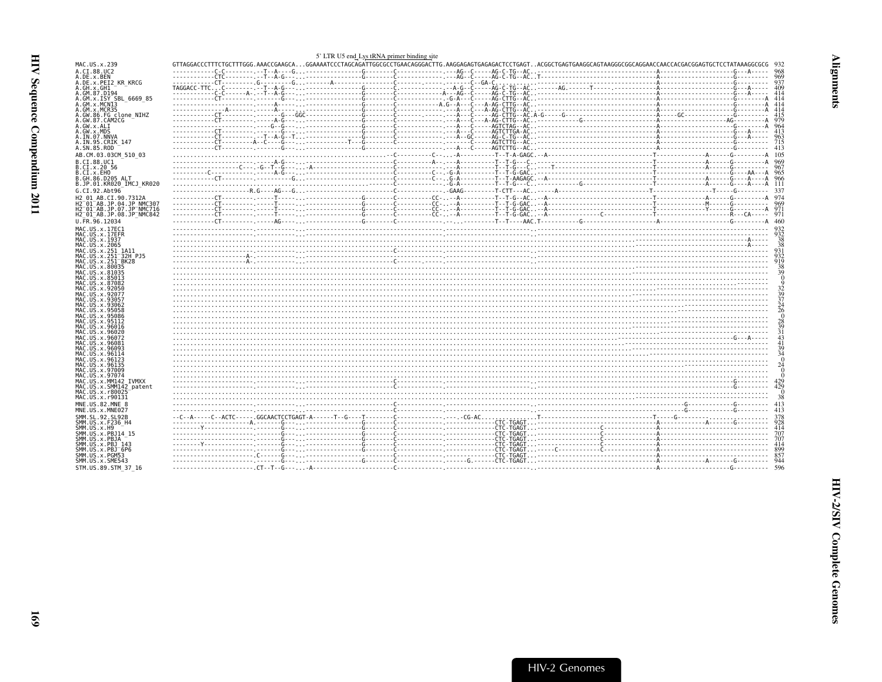<span id="page-10-0"></span>

|                                                                                         | 5' LTR U5 end Lys tRNA primer binding site |  |
|-----------------------------------------------------------------------------------------|--------------------------------------------|--|
| MAC.US.x.239                                                                            |                                            |  |
| A.CI.88.UC2<br>A.DE.x.BEN                                                               |                                            |  |
| A.DE.x.PEI2 KR KRCG                                                                     |                                            |  |
| A.GH.x.GH1<br>A.GM.87.D194                                                              |                                            |  |
| A.GM.x.ISY SBL 6669 85                                                                  |                                            |  |
| A.GM.X.MCNI3                                                                            |                                            |  |
| A.GM.x.MCR35<br>A.GW.86.FG clone NIHZ                                                   |                                            |  |
| A.GW.87.CAM2CG                                                                          |                                            |  |
| A.GW.x.ALI<br>A.GW.x.MDS                                                                |                                            |  |
| A.IN.07.NNVA                                                                            |                                            |  |
| A.IN.95.CRIK 147                                                                        |                                            |  |
| A.SN.85.ROD                                                                             |                                            |  |
| AB.CM.03.03CM 510 03<br>B.CI.88.UC1                                                     |                                            |  |
| B.CI.x.20 56                                                                            |                                            |  |
| B.CI.x.EHO                                                                              |                                            |  |
| B.GH.86.D205 ALT<br>B.JP.01.KR020 IMCJ KR020                                            |                                            |  |
| G.CI.92.Abt96                                                                           |                                            |  |
| H2 01 AB.CI.90.7312A                                                                    |                                            |  |
| H2 <sup>-01-AB.JP.04.JP NMC307</sup>                                                    |                                            |  |
| H2 <sup>-01-AB.JP.07.JP-NMC716</sup><br>H2 <sup>-01-AB.JP.08.JP<sup>-</sup>NMC842</sup> |                                            |  |
| U.FR.96.12034                                                                           |                                            |  |
| MAC.US.x.17EC1                                                                          |                                            |  |
| MAC.US.x.17EFR                                                                          |                                            |  |
| MAC.US.x.1937<br>MAC.US.x.2065                                                          |                                            |  |
| MAC.US.x.251 1A11                                                                       |                                            |  |
| MAC.US.x.251 <sup>-</sup> 32H PJ5<br>MAC.US.x.251 <sup>-</sup> BK28                     |                                            |  |
| MAC.US.x.80035                                                                          |                                            |  |
| MAC.US.x.81035                                                                          |                                            |  |
| MAC.US.x.85013<br>MAC.US.x.87082                                                        |                                            |  |
| MAC.US.x.92050                                                                          |                                            |  |
| MAC.US.x.92077<br>MAC.US.x.93057                                                        |                                            |  |
| MAC.US.x.93062                                                                          |                                            |  |
| MAC.US.x.95058                                                                          |                                            |  |
| MAC.US.x.95086<br>MAC.US.x.95112                                                        |                                            |  |
| MAC.US.x.96016                                                                          |                                            |  |
| MAC.US.x.96020<br>MAC.US.x.96072                                                        |                                            |  |
| MAC.US.x.96081                                                                          |                                            |  |
| MAC.US.x.96093<br>MAC.US.x.96114                                                        |                                            |  |
| MAC US x 96123                                                                          |                                            |  |
| MAC.US.x.96135                                                                          |                                            |  |
| MAC.US.x.97009<br>MAC.US.x.97074                                                        |                                            |  |
| MAC.US.x.MM142 IVMXX                                                                    |                                            |  |
| MAC.US.x.SMM142 patent<br>MAC.US.x.r80025                                               |                                            |  |
| MAC.US.x.r90131                                                                         |                                            |  |
| MNE.US.82.MNE 8                                                                         |                                            |  |
| MNE.US.x.MNE027                                                                         |                                            |  |
| SMM.SL.92.SL92B<br>SMM.US.x.F236 H4                                                     |                                            |  |
| SMM.US.x.H9                                                                             |                                            |  |
| SMM. US. x. PBJ14 15<br>SMM.US.x.PBJA                                                   |                                            |  |
| SMM.US.x.PBJ 143                                                                        |                                            |  |
| SMM.US.x.PBJ <sup>-6P6</sup>                                                            |                                            |  |
| SMM.US.x.PGM53<br>SMM.US.x.SME543                                                       |                                            |  |
| STM.US.89.STM 37 16                                                                     |                                            |  |
|                                                                                         |                                            |  |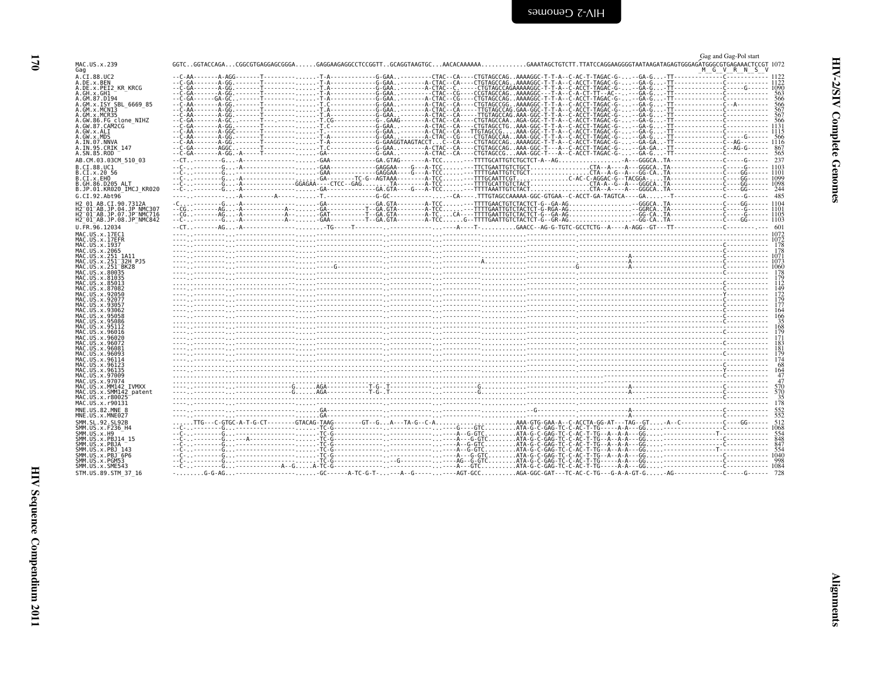<span id="page-11-0"></span>

|                                                                                                                                           | Gag and Gag-Pol start |
|-------------------------------------------------------------------------------------------------------------------------------------------|-----------------------|
| MAC.US.x.239<br>Gag                                                                                                                       |                       |
| A.CI.88.UC2                                                                                                                               |                       |
| A.DE.x.BEN                                                                                                                                |                       |
| A.DE.x.PEI2 KR KRCG<br>A.GH.x.GH1                                                                                                         |                       |
| A.GM.87.D194                                                                                                                              |                       |
| A.GM.x.ISY SBL 6669 85                                                                                                                    |                       |
| A.GM.x.MCNI3                                                                                                                              |                       |
| A.GM.x.MCR35<br>A.GW.86.FG clone NIHZ                                                                                                     |                       |
| A.GW.87.CAM2CG                                                                                                                            |                       |
| A.GW.x.ALI                                                                                                                                |                       |
| A.GW.x.MDS<br>A.IN.07.NNVA                                                                                                                |                       |
| A.IN.95.CRIK 147                                                                                                                          |                       |
| A.SN.85.ROD                                                                                                                               |                       |
| AB.CM.03.03CM 510 03                                                                                                                      |                       |
| B.CI.88.UC1                                                                                                                               |                       |
| B.CI.x.20 56                                                                                                                              |                       |
| B.CI.x.EHO                                                                                                                                |                       |
| B.GH.86.D205 ALT<br>B.JP.01.KR020 IMCJ KR020                                                                                              |                       |
| G.CI.92.Abt96                                                                                                                             |                       |
| H2 01 AB.CI.90.7312A                                                                                                                      |                       |
| H2 <sup>-01-AB.JP.04.JP NMC307</sup>                                                                                                      |                       |
| H2 <sup>-01-AB.JP.07.JP-NMC716</sup>                                                                                                      |                       |
| H2 <sup>-01-AB.JP.08.JP<sup>-</sup>NMC842</sup>                                                                                           |                       |
| U.FR.96.12034                                                                                                                             |                       |
| MAC.US.x.17EC1                                                                                                                            |                       |
| MAC.US.x.17EFR<br>MAC.US.x.1937                                                                                                           |                       |
| MAC.US.x.2065                                                                                                                             |                       |
| MAC.US.x.251 1A11                                                                                                                         |                       |
| MAC.US.x.251 <sup>-32H</sup> PJ5                                                                                                          |                       |
| MAC.US.x.251 <sup>-</sup> BK28<br>MAC. US. x.80035                                                                                        |                       |
| MAC.US.x.81035                                                                                                                            |                       |
| MAC.US.x.85013                                                                                                                            |                       |
| MAC.US.x.87082<br>MAC.US.x.92050                                                                                                          |                       |
| MAC. US. x. 92077                                                                                                                         |                       |
| MAC.US.x.93057                                                                                                                            |                       |
| острования производительно при принятие с производительно при принятие с принятие с при принятие с при приняти<br>В 166<br>MAC.US.x.93062 |                       |
| MAC.US.x.95058<br>MAC.US.x.95086                                                                                                          |                       |
| MAC.US.x.95112                                                                                                                            |                       |
| MAC.US.x.96016                                                                                                                            |                       |
| MAC.US.x.96020<br>MAC.US.x.96072                                                                                                          |                       |
| MAC.US.x.96081                                                                                                                            |                       |
| MAC.US.x.96093                                                                                                                            |                       |
| MAC.US.x.96114                                                                                                                            |                       |
| MAC.US.x.96123<br>MAC.US.x.96135                                                                                                          |                       |
| MAC.US.x.97009                                                                                                                            |                       |
| MAC.US.x.97074                                                                                                                            |                       |
| MAC.US.x.MM142 IVMXX                                                                                                                      |                       |
| MAC.US.x.SMM142 patent<br>MAC.US.x.r80025                                                                                                 |                       |
| MAC.US.x.r90131                                                                                                                           |                       |
| MNE.US.82.MNE 8                                                                                                                           |                       |
| MNE.US.x.MNE027                                                                                                                           |                       |
| SMM. SL. 92. SL92B                                                                                                                        |                       |
| SMM. US. x. F236 H4                                                                                                                       |                       |
| SMM. US. x. H9<br>SMM.US.x.PBJ14 15                                                                                                       |                       |
| SMM.US.x.PBJA                                                                                                                             |                       |
| SMM.US.x.PBJ 143                                                                                                                          |                       |
| SMM.US.x.PBJ <sup>-6P6</sup><br>SMM.US.x.PGM53                                                                                            |                       |
|                                                                                                                                           |                       |
| SMM. US. x. SME543                                                                                                                        |                       |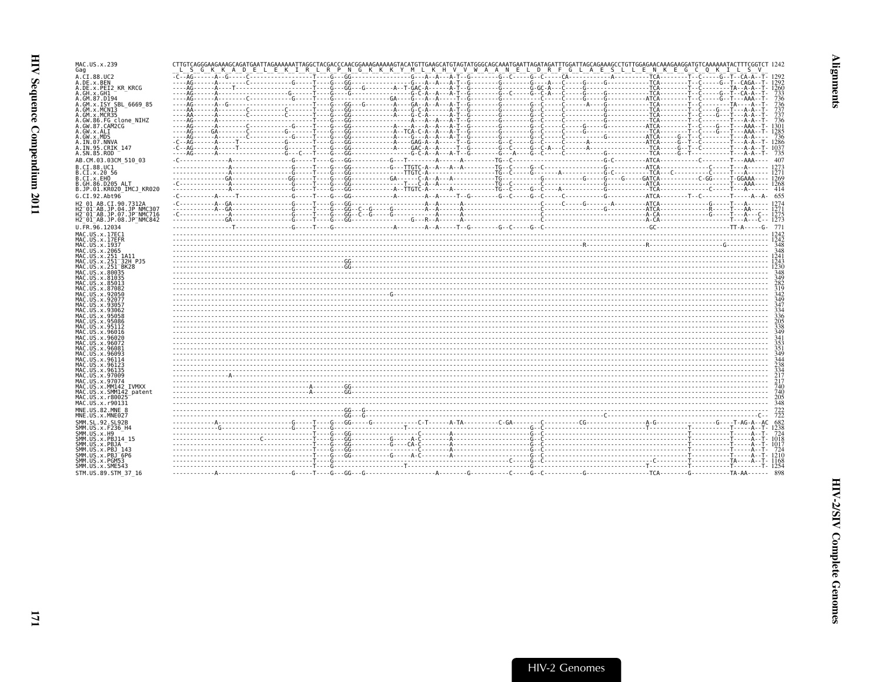| MAC.US.x.239                                                    |  |  |  |  |  |
|-----------------------------------------------------------------|--|--|--|--|--|
| Gag                                                             |  |  |  |  |  |
| A.CI.88.UC2                                                     |  |  |  |  |  |
|                                                                 |  |  |  |  |  |
| A.DE.x.BEN                                                      |  |  |  |  |  |
| A.DE.x.PEI2 KR KRCG                                             |  |  |  |  |  |
| A.GH.x.GH1                                                      |  |  |  |  |  |
| A.GM.87.D194                                                    |  |  |  |  |  |
| A.GM.x.ISY SBL 6669 85                                          |  |  |  |  |  |
|                                                                 |  |  |  |  |  |
| A.GM.x.MCN13                                                    |  |  |  |  |  |
| A.GM.x.MCR35                                                    |  |  |  |  |  |
| A.GW.86.FG clone NIHZ                                           |  |  |  |  |  |
| A.GW.87.CAM2CG                                                  |  |  |  |  |  |
| A.GW.x.ALI                                                      |  |  |  |  |  |
|                                                                 |  |  |  |  |  |
| A.GW.x.MDS                                                      |  |  |  |  |  |
| A.IN.07.NNVA                                                    |  |  |  |  |  |
| A.IN.95.CRIK 147                                                |  |  |  |  |  |
| A.SN.85.ROD                                                     |  |  |  |  |  |
|                                                                 |  |  |  |  |  |
| AB.CM.03.03CM 510 03                                            |  |  |  |  |  |
|                                                                 |  |  |  |  |  |
| B.CI.88.UC1                                                     |  |  |  |  |  |
| B.CI.x.20 56                                                    |  |  |  |  |  |
| B.CI.x.EHO                                                      |  |  |  |  |  |
|                                                                 |  |  |  |  |  |
| B.GH.86.D205 ALT                                                |  |  |  |  |  |
| B.JP.01.KR020 IMCJ KR020                                        |  |  |  |  |  |
| G.CI.92.Abt96                                                   |  |  |  |  |  |
|                                                                 |  |  |  |  |  |
| H2 01 AB.CI.90.7312A                                            |  |  |  |  |  |
| H2 <sup>-01-AB.JP.04.JP NMC307</sup>                            |  |  |  |  |  |
| H2 <sup>-</sup> 01 <sup>-</sup> AB.JP.07.JP <sup>-</sup> NMC716 |  |  |  |  |  |
|                                                                 |  |  |  |  |  |
| H2 <sup>-01-AB.JP.08.JP<sup>-</sup>NMC842</sup>                 |  |  |  |  |  |
| U.FR.96.12034                                                   |  |  |  |  |  |
|                                                                 |  |  |  |  |  |
| MAC.US.x.17EC1                                                  |  |  |  |  |  |
| MAC.US.x.17EFR                                                  |  |  |  |  |  |
|                                                                 |  |  |  |  |  |
| MAC.US.x.1937                                                   |  |  |  |  |  |
| MAC.US.x.2065                                                   |  |  |  |  |  |
| MAC.US.x.251 1A11                                               |  |  |  |  |  |
| MAC.US.x.251 <sup>-</sup> 32H PJ5                               |  |  |  |  |  |
| MAC.US.x.251 BK28                                               |  |  |  |  |  |
|                                                                 |  |  |  |  |  |
| MAC.US.x.80035                                                  |  |  |  |  |  |
| MAC.US.x.81035                                                  |  |  |  |  |  |
| MAC.US.x.85013                                                  |  |  |  |  |  |
|                                                                 |  |  |  |  |  |
| MAC.US.x.87082                                                  |  |  |  |  |  |
| MAC.US.x.92050                                                  |  |  |  |  |  |
| MAC.US.x.92077                                                  |  |  |  |  |  |
| MAC. US. x. 93057                                               |  |  |  |  |  |
| MAC.US.x.93062                                                  |  |  |  |  |  |
|                                                                 |  |  |  |  |  |
| MAC.US.x.95058                                                  |  |  |  |  |  |
| MAC.US.x.95086                                                  |  |  |  |  |  |
| MAC.US.x.95112                                                  |  |  |  |  |  |
| MAC.US.x.96016                                                  |  |  |  |  |  |
|                                                                 |  |  |  |  |  |
|                                                                 |  |  |  |  |  |
| MAC.US.x.96020                                                  |  |  |  |  |  |
| MAC.US.x.96072                                                  |  |  |  |  |  |
|                                                                 |  |  |  |  |  |
| MAC.US.x.96081                                                  |  |  |  |  |  |
| MAC.US.x.96093                                                  |  |  |  |  |  |
| MAC.US.x.96114                                                  |  |  |  |  |  |
| MAC.US.x.96123                                                  |  |  |  |  |  |
| MAC.US.x.96135                                                  |  |  |  |  |  |
|                                                                 |  |  |  |  |  |
| MAC.US.x.97009                                                  |  |  |  |  |  |
| MAC.US.x.97074                                                  |  |  |  |  |  |
| MAC.US.x.MM142 IVMXX                                            |  |  |  |  |  |
| MAC.US.x.SMM142 patent                                          |  |  |  |  |  |
| MAC.US.x.r80025                                                 |  |  |  |  |  |
|                                                                 |  |  |  |  |  |
| MAC.US.x.r90131                                                 |  |  |  |  |  |
| MNE.US.82.MNE 8                                                 |  |  |  |  |  |
|                                                                 |  |  |  |  |  |
| MNE.US.x.MNE027                                                 |  |  |  |  |  |
| SMM.SL.92.SL92B                                                 |  |  |  |  |  |
|                                                                 |  |  |  |  |  |
| SMM.US.x.F236 H4                                                |  |  |  |  |  |
| SMM.US.x.H9                                                     |  |  |  |  |  |
| SMM.US.x.PBJ14 15                                               |  |  |  |  |  |
| SMM.US.x.PBJA                                                   |  |  |  |  |  |
|                                                                 |  |  |  |  |  |
| SMM.US.x.PBJ 143                                                |  |  |  |  |  |
| SMM.US.x.PBJ <sup>-</sup> 6P6                                   |  |  |  |  |  |
| SMM.US.x.PGM53                                                  |  |  |  |  |  |
| SMM.US.x.SME543                                                 |  |  |  |  |  |
| STM.US.89.STM 37 16                                             |  |  |  |  |  |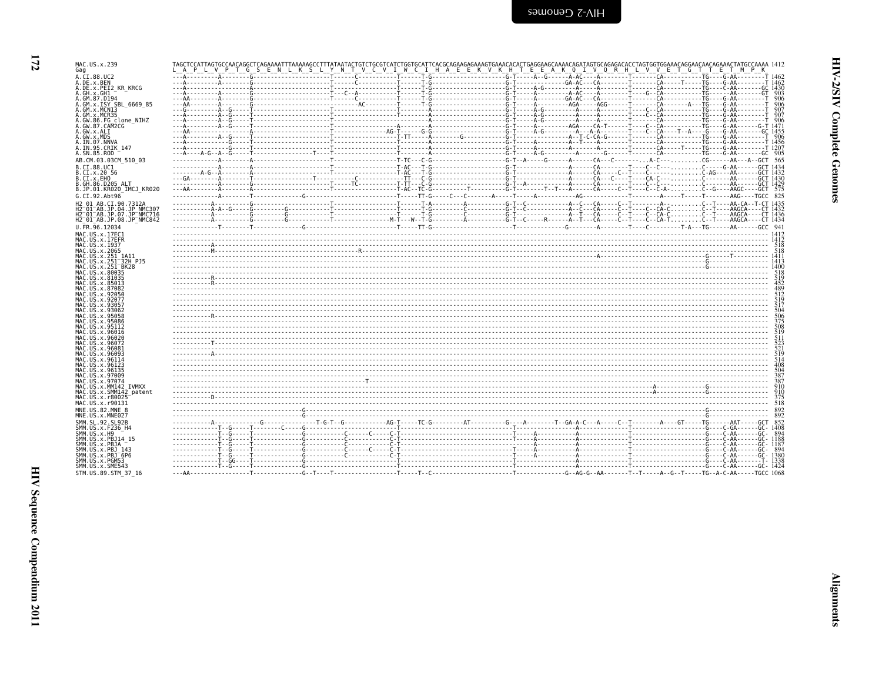| i<br>C                     |
|----------------------------|
| ١<br>-<br>-<br>-<br>-<br>Ē |
| ٦<br>S<br>S                |

 $\blacksquare$ 

|  |  | TAGCTCCATTAGTGCCAACAGGCTCAGAAAATTTAAAAAGCCTTTATAATACTGTCTGCGTCATCTGGGTCATTCACGCAGAAGAAAGTGAAACACACTGAGGAAACAGATAGTGCAGAGACACCTAGTGGTGGAAACAGGAACAGCAAACAGAAACTATGCCAAAA 1412<br>LAPLVPT G S E N L K S L Y N T V C V I W C I H A E E K V K H T E E A K Q I V Q R H L V V E T G T T E T M P K |            |
|--|--|---------------------------------------------------------------------------------------------------------------------------------------------------------------------------------------------------------------------------------------------------------------------------------------------|------------|
|  |  |                                                                                                                                                                                                                                                                                             |            |
|  |  |                                                                                                                                                                                                                                                                                             |            |
|  |  |                                                                                                                                                                                                                                                                                             | - 903      |
|  |  |                                                                                                                                                                                                                                                                                             | - 906      |
|  |  |                                                                                                                                                                                                                                                                                             |            |
|  |  |                                                                                                                                                                                                                                                                                             |            |
|  |  |                                                                                                                                                                                                                                                                                             |            |
|  |  |                                                                                                                                                                                                                                                                                             |            |
|  |  |                                                                                                                                                                                                                                                                                             |            |
|  |  |                                                                                                                                                                                                                                                                                             |            |
|  |  |                                                                                                                                                                                                                                                                                             |            |
|  |  |                                                                                                                                                                                                                                                                                             |            |
|  |  |                                                                                                                                                                                                                                                                                             |            |
|  |  |                                                                                                                                                                                                                                                                                             |            |
|  |  |                                                                                                                                                                                                                                                                                             |            |
|  |  |                                                                                                                                                                                                                                                                                             |            |
|  |  |                                                                                                                                                                                                                                                                                             |            |
|  |  |                                                                                                                                                                                                                                                                                             |            |
|  |  |                                                                                                                                                                                                                                                                                             |            |
|  |  |                                                                                                                                                                                                                                                                                             |            |
|  |  |                                                                                                                                                                                                                                                                                             | 518        |
|  |  |                                                                                                                                                                                                                                                                                             | 518        |
|  |  |                                                                                                                                                                                                                                                                                             |            |
|  |  |                                                                                                                                                                                                                                                                                             | 518        |
|  |  |                                                                                                                                                                                                                                                                                             | 519        |
|  |  |                                                                                                                                                                                                                                                                                             | 452<br>489 |
|  |  |                                                                                                                                                                                                                                                                                             | 512        |
|  |  |                                                                                                                                                                                                                                                                                             | 519<br>517 |
|  |  |                                                                                                                                                                                                                                                                                             | 504        |
|  |  |                                                                                                                                                                                                                                                                                             | 506<br>375 |
|  |  |                                                                                                                                                                                                                                                                                             | 508<br>519 |
|  |  |                                                                                                                                                                                                                                                                                             | 511        |
|  |  |                                                                                                                                                                                                                                                                                             | 523<br>521 |
|  |  |                                                                                                                                                                                                                                                                                             | 519        |
|  |  |                                                                                                                                                                                                                                                                                             | 514<br>408 |
|  |  |                                                                                                                                                                                                                                                                                             | 504        |
|  |  |                                                                                                                                                                                                                                                                                             | 387<br>387 |
|  |  |                                                                                                                                                                                                                                                                                             | 910        |
|  |  |                                                                                                                                                                                                                                                                                             | 910<br>375 |
|  |  |                                                                                                                                                                                                                                                                                             | 518        |
|  |  |                                                                                                                                                                                                                                                                                             |            |

T-AIH-7 C-Guowea

| ٠<br>× |
|--------|

MAC.US.x.239<br>Gag

A.CI.88.UC2<br>A.DE.x.BEN A.DE.x.DEI2\_KR\_KRCG<br>A.GH.x.GH1

A.GW.x.ALI

A.GW.x.MDS<br>A.IN.07.NNVA

B.CI.88.UC1  $B.CI.x.2056$ <br> $B.CI.x.EHO$ 

 $U. \bar{F}R. \bar{9}6.12034$ 

MAC.US.x.17EC1

MAC.US.x.17EFR<br>MAC.US.x.1937

MAC. US. x . 80035<br>MAC. US. x . 80035

MAC.US.x.85013<br>MAC.US.x.87082

MAC.US.x.92050<br>MAC.US.x.92050

MAC. US. x. 93057<br>MAC. US. x. 93062

MAC. US. x . 95058<br>MAC. US. x . 95058<br>MAC. US. x . 95086 MAC.US.X.95000<br>MAC.US.x.95112<br>MAC.US.x.96016 MAC.US.x.96020<br>MAC.US.x.96072 MAC.US.x.96081<br>MAC.US.x.96093 MAC. US. x. 96114<br>MAC. US. x. 96123 MAC. US. x. 96135 MAC.US.x.97009<br>MAC.US.x.97074 MAC.US.x.MM142 IVMXX<br>MAC.US.x.SMM142 patent MAC.US.x.5HH142<br>MAC.US.x.r80025<br>MAC.US.x.r90131

MNE.US.82.MNE 8<br>MNE.US.x.MNE027 SMM.SL.92.SL92B<br>SMM.US.x.F236 H4 SMM.US.x.F230\_n4<br>SMM.US.x.H9<br>SMM.US.x.PBJ14 15 SMM.US.x.PBJA ---<br>SMM.US.x.PBJA --<br>SMM.US.x.PBJ 143 SMM.US.x.PBJ-6P6<br>SMM.US.x.PGM53 SMM. US. x. SME543

STM.US.89.STM 37 16

A. IN. 95. CRIK 147<br>A. SN. 85. ROD

A. GM. 87. D194<br>A. GM. 87. D194<br>A. GM. x. ISY SBL\_6669\_85<br>A. GM. x. MCN13

A.GM.X.MCR33<br>A.GW.86.FG clone\_NIHZ<br>A.GW.87.CAM2CG

AB.CM.03.03CM 510 03

H2 A1 AR CT 9A 7312A

MAC.US.x.2065<br>MAC.US.x.251\_1A11<br>MAC.US.x.251\_1A11<br>MAC.US.x.251\_32H\_PJ5<br>MAC.US.x.251\_BK28

B.GH.86.D205 ALT<br>B.JP.01.KR020 IMCJ KR020 G.CI.92.Abt96

H2-01-AB.JP.04.JP\_NMC307<br>H2-01-AB.JP.07.JP\_NMC716 H2-01-AB.JP.08.JP-NMC842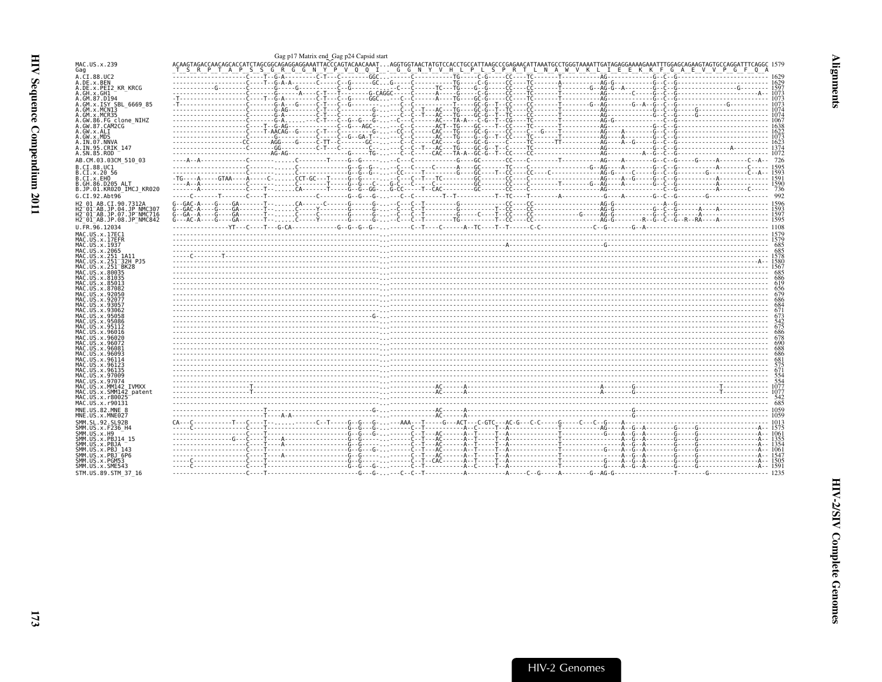<span id="page-14-0"></span>

| MAC.US.x.239<br>Gag                                                 | T S R P T A P S S G R G G N Y P V Q Q I . G G N Y V H L P L S P R T L N A W V K L I E E K K F G A E V V P G F Q A |  |
|---------------------------------------------------------------------|-------------------------------------------------------------------------------------------------------------------|--|
| A.CI.88.UC2                                                         |                                                                                                                   |  |
| A.DE.x.BEN<br>A.DE.x.PEI2 KR KRCG                                   |                                                                                                                   |  |
| A.GH.x.GH1<br>A.GM.87.D194                                          |                                                                                                                   |  |
| A.GM.x.ISY SBL 6669 85                                              |                                                                                                                   |  |
| A.GM.X.MCNI3<br>A.GM.x.MCR35                                        |                                                                                                                   |  |
| A.GW.86.FG clone NIHZ                                               |                                                                                                                   |  |
| A.GW.87.CAM2CG<br>A.GW.x.ALI                                        |                                                                                                                   |  |
| A.GW.x.MDS<br>A.IN.07.NNVA                                          |                                                                                                                   |  |
| A.IN.95.CRIK 147                                                    |                                                                                                                   |  |
| A.SN.85.ROD                                                         |                                                                                                                   |  |
| AB.CM.03.03CM 510 03<br>B.CI.88.UC1                                 |                                                                                                                   |  |
| B.CI.x.20 56                                                        |                                                                                                                   |  |
| B.CI.X.EHO<br>B.GH.86.D205 ALT                                      |                                                                                                                   |  |
| B.JP.01.KR020 IMCJ KR020                                            |                                                                                                                   |  |
| G.CI.92.Abt96                                                       |                                                                                                                   |  |
| H2 01 AB.CI.90.7312A<br>H2 <sup>-01-AB.JP.04.JP NMC307</sup>        |                                                                                                                   |  |
| H2 <sup>-</sup> 01 <sup>-</sup> AB.JP.07.JP <sup>-</sup> NMC716     |                                                                                                                   |  |
| H2 <sup>-01-AB.JP.08.JP<sup>-</sup>NMC842</sup><br>U.FR.96.12034    |                                                                                                                   |  |
| MAC.US.x.17EC1                                                      |                                                                                                                   |  |
| MAC.US.x.17EFR                                                      |                                                                                                                   |  |
| MAC.US.x.1937<br>MAC.US.x.2065                                      |                                                                                                                   |  |
| MAC.US.x.251 1A11                                                   |                                                                                                                   |  |
| MAC.US.x.251 <sup>-</sup> 32H PJ5<br>MAC.US.x.251 <sup>-</sup> BK28 |                                                                                                                   |  |
| MAC.US.x.80035                                                      |                                                                                                                   |  |
| MAC.US.x.81035<br>MAC.US.x.85013                                    |                                                                                                                   |  |
| MAC.US.x.87082<br>MAC.US.x.92050                                    |                                                                                                                   |  |
| MAC.US.x.92077                                                      |                                                                                                                   |  |
| MAC. US. x. 9305<br>MAC. US. x. 93062                               |                                                                                                                   |  |
| MAC.US.x.95058                                                      |                                                                                                                   |  |
| MAC.US.x.95086<br>MAC.US.x.95112                                    |                                                                                                                   |  |
| MAC.US.x.96016                                                      |                                                                                                                   |  |
| MAC.US.x.96020<br>MAC.US.x.96072                                    |                                                                                                                   |  |
| MAC.US.x.96081<br>MAC.US.x.96093                                    |                                                                                                                   |  |
| MAC.US.x.96114                                                      |                                                                                                                   |  |
| MAC.US.x.96123<br>MAC. U.S. x. 96135                                |                                                                                                                   |  |
| MAC. US. x.97009                                                    |                                                                                                                   |  |
| MAC.US.x.97074<br>MAC.US.x.MM142 IVMXX                              |                                                                                                                   |  |
| MAC.US.x.SMM142 patent<br>MAC.US.x.r80025                           |                                                                                                                   |  |
| MAC.US.x.r90131                                                     |                                                                                                                   |  |
| MNE.US.82.MNE 8                                                     |                                                                                                                   |  |
| MNE.US.x.MNE027<br>SMM.SL.92.SL92B                                  |                                                                                                                   |  |
| SMM.US.x.F236 H4                                                    |                                                                                                                   |  |
| SMM.US.x.H9<br>SMM.US.x.PBJ14 15                                    |                                                                                                                   |  |
| SMM.US.x.PBJA                                                       |                                                                                                                   |  |
| SMM. US. x. PBJ 143<br>SMM.US.x.PBJ <sup>-6P6</sup>                 |                                                                                                                   |  |
| SMM.US.x.PGM53                                                      |                                                                                                                   |  |
| SMM.US.x.SME543<br>STM. US. 89. STM 37 16                           |                                                                                                                   |  |
|                                                                     |                                                                                                                   |  |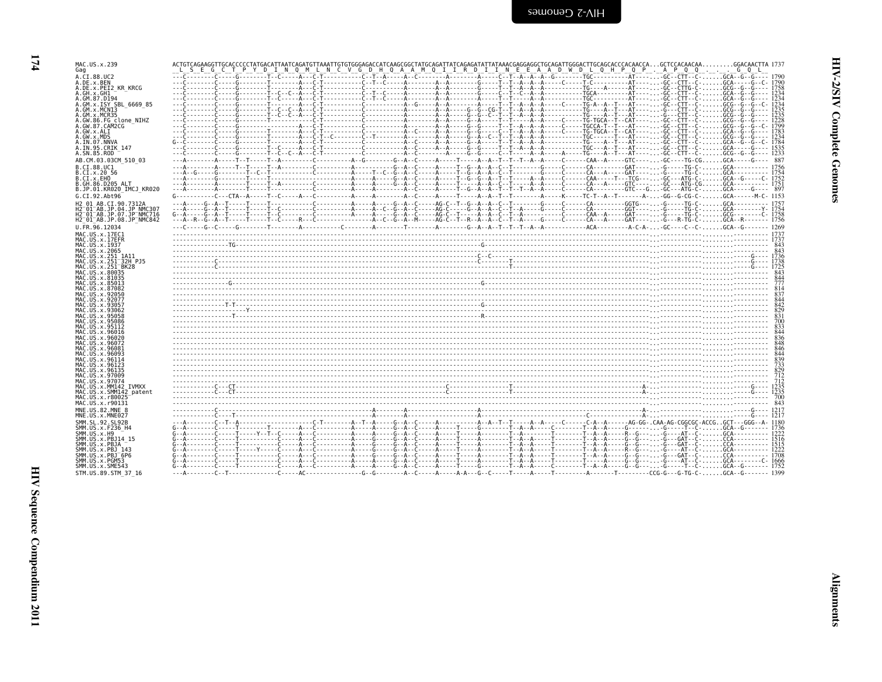$174$ 

| MAC.US.x.239                                                                                                                                                                                                                                                                                                                                                                                | ACTGTCAGAAGGTTGCACCCCCTATGACATTAATCAGATGTTAAATTGTGGGAGACCATCAAGCGGCTATGCAGATTATCAGAGATATTATAAACGAGGAGGCTGCAGATTGGGACTTGCAGCACCCACAACCAGCTCCACAACAAGGACAACTTA 1737                                                                 |                   |
|---------------------------------------------------------------------------------------------------------------------------------------------------------------------------------------------------------------------------------------------------------------------------------------------------------------------------------------------------------------------------------------------|-----------------------------------------------------------------------------------------------------------------------------------------------------------------------------------------------------------------------------------|-------------------|
| Gag<br>A.CI.88.UC2                                                                                                                                                                                                                                                                                                                                                                          | E G C T P Y D I N Q M L N C V G D H Q A A M Q I I R D I I N E E A A D W D L Q H P Q P . A P Q Q G Q L                                                                                                                             |                   |
| A.DE.x.BEN                                                                                                                                                                                                                                                                                                                                                                                  |                                                                                                                                                                                                                                   |                   |
| A.DE.x.PEI2 KR KRCG<br>A.GH.x.GH1                                                                                                                                                                                                                                                                                                                                                           |                                                                                                                                                                                                                                   | 1234              |
| A.GM.87.D194                                                                                                                                                                                                                                                                                                                                                                                |                                                                                                                                                                                                                                   | 1234              |
| A.GM.x.ISY SBL 6669 85<br>A.GM.x.MCN13                                                                                                                                                                                                                                                                                                                                                      |                                                                                                                                                                                                                                   |                   |
| A.GM.x.MCR35                                                                                                                                                                                                                                                                                                                                                                                |                                                                                                                                                                                                                                   |                   |
| A.GW.86.FG_clone_NIHZ                                                                                                                                                                                                                                                                                                                                                                       |                                                                                                                                                                                                                                   |                   |
| A.GW.87.CAM2CG<br>A.GW.x.ALI                                                                                                                                                                                                                                                                                                                                                                |                                                                                                                                                                                                                                   |                   |
| A.GW.x.MDS                                                                                                                                                                                                                                                                                                                                                                                  |                                                                                                                                                                                                                                   |                   |
| A.IN.07.NNVA<br>A.IN.95.CRIK 147                                                                                                                                                                                                                                                                                                                                                            |                                                                                                                                                                                                                                   |                   |
| A.SN.85.ROD                                                                                                                                                                                                                                                                                                                                                                                 |                                                                                                                                                                                                                                   |                   |
| AB.CM.03.03CM 510 03                                                                                                                                                                                                                                                                                                                                                                        | AAT-.T-----T-A---------C--------A--G-------G--A--C-----A--A--T--T--A--A--T--T--A--A---C-----CA--A-----GTC----,,,-GC----TG-CG,,,,,,GCA----G---- 887                                                                                |                   |
| B.CT.88.UC1                                                                                                                                                                                                                                                                                                                                                                                 |                                                                                                                                                                                                                                   |                   |
| B.CI.x.20 56<br>B.CI.x.EHO                                                                                                                                                                                                                                                                                                                                                                  |                                                                                                                                                                                                                                   |                   |
| B.GH.86.D205 ALT                                                                                                                                                                                                                                                                                                                                                                            |                                                                                                                                                                                                                                   |                   |
| B.JP.01.KR020 IMCJ KR020                                                                                                                                                                                                                                                                                                                                                                    |                                                                                                                                                                                                                                   |                   |
| G.CI.92.Abt96                                                                                                                                                                                                                                                                                                                                                                               |                                                                                                                                                                                                                                   |                   |
| H2 01 AB.CI.90.7312A                                                                                                                                                                                                                                                                                                                                                                        |                                                                                                                                                                                                                                   |                   |
| H2 <sup>-</sup> 01 <sup>-</sup> AB.JP.04.JP NMC307<br>H2 <sup>−</sup> 01 <sup>−</sup> AB.JP.07.JP <sup>−</sup> NMC716                                                                                                                                                                                                                                                                       |                                                                                                                                                                                                                                   |                   |
| H2 <sup>-</sup> 01 <sup>-</sup> AB.JP.08.JP <sup>-</sup> NMC842                                                                                                                                                                                                                                                                                                                             |                                                                                                                                                                                                                                   |                   |
| U.FR.96.12034                                                                                                                                                                                                                                                                                                                                                                               |                                                                                                                                                                                                                                   |                   |
| MAC.US.x.17EC1                                                                                                                                                                                                                                                                                                                                                                              |                                                                                                                                                                                                                                   |                   |
| MAC.US.x.I7EFR<br>MAC.US.x.1937                                                                                                                                                                                                                                                                                                                                                             |                                                                                                                                                                                                                                   |                   |
| MAC.US.x.2065                                                                                                                                                                                                                                                                                                                                                                               |                                                                                                                                                                                                                                   | 843               |
| MAC.US.x.251 1A11                                                                                                                                                                                                                                                                                                                                                                           |                                                                                                                                                                                                                                   |                   |
| MAC.US.x.251 <sup>-</sup> 32H PJ5<br>MAC.US.x.251 <sup>-</sup> BK28                                                                                                                                                                                                                                                                                                                         |                                                                                                                                                                                                                                   |                   |
| MAC.US.x.80035                                                                                                                                                                                                                                                                                                                                                                              |                                                                                                                                                                                                                                   |                   |
| MAC.US.x.81035                                                                                                                                                                                                                                                                                                                                                                              |                                                                                                                                                                                                                                   | 777               |
| MAC.US.x.85013<br>MAC.US.x.87082                                                                                                                                                                                                                                                                                                                                                            |                                                                                                                                                                                                                                   |                   |
| MAC.US.x.92056                                                                                                                                                                                                                                                                                                                                                                              |                                                                                                                                                                                                                                   |                   |
| MAC.US.x.92077<br>MAC.US.x.93057                                                                                                                                                                                                                                                                                                                                                            |                                                                                                                                                                                                                                   |                   |
| MAC.US.x.93062                                                                                                                                                                                                                                                                                                                                                                              | $\frac{1}{2}$ . The contract of the contract of the contract of the contract of the contract of the contract of the contract of the contract of the contract of the contract of the contract of the contract of the contract of t |                   |
| MAC.US.x.95058                                                                                                                                                                                                                                                                                                                                                                              |                                                                                                                                                                                                                                   |                   |
| MAC.US.x.95086<br>MAC.US.x.95112                                                                                                                                                                                                                                                                                                                                                            |                                                                                                                                                                                                                                   |                   |
| MAC.US.x.96016                                                                                                                                                                                                                                                                                                                                                                              |                                                                                                                                                                                                                                   |                   |
|                                                                                                                                                                                                                                                                                                                                                                                             |                                                                                                                                                                                                                                   |                   |
| MAC.US.x.96072<br>MAC US x 96081                                                                                                                                                                                                                                                                                                                                                            |                                                                                                                                                                                                                                   |                   |
| MAC.US.x.96093                                                                                                                                                                                                                                                                                                                                                                              |                                                                                                                                                                                                                                   |                   |
| MAC.US.x.96114                                                                                                                                                                                                                                                                                                                                                                              |                                                                                                                                                                                                                                   |                   |
|                                                                                                                                                                                                                                                                                                                                                                                             |                                                                                                                                                                                                                                   |                   |
|                                                                                                                                                                                                                                                                                                                                                                                             |                                                                                                                                                                                                                                   |                   |
|                                                                                                                                                                                                                                                                                                                                                                                             |                                                                                                                                                                                                                                   |                   |
|                                                                                                                                                                                                                                                                                                                                                                                             |                                                                                                                                                                                                                                   |                   |
|                                                                                                                                                                                                                                                                                                                                                                                             |                                                                                                                                                                                                                                   |                   |
|                                                                                                                                                                                                                                                                                                                                                                                             | $\frac{712}{712}$                                                                                                                                                                                                                 |                   |
|                                                                                                                                                                                                                                                                                                                                                                                             |                                                                                                                                                                                                                                   |                   |
|                                                                                                                                                                                                                                                                                                                                                                                             |                                                                                                                                                                                                                                   |                   |
|                                                                                                                                                                                                                                                                                                                                                                                             |                                                                                                                                                                                                                                   |                   |
|                                                                                                                                                                                                                                                                                                                                                                                             |                                                                                                                                                                                                                                   |                   |
|                                                                                                                                                                                                                                                                                                                                                                                             |                                                                                                                                                                                                                                   |                   |
|                                                                                                                                                                                                                                                                                                                                                                                             |                                                                                                                                                                                                                                   |                   |
|                                                                                                                                                                                                                                                                                                                                                                                             |                                                                                                                                                                                                                                   |                   |
|                                                                                                                                                                                                                                                                                                                                                                                             |                                                                                                                                                                                                                                   |                   |
| MAC.US.x.96123<br>MAC.US.x.96135<br>MAC.US.x.97009<br>MAC.US.x.97074<br>MAC.US.x.MM142 IVMXX<br>MAC.US.x.SMM142 patent<br>MAC.US.x.r80025<br>MAC.US.x.r90131<br>MNE.US.82.MNE 8<br>MNE.US.x.MNE027<br>SMM. SL. 92. SL92B<br>SMM.US.x.F236 H4<br>SMM.US.x.H9<br>SMM.US.x.PBJ14 15<br>SMM.US.x.PBJA<br>SMM.US.x.PBJ 143<br>SMM.US.x.PBJ <sup>-</sup> 6P6<br>SMM.US.x.PGM53<br>SMM.US.x.SME543 |                                                                                                                                                                                                                                   | 839<br>733<br>829 |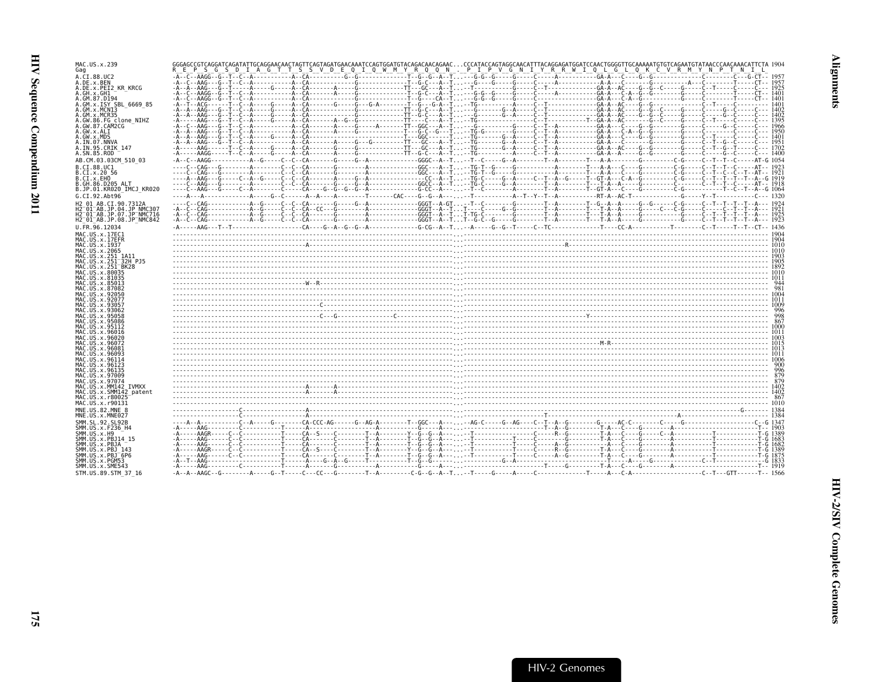| MAC.US.x.239<br>Gag                                                                                                 |  |
|---------------------------------------------------------------------------------------------------------------------|--|
| A.CI.88.UC2<br>A.DE.x.BEN<br>A.DE.x.PEI2 KR KRCG                                                                    |  |
| A.GH.x.GH1<br>A.GM.87.D194                                                                                          |  |
| A.GM.x.ISY SBL 6669 85<br>A.GM.x.MCNI3<br>A.GM.x.MCR35                                                              |  |
| A.GW.86.FG clone NIHZ<br>A.GW.87.CAM2CG                                                                             |  |
| A.GW.x.ALI<br>A.GW.x.MDS<br>A.IN.07.NNVA                                                                            |  |
| A.IN.95.CRIK 147<br>A.SN.85.ROD                                                                                     |  |
| AB.CM.03.03CM 510 03<br>B.CI.88.UC1                                                                                 |  |
| B.CI.X.20 56<br>B.CI.X.EHO<br>B.GH.86.D205 ALT                                                                      |  |
| B.JP.01.KR020 IMCJ KR020<br>G.CI.92.Abt96                                                                           |  |
| H2 01 AB.CI.90.7312A<br>H2 <sup>-</sup> 01 <sup>-</sup> AB.JP.04.JP NMC307                                          |  |
| H2 <sup>-01-AB.JP.07.JP<sup>-</sup>NMC716</sup><br>H2 <sup>-01-AB.JP.08.JP<sup>-</sup>NMC842</sup><br>U.FR.96.12034 |  |
| MAC.US.x.17EC1<br>MAC.US.x.17EFR                                                                                    |  |
| MAC.US.x.1937<br>MAC.US.x.2065                                                                                      |  |
| MAC.US.x.251 1A11<br>MAC.US.x.251 32H PJ5<br>MAC.US.x.251 <sup>-</sup> BK28                                         |  |
| MAC.US.x.80035<br>MAC.US.x.81035<br>MAC.US.x.85013                                                                  |  |
| MAC.US.x.87082<br>MAC. US. x.92050                                                                                  |  |
| MAC.US.x.92077<br>MAC.US.x.93057<br>MAC.US.x.93062                                                                  |  |
| MAC.US.x.95058<br>MAC. US. x. 95086<br>MAC.US.x.95112                                                               |  |
| MAC.US.x.96016<br>MAC.US.x.96020                                                                                    |  |
| MAC.US.x.96072<br>MAC.US.x.96081<br>MAC. US. x. 96093                                                               |  |
| MAC.US.x.96114<br>MAC.US.x.96123<br>MAC.US.x.96135                                                                  |  |
| MAC.US.x.97009<br>MAC.US.x.97074                                                                                    |  |
| MAC.US.x.MM142 IVMXX<br>MAC.US.x.SMM142 patent<br>MAC.US.x.r80025                                                   |  |
| MAC.US.x.r90131<br>MNE.US.82.MNE 8                                                                                  |  |
| MNE.US.x.MNE027<br>SMM.SL.92.SL92B                                                                                  |  |
| SMM.US.x.F236 H4<br>SMM.US.x.H9<br>SMM.US.x.PBJ14 15                                                                |  |
| SMM.US.x.PBJA<br>SMM.US.x.PBJ 143<br>SMM.US.x.PBJ <sup>6P6</sup>                                                    |  |
| SMM.US.x.PGM53<br>SMM.US.x.SME543                                                                                   |  |
| STM. US. 89. STM 37 16                                                                                              |  |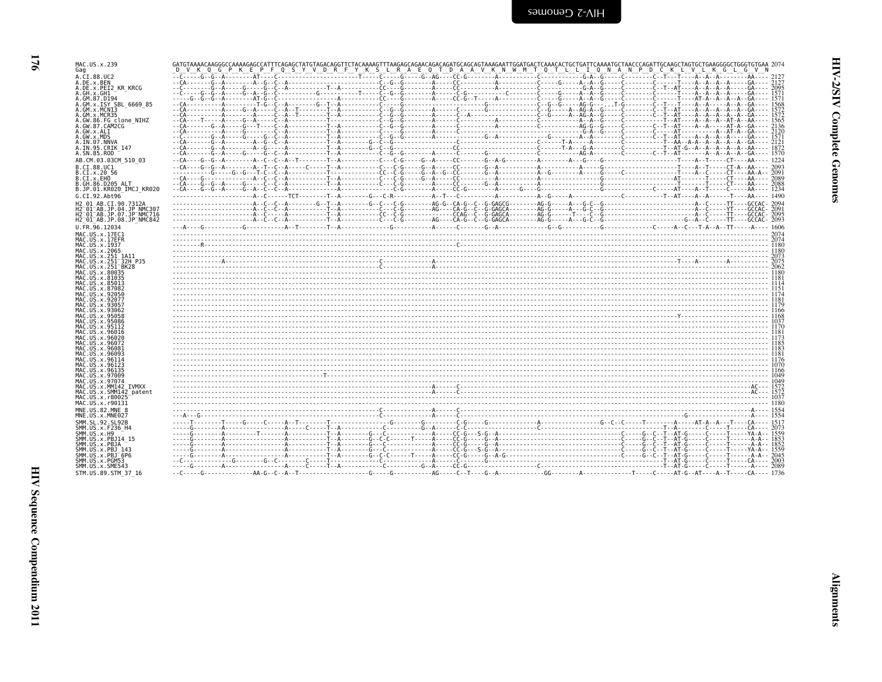| S<br>ī<br>ויי היישור<br>י<br>ŗ |  |
|--------------------------------|--|
| í<br>i                         |  |
| í<br>$\frac{1}{2}$             |  |

| H2 <sup>-</sup> 01 <sup>-</sup> AB.JP.07.JP <sup>-</sup> NMC716 |                                                       |  |
|-----------------------------------------------------------------|-------------------------------------------------------|--|
| H2 <sup>-01-AB.JP.08.JP<sup>-</sup>NMC842</sup>                 | A -- C - - C - -                                      |  |
| U.FR.96.12034                                                   | $- - A - - - G - - - - - - - - G - - - - - - - - - -$ |  |
| MAC.US.x.17EC1                                                  |                                                       |  |
| MAC.US.x.17EFR                                                  |                                                       |  |
| MAC.US.x.1937<br>MAC. US. x. 2065                               |                                                       |  |
| MAC.US.x.251 1A11                                               |                                                       |  |
| MAC.US.x.251 <sup>-</sup> 32H PJ5                               |                                                       |  |
| MAC.US.x.251 <sup>-</sup> BK28                                  |                                                       |  |
| MAC.US.x.80035                                                  |                                                       |  |
| MAC.US.x.81035                                                  |                                                       |  |
| MAC.US.x.85013                                                  |                                                       |  |
| MAC.US.x.87082<br>MAC.US.x.92050                                |                                                       |  |
| MAC.US.x.92077                                                  |                                                       |  |
| MAC.US.x.93057                                                  |                                                       |  |
| MAC.US.x.93062                                                  |                                                       |  |
| MAC.US.x.95058                                                  |                                                       |  |
| MAC.US.x.95086                                                  |                                                       |  |
| MAC.US.x.95112                                                  |                                                       |  |
| MAC.US.x.96016<br>MAC.US.x.96020                                |                                                       |  |
| MAC.US.x.96072                                                  |                                                       |  |
| MAC.US.x.96081                                                  |                                                       |  |
| MAC. US. x. 96093                                               |                                                       |  |
| MAC.US.x.96114                                                  |                                                       |  |
| MAC.US.x.96123                                                  |                                                       |  |
| MAC.US.x.96135<br>MAC.US.x.97009                                |                                                       |  |
| MAC.US.x.97074                                                  |                                                       |  |
| MAC.US.x.MM142 IVMXX                                            |                                                       |  |
| MAC.US.x.SMM142 patent                                          |                                                       |  |
| MAC.US.x.r80025                                                 |                                                       |  |
| MAC.US.x.r90131                                                 |                                                       |  |
| MNE.US.82.MNE 8                                                 |                                                       |  |
| MNE.US.x.MNE027                                                 |                                                       |  |
| SMM.SL.92.SL92B                                                 | $\cdots$ . T. T. $6$ . $6$ .                          |  |
| SMM. US. x. F236 H4                                             |                                                       |  |
| SMM.US.x.H9                                                     |                                                       |  |
| SMM.US.x.PBJ14 15<br>SMM.US.x.PBJA                              |                                                       |  |
| SMM. US. x. PBJ 143                                             |                                                       |  |
| SMM.US.x.PBJ <sup>-6P6</sup>                                    |                                                       |  |
| SMM.US.x.PGM53                                                  | --C---------------G----------G--C--                   |  |
| SMM.US.x.SME543                                                 |                                                       |  |
| STM.US.89.STM 37 16                                             |                                                       |  |
|                                                                 |                                                       |  |
|                                                                 |                                                       |  |
|                                                                 |                                                       |  |
|                                                                 |                                                       |  |
|                                                                 |                                                       |  |
|                                                                 |                                                       |  |

| Gag                                                                                                                                                                                                                                                                                                                                                                                                                                                                                                                                                                                                                                                                                                           |  |
|---------------------------------------------------------------------------------------------------------------------------------------------------------------------------------------------------------------------------------------------------------------------------------------------------------------------------------------------------------------------------------------------------------------------------------------------------------------------------------------------------------------------------------------------------------------------------------------------------------------------------------------------------------------------------------------------------------------|--|
| GATGTAAAACAAGGGCCAAAAGAGCCATTTCAGAGCTATGTAGACAGGTTCTACAAAAGTTTAAGAGCAGGAGGAGCAGCAGTAAGAAATGCTGATACAAAATGCTAACCCAGCTAGTGCTGAGGGGCTGGGTGTGGAA 2074<br>_D__V_K_Q_G_P_K_E_P_F_Q_S_Y_V_D_R_F_Y_K_S_L_R_A_E_Q_T_D_A_A_V_K_N_W_M_T_Q_T_L<br>$\frac{1}{2} \cdot \frac{1}{2} \cdot \frac{1}{2} \cdot \frac{1}{2} \cdot \frac{1}{2} \cdot \frac{1}{2} \cdot \frac{1}{2} \cdot \frac{1}{2} \cdot \frac{1}{2} \cdot \frac{1}{2} \cdot \frac{1}{2} \cdot \frac{1}{2} \cdot \frac{1}{2} \cdot \frac{1}{2} \cdot \frac{1}{2} \cdot \frac{1}{2} \cdot \frac{1}{2} \cdot \frac{1}{2} \cdot \frac{1}{2} \cdot \frac{1}{2} \cdot \frac{1}{2} \cdot \frac{1}{2} \cdot \frac{1}{2} \cdot \frac{1}{2} \cdot \frac{1$<br>A.CI.88.UC2 |  |
| A.DE.x.BEN<br>A.DE.x.PEI2 KR KRCG                                                                                                                                                                                                                                                                                                                                                                                                                                                                                                                                                                                                                                                                             |  |
| A.GH.x.GH1                                                                                                                                                                                                                                                                                                                                                                                                                                                                                                                                                                                                                                                                                                    |  |
| A.GM.87.D194<br>A.GM.x.ISY SBL 6669 85                                                                                                                                                                                                                                                                                                                                                                                                                                                                                                                                                                                                                                                                        |  |
| A.GM.x.MCNI3                                                                                                                                                                                                                                                                                                                                                                                                                                                                                                                                                                                                                                                                                                  |  |
| A.GM.x.MCR35<br>A.GW.86.FG clone NIHZ                                                                                                                                                                                                                                                                                                                                                                                                                                                                                                                                                                                                                                                                         |  |
| A.GW.87.CAM2CG                                                                                                                                                                                                                                                                                                                                                                                                                                                                                                                                                                                                                                                                                                |  |
| A.GW.x.ALI<br>A.GW.x.MDS                                                                                                                                                                                                                                                                                                                                                                                                                                                                                                                                                                                                                                                                                      |  |
| A.IN.07.NNVA                                                                                                                                                                                                                                                                                                                                                                                                                                                                                                                                                                                                                                                                                                  |  |
| A.IN.95.CRIK 147<br>A.SN.85.ROD                                                                                                                                                                                                                                                                                                                                                                                                                                                                                                                                                                                                                                                                               |  |
| AB.CM.03.03CM 510 03                                                                                                                                                                                                                                                                                                                                                                                                                                                                                                                                                                                                                                                                                          |  |
| B.CI.88.UC1                                                                                                                                                                                                                                                                                                                                                                                                                                                                                                                                                                                                                                                                                                   |  |
| B.CI.X.20 56<br>B.CI.x.EHO                                                                                                                                                                                                                                                                                                                                                                                                                                                                                                                                                                                                                                                                                    |  |
| B.GH.86.D205 ALT                                                                                                                                                                                                                                                                                                                                                                                                                                                                                                                                                                                                                                                                                              |  |
| B.JP.01.KR020 IMCJ KR020<br>G.CI.92.Abt96                                                                                                                                                                                                                                                                                                                                                                                                                                                                                                                                                                                                                                                                     |  |
| H2 01 AB.CI.90.7312A                                                                                                                                                                                                                                                                                                                                                                                                                                                                                                                                                                                                                                                                                          |  |
| H2 <sup>-</sup> 01 <sup>-</sup> AB.JP.04.JP NMC307<br>H2 <sup>-</sup> 01 <sup>-</sup> AB.JP.07.JP <sup>-</sup> NMC716                                                                                                                                                                                                                                                                                                                                                                                                                                                                                                                                                                                         |  |
| H2 <sup>-</sup> 01 <sup>-</sup> AB.JP.08.JP <sup>-</sup> NMC842                                                                                                                                                                                                                                                                                                                                                                                                                                                                                                                                                                                                                                               |  |
| U.FR.96.12034                                                                                                                                                                                                                                                                                                                                                                                                                                                                                                                                                                                                                                                                                                 |  |
| MAC.US.x.17EC1<br>MAC.US.x.17EFR                                                                                                                                                                                                                                                                                                                                                                                                                                                                                                                                                                                                                                                                              |  |
| MAC.US.x.1937                                                                                                                                                                                                                                                                                                                                                                                                                                                                                                                                                                                                                                                                                                 |  |
| MAC.US.x.2065<br>MAC.US.x.251 1A11                                                                                                                                                                                                                                                                                                                                                                                                                                                                                                                                                                                                                                                                            |  |
| MAC.US.x.251 32H PJ5                                                                                                                                                                                                                                                                                                                                                                                                                                                                                                                                                                                                                                                                                          |  |
| MAC.US.x.251 BK28<br>MAC.US.x.80035                                                                                                                                                                                                                                                                                                                                                                                                                                                                                                                                                                                                                                                                           |  |
| MAC.US.x.81035                                                                                                                                                                                                                                                                                                                                                                                                                                                                                                                                                                                                                                                                                                |  |
| MAC.US.x.85013<br>MAC.US.x.87082                                                                                                                                                                                                                                                                                                                                                                                                                                                                                                                                                                                                                                                                              |  |
| MAC.US.x.92050                                                                                                                                                                                                                                                                                                                                                                                                                                                                                                                                                                                                                                                                                                |  |
| MAC.US.x.92077<br>MAC.US.x.93057                                                                                                                                                                                                                                                                                                                                                                                                                                                                                                                                                                                                                                                                              |  |
| MAC.US.x.93062<br>MAC.US.x.95058                                                                                                                                                                                                                                                                                                                                                                                                                                                                                                                                                                                                                                                                              |  |
| MAC.US.x.95086                                                                                                                                                                                                                                                                                                                                                                                                                                                                                                                                                                                                                                                                                                |  |
| MAC. US. x. 95112<br>MAC.US.x.96016                                                                                                                                                                                                                                                                                                                                                                                                                                                                                                                                                                                                                                                                           |  |
| MAC.US.x.96020                                                                                                                                                                                                                                                                                                                                                                                                                                                                                                                                                                                                                                                                                                |  |
| MAC.US.x.96072<br>MAC.US.x.96081                                                                                                                                                                                                                                                                                                                                                                                                                                                                                                                                                                                                                                                                              |  |
| MAC. U.S. x. 96093                                                                                                                                                                                                                                                                                                                                                                                                                                                                                                                                                                                                                                                                                            |  |
| MAC.US.x.96114<br>MAC.US.x.96123                                                                                                                                                                                                                                                                                                                                                                                                                                                                                                                                                                                                                                                                              |  |
| MAC.US.x.96135<br>MAC.US.x.97009                                                                                                                                                                                                                                                                                                                                                                                                                                                                                                                                                                                                                                                                              |  |
| MAC.US.x.97074                                                                                                                                                                                                                                                                                                                                                                                                                                                                                                                                                                                                                                                                                                |  |
| MAC.US.x.MM142 IVMXX<br>MAC.US.x.SMM142 patent                                                                                                                                                                                                                                                                                                                                                                                                                                                                                                                                                                                                                                                                |  |
| MAC.US.x.r80025                                                                                                                                                                                                                                                                                                                                                                                                                                                                                                                                                                                                                                                                                               |  |
| MAC.US.x.r90131                                                                                                                                                                                                                                                                                                                                                                                                                                                                                                                                                                                                                                                                                               |  |
| MNE.US.82.MNE 8<br>MNE.US.x.MNE027                                                                                                                                                                                                                                                                                                                                                                                                                                                                                                                                                                                                                                                                            |  |
| SMM. SL. 92. SL92B                                                                                                                                                                                                                                                                                                                                                                                                                                                                                                                                                                                                                                                                                            |  |
| SMM. US. x. F236 H4<br>SMM.US.x.H9                                                                                                                                                                                                                                                                                                                                                                                                                                                                                                                                                                                                                                                                            |  |
| SMM.US.x.PBJ14 15                                                                                                                                                                                                                                                                                                                                                                                                                                                                                                                                                                                                                                                                                             |  |
| SMM.US.x.PBJA<br>SMM. US. x. PBJ 143                                                                                                                                                                                                                                                                                                                                                                                                                                                                                                                                                                                                                                                                          |  |
| SMM.US.x.PBJ <sup>-6P6</sup>                                                                                                                                                                                                                                                                                                                                                                                                                                                                                                                                                                                                                                                                                  |  |
| SMM.US.x.PGM53<br>SMM.US.x.SME543                                                                                                                                                                                                                                                                                                                                                                                                                                                                                                                                                                                                                                                                             |  |
| STM.US.89.STM 37 16                                                                                                                                                                                                                                                                                                                                                                                                                                                                                                                                                                                                                                                                                           |  |

176

HIV Sequence Compendium 2011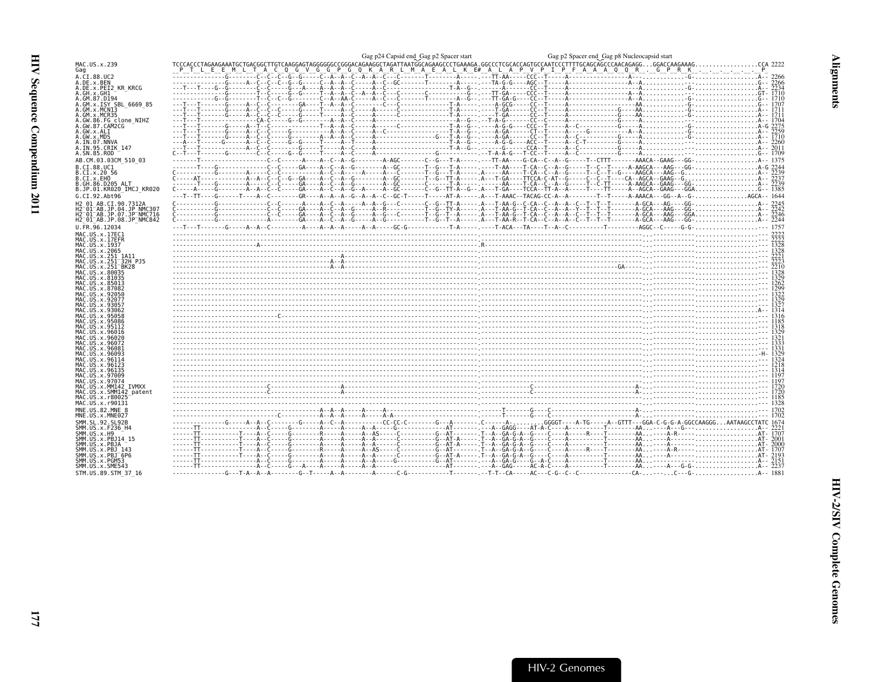<span id="page-18-0"></span>

| MAC.US.x.239<br>Gag                                                                                                                |                                                                                                                                                            |  |
|------------------------------------------------------------------------------------------------------------------------------------|------------------------------------------------------------------------------------------------------------------------------------------------------------|--|
| A.CI.88.UC2                                                                                                                        |                                                                                                                                                            |  |
| A.DE.x.BEN<br>A.DE.x.PEI2 KR KRCG                                                                                                  |                                                                                                                                                            |  |
| A.GH.x.GH1                                                                                                                         |                                                                                                                                                            |  |
| A.GM.87.D194                                                                                                                       |                                                                                                                                                            |  |
| A.GM.x.ISY SBL 6669 85<br>A.GM.x.MCNI3                                                                                             |                                                                                                                                                            |  |
| A.GM.x.MCR35                                                                                                                       |                                                                                                                                                            |  |
| A.GW.86.FG clone NIHZ                                                                                                              |                                                                                                                                                            |  |
| A.GW.87.CAM2CG<br>A.GW.x.ALI                                                                                                       |                                                                                                                                                            |  |
| A.GW.x.MDS                                                                                                                         |                                                                                                                                                            |  |
| A.IN.07.NNVA<br>A.IN.95.CRIK_147                                                                                                   |                                                                                                                                                            |  |
| A.SN.85.ROD                                                                                                                        |                                                                                                                                                            |  |
| AB.CM.03.03CM 510 03                                                                                                               |                                                                                                                                                            |  |
| B.CI.88.UC1                                                                                                                        |                                                                                                                                                            |  |
| B.CI.x.20 56                                                                                                                       |                                                                                                                                                            |  |
| B.CI.x.EHO                                                                                                                         |                                                                                                                                                            |  |
| B.GH.86.D205 ALT<br>B.JP.01.KR020 IMCJ KR020                                                                                       |                                                                                                                                                            |  |
| G.CI.92.Abt96                                                                                                                      | ---T--TT----G------T---A--C--------GR----A--A--A--G--A--A--C--GC-T-----T----AT-A---A--T-AAAC--TACAG-CC-A--A--------T--T-----A-AAACA---GG--A--G-AGCA-- 1644 |  |
| H2 01 AB.CI.90.7312A                                                                                                               |                                                                                                                                                            |  |
| H2 <sup>-</sup> 01 <sup>-</sup> AB.JP.04.JP NMC307                                                                                 |                                                                                                                                                            |  |
| H2 <sup>-</sup> 01 <sup>-</sup> AB.JP.07.JP <sup>-</sup> NMC716<br>H2 <sup>-</sup> 01 <sup>-</sup> AB.JP.08.JP <sup>-</sup> NMC842 |                                                                                                                                                            |  |
| U.FR.96.12034                                                                                                                      |                                                                                                                                                            |  |
| MAC.US.x.17EC1                                                                                                                     |                                                                                                                                                            |  |
| MAC.US.x.17EFR                                                                                                                     |                                                                                                                                                            |  |
| MAC.US.x.1937<br>MAC. US. x. 2065                                                                                                  |                                                                                                                                                            |  |
| MAC.US.x.251 1A11                                                                                                                  |                                                                                                                                                            |  |
| MAC.US.x.251 <sup>-</sup> 32H PJ5                                                                                                  |                                                                                                                                                            |  |
| MAC.US.x.251 <sup>-</sup> BK28<br>MAC.US.x.80035                                                                                   |                                                                                                                                                            |  |
| MAC.US.x.81035                                                                                                                     | $3223$                                                                                                                                                     |  |
| MAC.US.x.85013                                                                                                                     |                                                                                                                                                            |  |
| MAC.US.x.87082<br>MAC.US.x.92050                                                                                                   |                                                                                                                                                            |  |
| MAC.US.x.92077                                                                                                                     |                                                                                                                                                            |  |
| MAC.US.x.9305                                                                                                                      |                                                                                                                                                            |  |
| MAC.US.x.93062<br>MAC.US.x.95058                                                                                                   |                                                                                                                                                            |  |
| MAC.US.x.95086                                                                                                                     |                                                                                                                                                            |  |
| MAC.US.x.95112<br>MAC.US.x.96016                                                                                                   |                                                                                                                                                            |  |
| MAC.US.x.96026                                                                                                                     |                                                                                                                                                            |  |
| MAC.US.x.96072                                                                                                                     |                                                                                                                                                            |  |
| MAC.US.x.96081<br>MAC.US.x.96093                                                                                                   |                                                                                                                                                            |  |
| MAC.US.x.96114                                                                                                                     |                                                                                                                                                            |  |
| MAC.US.x.96123                                                                                                                     |                                                                                                                                                            |  |
| MAC.US.x.96135<br>MAC.US.x.97009                                                                                                   |                                                                                                                                                            |  |
| MAC.US.x.97074                                                                                                                     |                                                                                                                                                            |  |
| MAC.US.x.MM142 IVMXX<br>MAC.US.x.SMM142 patent                                                                                     |                                                                                                                                                            |  |
| MAC.US.x.r80025                                                                                                                    |                                                                                                                                                            |  |
| MAC.US.x.r90131                                                                                                                    |                                                                                                                                                            |  |
| MNE.US.82.MNE 8                                                                                                                    |                                                                                                                                                            |  |
| MNE.US.x.MNE027                                                                                                                    |                                                                                                                                                            |  |
| SMM. SL. 92. SL92B<br>SMM.US.x.F236_H4                                                                                             |                                                                                                                                                            |  |
| SMM.US.x.H9                                                                                                                        |                                                                                                                                                            |  |
| SMM.US.x.PBJ14 15                                                                                                                  |                                                                                                                                                            |  |
| SMM.US.x.PBJA<br>SMM.US.x.PBJ 143                                                                                                  |                                                                                                                                                            |  |
| SMM. US. x. PBJ 6P6                                                                                                                |                                                                                                                                                            |  |
| SMM.US.x.PGM53<br>SMM.US.x.SME543                                                                                                  |                                                                                                                                                            |  |
| STM.US.89.STM 37 16                                                                                                                |                                                                                                                                                            |  |
|                                                                                                                                    |                                                                                                                                                            |  |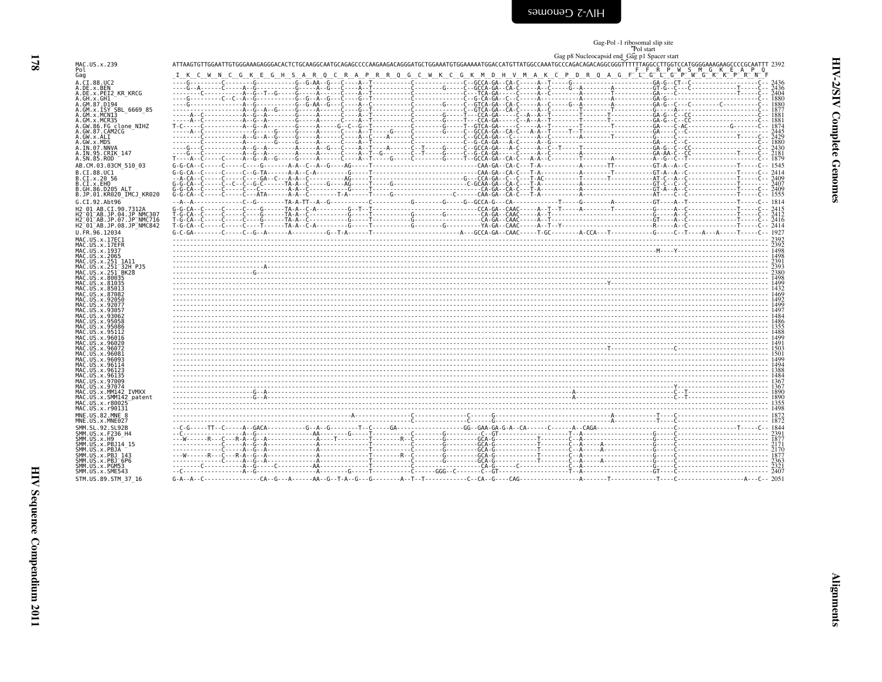<span id="page-19-0"></span>

| səɯouəົງ Շ-∧IH |
|----------------|
|----------------|

# Gag-Pol -1 ribosomal slip site<br>Pol start<br>Gag p8 Nucleocapsid end\_Gag p1 Spacer start

| MAC.US.x.239<br>Pol                                                                     | $ -$<br>F F R P W S M G K E A P Q                                                                                                                                                                                                                                                                                                                                        |  |
|-----------------------------------------------------------------------------------------|--------------------------------------------------------------------------------------------------------------------------------------------------------------------------------------------------------------------------------------------------------------------------------------------------------------------------------------------------------------------------|--|
| Gag                                                                                     | I K C W N C G K E G H S A R Q C R A P R R Q G C W K C G K M D H V M A K C P D R Q A G F L G L G P W G K K P R N F                                                                                                                                                                                                                                                        |  |
| A.CI.88.UC2<br>A.DE.x.BEN                                                               | $\frac{1}{16} \frac{1}{16} \frac{1}{16} \frac{1}{16} \frac{1}{16} \frac{1}{16} \frac{1}{16} \frac{1}{16} \frac{1}{16} \frac{1}{16} \frac{1}{16} \frac{1}{16} \frac{1}{16} \frac{1}{16} \frac{1}{16} \frac{1}{16} \frac{1}{16} \frac{1}{16} \frac{1}{16} \frac{1}{16} \frac{1}{16} \frac{1}{16} \frac{1}{16} \frac{1}{16} \frac{1}{16} \frac{1}{16} \frac{1}{16} \frac{1$ |  |
| A.DE.x.PEI2 KR KRCG<br>A.GH.x.GH1                                                       |                                                                                                                                                                                                                                                                                                                                                                          |  |
| A.GM.87.D194<br>A.GM.x.ISY SBL 6669 85                                                  |                                                                                                                                                                                                                                                                                                                                                                          |  |
| A.GM.x.MCNI3                                                                            |                                                                                                                                                                                                                                                                                                                                                                          |  |
| A.GM.x.MCR35<br>A.GW.86.FG clone NIHZ                                                   |                                                                                                                                                                                                                                                                                                                                                                          |  |
| A.GW.87.CAM2CG<br>A.GW.x.ALI                                                            |                                                                                                                                                                                                                                                                                                                                                                          |  |
| A.GW.x.MDS<br>A.IN.07.NNVA                                                              |                                                                                                                                                                                                                                                                                                                                                                          |  |
| A.IN.95.CRIK 147<br>A.SN.85.ROD                                                         |                                                                                                                                                                                                                                                                                                                                                                          |  |
| AB.CM.03.03CM 510 03                                                                    |                                                                                                                                                                                                                                                                                                                                                                          |  |
| B.CI.88.UC1<br>B.CI.x.20 56                                                             |                                                                                                                                                                                                                                                                                                                                                                          |  |
| B.CI.x.EHO                                                                              |                                                                                                                                                                                                                                                                                                                                                                          |  |
| B.GH.86.D205 ALT<br>B.JP.01.KR020 IMCJ KR020                                            |                                                                                                                                                                                                                                                                                                                                                                          |  |
| G.CI.92.Abt96                                                                           |                                                                                                                                                                                                                                                                                                                                                                          |  |
| H2 01 AB.CI.90.7312A<br>H2 <sup>-01-AB.JP.04.JP NMC307</sup>                            |                                                                                                                                                                                                                                                                                                                                                                          |  |
| H2 <sup>-01-AB.JP.07.JP-NMC716</sup><br>H2 <sup>-01-AB.JP.08.JP<sup>-</sup>NMC842</sup> |                                                                                                                                                                                                                                                                                                                                                                          |  |
| U.FR.96.12034                                                                           |                                                                                                                                                                                                                                                                                                                                                                          |  |
| MAC.US.x.17EC1<br>MAC.US.x.17EFR                                                        |                                                                                                                                                                                                                                                                                                                                                                          |  |
| MAC.US.x.1937<br>MAC.US.x.2065                                                          |                                                                                                                                                                                                                                                                                                                                                                          |  |
| MAC.US.x.251 1A11<br>MAC.US.x.251 32H PJ5                                               |                                                                                                                                                                                                                                                                                                                                                                          |  |
| MAC.US.x.251 <sup>-</sup> BK28                                                          |                                                                                                                                                                                                                                                                                                                                                                          |  |
| MAC.US.x.80035<br>MAC.US.x.81035                                                        |                                                                                                                                                                                                                                                                                                                                                                          |  |
| MAC.US.x.85013<br>MAC.US.x.87082                                                        |                                                                                                                                                                                                                                                                                                                                                                          |  |
| MAC. US. x.92050<br>MAC.US.x.92077                                                      |                                                                                                                                                                                                                                                                                                                                                                          |  |
| MAC.US.x.93057<br>MAC.US.x.93062                                                        |                                                                                                                                                                                                                                                                                                                                                                          |  |
| MAC.US.x.95058                                                                          |                                                                                                                                                                                                                                                                                                                                                                          |  |
| MAC.US.x.95086<br>MAC.US.x.95112                                                        |                                                                                                                                                                                                                                                                                                                                                                          |  |
| MAC.US.x.96016<br>MAC.US.x.96020                                                        |                                                                                                                                                                                                                                                                                                                                                                          |  |
| MAC.US.x.96072<br>MAC.US.x.96081                                                        |                                                                                                                                                                                                                                                                                                                                                                          |  |
| MAC.US.x.96093<br>MAC.US.x.96114                                                        |                                                                                                                                                                                                                                                                                                                                                                          |  |
| MAC.US.x.96123<br>MAC.US.x.96135                                                        |                                                                                                                                                                                                                                                                                                                                                                          |  |
| MAC.US.x.97009                                                                          |                                                                                                                                                                                                                                                                                                                                                                          |  |
| MAC.US.x.97074<br>MAC.US.x.MM142_IVMXX                                                  |                                                                                                                                                                                                                                                                                                                                                                          |  |
| MAC.US.x.SMM142 patent<br>MAC.US.x.r80025                                               |                                                                                                                                                                                                                                                                                                                                                                          |  |
| MAC.US.x.r90131<br>MNE.US.82.MNE 8                                                      |                                                                                                                                                                                                                                                                                                                                                                          |  |
| MNE.US.x.MNE027                                                                         |                                                                                                                                                                                                                                                                                                                                                                          |  |
| SMM. SL. 92. SL92B<br>SMM.US.x.F236 H4                                                  | $\begin{bmatrix} 1844 & 1040 & 1040 & 1040 & 1040 & 1040 & 1040 & 1040 & 1040 & 1040 & 1040 & 1040 & 1040 & 1040 & 1040 & 1040 & 1040 & 1040 & 1040 & 1040 & 1040 & 1040 & 1040 & 1040 & 1040 & 1040 & 1040 & 1040 & 1040 & 1040 & 1040 & 1040 & 1040 & 1040 & 1040 & 104$                                                                                               |  |
| SMM. US. x.H9<br>SMM.US.x.PBJ14 15                                                      |                                                                                                                                                                                                                                                                                                                                                                          |  |
| SMM.US.x.PBJA                                                                           |                                                                                                                                                                                                                                                                                                                                                                          |  |
| SMM.US.x.PBJ 143<br>SMM.US.x.PBJ <sup>6P6</sup>                                         |                                                                                                                                                                                                                                                                                                                                                                          |  |
| SMM.US.x.PGM53<br>SMM. US. x. SME543                                                    |                                                                                                                                                                                                                                                                                                                                                                          |  |
| STM.US.89.STM 37 16                                                                     |                                                                                                                                                                                                                                                                                                                                                                          |  |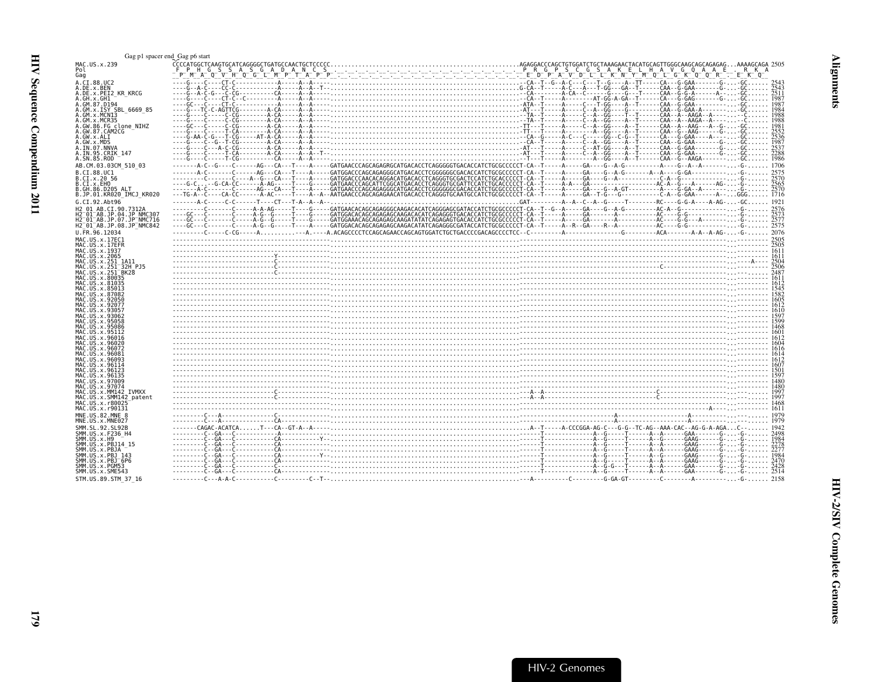<span id="page-20-0"></span>

| Gag p1 spacer end Gag p6 start                                  |                                                                                                                                                                                                                                |  |  |
|-----------------------------------------------------------------|--------------------------------------------------------------------------------------------------------------------------------------------------------------------------------------------------------------------------------|--|--|
| MAC.US.x.239<br>Pol                                             |                                                                                                                                                                                                                                |  |  |
|                                                                 | CCCCARGO CONTEGENTION CONTEGENTION CONTEGENTION CONTEGENTION CONTEGENTION CONTEGENTION CONTEGENTION CONTEGENTION CONTEGENTION CONTEGENTION CONTEGENTION CONTEGENTION CONTEGENTION CONTEGENTION CONTEGENTION CONTEGENTION CO    |  |  |
| Gag                                                             |                                                                                                                                                                                                                                |  |  |
| A.CI.88.UC2                                                     |                                                                                                                                                                                                                                |  |  |
| A.DE.x.BEN<br>A.DE.x.PEI2 KR KRCG                               |                                                                                                                                                                                                                                |  |  |
| A.GH.x.GH1                                                      |                                                                                                                                                                                                                                |  |  |
| A.GM.87.D194                                                    |                                                                                                                                                                                                                                |  |  |
| A.GM.X.ISY SBL 6669 85                                          |                                                                                                                                                                                                                                |  |  |
| A.GM.x.MCN13                                                    |                                                                                                                                                                                                                                |  |  |
| A.GM.x.MCR35                                                    |                                                                                                                                                                                                                                |  |  |
| A.GW.86.FG clone NIHZ<br>A.GW.87.CAM2CG                         |                                                                                                                                                                                                                                |  |  |
| A.GW.x.ALI                                                      |                                                                                                                                                                                                                                |  |  |
| A.GW.x.MDS                                                      |                                                                                                                                                                                                                                |  |  |
| A.IN.07.NNVA                                                    |                                                                                                                                                                                                                                |  |  |
| A.IN.95.CRIK 147                                                |                                                                                                                                                                                                                                |  |  |
| A.SN.85.ROD                                                     |                                                                                                                                                                                                                                |  |  |
| AB.CM.03.03CM 510 03                                            |                                                                                                                                                                                                                                |  |  |
| B.CI.88.UC1                                                     |                                                                                                                                                                                                                                |  |  |
| B.CI.x.20 56<br>B.CI.X.EHO                                      |                                                                                                                                                                                                                                |  |  |
| B.GH.86.D205 ALT                                                |                                                                                                                                                                                                                                |  |  |
| B.JP.01.KR020 IMCJ KR020                                        |                                                                                                                                                                                                                                |  |  |
| G.CI.92.Abt96                                                   |                                                                                                                                                                                                                                |  |  |
| H2 01 AB.CI.90.7312A                                            |                                                                                                                                                                                                                                |  |  |
| H2 01 AB.JP.04.JP NMC30.                                        |                                                                                                                                                                                                                                |  |  |
| H2 <sup>-</sup> 01 <sup>-</sup> AB.JP.07.JP <sup>-</sup> NMC716 |                                                                                                                                                                                                                                |  |  |
| H2 <sup>-01-AB.JP.08.JP<sup>-</sup>NMC842</sup>                 |                                                                                                                                                                                                                                |  |  |
| U.FR.96.12034                                                   | --------C----C-CG-----A--A.----A.ACAGCCCCTCCAGCAGAACCAGTAGTCTGGACCAGGAGCCCCTCC--C--------A--------G--------GCA-------A-A--A-AG--G- 2076                                                                                        |  |  |
| MAC.US.x.17EC1                                                  |                                                                                                                                                                                                                                |  |  |
| MAC.US.x.17EFR                                                  |                                                                                                                                                                                                                                |  |  |
| MAC.US.x.1937                                                   |                                                                                                                                                                                                                                |  |  |
| MAC.US.x.2065<br>MAC.US.x.251 1A11                              | $\frac{2504}{2504}$                                                                                                                                                                                                            |  |  |
| MAC.US.x.251 <sup>-32H</sup> PJ5                                |                                                                                                                                                                                                                                |  |  |
| MAC.US.x.251 <sup>-</sup> BK28                                  |                                                                                                                                                                                                                                |  |  |
| MAC. US. x.80035                                                |                                                                                                                                                                                                                                |  |  |
| MAC.US.x.81035                                                  |                                                                                                                                                                                                                                |  |  |
| MAC.US.x.85013<br>MAC.US.x.87082                                |                                                                                                                                                                                                                                |  |  |
| MAC. US. x. 92056                                               |                                                                                                                                                                                                                                |  |  |
| MAC.US.x.92077                                                  | 012 - 1022 - 1022 - 1023 - 1024 - 1025 - 1027 - 1028 - 1029 - 1029 - 1029 - 1029 - 1029 - 1029 - 1029 - 1029 - 1029 - 1029 - 1029 - 1029 - 1029 - 1029 - 1029 - 1029 - 1029 - 1029 - 1029 - 1029 - 1029 - 1029 - 1029 - 1029 - |  |  |
| MAC.US.x.93057                                                  |                                                                                                                                                                                                                                |  |  |
| MAC.US.x.93062                                                  |                                                                                                                                                                                                                                |  |  |
| MAC.US.x.95058<br>MAC.US.x.95086                                |                                                                                                                                                                                                                                |  |  |
| MAC.US.x.95112                                                  |                                                                                                                                                                                                                                |  |  |
| MAC.US.x.96016                                                  |                                                                                                                                                                                                                                |  |  |
| MAC.US.x.96020                                                  |                                                                                                                                                                                                                                |  |  |
| MAC.US.x.96072                                                  |                                                                                                                                                                                                                                |  |  |
| MAC.US.x.96081<br>MAC. U.S. x. 96093                            |                                                                                                                                                                                                                                |  |  |
| MAC. US. x. 96114                                               | $\frac{1612}{1600}$                                                                                                                                                                                                            |  |  |
| MAC.US.x.96123                                                  |                                                                                                                                                                                                                                |  |  |
| MAC.US.x.96135                                                  |                                                                                                                                                                                                                                |  |  |
| MAC.US.x.97009                                                  |                                                                                                                                                                                                                                |  |  |
| MAC.US.x.97074                                                  |                                                                                                                                                                                                                                |  |  |
| MAC.US.x.MM142 IVMXX<br>MAC.US.x.SMM142 patent                  |                                                                                                                                                                                                                                |  |  |
| MAC. US. x. r80025                                              |                                                                                                                                                                                                                                |  |  |
| MAC.US.x.r90131                                                 |                                                                                                                                                                                                                                |  |  |
| MNE.US.82.MNE 8                                                 |                                                                                                                                                                                                                                |  |  |
| MNE.US.x.MNE027                                                 |                                                                                                                                                                                                                                |  |  |
| SMM. SL. 92. SL92B                                              |                                                                                                                                                                                                                                |  |  |
| SMM.US.x.F236 H4                                                |                                                                                                                                                                                                                                |  |  |
| SMM.US.x.H9                                                     |                                                                                                                                                                                                                                |  |  |
| SMM. US. x. PBJ14 15<br>SMM.US.x.PBJA                           |                                                                                                                                                                                                                                |  |  |
| SMM.US.x.PBJ 143                                                |                                                                                                                                                                                                                                |  |  |
| SMM.US.x.PBJ <sup>-6P6</sup>                                    |                                                                                                                                                                                                                                |  |  |
| SMM. US. x. PGM53                                               |                                                                                                                                                                                                                                |  |  |
| SMM.US.x.SME543                                                 |                                                                                                                                                                                                                                |  |  |
| STM.US.89.STM 37 16                                             |                                                                                                                                                                                                                                |  |  |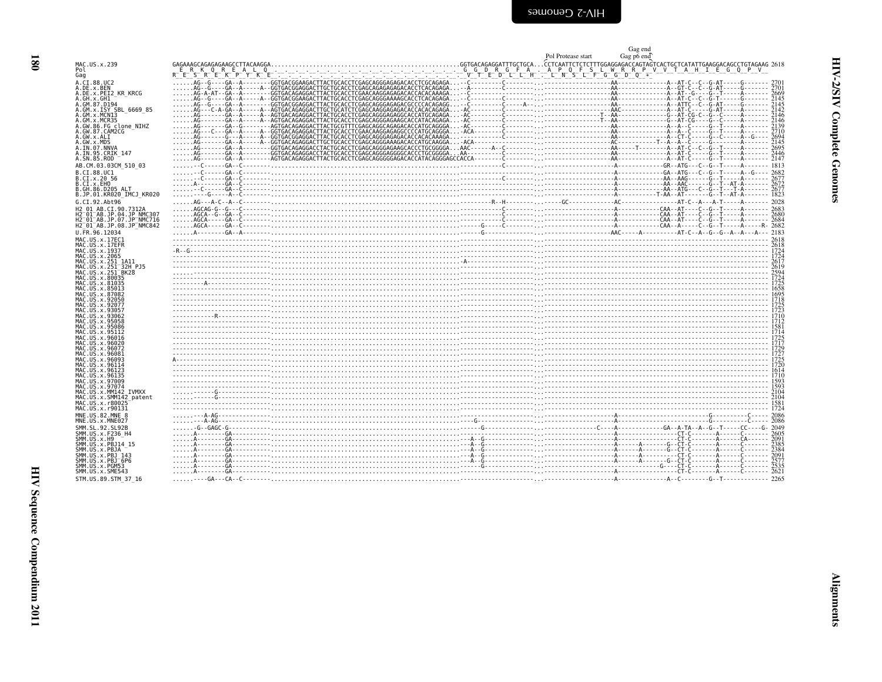<span id="page-21-0"></span>

|                                                                                         |                                                                                                                                                                                                                                                                                                                                                                                                                                                                                                      | Pol Protease start | Gag end<br>Gag p6 end |
|-----------------------------------------------------------------------------------------|------------------------------------------------------------------------------------------------------------------------------------------------------------------------------------------------------------------------------------------------------------------------------------------------------------------------------------------------------------------------------------------------------------------------------------------------------------------------------------------------------|--------------------|-----------------------|
| MAC.US.x.239<br>Pol                                                                     |                                                                                                                                                                                                                                                                                                                                                                                                                                                                                                      |                    |                       |
| Gag                                                                                     |                                                                                                                                                                                                                                                                                                                                                                                                                                                                                                      |                    |                       |
| A.CI.88.UC2<br>A.DE.x.BEN                                                               |                                                                                                                                                                                                                                                                                                                                                                                                                                                                                                      |                    |                       |
| A.DE.x.PEI2 KR KRCG                                                                     |                                                                                                                                                                                                                                                                                                                                                                                                                                                                                                      |                    |                       |
| A.GH.x.GH1<br>A.GM.87.D194                                                              |                                                                                                                                                                                                                                                                                                                                                                                                                                                                                                      |                    |                       |
| A.GM.x.ISY SBL 6669 85<br>A.GM.x.MCNI3                                                  |                                                                                                                                                                                                                                                                                                                                                                                                                                                                                                      |                    |                       |
| A.GM.x.MCR35                                                                            |                                                                                                                                                                                                                                                                                                                                                                                                                                                                                                      |                    |                       |
| A.GW.86.FG_clone_NIHZ<br>A.GW.87.CAM2CG                                                 |                                                                                                                                                                                                                                                                                                                                                                                                                                                                                                      |                    |                       |
| A.GW.x.ALI                                                                              |                                                                                                                                                                                                                                                                                                                                                                                                                                                                                                      |                    |                       |
| A.GW.x.MDS<br>A.IN.07.NNVA                                                              |                                                                                                                                                                                                                                                                                                                                                                                                                                                                                                      |                    |                       |
| A.IN.95.CRIK 147<br>A.SN.85.ROD                                                         |                                                                                                                                                                                                                                                                                                                                                                                                                                                                                                      |                    |                       |
| AB.CM.03.03CM 510 03                                                                    |                                                                                                                                                                                                                                                                                                                                                                                                                                                                                                      |                    |                       |
| B.CI.88.UC1                                                                             |                                                                                                                                                                                                                                                                                                                                                                                                                                                                                                      |                    |                       |
| B.CI.x.20 56<br>B.CI.x.EHO                                                              |                                                                                                                                                                                                                                                                                                                                                                                                                                                                                                      |                    |                       |
| B.GH.86.D205 ALT                                                                        |                                                                                                                                                                                                                                                                                                                                                                                                                                                                                                      |                    |                       |
| B.JP.01.KR020 IMCJ KR020<br>G.CI.92.Abt96                                               | $\begin{minipage}{0.95\textwidth} \begin{minipage}{0.95\textwidth} \begin{minipage}{0.95\textwidth} \begin{minipage}{0.95\textwidth} \begin{minipage}{0.95\textwidth} \begin{minipage}{0.95\textwidth} \begin{minipage}{0.95\textwidth} \begin{minipage}{0.95\textwidth} \begin{minipage}{0.95\textwidth} \begin{minipage}{0.95\textwidth} \begin{minipage}{0.95\textwidth} \begin{minipage}{0.95\textwidth} \begin{minipage}{0.95\textwidth} \begin{minipage}{0.95\textwidth} \begin{minipage}{0.9$ |                    |                       |
| H2 01 AB.CI.90.7312A                                                                    |                                                                                                                                                                                                                                                                                                                                                                                                                                                                                                      |                    |                       |
| H2 <sup>-01-AB.JP.04.JP NMC307</sup><br>H2 <sup>-01-AB.JP.07.JP<sup>-</sup>NMC716</sup> |                                                                                                                                                                                                                                                                                                                                                                                                                                                                                                      |                    |                       |
| H2 <sup>-01-AB.JP.08.JP<sup>-</sup>NMC842</sup>                                         |                                                                                                                                                                                                                                                                                                                                                                                                                                                                                                      |                    |                       |
| U.FR.96.12034                                                                           |                                                                                                                                                                                                                                                                                                                                                                                                                                                                                                      |                    |                       |
| MAC.US.x.17EC1<br>MAC.US.x.17EFR                                                        |                                                                                                                                                                                                                                                                                                                                                                                                                                                                                                      |                    |                       |
| MAC.US.x.1937                                                                           |                                                                                                                                                                                                                                                                                                                                                                                                                                                                                                      |                    |                       |
| MAC.US.x.2065<br>MAC.US.x.251 1A11                                                      |                                                                                                                                                                                                                                                                                                                                                                                                                                                                                                      |                    |                       |
| MAC.US.x.251 <sup>-</sup> 32H_PJ5<br>MAC.US.x.251 <sup>-</sup> BK28                     |                                                                                                                                                                                                                                                                                                                                                                                                                                                                                                      |                    |                       |
| MAC.US.x.80035                                                                          |                                                                                                                                                                                                                                                                                                                                                                                                                                                                                                      |                    |                       |
| MAC. US. x.81035<br>MAC.US.x.85013                                                      |                                                                                                                                                                                                                                                                                                                                                                                                                                                                                                      |                    |                       |
| MAC.US.x.87082<br>MAC.US.x.92050                                                        |                                                                                                                                                                                                                                                                                                                                                                                                                                                                                                      |                    |                       |
| MAC.US.x.92077                                                                          | $\frac{1}{1723}$ , $\frac{1}{1723}$ , $\frac{1}{1723}$ , $\frac{1}{1723}$ , $\frac{1}{1723}$ , $\frac{1}{1723}$ , $\frac{1}{1723}$ , $\frac{1}{1723}$ , $\frac{1}{1723}$ , $\frac{1}{1723}$ , $\frac{1}{1723}$ , $\frac{1}{1723}$ , $\frac{1}{1723}$ , $\frac{1}{1723}$ , $\frac{1}{1723}$                                                                                                                                                                                                           |                    |                       |
| MAC.US.x.93057<br>MAC.US.x.93062                                                        |                                                                                                                                                                                                                                                                                                                                                                                                                                                                                                      |                    |                       |
| MAC.US.x.95058<br>MAC.US.x.95086                                                        |                                                                                                                                                                                                                                                                                                                                                                                                                                                                                                      |                    |                       |
| MAC.US.x.95112                                                                          | - 172<br>  1881<br>  1881 -   1882 -   1882 -   1882 -   1882 -   1882 -   1882 -   1882 -   1882 -   1882 -   1882 -   1882 -                                                                                                                                                                                                                                                                                                                                                                       |                    |                       |
| MAC.US.x.96016<br>MAC.US.x.96020                                                        |                                                                                                                                                                                                                                                                                                                                                                                                                                                                                                      |                    |                       |
| MAC.<br>.US.x.96072                                                                     |                                                                                                                                                                                                                                                                                                                                                                                                                                                                                                      |                    |                       |
| MAC.US.x.96081<br>MAC.US.x.96093                                                        |                                                                                                                                                                                                                                                                                                                                                                                                                                                                                                      |                    |                       |
| MAC.US.x.96114<br>MAC.US.x.96123                                                        |                                                                                                                                                                                                                                                                                                                                                                                                                                                                                                      |                    |                       |
| MAC.US.x.96135                                                                          |                                                                                                                                                                                                                                                                                                                                                                                                                                                                                                      |                    |                       |
| MAC.US.x.97009<br>MAC.US.x.97074                                                        |                                                                                                                                                                                                                                                                                                                                                                                                                                                                                                      |                    |                       |
| MAC.US.x.MM142 IVMXX<br>MAC.US.x.SMM142 patent                                          | 204 - 1892<br>164 - 1892 - 1994 - 1994 - 1994 - 1994 - 1994 - 1994 - 1994 - 1994 - 1994 - 1994 - 1994 - 1994 - 1994 - 1994 -<br>1724 - 1893 - 1994 - 1995 - 1999 - 1999 - 1999 - 1999 - 1999 - 1999 - 1999 - 1999 - 1999 - 1999 - 1                                                                                                                                                                                                                                                                  |                    |                       |
| MAC.US.x.r80025                                                                         |                                                                                                                                                                                                                                                                                                                                                                                                                                                                                                      |                    |                       |
| MAC.US.x.r90131<br>MNE.US.82.MNE 8                                                      |                                                                                                                                                                                                                                                                                                                                                                                                                                                                                                      |                    |                       |
| MNE.US.x.MNE027                                                                         |                                                                                                                                                                                                                                                                                                                                                                                                                                                                                                      |                    |                       |
| SMM. SL. 92. SL92B<br>SMM.US.x.F236 H4                                                  |                                                                                                                                                                                                                                                                                                                                                                                                                                                                                                      |                    |                       |
| SMM.US.x.H9                                                                             |                                                                                                                                                                                                                                                                                                                                                                                                                                                                                                      |                    |                       |
| SMM.US.x.PBJ14 15<br>SMM.US.x.PBJA                                                      |                                                                                                                                                                                                                                                                                                                                                                                                                                                                                                      |                    |                       |
| SMM.US.x.PBJ 143<br>SMM.US.x.PBJ <sup>-</sup> 6P6                                       |                                                                                                                                                                                                                                                                                                                                                                                                                                                                                                      |                    |                       |
| SMM.US.x.PGM53                                                                          |                                                                                                                                                                                                                                                                                                                                                                                                                                                                                                      |                    |                       |
| SMM.US.x.SME543<br>STM.US.89.STM 37 16                                                  |                                                                                                                                                                                                                                                                                                                                                                                                                                                                                                      |                    |                       |
|                                                                                         |                                                                                                                                                                                                                                                                                                                                                                                                                                                                                                      |                    |                       |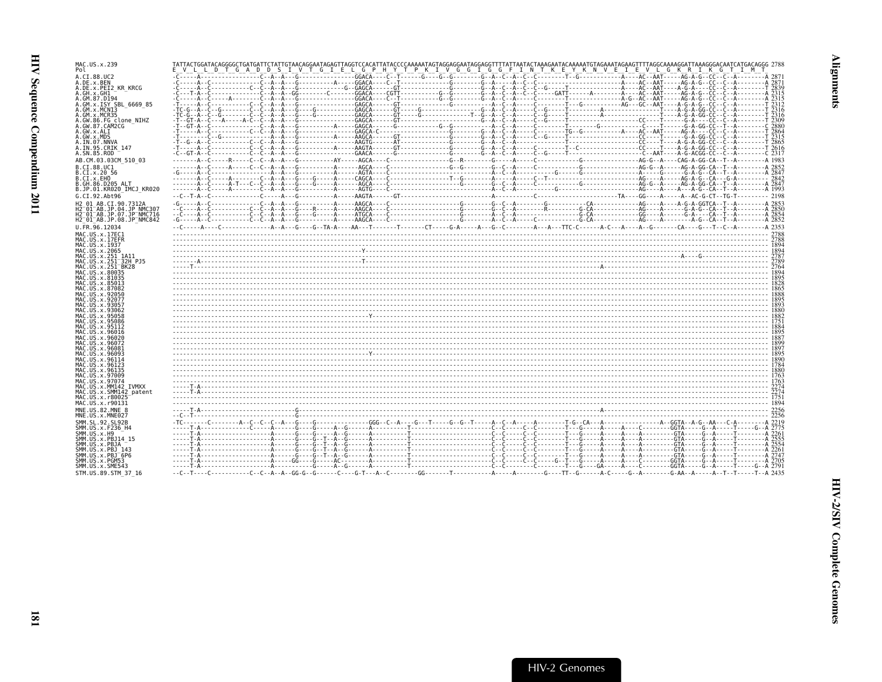| MAC.US.x.239<br>Pol                                                                                                                                 | TATTACTGGATACAGGGGCTGATGATTCTATTGTAACAGGAATAGAGTTAGGTCCACATTATACCCCAAAAATAGTAGGAGGAATAGGAGGTTTTATTAATACTAAAGAATACAAAAATGTAGAAATAGAACTTTTAGGCAAAAGGATTAAAGGGACAATCATGACAGGG 2788<br>E V L L D T G A D D S I V T G I E L G P H Y T P K I V G G I G G F I N T K E Y K N V E I E V L G K R I K G T I M T      |  |
|-----------------------------------------------------------------------------------------------------------------------------------------------------|-----------------------------------------------------------------------------------------------------------------------------------------------------------------------------------------------------------------------------------------------------------------------------------------------------------|--|
| A.CI.88.UC2<br>A.DE.x.BEN<br>A.DE.X.PEI2 KR KRCG<br>A.GH.x.GH1                                                                                      |                                                                                                                                                                                                                                                                                                           |  |
| A.GM.87.D194<br>A.GM.x.ISY SBL 6669 85<br>A.GM.x.MCNT3<br>A.GM.x.MCR35                                                                              |                                                                                                                                                                                                                                                                                                           |  |
| A.GW.86.FG clone NIHZ<br>A.GW.87.CAM2CG<br>A.GW.x.ALI<br>A.GW.x.MDS<br>A.IN.07.NNVA                                                                 |                                                                                                                                                                                                                                                                                                           |  |
| A.IN.95.CRIK 147<br>A.SN.85.ROD<br>AB.CM.03.03CM 510 03                                                                                             |                                                                                                                                                                                                                                                                                                           |  |
| B.CI.88.UC1<br>B.CI.X.20 56<br>B.CI.x.EHO<br>B.GH.86.D205 ALT                                                                                       |                                                                                                                                                                                                                                                                                                           |  |
| B.JP.01.KR020 IMCJ KR020<br>G.CI.92.Abt96<br>H2 01 AB.CI.90.7312A<br>H2 <sup>-</sup> 01 <sup>-</sup> AB.JP.04.JP NMC307                             |                                                                                                                                                                                                                                                                                                           |  |
| H2 <sup>-</sup> 01 <sup>-</sup> AB.JP.07.JP <sup>-</sup> NMC716<br>H2 <sup>-</sup> 01 <sup>-</sup> AB.JP.08.JP <sup>-</sup> NMC842<br>U.FR.96.12034 |                                                                                                                                                                                                                                                                                                           |  |
| MAC.US.x.17EC1<br>MAC.US.x.17EFR<br>MAC.US.x.1937<br>MAC.US.x.2065                                                                                  |                                                                                                                                                                                                                                                                                                           |  |
| MAC.US.x.251 1A11<br>MAC.US.x.251 <sup>-</sup> 32H PJ5<br>MAC.US.x.251 <sup>-</sup> BK28<br>MAC.US.x.80035<br>MAC.US.x.81035                        |                                                                                                                                                                                                                                                                                                           |  |
| MAC.US.x.85013<br>MAC.US.x.87082<br>MAC.US.x.92056<br>MAC.US.x.92077                                                                                |                                                                                                                                                                                                                                                                                                           |  |
| MAC.US.x.93057<br>MAC.US.x.93062<br>MAC.US.x.95058<br>MAC.US.x.95086                                                                                |                                                                                                                                                                                                                                                                                                           |  |
| MAC.US.x.95112<br>MAC.US.x.96016<br>MAC.US.x.96020<br>MAC.US.x.96072                                                                                |                                                                                                                                                                                                                                                                                                           |  |
| MAC.US.x.96081<br>MAC.US.x.96093<br>MAC.US.x.96114<br>MAC.US.x.96123<br>MAC.US.x.96135                                                              |                                                                                                                                                                                                                                                                                                           |  |
| MAC.US.x.97009<br>MAC.US.x.97074<br>MAC.US.x.MM142 IVMXX<br>MAC.US.x.SMM142 patent                                                                  |                                                                                                                                                                                                                                                                                                           |  |
| MAC.US.x.r80025<br>MAC.US.x.r90131<br>MNE.US.82.MNE 8<br>MNE.US.x.MNE027                                                                            |                                                                                                                                                                                                                                                                                                           |  |
| SMM. SL. 92. SL92B<br>SMM.US.x.F236_H4<br>SMM.US.x.H9<br>SMM.US.x.PBJ14 15                                                                          | $\frac{1}{1.6}$ $\frac{1}{1.6}$ $\frac{1}{1.6}$ $\frac{1}{1.6}$ $\frac{1}{1.6}$ $\frac{1}{1.6}$ $\frac{1}{1.6}$ $\frac{1}{1.6}$ $\frac{1}{1.6}$ $\frac{1}{1.6}$ $\frac{1}{1.6}$ $\frac{1}{1.6}$ $\frac{1}{1.6}$ $\frac{1}{1.6}$ $\frac{1}{1.6}$ $\frac{1}{1.6}$ $\frac{1}{1.6}$ $\frac{1}{1.6}$ $\frac{1$ |  |
| SMM.US.x.PBJA<br>SMM.US.x.PBJ 143<br>SMM.US.x.PBJ <sup>-6P6</sup><br>SMM. US. x. PGM53                                                              |                                                                                                                                                                                                                                                                                                           |  |
| SMM.US.x.SME543<br>STM. US. 89. STM 37 16                                                                                                           |                                                                                                                                                                                                                                                                                                           |  |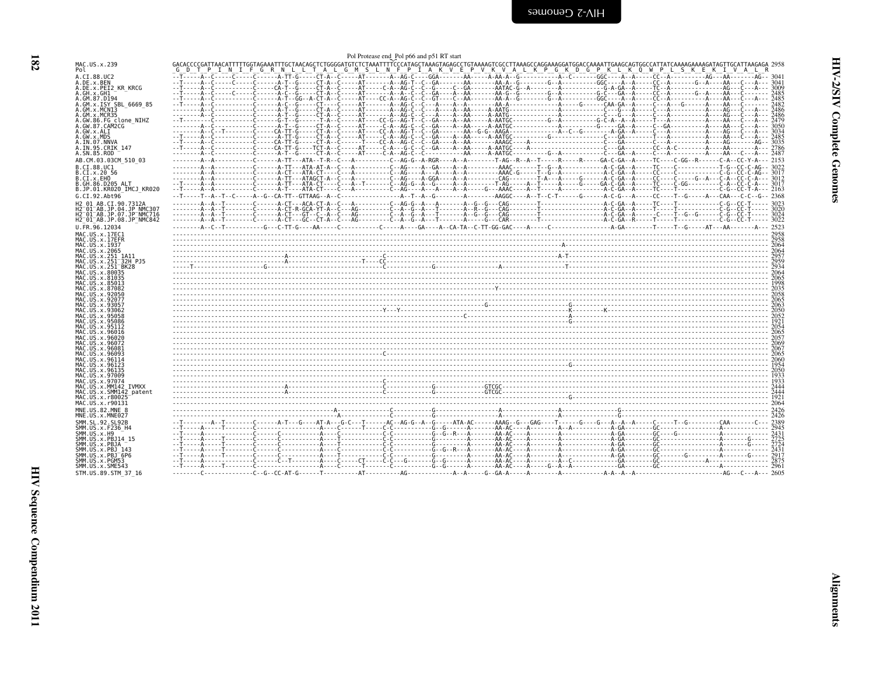<span id="page-23-0"></span>

|                                                                                                         | Pol Protease end Pol p66 and p51 RT start                                                                                                                                                                                         |  |
|---------------------------------------------------------------------------------------------------------|-----------------------------------------------------------------------------------------------------------------------------------------------------------------------------------------------------------------------------------|--|
| MAC.US.x.239<br>Pol                                                                                     | GACACCCCGATTAACATTTTTGGTAGAAATTTGCTAACAGCTCTGGGGATGTCTCTAAATTTYCCCATAGCTAAAGTAGGCCGTTAAAGCCCATGGAGGAGGTGGCCATTACCAAAGGAAAAGATAGTAGCATTAAGAGA 2958<br>COPTIPIIINIILELGIRINLLUILLUILALUILELMISLLINIELPIIALKUVILELPIVIKIVILALUILINII |  |
| A.CI.88.UC2<br>A.DE.x.BEN                                                                               |                                                                                                                                                                                                                                   |  |
| A.DE.x.PEI2 KR KRCG<br>A.GH.x.GH1                                                                       |                                                                                                                                                                                                                                   |  |
| A.GM.87.D194<br>A.GM.X.ISY SBL 6669 85                                                                  |                                                                                                                                                                                                                                   |  |
| A.GM.x.MCNI3<br>A.GM.x.MCR35                                                                            |                                                                                                                                                                                                                                   |  |
| A.GW.86.FG_clone_NIHZ<br>A.GW.87.CAM2CG                                                                 |                                                                                                                                                                                                                                   |  |
| A.GW.x.ALI<br>A.GW.x.MDS                                                                                |                                                                                                                                                                                                                                   |  |
| A.IN.07.NNVA<br>A.IN.95.CRIK 147<br>A.SN.85.ROD                                                         |                                                                                                                                                                                                                                   |  |
| AB.CM.03.03CM 510 03                                                                                    |                                                                                                                                                                                                                                   |  |
| B.CI.88.UC1<br>B.CI.X.20 56                                                                             |                                                                                                                                                                                                                                   |  |
| B.CI.X.EHO<br>B.GH.86.D205 ALT                                                                          | en 1997 - 1998 - 1998 - 1998 - 1998 - 1998 - 1998 - 1998 - 1998 - 1998 - 1998 - 1998 - 1998 - 1998 - 1998 - 19<br>2008 - - 1999 - 1999 - 1999 - 1999 - 1999 - 1999 - 1999 - 1999 - 1999 - 1999 - 1999 - 1999 - 1999 - 1998 - 199  |  |
| B.JP.01.KR020 IMCJ KR020<br>G.CI.92.Abt96                                                               |                                                                                                                                                                                                                                   |  |
| H2 01 AB.CI.90.7312A                                                                                    |                                                                                                                                                                                                                                   |  |
| H2 <sup>-01-AB.JP.04.JP NMC307</sup><br>H2 <sup>-</sup> 01 <sup>-</sup> AB.JP.07.JP <sup>-</sup> NMC716 |                                                                                                                                                                                                                                   |  |
| H2 01 AB.JP.08.JP NMC842<br>U.FR.96.12034                                                               |                                                                                                                                                                                                                                   |  |
| MAC.US.x.17EC1<br>MAC.US.x.17EFR                                                                        |                                                                                                                                                                                                                                   |  |
| MAC.US.x.1937<br>MAC.US.x.2065                                                                          |                                                                                                                                                                                                                                   |  |
| MAC.US.x.251 1A11<br>MAC.US.x.251 <sup>-32H</sup> PJ5                                                   |                                                                                                                                                                                                                                   |  |
| MAC.US.x.251 BK28<br>MAC.US.x.80035                                                                     |                                                                                                                                                                                                                                   |  |
| MAC. US. x.81035<br>MAC. US. x.85013                                                                    |                                                                                                                                                                                                                                   |  |
| MAC.US.x.87082<br>MAC.US.x.92050<br>MAC.US.x.92077                                                      |                                                                                                                                                                                                                                   |  |
| MAC.US.x.93057                                                                                          |                                                                                                                                                                                                                                   |  |
| MAC.US.x.93062<br>MAC.US.x.95058                                                                        |                                                                                                                                                                                                                                   |  |
| MAC.US.x.95086<br>MAC. US. x.95112                                                                      |                                                                                                                                                                                                                                   |  |
| MAC.US.x.96016<br>MAC.US.x.96020                                                                        |                                                                                                                                                                                                                                   |  |
| MAC.US.x.96072<br>MAC.US.x.96081                                                                        |                                                                                                                                                                                                                                   |  |
| MAC.US.x.96093<br>MAC.US.x.96114                                                                        |                                                                                                                                                                                                                                   |  |
| MAC.US.x.96123<br>MAC.US.x.96135<br>MAC. U.S. x. 97009                                                  |                                                                                                                                                                                                                                   |  |
| MAC.US.x.97074<br>MAC.US.x.MM142 IVMXX                                                                  |                                                                                                                                                                                                                                   |  |
| MAC.US.x.SMM142 patent<br>MAC.US.x.r80025                                                               |                                                                                                                                                                                                                                   |  |
| MAC.US.x.r90131                                                                                         |                                                                                                                                                                                                                                   |  |
| MNE.US.82.MNE 8<br>MNE.US.x.MNE027                                                                      |                                                                                                                                                                                                                                   |  |
| SMM. SL. 92. SL92B<br>SMM.US.x.F236 H4                                                                  |                                                                                                                                                                                                                                   |  |
| SMM.US.x.H9<br>SMM.US.x.PBJ14 15                                                                        |                                                                                                                                                                                                                                   |  |
| SMM.US.x.PBJA<br>SMM.US.x.PBJ 143                                                                       |                                                                                                                                                                                                                                   |  |
| $SMM. US. x. PBJ-6P6$<br>SMM.US.x.PGM53                                                                 |                                                                                                                                                                                                                                   |  |
| SMM.US.x.SME543<br>STM.US.89.STM 37 16                                                                  |                                                                                                                                                                                                                                   |  |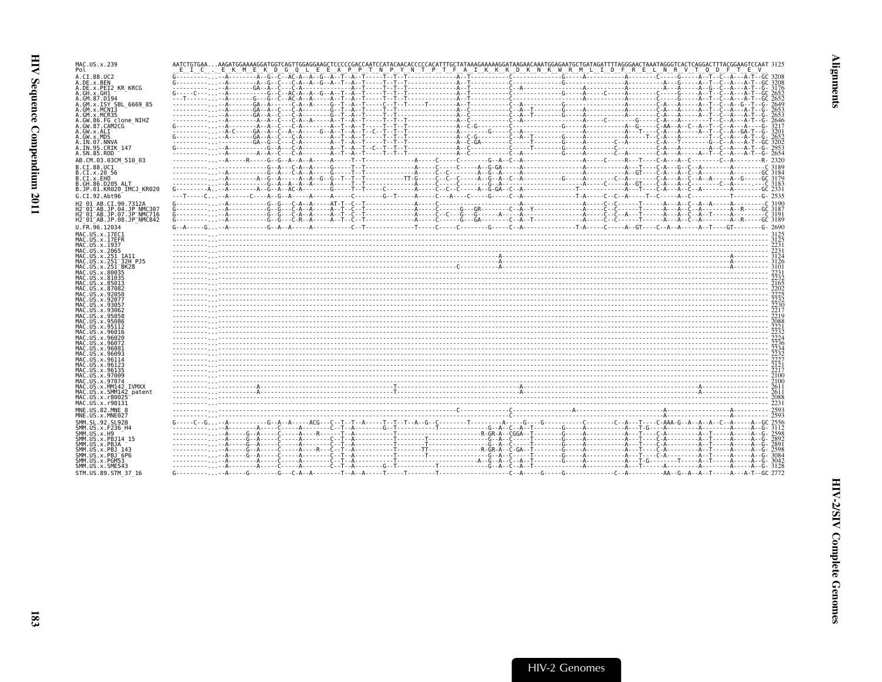| MAC.US.x.239                                                    | AATCTGTGAAAAGATGGAAAAGGATGGTCAGTTGGAGGAAGCTCCCCCGACCAATCCATACAACACCCCCCACATTTGCTATAAAGAAAAAGGATAAGAACAAATGGAGAATGCTGATAGAATTTTAGGGAACTAAATAGGGTCACTCAGGACTTTTACGGAAGTCCAAT 3125<br>E I C . E K M E K D G Q L E E A P P T N P Y N T P T F A I K K K D K N K W R M L I D F R E L N R V T Q D F T E V |  |
|-----------------------------------------------------------------|----------------------------------------------------------------------------------------------------------------------------------------------------------------------------------------------------------------------------------------------------------------------------------------------------|--|
| 4.CI.88.UC2                                                     |                                                                                                                                                                                                                                                                                                    |  |
| .DE.x.BEN                                                       |                                                                                                                                                                                                                                                                                                    |  |
| .DE.x.PEI2 KR KRCG                                              |                                                                                                                                                                                                                                                                                                    |  |
| .GH.X.GH1                                                       |                                                                                                                                                                                                                                                                                                    |  |
| .GM.87.D194                                                     |                                                                                                                                                                                                                                                                                                    |  |
| .GM.x.ISY SBL 6669 85                                           |                                                                                                                                                                                                                                                                                                    |  |
| .GM.x.MCNI3<br>.GM.x.MCR35                                      |                                                                                                                                                                                                                                                                                                    |  |
| .GW.86.FG clone NIHZ                                            |                                                                                                                                                                                                                                                                                                    |  |
| .GW.87.CAM2CG                                                   |                                                                                                                                                                                                                                                                                                    |  |
| .GW.x.ALI                                                       |                                                                                                                                                                                                                                                                                                    |  |
| ∟GW.x.MDS                                                       |                                                                                                                                                                                                                                                                                                    |  |
| A.IN.07.NNVA                                                    |                                                                                                                                                                                                                                                                                                    |  |
| 4.IN.95.CRIK 147                                                |                                                                                                                                                                                                                                                                                                    |  |
| 4.SN.85.ROD                                                     |                                                                                                                                                                                                                                                                                                    |  |
| AB.CM.03.03CM 510 03                                            |                                                                                                                                                                                                                                                                                                    |  |
| B.CI.88.UC1                                                     |                                                                                                                                                                                                                                                                                                    |  |
| B.CI.x.20 56                                                    |                                                                                                                                                                                                                                                                                                    |  |
| .CI.x.EHO<br>.GH.86.D205 ALT                                    |                                                                                                                                                                                                                                                                                                    |  |
| B.JP.01.KR020 IMCJ KR020                                        |                                                                                                                                                                                                                                                                                                    |  |
| G.CI.92.Abt96                                                   |                                                                                                                                                                                                                                                                                                    |  |
|                                                                 |                                                                                                                                                                                                                                                                                                    |  |
| H2 01 AB.CI.90.7312A                                            |                                                                                                                                                                                                                                                                                                    |  |
| H2-01-AB.JP.04.JP NMC307<br>H2-01-AB.JP.07.JP NMC716            |                                                                                                                                                                                                                                                                                                    |  |
| H2 <sup>-</sup> 01 <sup>-</sup> AB.JP.08.JP <sup>-</sup> NMC842 |                                                                                                                                                                                                                                                                                                    |  |
| J.FR.96.12034                                                   |                                                                                                                                                                                                                                                                                                    |  |
|                                                                 |                                                                                                                                                                                                                                                                                                    |  |
| MAC.US.x.17EC1<br>MAC.US.x.17EFR                                |                                                                                                                                                                                                                                                                                                    |  |
| MAC.US.x.1937                                                   |                                                                                                                                                                                                                                                                                                    |  |
| MAC.US.x.2065                                                   |                                                                                                                                                                                                                                                                                                    |  |
| MAC.US.x.251 1A11                                               |                                                                                                                                                                                                                                                                                                    |  |
| MAC.US.x.251 <sup>-</sup> 32H PJ5                               |                                                                                                                                                                                                                                                                                                    |  |
| MAC.US.x.251 <sup>-</sup> BK28                                  |                                                                                                                                                                                                                                                                                                    |  |
| MAC.US.x.80035                                                  |                                                                                                                                                                                                                                                                                                    |  |
| MAC.US.x.81035<br>MAC.US.x.85013                                |                                                                                                                                                                                                                                                                                                    |  |
| MAC.US.x.87082                                                  |                                                                                                                                                                                                                                                                                                    |  |
| MAC.US.x.92050                                                  |                                                                                                                                                                                                                                                                                                    |  |
| MAC.US.x.92077                                                  |                                                                                                                                                                                                                                                                                                    |  |
| MAC.US.x.93057                                                  |                                                                                                                                                                                                                                                                                                    |  |
| MAC.US.x.93062                                                  |                                                                                                                                                                                                                                                                                                    |  |
| MAC.US.x.95058                                                  |                                                                                                                                                                                                                                                                                                    |  |
| MAC.US.x.95086<br>MAC.US.x.95112                                |                                                                                                                                                                                                                                                                                                    |  |
| MAC.US.x.96016                                                  |                                                                                                                                                                                                                                                                                                    |  |
| MAC.US.x.96020                                                  |                                                                                                                                                                                                                                                                                                    |  |
| MAC.US.x.96072                                                  |                                                                                                                                                                                                                                                                                                    |  |
| MAC.US.x.96081                                                  |                                                                                                                                                                                                                                                                                                    |  |
| MAC.US.x.96093                                                  |                                                                                                                                                                                                                                                                                                    |  |
| MAC.US.x.96114<br>MAC.US.x.96123                                |                                                                                                                                                                                                                                                                                                    |  |
| MAC.US.x.96135                                                  |                                                                                                                                                                                                                                                                                                    |  |
| MAC.US.x.97009                                                  |                                                                                                                                                                                                                                                                                                    |  |
| MAC.US.x.97074                                                  |                                                                                                                                                                                                                                                                                                    |  |
| MAC.US.x.MM142 IVMXX                                            |                                                                                                                                                                                                                                                                                                    |  |
| MAC.US.x.SMM142 patent                                          |                                                                                                                                                                                                                                                                                                    |  |
| MAC.US.x.r80025                                                 |                                                                                                                                                                                                                                                                                                    |  |
| MAC.US.x.r90131                                                 |                                                                                                                                                                                                                                                                                                    |  |
| MNE.US.82.MNE 8                                                 |                                                                                                                                                                                                                                                                                                    |  |
| MNE.US.x.MNE027                                                 |                                                                                                                                                                                                                                                                                                    |  |
| SMM.SL.92.SL92B                                                 |                                                                                                                                                                                                                                                                                                    |  |
| SMM.US.x.F236 H4                                                |                                                                                                                                                                                                                                                                                                    |  |
| SMM.US.x.H9<br>SMM.US.x.PBJ14 15                                |                                                                                                                                                                                                                                                                                                    |  |
| SMM.US.x.PBJA                                                   |                                                                                                                                                                                                                                                                                                    |  |
| SMM.US.x.PBJ 143                                                |                                                                                                                                                                                                                                                                                                    |  |
| SMM.US.x.PBJ <sup>-</sup> 6P6                                   |                                                                                                                                                                                                                                                                                                    |  |
| SMM.US.x.PGM53                                                  |                                                                                                                                                                                                                                                                                                    |  |
| SMM.US.x.SME543                                                 |                                                                                                                                                                                                                                                                                                    |  |
| STM.US.89.STM 37 16                                             |                                                                                                                                                                                                                                                                                                    |  |
|                                                                 |                                                                                                                                                                                                                                                                                                    |  |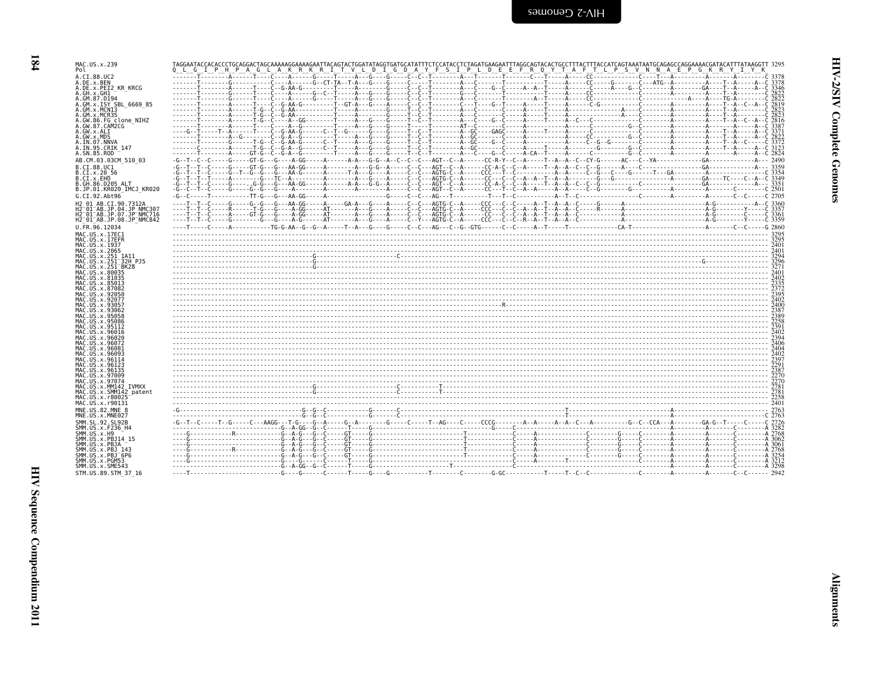| ֧֧֧֧֧֦֧֦֧֧֧֧֧֧֚֝֓֓֓֓֓֓֓֓֓֓֓֓֓֓֓֓֓֓֓֓֓֓֓֓֝֓֝֬֓֓֝֬֓<br>֧֧֧֧֧֧֧֧֧֧֧֧֧֧֧֧֧֧֧֧֧֝֩֓֓֓֓<br>֧֝ |  |
|----------------------------------------------------------------------------------------|--|
| ٢                                                                                      |  |
|                                                                                        |  |

| MAC.US.x.239<br>Pol                                              | TAGGAATACCACACCCTGCAGGACTAGCAAAAAGGAAAAGAATTACAGTACTGGATATAGGTGATATTTCTCCATACCTCTAGATGAAGAATTTAGGCAGTACACTGCCTTTACTTTACCATCAGTAAATAATGCAGGAGCCAGGAAAACGATACATTTATAAGGTT 3295<br>Q L G I P H P A G L A K R K R I T V L D I G D A Y F S I P L D E E F R Q Y T A F T L P S V N N A E P G K R Y I Y K |
|------------------------------------------------------------------|---------------------------------------------------------------------------------------------------------------------------------------------------------------------------------------------------------------------------------------------------------------------------------------------------|
| A.CI.88.UC2<br>A.DE.x.BEN                                        |                                                                                                                                                                                                                                                                                                   |
| A.DE.x.PEI2 KR KRCG<br>A.GH.x.GH1                                |                                                                                                                                                                                                                                                                                                   |
| A.GM.87.D194                                                     |                                                                                                                                                                                                                                                                                                   |
| A.GM.x.ISY SBL 6669 85<br>A.GM.x.MCN13                           |                                                                                                                                                                                                                                                                                                   |
| A.GM.x.MCR35<br>A.GW.86.FG clone NIHZ                            |                                                                                                                                                                                                                                                                                                   |
| A.GW.87.CAM2CG<br>A.GW.x.ALI                                     |                                                                                                                                                                                                                                                                                                   |
| A.GW.x.MDS<br>A.IN.07.NNVA                                       |                                                                                                                                                                                                                                                                                                   |
| A.IN.95.CRIK 147                                                 |                                                                                                                                                                                                                                                                                                   |
| A.SN.85.ROD<br>AB.CM.03.03CM 510 03                              |                                                                                                                                                                                                                                                                                                   |
| B.CI.88.UC1                                                      |                                                                                                                                                                                                                                                                                                   |
| B.CI.x.20 56<br>B.CI.X.EHO                                       |                                                                                                                                                                                                                                                                                                   |
| B.GH.86.D205 ALT<br>B.JP.01.KR020 IMCJ KR020                     |                                                                                                                                                                                                                                                                                                   |
| G.CI.92.Abt96                                                    |                                                                                                                                                                                                                                                                                                   |
| H2 01 AB.CI.90.7312A<br>H2 01 AB.JP.04.JP NMC307                 |                                                                                                                                                                                                                                                                                                   |
| H2 <sup>-</sup> 01 <sup>-</sup> AB.JP.07.JP <sup>-</sup> NMC716  |                                                                                                                                                                                                                                                                                                   |
| H2 <sup>-01-AB.JP.08.JP<sup>-</sup>NMC842</sup><br>U.FR.96.12034 |                                                                                                                                                                                                                                                                                                   |
| MAC.US.x.17EC1                                                   |                                                                                                                                                                                                                                                                                                   |
| MAC.US.x.17EFR<br>MAC.US.x.1937                                  |                                                                                                                                                                                                                                                                                                   |
| MAC.US.x.2065<br>MAC.US.x.251 1A11                               |                                                                                                                                                                                                                                                                                                   |
| MAC.US.x.251 32H PJ5                                             |                                                                                                                                                                                                                                                                                                   |
| MAC.US.x.251 BK28<br>MAC.US.x.80035<br>MAC. US. x.81035          |                                                                                                                                                                                                                                                                                                   |
| MAC.US.x.85013                                                   |                                                                                                                                                                                                                                                                                                   |
| MAC.US.x.87082<br>MAC. U.S. x. 92050                             |                                                                                                                                                                                                                                                                                                   |
| MAC.US.x.92077<br>MAC.US.x.93057                                 |                                                                                                                                                                                                                                                                                                   |
| MAC.US.x.93062<br>MAC.US.x.95058                                 |                                                                                                                                                                                                                                                                                                   |
| MAC. US. x. 95086                                                |                                                                                                                                                                                                                                                                                                   |
| MAC.US.x.95112<br>MAC.US.x.96016                                 |                                                                                                                                                                                                                                                                                                   |
| MAC.US.x.96020<br>MAC.US.x.96072                                 |                                                                                                                                                                                                                                                                                                   |
| MAC.US.x.96081<br>MAC. U.S. x. 96093                             |                                                                                                                                                                                                                                                                                                   |
| MAC.US.x.96114<br>MAC.US.x.96123                                 |                                                                                                                                                                                                                                                                                                   |
| MAC.US.x.96135                                                   |                                                                                                                                                                                                                                                                                                   |
| MAC.US.x.97009<br>MAC.US.x.97074                                 | $\frac{278}{2781}$                                                                                                                                                                                                                                                                                |
| MAC.US.x.MM142 IVMXX<br>MAC.US.x.SMM142 patent                   |                                                                                                                                                                                                                                                                                                   |
| MAC.US.x.r80025<br>MAC.US.x.r90131                               |                                                                                                                                                                                                                                                                                                   |
| MNE.US.82.MNE 8                                                  |                                                                                                                                                                                                                                                                                                   |
| MNE.US.x.MNE027<br>SMM. SL. 92. SL92B                            |                                                                                                                                                                                                                                                                                                   |
| SMM.US.x.F236 H4                                                 |                                                                                                                                                                                                                                                                                                   |
| SMM.US.x.H9<br>SMM.US.x.PBJ14 15                                 |                                                                                                                                                                                                                                                                                                   |
| SMM.US.x.PBJA<br>SMM. US. x. PBJ 143                             |                                                                                                                                                                                                                                                                                                   |
| SMM.US.x.PBJ <sup>6P6</sup><br>SMM.US.x.PGM53                    |                                                                                                                                                                                                                                                                                                   |
| SMM.US.x.SME543                                                  | ်တို့ ကို ကားသည် အသုံး အသုံး အသုံး အသုံး အသုံး အသုံး အသုံး အသုံး အသုံး အသုံး အသုံး အသုံး အသုံး အသုံး အသုံး အသု<br>အသုံး အသုံး အသုံး အသုံး အသုံး အသုံး အသုံး အသုံး အသုံး အသုံး အသုံး အသုံး အသုံး အသုံး အသုံး အသုံး အသုံး အသုံး                                                                     |
| STM.US.89.STM 37 16                                              |                                                                                                                                                                                                                                                                                                   |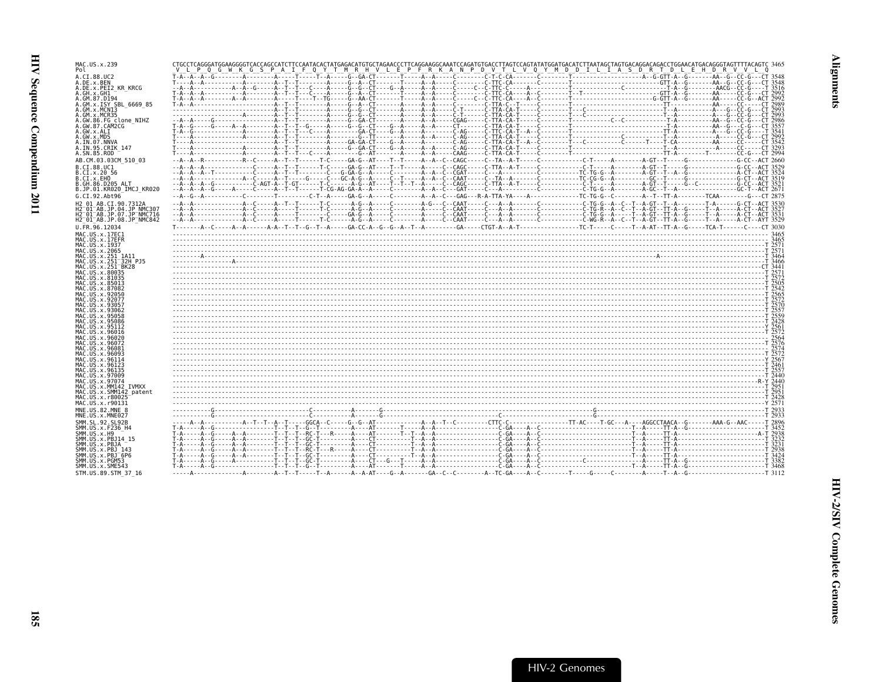| MAC.US.x.239                                                                                       | CTGCCTCAGGGATGGAAGGGGTCACCAGCCATCTTCCAATACACTATGAGACATGTGCTAGAACCCTTCAGGAAGGCAAATCCAGATGTGACCTTAGTCCAGTATATGGATGACATCTTAATAGCTAGTGACAGGACAGACCTGGAACATGGACAGGGTAGTTTTACAGTC 3465 |  |
|----------------------------------------------------------------------------------------------------|----------------------------------------------------------------------------------------------------------------------------------------------------------------------------------|--|
| Pol                                                                                                | CONFIDENTIAL AND CONFIDENTIAL LOCALITY OF THE RESERVED OF THE RESERVED OF THE TAS DRITDLE HD R.V.V.L.O                                                                           |  |
| A.CI.88.UC2                                                                                        |                                                                                                                                                                                  |  |
| A.DE.x.BEN                                                                                         |                                                                                                                                                                                  |  |
| A.DE.x.PEI2 KR KRCG                                                                                |                                                                                                                                                                                  |  |
| A.GH.x.GH1<br>A.GM.87.D194                                                                         |                                                                                                                                                                                  |  |
| A.GM.X.ISY SBL 6669 85                                                                             |                                                                                                                                                                                  |  |
| A.GM.x.MCNI3                                                                                       |                                                                                                                                                                                  |  |
| .GM.x.MCR35                                                                                        |                                                                                                                                                                                  |  |
| A.GW.86.FG clone NIHZ                                                                              |                                                                                                                                                                                  |  |
| A.GW.87.CAM2CG                                                                                     |                                                                                                                                                                                  |  |
| A.GW.x.ALI                                                                                         |                                                                                                                                                                                  |  |
| A.GW.x.MDS                                                                                         |                                                                                                                                                                                  |  |
| A.IN.07.NNVA                                                                                       |                                                                                                                                                                                  |  |
| A.IN.95.CRIK 147<br>A.SN.85.ROD                                                                    |                                                                                                                                                                                  |  |
|                                                                                                    |                                                                                                                                                                                  |  |
| AB.CM.03.03CM 510 03                                                                               |                                                                                                                                                                                  |  |
| B.CI.88.UC1                                                                                        |                                                                                                                                                                                  |  |
| B.CI.X.20 56                                                                                       |                                                                                                                                                                                  |  |
| B.CI.X.EHO                                                                                         |                                                                                                                                                                                  |  |
| B.GH.86.D205 ALT<br>B.JP.01.KR020 IMCJ KR020                                                       |                                                                                                                                                                                  |  |
|                                                                                                    |                                                                                                                                                                                  |  |
| G.CI.92.Abt96                                                                                      |                                                                                                                                                                                  |  |
| H2 01 AB.CI.90.7312A                                                                               |                                                                                                                                                                                  |  |
| H2 <sup>-01-AB.JP.04.JP NMC307</sup>                                                               |                                                                                                                                                                                  |  |
| H2 <sup>-01-AB.JP.07.JP<sup>-</sup>NMC716</sup><br>H2 <sup>-01-AB.JP.08.JP<sup>-</sup>NMC842</sup> |                                                                                                                                                                                  |  |
|                                                                                                    |                                                                                                                                                                                  |  |
| U.FR.96.12034                                                                                      |                                                                                                                                                                                  |  |
| MAC.US.x.17EC1                                                                                     |                                                                                                                                                                                  |  |
| MAC.US.x.17EFR                                                                                     |                                                                                                                                                                                  |  |
| MAC.US.x.1937<br>MAC.US.x.2065                                                                     |                                                                                                                                                                                  |  |
| MAC.US.x.251 1A11                                                                                  |                                                                                                                                                                                  |  |
| MAC.US.x.251 <sup>-</sup> 32H P.15                                                                 |                                                                                                                                                                                  |  |
| MAC.US.x.251 <sup>-</sup> BK28                                                                     |                                                                                                                                                                                  |  |
| MAC.US.x.80035                                                                                     |                                                                                                                                                                                  |  |
| MAC.US.x.81035                                                                                     |                                                                                                                                                                                  |  |
| MAC.US.x.85013                                                                                     |                                                                                                                                                                                  |  |
| MAC.US.x.87082                                                                                     |                                                                                                                                                                                  |  |
| MAC.US.x.92050<br>MAC.US.x.92077                                                                   |                                                                                                                                                                                  |  |
| MAC.US.x.93057                                                                                     |                                                                                                                                                                                  |  |
| MAC.US.x.93062                                                                                     |                                                                                                                                                                                  |  |
| MAC.US.x.95058                                                                                     |                                                                                                                                                                                  |  |
| MAC.US.x.95086                                                                                     |                                                                                                                                                                                  |  |
| MAC.US.x.95112                                                                                     |                                                                                                                                                                                  |  |
| MAC.US.x.96016                                                                                     |                                                                                                                                                                                  |  |
| MAC.US.x.96026<br>MAC.US.x.96072                                                                   |                                                                                                                                                                                  |  |
| MAC.US.x.96081                                                                                     |                                                                                                                                                                                  |  |
| MAC.US.x.96093                                                                                     |                                                                                                                                                                                  |  |
| MAC.US.x.96114                                                                                     |                                                                                                                                                                                  |  |
| MAC.US.x.96123                                                                                     |                                                                                                                                                                                  |  |
| MAC.US.x.96135                                                                                     |                                                                                                                                                                                  |  |
| MAC.US.x.97009                                                                                     |                                                                                                                                                                                  |  |
| MAC.US.x.97074                                                                                     |                                                                                                                                                                                  |  |
| MAC.US.x.MM142 IVMXX<br>MAC.US.x.SMM142 patent                                                     |                                                                                                                                                                                  |  |
| MAC.US.x.r80025                                                                                    |                                                                                                                                                                                  |  |
| MAC.US.x.r90131                                                                                    |                                                                                                                                                                                  |  |
| MNE.US.82.MNE 8                                                                                    |                                                                                                                                                                                  |  |
| MNE.US.x.MNE027                                                                                    |                                                                                                                                                                                  |  |
| SMM. SL. 92. SL92B                                                                                 |                                                                                                                                                                                  |  |
| SMM.US.x.F236 H4                                                                                   |                                                                                                                                                                                  |  |
| SMM.US.x.H9                                                                                        |                                                                                                                                                                                  |  |
| SMM.US.x.PBJ14 15                                                                                  |                                                                                                                                                                                  |  |
| SMM.US.x.PBJA                                                                                      |                                                                                                                                                                                  |  |
| SMM.US.x.PBJ 143                                                                                   |                                                                                                                                                                                  |  |
| SMM.US.x.PBJ 6P6                                                                                   |                                                                                                                                                                                  |  |
| SMM.US.x.PGM53                                                                                     |                                                                                                                                                                                  |  |
| SMM.US.x.SME543                                                                                    |                                                                                                                                                                                  |  |
| STM.US.89.STM 37 16                                                                                |                                                                                                                                                                                  |  |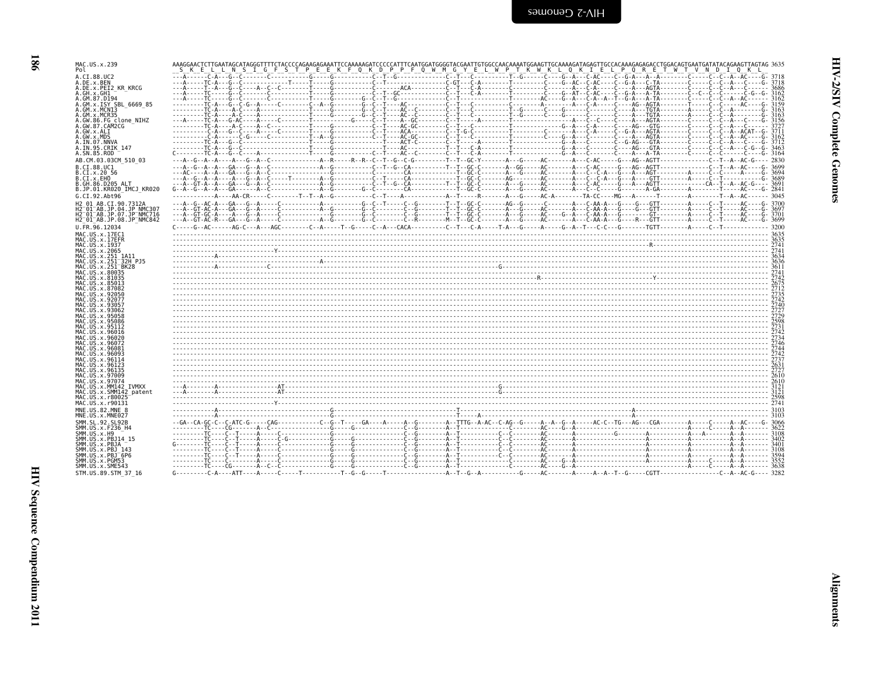| ×<br>I |
|--------|

| MAC.US.x.239                                                               | S K E L L N S I G F S T P E E K F Q K D P P F Q W M G Y E L W P T K W K L Q K I E L P Q R E T W T V N D I Q K L |  |  |  |  |  |
|----------------------------------------------------------------------------|-----------------------------------------------------------------------------------------------------------------|--|--|--|--|--|
| A.CI.88.UC2                                                                |                                                                                                                 |  |  |  |  |  |
| A.DE.x.BEN<br>A.DE.x.PEI2 KR KRCG                                          |                                                                                                                 |  |  |  |  |  |
| A.GH.x.GH1                                                                 |                                                                                                                 |  |  |  |  |  |
| A.GM.87.D194<br>A.GM.X.ISY SBL 6669 85                                     |                                                                                                                 |  |  |  |  |  |
| A.GM.x.MCNI3                                                               |                                                                                                                 |  |  |  |  |  |
| A.GM.x.MCR35                                                               |                                                                                                                 |  |  |  |  |  |
| A.GW.86.FG clone NIHZ<br>A.GW.87.CAM2CG                                    |                                                                                                                 |  |  |  |  |  |
| A.GW.x.ALI                                                                 |                                                                                                                 |  |  |  |  |  |
| A.GW.x.MDS                                                                 |                                                                                                                 |  |  |  |  |  |
| A.IN.07.NNVA                                                               |                                                                                                                 |  |  |  |  |  |
| A.IN.95.CRIK 147<br>A.SN.85.ROD                                            |                                                                                                                 |  |  |  |  |  |
| AB.CM.03.03CM 510 03                                                       |                                                                                                                 |  |  |  |  |  |
| B.CI.88.UC1                                                                |                                                                                                                 |  |  |  |  |  |
| B.CI.X.20 56                                                               |                                                                                                                 |  |  |  |  |  |
| B.CI.x.EHO                                                                 |                                                                                                                 |  |  |  |  |  |
| B.GH.86.D205 ALT<br>B.JP.01.KR020 IMCJ KR020                               |                                                                                                                 |  |  |  |  |  |
|                                                                            |                                                                                                                 |  |  |  |  |  |
| G.CI.92.Abt96                                                              |                                                                                                                 |  |  |  |  |  |
| H2 01 AB.CI.90.7312A<br>H2 <sup>-</sup> 01 <sup>-</sup> AB.JP.04.JP NMC307 |                                                                                                                 |  |  |  |  |  |
| H2 <sup>-</sup> 01 <sup>-</sup> AB.JP.07.JP <sup>-</sup> NMC716            |                                                                                                                 |  |  |  |  |  |
| H2 <sup>-01-AB.JP.08.JP<sup>-</sup>NMC842</sup>                            |                                                                                                                 |  |  |  |  |  |
| U.FR.96.12034                                                              |                                                                                                                 |  |  |  |  |  |
| MAC.US.x.17EC1                                                             |                                                                                                                 |  |  |  |  |  |
| MAC.US.x.17EFR                                                             |                                                                                                                 |  |  |  |  |  |
| MAC.US.x.1937<br>MAC.US.x.2065                                             |                                                                                                                 |  |  |  |  |  |
| MAC.US.x.251 1A11                                                          |                                                                                                                 |  |  |  |  |  |
| MAC.US.x.251 <sup>-</sup> 32H PJ5                                          |                                                                                                                 |  |  |  |  |  |
| MAC.US.x.251 <sup>-</sup> BK28                                             |                                                                                                                 |  |  |  |  |  |
| MAC.US.x.80035                                                             |                                                                                                                 |  |  |  |  |  |
| MAC.US.x.81035<br>MAC.US.x.85013                                           |                                                                                                                 |  |  |  |  |  |
| MAC.US.x.87082                                                             |                                                                                                                 |  |  |  |  |  |
| MAC.US.x.92050                                                             |                                                                                                                 |  |  |  |  |  |
| MAC.US.x.92077                                                             |                                                                                                                 |  |  |  |  |  |
| MAC.US.x.93057<br>MAC.US.x.93062                                           |                                                                                                                 |  |  |  |  |  |
|                                                                            |                                                                                                                 |  |  |  |  |  |
|                                                                            |                                                                                                                 |  |  |  |  |  |
|                                                                            |                                                                                                                 |  |  |  |  |  |
| MAC.US.x.96020                                                             |                                                                                                                 |  |  |  |  |  |
| MAC.US.x.96072                                                             |                                                                                                                 |  |  |  |  |  |
| MAC.US.x.96081                                                             |                                                                                                                 |  |  |  |  |  |
| MAC.US.x.96093                                                             |                                                                                                                 |  |  |  |  |  |
| MAC.US.x.96114<br>MAC.US.x.96123                                           |                                                                                                                 |  |  |  |  |  |
| MAC.US.x.96135                                                             |                                                                                                                 |  |  |  |  |  |
| MAC.US.x.97009                                                             |                                                                                                                 |  |  |  |  |  |
| MAC.US.x.97074                                                             |                                                                                                                 |  |  |  |  |  |
| MAC.US.x.MM142 IVMXX<br>MAC.US.x.SMM142 patent                             |                                                                                                                 |  |  |  |  |  |
| MAC.US.x.r80025                                                            |                                                                                                                 |  |  |  |  |  |
| MAC.US.x.r90131                                                            |                                                                                                                 |  |  |  |  |  |
| MNE.US.82.MNE 8                                                            |                                                                                                                 |  |  |  |  |  |
| MNE.US.x.MNE027                                                            |                                                                                                                 |  |  |  |  |  |
| SMM.SL.92.SL92B                                                            |                                                                                                                 |  |  |  |  |  |
| SMM.US.x.F236 H4                                                           |                                                                                                                 |  |  |  |  |  |
| SMM.US.x.H9<br>SMM.US.x.PBJ14 15                                           |                                                                                                                 |  |  |  |  |  |
| SMM.US.x.PBJA                                                              |                                                                                                                 |  |  |  |  |  |
| SMM.US.x.PBJ 143                                                           |                                                                                                                 |  |  |  |  |  |
| SMM.US.x.PBJ <sup>-</sup> 6P6                                              |                                                                                                                 |  |  |  |  |  |
| SMM.US.x.PGM53                                                             |                                                                                                                 |  |  |  |  |  |
| SMM.US.x.SME543                                                            |                                                                                                                 |  |  |  |  |  |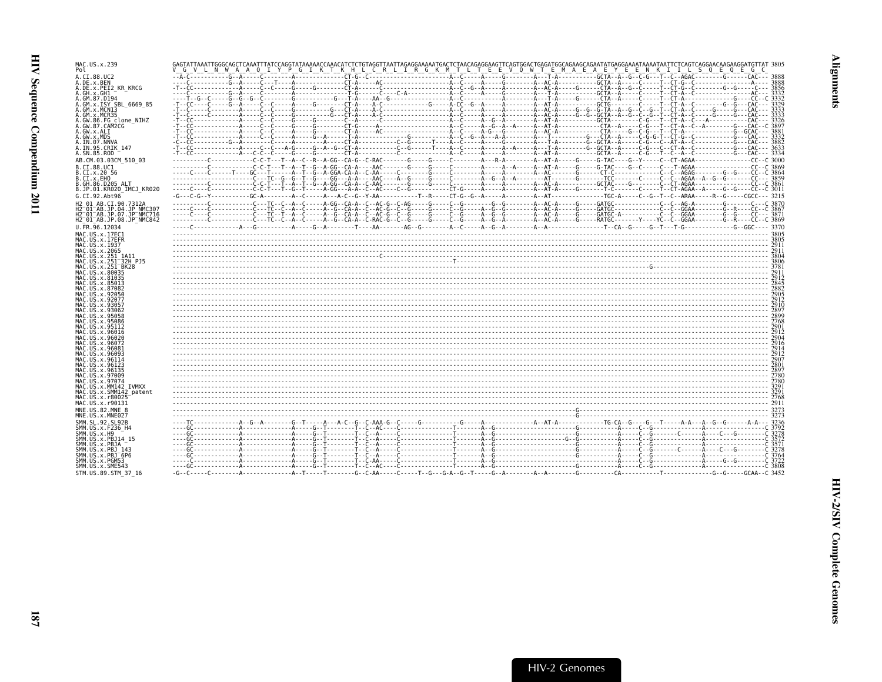| MAC.US.x.239<br>Pol                                                         | "G" V"L" N" W" A" A" O" I"Y" P"G" I" K" T" K" H" L" C" R" L" I" R" G" K" M" T" L" T" E" E" W" A" C" A" E" A" E" A" E" A" E" A" E" A" E" E" N" K" I" ILL S" O" E" G" C" C" C" C" C" C" C" C |  |  |  |
|-----------------------------------------------------------------------------|--------------------------------------------------------------------------------------------------------------------------------------------------------------------------------------------|--|--|--|
| A.CI.88.UC2                                                                 |                                                                                                                                                                                            |  |  |  |
| A.DE.x.BEN<br>A.DE.x.PEI2 KR KRCG                                           |                                                                                                                                                                                            |  |  |  |
| A.GH.x.GH1                                                                  |                                                                                                                                                                                            |  |  |  |
| A.GM.87.D194<br>A.GM.x.ISY SBL 6669 85                                      |                                                                                                                                                                                            |  |  |  |
| A.GM.x.MCNI3                                                                |                                                                                                                                                                                            |  |  |  |
| A.GM.x.MCR35<br>A.GW.86.FG clone NIHZ                                       |                                                                                                                                                                                            |  |  |  |
| A.GW.87.CAM2CG                                                              |                                                                                                                                                                                            |  |  |  |
| A.GW.x.ALI<br>A.GW.x.MDS                                                    |                                                                                                                                                                                            |  |  |  |
| A.IN.07.NNVA                                                                |                                                                                                                                                                                            |  |  |  |
| A.IN.95.CRIK 147<br>A.SN.85.ROD                                             |                                                                                                                                                                                            |  |  |  |
| AB.CM.03.03CM 510 03                                                        | ---------C----------C-C-T---T--A--C--R--A-GG--C-RA-G--C-RAC------G-----G----C-------A--A-A-A-A--A--AT-A-----G---G-TAC----G--Y-----C--C-CT-AGAA---------------CC--C 3000                    |  |  |  |
| B.CI.88.UC1                                                                 |                                                                                                                                                                                            |  |  |  |
| B.CI.x.20 56<br>B.CI.X.EHO                                                  |                                                                                                                                                                                            |  |  |  |
| B.GH.86.D205 ALT                                                            |                                                                                                                                                                                            |  |  |  |
| B.JP.01.KR020 IMCJ KR020                                                    |                                                                                                                                                                                            |  |  |  |
| G.CI.92.Abt96<br>H2 01 AB.CI.90.7312A                                       |                                                                                                                                                                                            |  |  |  |
| H2 <sup>-01-AB.JP.04.JP NMC307</sup>                                        |                                                                                                                                                                                            |  |  |  |
| H2 <sup>-01-AB.JP.07.JP<sup>-</sup>NMC716</sup><br>H2 01 AB.JP.08.JP NMC842 |                                                                                                                                                                                            |  |  |  |
| U.FR.96.12034                                                               |                                                                                                                                                                                            |  |  |  |
| MAC.US.x.17EC1                                                              |                                                                                                                                                                                            |  |  |  |
| MAC.US.x.17EFR<br>MAC.US.x.1937                                             |                                                                                                                                                                                            |  |  |  |
| MAC.US.x.2065                                                               |                                                                                                                                                                                            |  |  |  |
| MAC.US.x.251 1A11                                                           |                                                                                                                                                                                            |  |  |  |
| MAC.US.x.251 32H PJ5<br>MAC.US.x.251 <sup>-</sup> BK28                      |                                                                                                                                                                                            |  |  |  |
| MAC.US.x.80035<br>MAC. US. x.81035                                          |                                                                                                                                                                                            |  |  |  |
| MAC.US.x.85013                                                              |                                                                                                                                                                                            |  |  |  |
| MAC.US.x.87082                                                              |                                                                                                                                                                                            |  |  |  |
| MAC.US.x.92050<br>MAC.US.x.92077                                            |                                                                                                                                                                                            |  |  |  |
| MAC.US.x.9305<br>MAC.US.x.93062                                             |                                                                                                                                                                                            |  |  |  |
|                                                                             |                                                                                                                                                                                            |  |  |  |
| MAC.US.x.95086<br>MAC.US.x.95112                                            |                                                                                                                                                                                            |  |  |  |
| MAC.US.x.96016                                                              |                                                                                                                                                                                            |  |  |  |
| MAC.US.x.96020<br>MAC.US.x.96072                                            |                                                                                                                                                                                            |  |  |  |
| MAC. US. x. 96081                                                           |                                                                                                                                                                                            |  |  |  |
| MAC.US.x.96093<br>MAC.US.x.96114                                            |                                                                                                                                                                                            |  |  |  |
| MAC.US.x.96123                                                              |                                                                                                                                                                                            |  |  |  |
| MAC.US.x.96135<br>MAC.US.x.97009                                            |                                                                                                                                                                                            |  |  |  |
| MAC.US.x.97074                                                              |                                                                                                                                                                                            |  |  |  |
| MAC.US.x.MM142 IVMXX                                                        |                                                                                                                                                                                            |  |  |  |
| MAC.US.x.SMM142_patent<br>MAC.US.x.r80025                                   |                                                                                                                                                                                            |  |  |  |
| MAC.US.x.r90131                                                             |                                                                                                                                                                                            |  |  |  |
| MNE.US.82.MNE 8<br>MNE.US.x.MNE027                                          |                                                                                                                                                                                            |  |  |  |
| SMM.SL.92.SL92B                                                             |                                                                                                                                                                                            |  |  |  |
| SMM.US.x.F236 H4                                                            |                                                                                                                                                                                            |  |  |  |
| SMM.US.x.H9<br>SMM. US. x. PBJ14 15                                         |                                                                                                                                                                                            |  |  |  |
| SMM.US.x.PBJA                                                               |                                                                                                                                                                                            |  |  |  |
| SMM.US.x.PBJ 143<br>SMM.US.x.PBJ <sup>-</sup> 6P6                           |                                                                                                                                                                                            |  |  |  |
| SMM.US.x.PGM53<br>SMM.US.x.SME543                                           |                                                                                                                                                                                            |  |  |  |
| STM.US.89.STM 37 16                                                         |                                                                                                                                                                                            |  |  |  |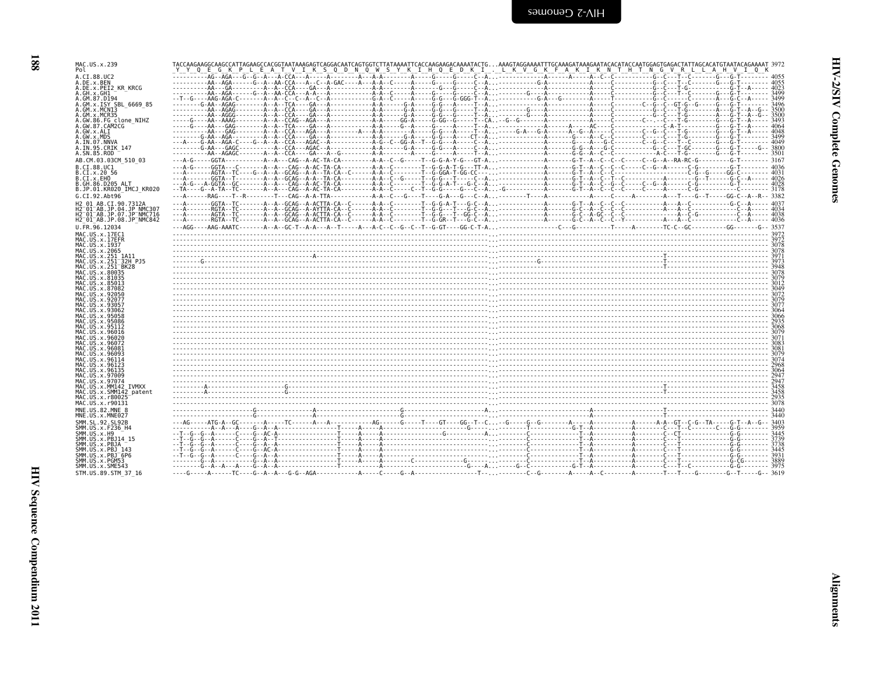| ו<br>ז<br>ì |  |
|-------------|--|
| š           |  |
| ì<br>È      |  |

| MAC.US.x.239                                                 | TACCAAGAAGGCAAGCCATTAGAAGCCACGGTAATAAAGAGTCAGGACAATCAGTGGTCTTATAAAATTCACCAAGAAGACAAAATACTGAAAGTAGGAAAATTTGCAAAGAATAAAGAATACACATACCAATGGAGTGAGACTATTAGCACATGTAATACACATGATACACATGGAGATACCATGTAATACACATGATACACATGGAGATATTAGCAC |  |
|--------------------------------------------------------------|-----------------------------------------------------------------------------------------------------------------------------------------------------------------------------------------------------------------------------|--|
| Pol                                                          | E A T V I K S Q D N Q W S Y K I H Q E D K I . L K V G K F A K I K N T H T N G<br>YY 0 E G K P L<br>VRLLAH                                                                                                                   |  |
| A.CI.88.UC2                                                  |                                                                                                                                                                                                                             |  |
| A.DE.x.BEN<br>A.DE.x.PEI2 KR KRCG                            |                                                                                                                                                                                                                             |  |
| A.GH.x.GH1                                                   |                                                                                                                                                                                                                             |  |
| A.GM.87.D194<br>A.GM.x.ISY SBL 6669 85                       |                                                                                                                                                                                                                             |  |
| A.GM.x.MCNI3                                                 |                                                                                                                                                                                                                             |  |
| A.GM.x.MCR35<br>A.GW.86.FG clone NIHZ                        |                                                                                                                                                                                                                             |  |
| A.GW.87.CAM2CG                                               |                                                                                                                                                                                                                             |  |
| A.GW.x.ALI<br>A.GW.x.MDS                                     |                                                                                                                                                                                                                             |  |
| A.IN.07.NNVA                                                 |                                                                                                                                                                                                                             |  |
| A.IN.95.CRIK 147<br>A.SN.85.ROD                              |                                                                                                                                                                                                                             |  |
| AB.CM.03.03CM 510 03                                         |                                                                                                                                                                                                                             |  |
| B.CI.88.UC1                                                  |                                                                                                                                                                                                                             |  |
| B.CI.X.20 56                                                 |                                                                                                                                                                                                                             |  |
| B.CI.x.EHO<br>B.GH.86.D205 ALT                               |                                                                                                                                                                                                                             |  |
| B.JP.01.KR020 IMCJ KR020                                     |                                                                                                                                                                                                                             |  |
| G.CI.92.Abt96                                                | ---A------RAG----T--R--------T---CAG--A-A-TTA-------------A-A--C---G---T----G-A---G---C--A--------T---A----------A---C---C---A---C--T-----G--T-----GG-C--A--R-- 3382                                                        |  |
| H2 01 AB.CI.90.7312A<br>H2 <sup>-01-AB.JP.04.JP NMC307</sup> |                                                                                                                                                                                                                             |  |
| H2 <sup>-01-AB.JP.07.JP-NMC716</sup>                         |                                                                                                                                                                                                                             |  |
| H2 <sup>-01-AB.JP.08.JP<sup>-</sup>NMC842</sup>              |                                                                                                                                                                                                                             |  |
| U.FR.96.12034<br>MAC.US.x.17EC1                              |                                                                                                                                                                                                                             |  |
| MAC.US.x.17EFR                                               |                                                                                                                                                                                                                             |  |
| MAC. US. x. 1937                                             |                                                                                                                                                                                                                             |  |
| MAC.US.x.2065<br>MAC.US.x.251 1A11                           |                                                                                                                                                                                                                             |  |
| MAC.US.x.251 32H PJ5                                         |                                                                                                                                                                                                                             |  |
| MAC.US.x.251 <sup>-</sup> BK28<br>MAC.US.x.80035             |                                                                                                                                                                                                                             |  |
| MAC.US.x.81035                                               |                                                                                                                                                                                                                             |  |
| MAC.US.x.85013<br>MAC.US.x.87082                             |                                                                                                                                                                                                                             |  |
| MAC.US.x.92050                                               |                                                                                                                                                                                                                             |  |
| MAC.US.x.92077<br>MAC.US.x.93057                             |                                                                                                                                                                                                                             |  |
| MAC.US.x.93062                                               |                                                                                                                                                                                                                             |  |
| MAC.US.x.95058<br>MAC.US.x.95086                             |                                                                                                                                                                                                                             |  |
| MAC. U.S. x. 95112                                           |                                                                                                                                                                                                                             |  |
| MAC.US.x.96016<br>MAC.US.x.96020                             |                                                                                                                                                                                                                             |  |
| MAC.US.x.96072                                               |                                                                                                                                                                                                                             |  |
| MAC.US.x.96081<br>MAC. US. x. 96093                          |                                                                                                                                                                                                                             |  |
| MAC.US.x.96114                                               |                                                                                                                                                                                                                             |  |
| MAC.US.x.96123<br>MAC.US.x.96135                             |                                                                                                                                                                                                                             |  |
| MAC.US.x.97009                                               |                                                                                                                                                                                                                             |  |
| MAC.US.x.97074                                               |                                                                                                                                                                                                                             |  |
| MAC.US.x.MM142 IVMXX<br>MAC.US.x.SMM142 patent               |                                                                                                                                                                                                                             |  |
| MAC.US.x.r80025                                              |                                                                                                                                                                                                                             |  |
| MAC.US.x.r90131<br>MNE.US.82.MNE 8                           |                                                                                                                                                                                                                             |  |
| MNE.US.x.MNE027                                              |                                                                                                                                                                                                                             |  |
| SMM.SL.92.SL92B                                              |                                                                                                                                                                                                                             |  |
| SMM.US.x.F236 H4<br>SMM.US.x.H9                              |                                                                                                                                                                                                                             |  |
| SMM.US.x.PBJ14 15                                            |                                                                                                                                                                                                                             |  |
| SMM.US.x.PBJA                                                |                                                                                                                                                                                                                             |  |
| SMM.US.x.PBJ 143<br>SMM.US.x.PBJ <sup>-6P6</sup>             |                                                                                                                                                                                                                             |  |
| SMM.US.x.PGM53                                               |                                                                                                                                                                                                                             |  |
| SMM.US.x.SME543<br>STM.US.89.STM 37 16                       |                                                                                                                                                                                                                             |  |
|                                                              |                                                                                                                                                                                                                             |  |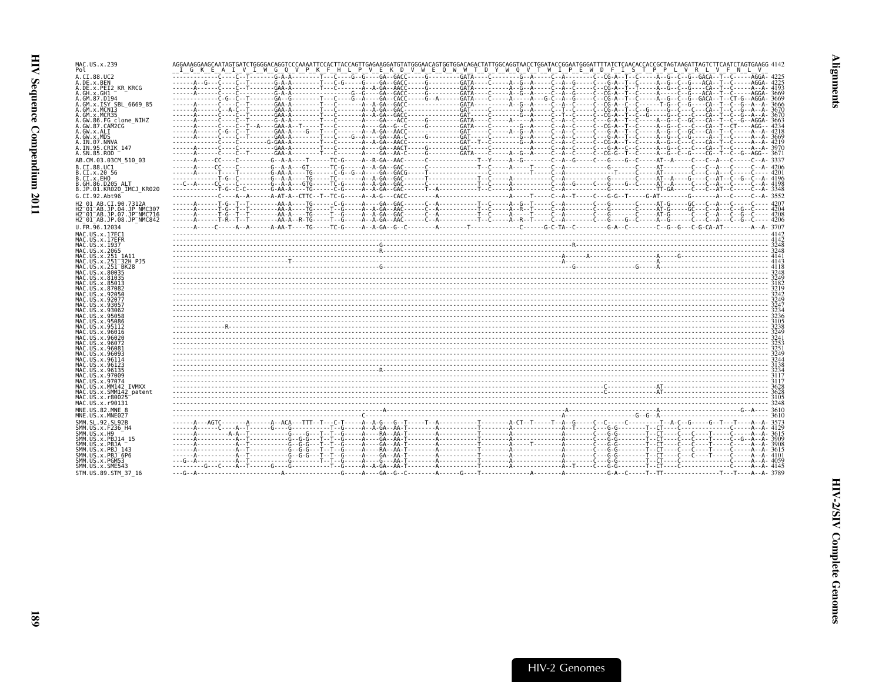| MAC.US.x.239<br>Pol                                                                                                                                         | AGGAAAGGAAGCAATAGTGATCTGGGGACAGGTCCCAAAATTCCACTTACCAGTTGAGAAGGATGTATGGGAACAGTGGTGGACAGACTATTGGCAGGTAACCTGGATACCGGAATGGGATTTTATCTCAACACCACCGCTAAGATAAGATTAGTCTTCAATCTAGTGAAGGG4142<br><u>IGKEAIVIWGOVPKFHLPVEKDVWEOWWTDYWOVTWIPEWDFISTPPLVRLVFWLV</u>                                          |
|-------------------------------------------------------------------------------------------------------------------------------------------------------------|-----------------------------------------------------------------------------------------------------------------------------------------------------------------------------------------------------------------------------------------------------------------------------------------------|
| A.CI.88.UC2<br>A.DE.x.BEN<br>A.DE.x.PEI2 KR KRCG<br>A.GH.x.GH1<br>A.GM.87.D194<br>A.GM.x.ISY SBL 6669 85                                                    |                                                                                                                                                                                                                                                                                               |
| A.GM.x.MCNI3<br>A.GM.x.MCR35<br>A.GW.86.FG clone NIHZ<br>A.GW.87.CAM2CG<br>A.GW.x.ALI<br>A.GW.x.MDS                                                         |                                                                                                                                                                                                                                                                                               |
| A.IN.07.NNVA<br>A.IN.95.CRIK 147<br>A.SN.85.ROD                                                                                                             | ------A------C---C--T-------GAA-A--------T---C------A---GA--AA-C-----G--------GATA----C----A--G--A--C---A--C---C---C--G-G--G-G--C--C--G--C--G--AGG-- 3671                                                                                                                                     |
| AB.CM.03.03CM 510 03<br>B.CI.88.UC1                                                                                                                         |                                                                                                                                                                                                                                                                                               |
| B.CI.x.20 56<br>B.CI.X.EHO<br>B.GH.86.D205 ALT<br>B.JP.01.KR020 IMCJ KR020                                                                                  |                                                                                                                                                                                                                                                                                               |
| G.CI.92.Abt96                                                                                                                                               |                                                                                                                                                                                                                                                                                               |
| H2 01 AB.CI.90.7312A<br>H2 <sup>-01-AB.JP.04.JP NMC307</sup><br>H2 <sup>-</sup> 01 <sup>-</sup> AB.JP.07.JP <sup>-</sup> NMC716<br>H2 01 AB.JP.08.JP NMC842 |                                                                                                                                                                                                                                                                                               |
| U.FR.96.12034                                                                                                                                               |                                                                                                                                                                                                                                                                                               |
| MAC.US.x.17EC1<br>MAC.US.x.17EFR                                                                                                                            |                                                                                                                                                                                                                                                                                               |
| MAC.US.x.1937<br>MAC.US.x.2065                                                                                                                              |                                                                                                                                                                                                                                                                                               |
| MAC.US.x.251 1A11                                                                                                                                           |                                                                                                                                                                                                                                                                                               |
| MAC.US.x.251 32H PJ5<br>MAC.US.x.251 BK28                                                                                                                   | $\frac{1}{413}$ . $\frac{1}{413}$ . $\frac{1}{413}$ . $\frac{1}{413}$ . $\frac{1}{413}$ . $\frac{1}{413}$ . $\frac{1}{413}$ . $\frac{1}{413}$ . $\frac{1}{413}$ . $\frac{1}{413}$ . $\frac{1}{413}$ . $\frac{1}{413}$ . $\frac{1}{413}$ . $\frac{1}{413}$ . $\frac{1}{413}$ . $\frac{1}{413}$ |
| MAC.US.x.80035<br>MAC.US.x.81035                                                                                                                            |                                                                                                                                                                                                                                                                                               |
| MAC.US.x.85013<br>MAC. U.S. x.87082                                                                                                                         |                                                                                                                                                                                                                                                                                               |
| MAC.US.x.92050                                                                                                                                              |                                                                                                                                                                                                                                                                                               |
| MAC.US.x.92077<br>MAC.US.x.93057                                                                                                                            |                                                                                                                                                                                                                                                                                               |
| MAC.US.x.93062<br>MAC.US.x.95058                                                                                                                            |                                                                                                                                                                                                                                                                                               |
| MAC.US.x.95086<br>MAC.US.x.95112                                                                                                                            |                                                                                                                                                                                                                                                                                               |
| MAC.US.x.96016                                                                                                                                              |                                                                                                                                                                                                                                                                                               |
| MAC.US.x.96020<br>MAC.US.x.96072                                                                                                                            |                                                                                                                                                                                                                                                                                               |
| MAC.US.x.96081<br>MAC.US.x.96093                                                                                                                            |                                                                                                                                                                                                                                                                                               |
| MAC.US.x.96114<br>MAC. US. x. 96123                                                                                                                         |                                                                                                                                                                                                                                                                                               |
| MAC.US.x.96135<br>MAC.US.x.97009                                                                                                                            |                                                                                                                                                                                                                                                                                               |
| MAC.US.x.97074                                                                                                                                              |                                                                                                                                                                                                                                                                                               |
| MAC.US.x.MM142 IVMXX<br>MAC.US.x.SMM142 patent                                                                                                              |                                                                                                                                                                                                                                                                                               |
| MAC.US.x.r80025<br>MAC.US.x.r90131                                                                                                                          |                                                                                                                                                                                                                                                                                               |
| MNE.US.82.MNE 8<br>MNE.US.x.MNE027                                                                                                                          |                                                                                                                                                                                                                                                                                               |
| SMM.SL.92.SL92B                                                                                                                                             |                                                                                                                                                                                                                                                                                               |
| SMM.US.x.F236 H4<br>SMM.US.x.H9                                                                                                                             |                                                                                                                                                                                                                                                                                               |
| SMM.US.x.PBJ14 15<br>SMM.US.x.PBJA                                                                                                                          |                                                                                                                                                                                                                                                                                               |
| SMM. US. x. PBJ 143                                                                                                                                         |                                                                                                                                                                                                                                                                                               |
| SMM.US.x.PBJ <sup>6P6</sup><br>SMM.US.x.PGM53                                                                                                               |                                                                                                                                                                                                                                                                                               |
| SMM.US.x.SME543<br>STM.US.89.STM 37 16                                                                                                                      |                                                                                                                                                                                                                                                                                               |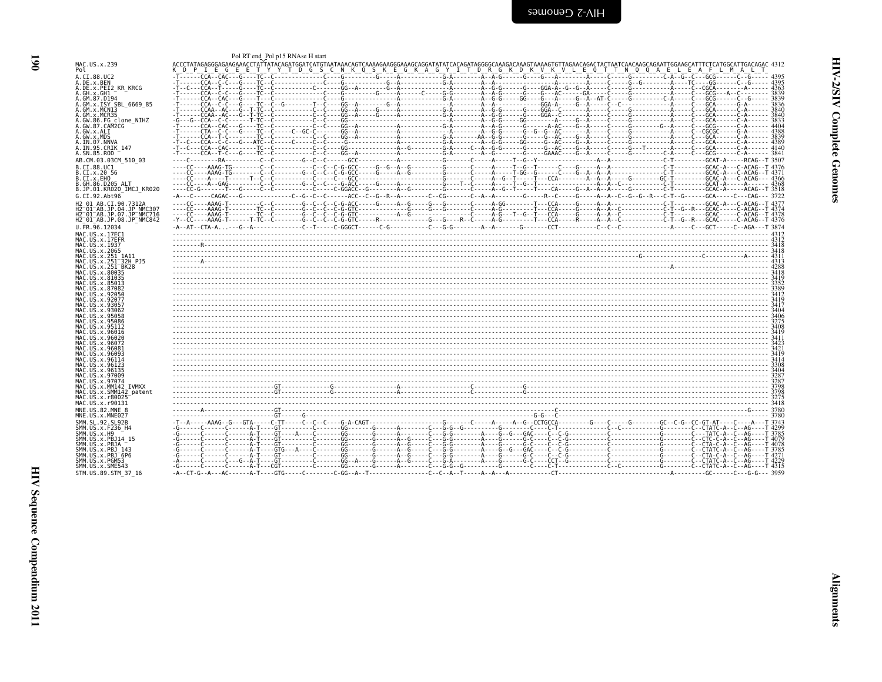<span id="page-31-0"></span>

| MAC.US.x.239<br>Pol                                                                                                                                     | <u>"I E G E E T Y Y T D G S C N K O S K E G K A G Y I T D R G K D K V K V L E O T T N O O A E L E A F L M A L T</u> |
|---------------------------------------------------------------------------------------------------------------------------------------------------------|---------------------------------------------------------------------------------------------------------------------|
| A.CI.88.UC2<br>A.DE.x.BEN<br>A.DE.x.PEI2 KR KRCG                                                                                                        |                                                                                                                     |
| A.GH.x.GH1<br>A.GM.87.D194<br>A.GM.x.ISY SBL 6669 85<br>A.GM.x.MCN13                                                                                    |                                                                                                                     |
| A.GM.x.MCR35<br>A.GW.86.FG clone NIHZ<br>A.GW.87.CAM2CG<br>A.GW.x.ALI                                                                                   |                                                                                                                     |
| A.GW.x.MDS<br>A.IN.07.NNVA<br>A. IN. 95. CRIK 147                                                                                                       |                                                                                                                     |
| A.SN.85.ROD<br>AB.CM.03.03CM 510 03                                                                                                                     |                                                                                                                     |
| B.CI.88.UC1<br>B.CI.X.20 56<br>B.CI.X.EHO<br>B.GH.86.D205 ALT                                                                                           |                                                                                                                     |
| B.JP.01.KR020 IMCJ KR020<br>G.CI.92.Abt96                                                                                                               |                                                                                                                     |
| H2 01 AB.CI.90.7312A<br>H2 <sup>-01-AB.JP.04.JP NMC307</sup><br>H2 <sup>-01-AB.JP.07.JP-NMC716</sup><br>H2 <sup>-01-AB.JP.08.JP<sup>-</sup>NMC842</sup> | $-Y-CC---AAAG-T---T-TC-C---C-C-C-C-C-G-GTC---R---C---C--R---C---A-C---T---C.$                                       |
| U.FR.96.12034                                                                                                                                           |                                                                                                                     |
| MAC.US.x.17EC1<br>MAC.US.x.17EFR<br>MAC.US.x.1937<br>MAC.US.x.2065                                                                                      |                                                                                                                     |
| MAC.US.x.251 1A11<br>MAC.US.x.251 <sup>-32H</sup> PJ5<br>MAC.US.x.251 BK28                                                                              |                                                                                                                     |
| MAC.US.x.80035<br>MAC.US.x.81035<br>MAC.US.x.85013<br>MAC.US.x.87082                                                                                    |                                                                                                                     |
| MAC.US.x.92050<br>MAC.US.x.92077<br>MAC.US.x.93057<br>MAC.US.x.93062                                                                                    |                                                                                                                     |
| MAC.US.x.95058<br>MAC.US.x.95086<br>MAC.US.x.95112                                                                                                      |                                                                                                                     |
| MAC.US.x.96016<br>MAC. US. x.96020<br>MAC.US.x.96072<br>MAC.US.x.96081                                                                                  |                                                                                                                     |
| MAC.US.x.96093<br>MAC.US.x.96114<br>MAC.US.x.96123                                                                                                      |                                                                                                                     |
| MAC.US.x.96135<br>MAC.US.x.97009<br>MAC.US.x.97074<br>MAC.US.x.MM142 IVMXX                                                                              |                                                                                                                     |
| MAC.US.x.SMM142 patent<br>MAC.US.x.r80025<br>MAC.US.x.r90131                                                                                            |                                                                                                                     |
| MNE.US.82.MNE 8<br>MNE.US.x.MNE027                                                                                                                      |                                                                                                                     |
| SMM.SL.92.SL92B<br>SMM. US. x. F236_H4<br>SMM.US.x.H9<br>SMM.US.x.PBJ14 15                                                                              | -6-------6-------6------A-T----GT----A-----C-------G-------A--------C---G-G-------A----G-G----G-G-G---G-C-G-G-      |
| SMM.US.x.PBJA<br>SMM.US.x.PBJ 143<br>SMM.US.x.PBJ <sup>-6P6</sup>                                                                                       |                                                                                                                     |
| SMM.US.x.PGM53<br>SMM.US.x.SME543<br>STM.US.89.STM 37 16                                                                                                |                                                                                                                     |

**190**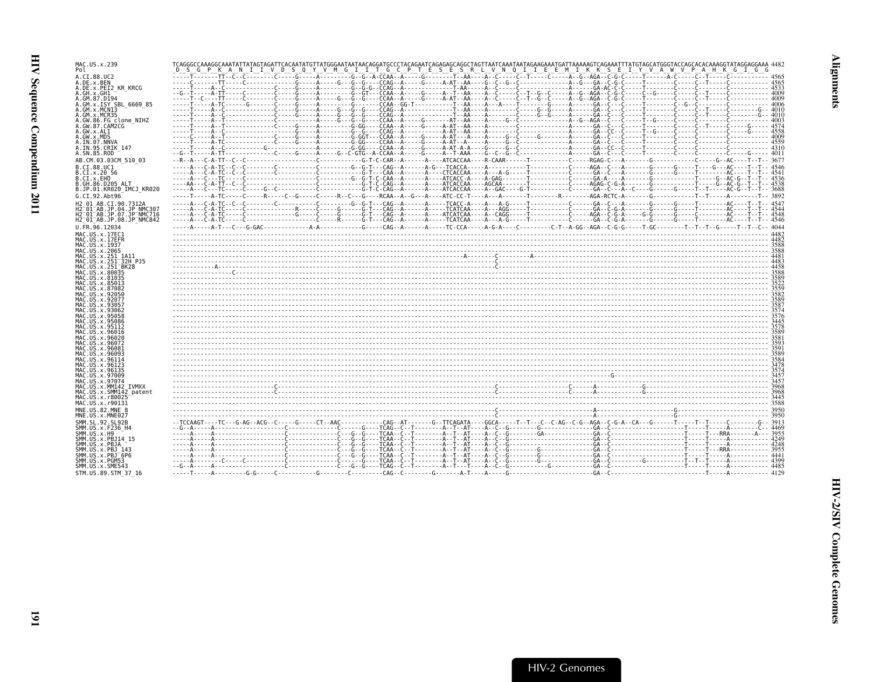| MAC.US.x.239                                                                                                          | TCAGGGCCAAAGGCAAATATTATAGTAGATTCACAATATGTTATGGGAATAATAACAGGATGCCCTACAGAATCAGAGGCGGGTAGTTAATCAAATAATAGAAGAAATGATTAAAAAAGTCAGAAATTTATGTAGCATGGGTACCAGCACACAAAGGTATAGGAGGAAA 4482<br>D S G P K A N I I V D S Q Y V M G I I T G C P T E S E S R L V N Q I I E E M I K K S E I Y V A W V P A H K G I G G |  |
|-----------------------------------------------------------------------------------------------------------------------|-----------------------------------------------------------------------------------------------------------------------------------------------------------------------------------------------------------------------------------------------------------------------------------------------------|--|
| A.CI.88.UC2                                                                                                           |                                                                                                                                                                                                                                                                                                     |  |
| A.DE.x.BEN<br>A.DE.x.PEI2 KR KRCG                                                                                     |                                                                                                                                                                                                                                                                                                     |  |
| A.GH.x.GH1                                                                                                            |                                                                                                                                                                                                                                                                                                     |  |
| A.GM.87.D194<br>A.GM.x.ISY SBL 6669 85                                                                                |                                                                                                                                                                                                                                                                                                     |  |
| A.GM.x.MCNI3                                                                                                          |                                                                                                                                                                                                                                                                                                     |  |
| A.GM.x.MCR35<br>A.GW.86.FG clone NIHZ                                                                                 |                                                                                                                                                                                                                                                                                                     |  |
| A.GW.87.CAM2CG                                                                                                        |                                                                                                                                                                                                                                                                                                     |  |
| A.GW.x.ALI<br>A.GW.x.MDS                                                                                              |                                                                                                                                                                                                                                                                                                     |  |
| A.IN.07.NNVA                                                                                                          |                                                                                                                                                                                                                                                                                                     |  |
| A.IN.95.CRIK 147                                                                                                      |                                                                                                                                                                                                                                                                                                     |  |
| A.SN.85.ROD<br>AB.CM.03.03CM 510 03                                                                                   |                                                                                                                                                                                                                                                                                                     |  |
| B.CI.88.UC1                                                                                                           |                                                                                                                                                                                                                                                                                                     |  |
| B.CI.x.20 56                                                                                                          |                                                                                                                                                                                                                                                                                                     |  |
| B.CI.x.EHO<br>.GH.86.D205 ALT                                                                                         |                                                                                                                                                                                                                                                                                                     |  |
| B.JP.01.KR020 IMCJ KR020                                                                                              |                                                                                                                                                                                                                                                                                                     |  |
| G.CI.92.Abt96                                                                                                         |                                                                                                                                                                                                                                                                                                     |  |
| H2 01 AB.CI.90.7312A                                                                                                  |                                                                                                                                                                                                                                                                                                     |  |
| H2 <sup>-</sup> 01 <sup>-</sup> AB.JP.04.JP NMC307<br>H2 <sup>-</sup> 01 <sup>-</sup> AB.JP.07.JP <sup>-</sup> NMC716 |                                                                                                                                                                                                                                                                                                     |  |
| H2 <sup>-</sup> 01 <sup>-</sup> AB.JP.08.JP <sup>-</sup> NMC842                                                       |                                                                                                                                                                                                                                                                                                     |  |
| U.FR.96.12034                                                                                                         |                                                                                                                                                                                                                                                                                                     |  |
| MAC.US.x.17EC1<br>MAC.US.x.17EFR                                                                                      |                                                                                                                                                                                                                                                                                                     |  |
| MAC.US.x.1937                                                                                                         |                                                                                                                                                                                                                                                                                                     |  |
| MAC.US.x.2065                                                                                                         |                                                                                                                                                                                                                                                                                                     |  |
| MAC.US.x.251 1A11                                                                                                     |                                                                                                                                                                                                                                                                                                     |  |
| MAC.US.x.251 <sup>-</sup> 32H_PJ5<br>MAC.US.x.251 <sup>-</sup> BK28                                                   |                                                                                                                                                                                                                                                                                                     |  |
| MAC.US.x.80035<br>MAC.US.x.81035                                                                                      |                                                                                                                                                                                                                                                                                                     |  |
| MAC.US.x.85013                                                                                                        |                                                                                                                                                                                                                                                                                                     |  |
| MAC.US.x.87082<br>MAC.US.x.92050                                                                                      |                                                                                                                                                                                                                                                                                                     |  |
| MAC.US.x.92077                                                                                                        |                                                                                                                                                                                                                                                                                                     |  |
| MAC.US.x.93057<br>MAC.US.x.93062                                                                                      |                                                                                                                                                                                                                                                                                                     |  |
| MAC.US.x.95058                                                                                                        |                                                                                                                                                                                                                                                                                                     |  |
| MAC.US.x.95086<br>MAC.US.x.95112                                                                                      |                                                                                                                                                                                                                                                                                                     |  |
| MAC.US.x.96016                                                                                                        |                                                                                                                                                                                                                                                                                                     |  |
| MAC.US.x.96020<br>MAC.US.x.96072                                                                                      |                                                                                                                                                                                                                                                                                                     |  |
| MAC.US.x.96081                                                                                                        |                                                                                                                                                                                                                                                                                                     |  |
| MAC.US.x.96093<br>MAC.US.x.96114                                                                                      |                                                                                                                                                                                                                                                                                                     |  |
| MAC.US.x.96123                                                                                                        |                                                                                                                                                                                                                                                                                                     |  |
| MAC.US.x.96135<br>MAC.US.x.97009                                                                                      |                                                                                                                                                                                                                                                                                                     |  |
| MAC.US.x.97074                                                                                                        |                                                                                                                                                                                                                                                                                                     |  |
| MAC.US.x.MM142 IVMXX<br>MAC.US.x.SMM142 patent                                                                        |                                                                                                                                                                                                                                                                                                     |  |
| MAC.US.x.r80025                                                                                                       |                                                                                                                                                                                                                                                                                                     |  |
| MAC.US.x.r90131                                                                                                       |                                                                                                                                                                                                                                                                                                     |  |
| MNE.US.82.MNE 8<br>MNE.US.x.MNE027                                                                                    |                                                                                                                                                                                                                                                                                                     |  |
| SMM.SL.92.SL92B                                                                                                       |                                                                                                                                                                                                                                                                                                     |  |
| SMM.US.x.F236 H4                                                                                                      |                                                                                                                                                                                                                                                                                                     |  |
| SMM.US.x.H9<br>SMM.US.x.PBJ14 15                                                                                      |                                                                                                                                                                                                                                                                                                     |  |
| SMM.US.x.PBJA                                                                                                         |                                                                                                                                                                                                                                                                                                     |  |
| SMM.US.x.PBJ 143<br>SMM.US.x.PBJ <sup>-</sup> 6P6                                                                     |                                                                                                                                                                                                                                                                                                     |  |
| SMM.US.x.PGM53                                                                                                        |                                                                                                                                                                                                                                                                                                     |  |
| SMM.US.x.SME543                                                                                                       |                                                                                                                                                                                                                                                                                                     |  |
| STM.US.89.STM 37 16                                                                                                   |                                                                                                                                                                                                                                                                                                     |  |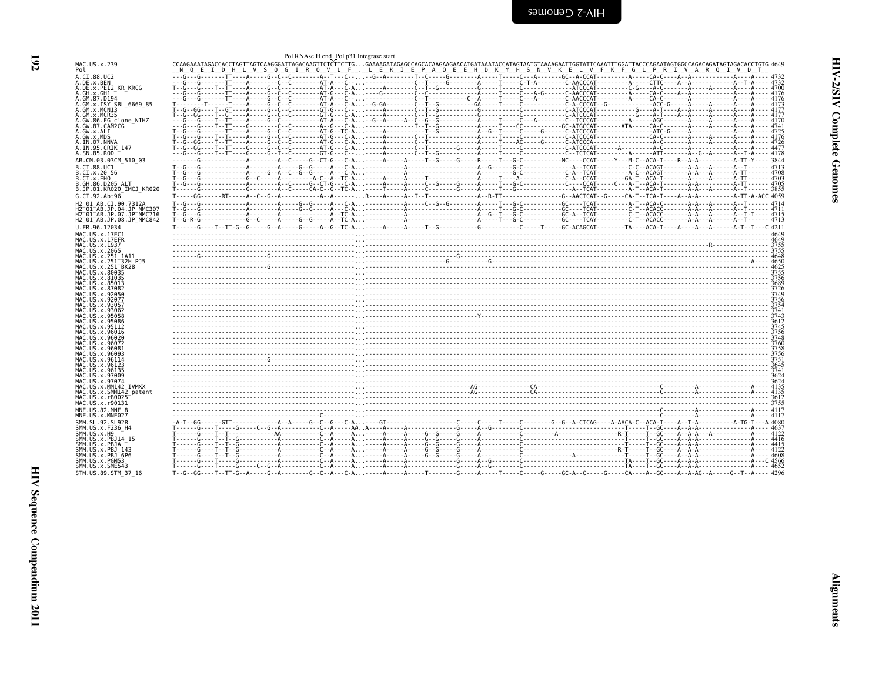<span id="page-33-0"></span>

| MAC.US.x.239                                                                     | CCAAGAAATAGACCACCTAGTTAGTCAAGGGATTAGACAAGTTCTČTTCTTGGAAAAGATAGAGCCAGCACAAGAACATAGTAAATGTAAAGAGATAGAGATTTGGATTACCCAGAGTAGTAGACACCTGTG 4649<br>__N_Q__E__I_D_H_L_V_S_Q_G_I_R_Q_V_L_E__-_L_E_K_I_E_P_A_Q_E_E_H_D_K_Y_H_S_N_V_K_E_ |  | Pol RNAse H end Pol p31 Integrase start |  |  |  |  |  |  |  |  |
|----------------------------------------------------------------------------------|--------------------------------------------------------------------------------------------------------------------------------------------------------------------------------------------------------------------------------|--|-----------------------------------------|--|--|--|--|--|--|--|--|
| A.CI.88.UC2                                                                      |                                                                                                                                                                                                                                |  |                                         |  |  |  |  |  |  |  |  |
| A.DE.x.BEN                                                                       |                                                                                                                                                                                                                                |  |                                         |  |  |  |  |  |  |  |  |
| A.DE.x.PEI2 KR KRCG<br>A.GH.x.GH1                                                |                                                                                                                                                                                                                                |  |                                         |  |  |  |  |  |  |  |  |
| A.GM.87.D194                                                                     |                                                                                                                                                                                                                                |  |                                         |  |  |  |  |  |  |  |  |
| A.GM.x.ISY SBL 6669 85                                                           |                                                                                                                                                                                                                                |  |                                         |  |  |  |  |  |  |  |  |
| A.GM.x.MCNI3                                                                     |                                                                                                                                                                                                                                |  |                                         |  |  |  |  |  |  |  |  |
| A.GW.86.FG clone NIHZ                                                            |                                                                                                                                                                                                                                |  |                                         |  |  |  |  |  |  |  |  |
| A.GW.87.CAM2CG<br>A.GW.x.ALI                                                     |                                                                                                                                                                                                                                |  |                                         |  |  |  |  |  |  |  |  |
| A.GW.x.MDS                                                                       |                                                                                                                                                                                                                                |  |                                         |  |  |  |  |  |  |  |  |
| A.IN.07.NNVA<br>A.IN.95.CRIK_147                                                 |                                                                                                                                                                                                                                |  |                                         |  |  |  |  |  |  |  |  |
| A.SN.85.ROD                                                                      |                                                                                                                                                                                                                                |  |                                         |  |  |  |  |  |  |  |  |
| AB.CM.03.03CM 510 03                                                             |                                                                                                                                                                                                                                |  |                                         |  |  |  |  |  |  |  |  |
| B.CI.88.UC1                                                                      |                                                                                                                                                                                                                                |  |                                         |  |  |  |  |  |  |  |  |
| B.CI.x.20 56                                                                     |                                                                                                                                                                                                                                |  |                                         |  |  |  |  |  |  |  |  |
| B.CI.x.EHO                                                                       |                                                                                                                                                                                                                                |  |                                         |  |  |  |  |  |  |  |  |
| B.GH.86.D205 ALT<br>B.JP.01.KR020 IMCJ KR020                                     |                                                                                                                                                                                                                                |  |                                         |  |  |  |  |  |  |  |  |
| G.CI.92.Abt96                                                                    |                                                                                                                                                                                                                                |  |                                         |  |  |  |  |  |  |  |  |
| H2 01 AB.CI.90.7312A                                                             |                                                                                                                                                                                                                                |  |                                         |  |  |  |  |  |  |  |  |
| H2 <sup>-</sup> 01 <sup>-</sup> AB.JP.04.JP NMC307                               |                                                                                                                                                                                                                                |  |                                         |  |  |  |  |  |  |  |  |
| H2 <sup>-</sup> 01 <sup>-</sup> AB.JP.07.JP <sup>-</sup> NMC716                  |                                                                                                                                                                                                                                |  |                                         |  |  |  |  |  |  |  |  |
| H2 <sup>-</sup> 01 <sup>-</sup> AB.JP.08.JP <sup>-</sup> NMC842<br>U.FR.96.12034 |                                                                                                                                                                                                                                |  |                                         |  |  |  |  |  |  |  |  |
| MAC.US.x.17EC1                                                                   |                                                                                                                                                                                                                                |  |                                         |  |  |  |  |  |  |  |  |
| MAC.US.x.17EFR                                                                   |                                                                                                                                                                                                                                |  |                                         |  |  |  |  |  |  |  |  |
| MAC.US.x.1937                                                                    |                                                                                                                                                                                                                                |  |                                         |  |  |  |  |  |  |  |  |
| MAC.US.x.2065<br>MAC.US.x.251 1A11                                               |                                                                                                                                                                                                                                |  |                                         |  |  |  |  |  |  |  |  |
| MAC.US.x.251 <sup>-</sup> 32H PJ5                                                |                                                                                                                                                                                                                                |  |                                         |  |  |  |  |  |  |  |  |
| MAC.US.x.251 <sup>-</sup> BK28                                                   |                                                                                                                                                                                                                                |  |                                         |  |  |  |  |  |  |  |  |
| MAC.US.x.80035<br>MAC.US.x.81035                                                 |                                                                                                                                                                                                                                |  |                                         |  |  |  |  |  |  |  |  |
| MAC.US.x.85013                                                                   |                                                                                                                                                                                                                                |  |                                         |  |  |  |  |  |  |  |  |
| MAC.US.x.87082                                                                   |                                                                                                                                                                                                                                |  |                                         |  |  |  |  |  |  |  |  |
| MAC.US.x.92050<br>MAC.US.x.92077                                                 |                                                                                                                                                                                                                                |  |                                         |  |  |  |  |  |  |  |  |
| MAC.US.x.93057                                                                   |                                                                                                                                                                                                                                |  |                                         |  |  |  |  |  |  |  |  |
| MAC.US.x.93062                                                                   |                                                                                                                                                                                                                                |  |                                         |  |  |  |  |  |  |  |  |
| MAC.US.x.95058                                                                   |                                                                                                                                                                                                                                |  |                                         |  |  |  |  |  |  |  |  |
| MAC.US.x.95112                                                                   |                                                                                                                                                                                                                                |  |                                         |  |  |  |  |  |  |  |  |
| MAC.US.x.96016                                                                   |                                                                                                                                                                                                                                |  |                                         |  |  |  |  |  |  |  |  |
| MAC.US.x.96020                                                                   |                                                                                                                                                                                                                                |  |                                         |  |  |  |  |  |  |  |  |
| MAC.US.x.96081                                                                   |                                                                                                                                                                                                                                |  |                                         |  |  |  |  |  |  |  |  |
| MAC.US.x.96093<br>MAC.US.x.96114                                                 |                                                                                                                                                                                                                                |  |                                         |  |  |  |  |  |  |  |  |
| MAC.US.x.96123                                                                   |                                                                                                                                                                                                                                |  |                                         |  |  |  |  |  |  |  |  |
| MAC.US.x.96135                                                                   |                                                                                                                                                                                                                                |  |                                         |  |  |  |  |  |  |  |  |
| MAC.US.x.97009<br>MAC.US.x.97074                                                 |                                                                                                                                                                                                                                |  |                                         |  |  |  |  |  |  |  |  |
| MAC.US.x.MM142 IVMXX                                                             |                                                                                                                                                                                                                                |  |                                         |  |  |  |  |  |  |  |  |
| MAC.US.x.SMM142 patent                                                           |                                                                                                                                                                                                                                |  |                                         |  |  |  |  |  |  |  |  |
| MAC.US.x.r80025<br>MAC.US.x.r90131                                               |                                                                                                                                                                                                                                |  |                                         |  |  |  |  |  |  |  |  |
| MNE.US.82.MNE 8                                                                  |                                                                                                                                                                                                                                |  |                                         |  |  |  |  |  |  |  |  |
| MNE.US.x.MNE027                                                                  |                                                                                                                                                                                                                                |  |                                         |  |  |  |  |  |  |  |  |
| SMM.SL.92.SL92B                                                                  |                                                                                                                                                                                                                                |  |                                         |  |  |  |  |  |  |  |  |
| SMM.US.x.F236 H4                                                                 |                                                                                                                                                                                                                                |  |                                         |  |  |  |  |  |  |  |  |
| SMM.US.x.H9<br>SMM.US.x.PBJ14 15                                                 |                                                                                                                                                                                                                                |  |                                         |  |  |  |  |  |  |  |  |
| SMM.US.x.PBJA                                                                    |                                                                                                                                                                                                                                |  |                                         |  |  |  |  |  |  |  |  |
| SMM.US.x.PBJ 143                                                                 |                                                                                                                                                                                                                                |  |                                         |  |  |  |  |  |  |  |  |
| SMM.US.x.PBJ <sup>-</sup> 6P6<br>SMM.US.x.PGM53                                  |                                                                                                                                                                                                                                |  |                                         |  |  |  |  |  |  |  |  |
| SMM.US.x.SME543                                                                  |                                                                                                                                                                                                                                |  |                                         |  |  |  |  |  |  |  |  |
|                                                                                  |                                                                                                                                                                                                                                |  |                                         |  |  |  |  |  |  |  |  |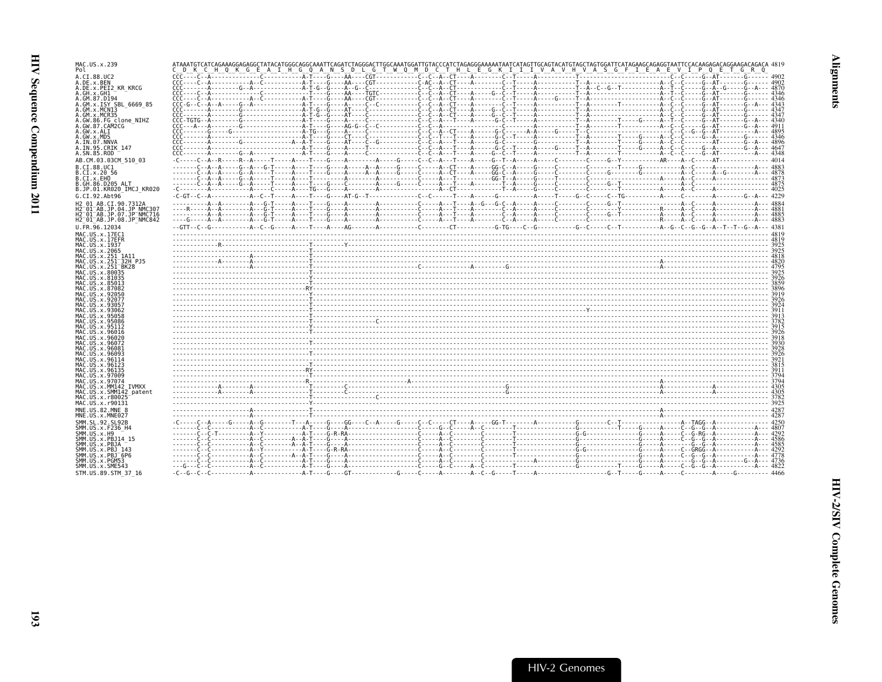| MAC.US.x.239                                                                 |                                                                                                                   |      |
|------------------------------------------------------------------------------|-------------------------------------------------------------------------------------------------------------------|------|
| Pol                                                                          | C D K C H Q K G E A I H G Q A N S D L G T W Q M D C T H L E G K I I I V A V H V A S G F I E A E V I P Q E T G R Q |      |
| A.CI.88.UC2<br>A.DE.x.BEN                                                    |                                                                                                                   |      |
| A.DE.x.PEI2 KR KRCG                                                          |                                                                                                                   |      |
| A.GH.x.GH1<br>A.GM.87.D194                                                   |                                                                                                                   |      |
| A.GM.x.ISY SBL 6669 85                                                       |                                                                                                                   |      |
| A.GM.x.MCN13<br>A.GM.x.MCR35                                                 |                                                                                                                   |      |
| A.GW.86.FG clone NIHZ                                                        |                                                                                                                   |      |
| A.GW.87.CAM2CG<br>A.GW.x.ALI                                                 |                                                                                                                   |      |
| A.GW.x.MDS                                                                   |                                                                                                                   |      |
| A.IN.07.NNVA<br>A.IN.95.CRIK 147                                             |                                                                                                                   |      |
| A.SN.85.ROD                                                                  |                                                                                                                   |      |
| AB.CM.03.03CM 510 03                                                         |                                                                                                                   |      |
| B.CI.88.UC1<br>B.CI.x.20 56                                                  |                                                                                                                   |      |
| B.CI.X.EHO                                                                   |                                                                                                                   |      |
| B.GH.86.D205 ALT<br>B.JP.01.KR020 IMCJ KR020                                 |                                                                                                                   |      |
| G.CI.92.Abt96                                                                |                                                                                                                   |      |
| H2 01 AB.CI.90.7312A                                                         |                                                                                                                   |      |
| H2 <sup>-01-AB.JP.04.JP NMC307</sup><br>H2 <sup>-01-AB.JP.07.JP-NMC716</sup> |                                                                                                                   |      |
| H2 <sup>-01-AB.JP.08.JP<sup>-</sup>NMC842</sup>                              |                                                                                                                   |      |
| U.FR.96.12034                                                                |                                                                                                                   |      |
| MAC.US.x.17EC1<br>MAC.US.x.17EFR                                             |                                                                                                                   |      |
| MAC.US.x.1937                                                                |                                                                                                                   |      |
| MAC.US.x.2065<br>MAC.US.x.251 1A11                                           |                                                                                                                   |      |
| MAC.US.x.251 <sup>-32H</sup> P.15                                            |                                                                                                                   |      |
| MAC.US.x.251 BK28<br>MAC.US.x.80035                                          |                                                                                                                   |      |
| MAC.US.x.81035                                                               |                                                                                                                   |      |
| MAC.US.x.85013<br>MAC.US.x.87082                                             |                                                                                                                   |      |
| MAC.US.x.92050                                                               |                                                                                                                   |      |
| MAC.US.x.92077<br>MAC.US.x.93057                                             |                                                                                                                   |      |
| MAC. US. x. 93062                                                            |                                                                                                                   |      |
| MAC.US.x.95058<br>MAC.US.x.95086                                             |                                                                                                                   |      |
| MAC.US.x.95112                                                               |                                                                                                                   |      |
| MAC.US.x.96016<br>MAC.US.x.96020                                             |                                                                                                                   |      |
| MAC. US. x. 96072                                                            |                                                                                                                   |      |
| MAC.US.x.96081<br>MAC.US.x.96093                                             |                                                                                                                   |      |
| MAC.US.x.96114                                                               |                                                                                                                   |      |
| MAC.US.x.96123<br>MAC.US.x.96135                                             |                                                                                                                   | 3815 |
| MAC.US.x.97009                                                               |                                                                                                                   |      |
| MAC.US.x.97074<br>MAC.US.x.MM142 IVMXX                                       |                                                                                                                   |      |
| MAC.US.x.SMM142 patent<br>MAC.US.x.r80025                                    |                                                                                                                   |      |
| MAC.US.x.r90131                                                              |                                                                                                                   |      |
| MNE.US.82.MNE 8                                                              |                                                                                                                   |      |
| MNE.US.x.MNE027                                                              |                                                                                                                   |      |
| SMM. SL. 92. SL92B<br>SMM.US.x.F236 H4                                       |                                                                                                                   |      |
| SMM.US.x.H9                                                                  |                                                                                                                   |      |
| SMM.US.x.PBJ14 15<br>SMM.US.x.PBJA                                           |                                                                                                                   |      |
| SMM.US.x.PBJ 143                                                             |                                                                                                                   |      |
| $SMM. US. x. PBJ-6P6$<br>SMM.US.x.PGM53                                      |                                                                                                                   |      |
| SMM.US.x.SME543                                                              |                                                                                                                   |      |
| STM.US.89.STM 37 16                                                          |                                                                                                                   |      |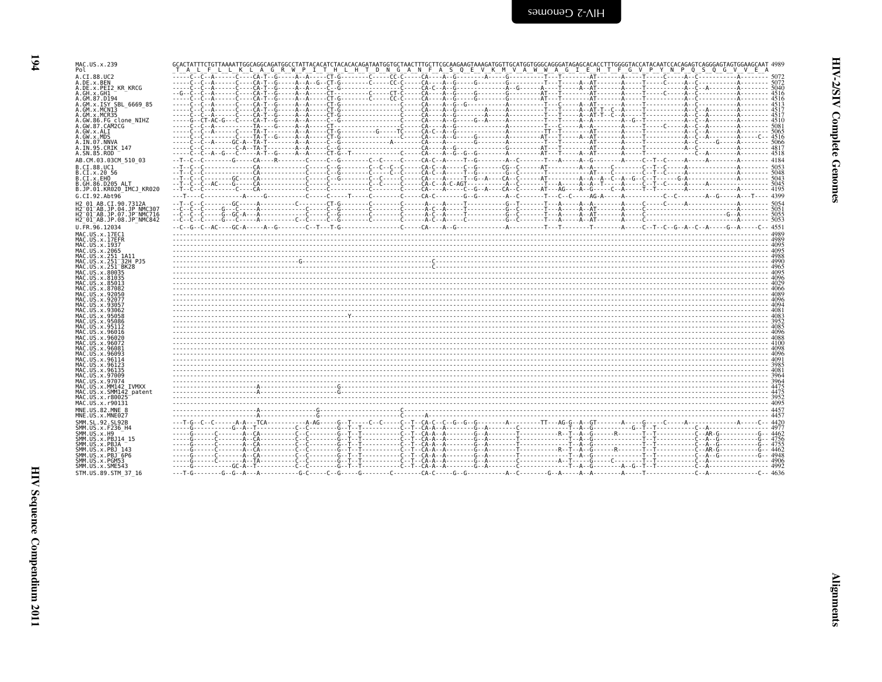| MAC.US.x.239<br>Pol                                              | T A L F L L K L A G R W P I T H L H T D N G A N F A S Q E V K M V A W W A G I E H T F G V P Y N P Q S Q G V V E A |  |
|------------------------------------------------------------------|-------------------------------------------------------------------------------------------------------------------|--|
| A.CI.88.UC2                                                      |                                                                                                                   |  |
| A.DE.x.BEN<br>A.DE.x.PEI2 KR KRCG                                |                                                                                                                   |  |
| A.GH.x.GH1<br>A.GM.87.D194                                       |                                                                                                                   |  |
| A.GM.x.ISY SBL 6669 85                                           |                                                                                                                   |  |
| A.GM.x.MCN13<br>A.GM.x.MCR35                                     |                                                                                                                   |  |
| A.GW.86.FG clone NIHZ<br>A.GW.87.CAM2CG                          |                                                                                                                   |  |
| A.GW.x.ALI                                                       |                                                                                                                   |  |
| A.GW.x.MDS<br>A.IN.07.NNVA                                       |                                                                                                                   |  |
| A.IN.95.CRIK 147<br>A.SN.85.ROD                                  |                                                                                                                   |  |
| AB.CM.03.03CM 510 03                                             |                                                                                                                   |  |
| B.CI.88.UC1<br>B.CI.x.20 56                                      |                                                                                                                   |  |
| B.CI.x.EHO<br>B.GH.86.D205 ALT                                   |                                                                                                                   |  |
| B.JP.01.KR020 IMCJ KR020                                         |                                                                                                                   |  |
| G.CI.92.Abt96                                                    |                                                                                                                   |  |
| H2 01 AB.CI.90.7312A<br>H2 <sup>-01-AB.JP.04.JP NMC307</sup>     |                                                                                                                   |  |
| H2 <sup>-01-AB.JP.07.JP<sup>-</sup>NMC716</sup>                  |                                                                                                                   |  |
| H2 <sup>-01-AB.JP.08.JP<sup>-</sup>NMC842</sup><br>U.FR.96.12034 |                                                                                                                   |  |
| MAC.US.x.17EC1                                                   |                                                                                                                   |  |
| MAC.US.x.17EFR<br>MAC.US.x.1937                                  |                                                                                                                   |  |
| MAC.US.x.2065                                                    |                                                                                                                   |  |
| MAC. US. x. 251 1A11<br>MAC.US.x.251 <sup>-</sup> 32H PJ5        |                                                                                                                   |  |
| MAC.US.x.251 <sup>-</sup> BK28<br>MAC.US.x.80035                 |                                                                                                                   |  |
| MAC.US.x.81035<br>MAC.US.x.85013                                 |                                                                                                                   |  |
| MAC.US.x.87082                                                   |                                                                                                                   |  |
| MAC.US.x.92050<br>MAC.US.x.92077                                 |                                                                                                                   |  |
| MAC.US.x.9305<br>MAC.US.x.93062                                  |                                                                                                                   |  |
| MAC.US.x.95058                                                   |                                                                                                                   |  |
| MAC.US.x.95086<br>MAC. U.S. x. 95112                             |                                                                                                                   |  |
| MAC.US.x.96016<br>MAC.US.x.96020                                 |                                                                                                                   |  |
| MAC.US.x.96072<br>MAC.US.x.96081                                 |                                                                                                                   |  |
| MAC.US.x.96093                                                   |                                                                                                                   |  |
| MAC.US.x.96114<br>MAC.US.x.96123                                 |                                                                                                                   |  |
| MAC. US. x. 96135<br>MAC.US.x.97009                              |                                                                                                                   |  |
| MAC.US.x.97074                                                   |                                                                                                                   |  |
| MAC.US.x.MM142 IVMXX<br>MAC.US.x.SMM142 patent                   |                                                                                                                   |  |
| MAC.US.x.r80025<br>MAC.US.x.r90131                               |                                                                                                                   |  |
| MNE.US.82.MNE 8                                                  |                                                                                                                   |  |
| MNE.US.x.MNE027<br>SMM.SL.92.SL92B                               |                                                                                                                   |  |
| SMM. US. x. F236 H4                                              |                                                                                                                   |  |
| SMM.US.x.H9<br>SMM.US.x.PBJ14 15                                 |                                                                                                                   |  |
| SMM.US.x.PBJA<br>SMM.US.x.PBJ 143                                |                                                                                                                   |  |
| SMM.US.x.PBJ <sup>-6P6</sup>                                     |                                                                                                                   |  |
| SMM.US.x.PGM53<br>SMM.US.x.SME543                                |                                                                                                                   |  |
| STM.US.89.STM 37 16                                              |                                                                                                                   |  |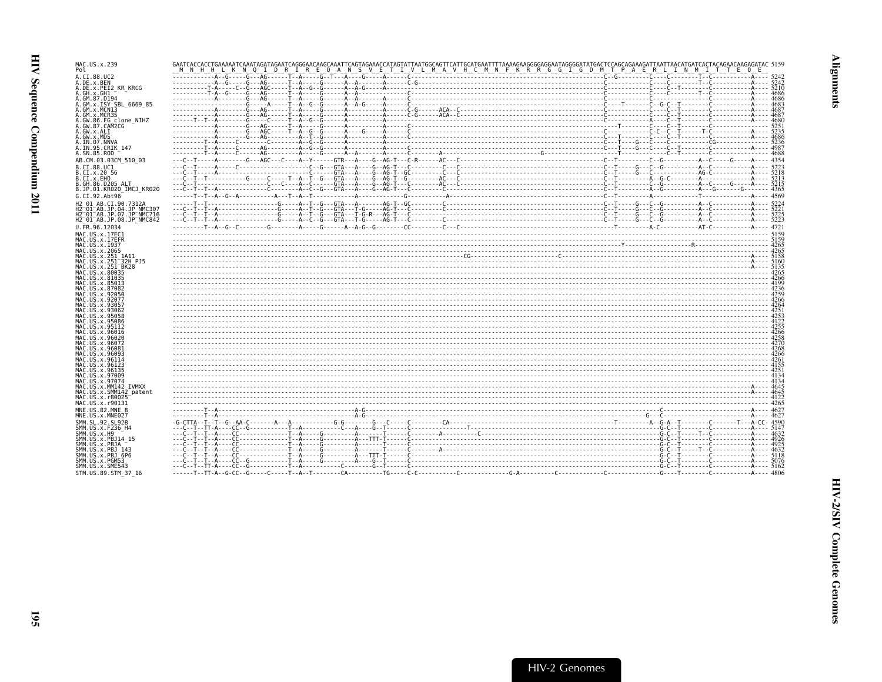| MAC.US.x.239<br>Pol                                                                     |  |  |  |
|-----------------------------------------------------------------------------------------|--|--|--|
| A.CI.88.UC2                                                                             |  |  |  |
| A.DE.x.BEN<br>A.DE.x.PEI2 KR KRCG                                                       |  |  |  |
| A.GH.x.GH1<br>A.GM.87.D194                                                              |  |  |  |
| A.GM.x.ISY SBL 6669 85<br>A.GM.x.MCNI3                                                  |  |  |  |
| A.GM.x.MCR35                                                                            |  |  |  |
| A.GW.86.FG clone NIHZ<br>A.GW.87.CAM2CG                                                 |  |  |  |
| A.GW.x.ALI<br>A.GW.x.MDS                                                                |  |  |  |
| A.IN.07.NNVA                                                                            |  |  |  |
| A.IN.95.CRIK 147<br>A.SN.85.ROD                                                         |  |  |  |
| AB.CM.03.03CM 510 03                                                                    |  |  |  |
| B.CI.88.UC1<br>B.CI.x.20 56                                                             |  |  |  |
| B.CI.x.EHO                                                                              |  |  |  |
| B.GH.86.D205 ALT<br>B.JP.01.KR020 IMCJ KR020                                            |  |  |  |
| G.CI.92.Abt96                                                                           |  |  |  |
| H2 01 AB.CI.90.7312A<br>H2 <sup>-01-AB.JP.04.JP NMC307</sup>                            |  |  |  |
| H2 <sup>-01-AB.JP.07.JP-NMC716</sup><br>H2 <sup>-01-AB.JP.08.JP<sup>-</sup>NMC842</sup> |  |  |  |
| U.FR.96.12034                                                                           |  |  |  |
| MAC.US.x.17EC1                                                                          |  |  |  |
| MAC.US.x.17EFR<br>MAC. US. x. 1937                                                      |  |  |  |
| MAC.US.x.2065<br>MAC.US.x.251 1A11                                                      |  |  |  |
| MAC.US.x.251 32H PJ5                                                                    |  |  |  |
| MAC.US.x.251 <sup>-</sup> BK28<br>MAC.US.x.80035                                        |  |  |  |
| MAC.US.x.81035<br>MAC.US.x.85013                                                        |  |  |  |
| MAC.US.x.87082<br>MAC.US.x.92050                                                        |  |  |  |
| MAC.US.x.92077                                                                          |  |  |  |
| MAC.US.x.93057<br>MAC. US. x. 93062                                                     |  |  |  |
| MAC.US.x.95058<br>MAC.US.x.95086                                                        |  |  |  |
| MAC.US.x.95112                                                                          |  |  |  |
| MAC. US. x. 96016<br>MAC.US.x.96020                                                     |  |  |  |
| MAC. US. x. 96072<br>MAC. US. x. 96081                                                  |  |  |  |
| MAC.US.x.96093                                                                          |  |  |  |
| MAC.US.x.96114<br>MAC.US.x.96123                                                        |  |  |  |
| MAC.US.x.96135<br>MAC.US.x.97009                                                        |  |  |  |
| MAC.US.x.97074                                                                          |  |  |  |
| MAC.US.x.MM142 IVMXX<br>MAC.US.x.SMM142 patent                                          |  |  |  |
| MAC.US.x.r80025<br>MAC.US.x.r90131                                                      |  |  |  |
| MNE.US.82.MNE 8                                                                         |  |  |  |
| MNE.US.x.MNE027<br>SMM. SL. 92. SL92B                                                   |  |  |  |
| SMM.US.x.F236 H4                                                                        |  |  |  |
| SMM.US.x.H9<br>SMM.US.x.PBJ14 15                                                        |  |  |  |
| SMM.US.x.PBJA<br>SMM. US. x. PBJ 143                                                    |  |  |  |
| SMM.US.x.PBJ 6P6                                                                        |  |  |  |
| SMM.US.x.PGM53<br>SMM.US.x.SME543                                                       |  |  |  |
| STM.US.89.STM 37 16                                                                     |  |  |  |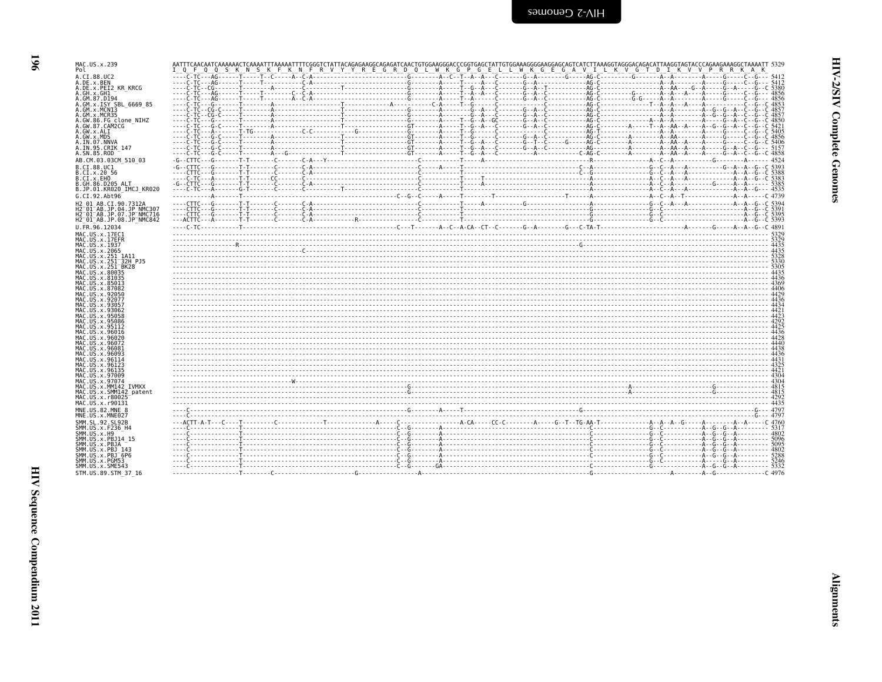| ミスト               |  |
|-------------------|--|
| Î<br>ì<br>Ē       |  |
| ١<br>ì<br>ì<br>í, |  |

| MAC.US.x.239<br>Pol                                             | I Q F Q Q S K N S K F K N F R V Y Y R E G R D Q L W K G P G E L L W K G E G A V I L K V G T D I K V V P R K A K |  |  |
|-----------------------------------------------------------------|-----------------------------------------------------------------------------------------------------------------|--|--|
| A.CI.88.UC2                                                     |                                                                                                                 |  |  |
| A.DE.x.BEN<br>A.DE.x.PEI2 KR KRCG                               |                                                                                                                 |  |  |
| A.GH.x.GH1                                                      |                                                                                                                 |  |  |
| A.GM.87.D194<br>A.GM.x.ISY SBL 6669 85                          |                                                                                                                 |  |  |
| A.GM.x.MCN13                                                    |                                                                                                                 |  |  |
| A.GM.x.MCR35<br>A.GW.86.FG_clone_NIHZ<br>A.GW.87.CAM2CG         |                                                                                                                 |  |  |
| A.GW.x.ALI                                                      |                                                                                                                 |  |  |
| A.GW.x.MDS                                                      |                                                                                                                 |  |  |
| A.IN.07.NNVA<br>A.IN.95.CRIK 147                                |                                                                                                                 |  |  |
| A.SN.85.ROD                                                     |                                                                                                                 |  |  |
| AB.CM.03.03CM 510 03<br>B.CI.88.UC1                             |                                                                                                                 |  |  |
| B.CI.x.20 56                                                    |                                                                                                                 |  |  |
| B.CI.x.EHO<br>B.GH.86.D205 ALT                                  |                                                                                                                 |  |  |
| B.JP.01.KR020 IMCJ KR020                                        |                                                                                                                 |  |  |
| G.CI.92.Abt96                                                   |                                                                                                                 |  |  |
| H2 01 AB.CI.90.7312A<br>H2 <sup>-01-AB.JP.04.JP NMC307</sup>    |                                                                                                                 |  |  |
| H2 <sup>-</sup> 01 <sup>-</sup> AB.JP.07.JP <sup>-</sup> NMC716 |                                                                                                                 |  |  |
| H2 01 AB.JP.08.JP NMC842<br>U.FR.96.12034                       |                                                                                                                 |  |  |
| MAC.US.x.17EC1                                                  |                                                                                                                 |  |  |
| MAC.US.x.17EFR<br>MAC. US. x. 1937                              |                                                                                                                 |  |  |
| MAC.US.x.2065                                                   |                                                                                                                 |  |  |
| MAC.US.x.251 1A11<br>MAC.US.x.251 32H PJ5                       |                                                                                                                 |  |  |
| MAC.US.x.251 <sup>-</sup> BK28<br>MAC. U.S. x. 80035            |                                                                                                                 |  |  |
| MAC.US.x.81035                                                  |                                                                                                                 |  |  |
| MAC.US.x.85013<br>MAC.US.x.87082                                |                                                                                                                 |  |  |
| MAC.US.x.92050                                                  |                                                                                                                 |  |  |
| MAC.US.x.92077<br>MAC.US.x.93057                                |                                                                                                                 |  |  |
| MAC.US.x.93062<br>MAC.US.x.95058                                |                                                                                                                 |  |  |
| MAC.US.x.95086                                                  |                                                                                                                 |  |  |
| MAC.US.x.95112<br>MAC.US.x.96016                                |                                                                                                                 |  |  |
| MAC.US.x.96020                                                  |                                                                                                                 |  |  |
| MAC.US.x.96072<br>MAC.US.x.96081                                |                                                                                                                 |  |  |
| MAC.US.x.96093<br>MAC.US.x.96114                                |                                                                                                                 |  |  |
| MAC.US.x.96123                                                  |                                                                                                                 |  |  |
| MAC.US.x.96135<br>MAC. US. x. 97009                             |                                                                                                                 |  |  |
| MAC.US.x.97074<br>MAC.US.x.MM142 IVMXX                          |                                                                                                                 |  |  |
| MAC.US.x.SMM142 patent                                          |                                                                                                                 |  |  |
| MAC. US. x. r80025<br>MAC.US.x.r90131                           |                                                                                                                 |  |  |
| MNE.US.82.MNE 8                                                 |                                                                                                                 |  |  |
| MNE.US.x.MNE027                                                 |                                                                                                                 |  |  |
| SMM. SL. 92. SL92B<br>SMM. US. x. F236_H4                       |                                                                                                                 |  |  |
| SMM.US.x.H9                                                     |                                                                                                                 |  |  |
| SMM. US. x. PBJ14 15<br>SMM.US.x.PBJA                           |                                                                                                                 |  |  |
| SMM. US. x. PBJ 143<br>SMM.US.x.PBJ 6P6                         |                                                                                                                 |  |  |
| SMM.US.x.PGM53                                                  |                                                                                                                 |  |  |
| SMM.US.x.SME543<br>STM.US.89.STM 37 16                          |                                                                                                                 |  |  |
|                                                                 |                                                                                                                 |  |  |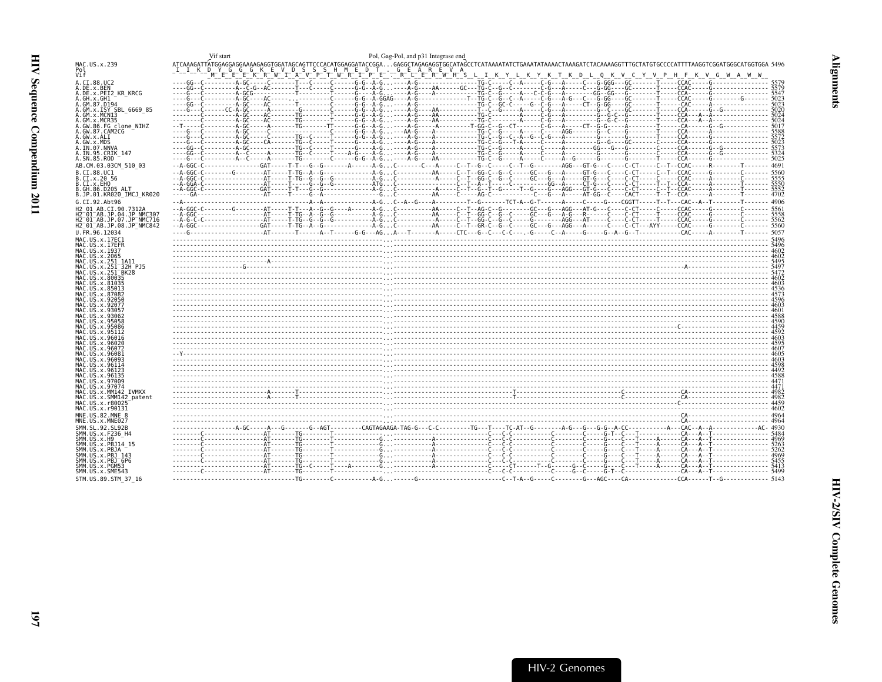<span id="page-38-0"></span>

|                                                        | Vif start<br>Pol, Gag-Pol, and p31 Integrase end                                                                                                                                                                                                                            |  |
|--------------------------------------------------------|-----------------------------------------------------------------------------------------------------------------------------------------------------------------------------------------------------------------------------------------------------------------------------|--|
| MAC.US.x.239                                           | ATCAAAGATTATGGAGGAGAAAAGAGGTGGATAGCAGTTCCCACATGGAGGATACCGGAGAGGCTAGAGAGGTGGCATAGCCTCATAAAATATCTGAAATATAAAACTAAAAGATCTACAAAAGGTTTGCTATGTGCCCCATTTTAAGGTCGGATGGGCATGGTGGA 5496                                                                                                |  |
| Pol<br>Vif                                             | DYGGGKEVDSSSHMEDT.GEAREVA<br>MEEEEKRWILAVPIWRIPE: RIERWHSLIKYKTKDLQKVVPHFKVDHFKVGMAWW                                                                                                                                                                                       |  |
|                                                        |                                                                                                                                                                                                                                                                             |  |
| A.CI.88.UC2<br>A.DE.X.BEN                              |                                                                                                                                                                                                                                                                             |  |
| A.DE.X.PEI2 KR KRCG                                    |                                                                                                                                                                                                                                                                             |  |
| A.GH.x.GH1                                             |                                                                                                                                                                                                                                                                             |  |
| A.GM.87.D194<br>A.GM.x.ISY SBL 6669 85                 |                                                                                                                                                                                                                                                                             |  |
| A.GM.x.MCNI3                                           |                                                                                                                                                                                                                                                                             |  |
| A.GM.X.MCR35                                           |                                                                                                                                                                                                                                                                             |  |
| A.GW.86.FG clone NIHZ<br>A.GW.87.CAM2CG                |                                                                                                                                                                                                                                                                             |  |
| A.GW.x.ALI                                             |                                                                                                                                                                                                                                                                             |  |
| A.GW.x.MDS                                             |                                                                                                                                                                                                                                                                             |  |
| A.IN.07.NNVA                                           |                                                                                                                                                                                                                                                                             |  |
| A.IN.95.CRIK 147<br>A.SN.85.ROD                        |                                                                                                                                                                                                                                                                             |  |
| AB.CM.03.03CM 510 03                                   |                                                                                                                                                                                                                                                                             |  |
| B.CI.88.UC1                                            |                                                                                                                                                                                                                                                                             |  |
| B.CI.X.20 56                                           |                                                                                                                                                                                                                                                                             |  |
| B.CI.x.EHO                                             |                                                                                                                                                                                                                                                                             |  |
| B.GH.86.D205 ALT                                       |                                                                                                                                                                                                                                                                             |  |
| B.JP.01.KR020 IMCJ KR020<br>G.CI.92.Abt96              |                                                                                                                                                                                                                                                                             |  |
| H2 01 AB.CI.90.7312A                                   |                                                                                                                                                                                                                                                                             |  |
| H2 <sup>-01-AB.JP.04.JP NMC307</sup>                   |                                                                                                                                                                                                                                                                             |  |
| H2 01 AB.JP.07.JP NMC716                               |                                                                                                                                                                                                                                                                             |  |
| H2 01 AB.JP.08.JP NMC842                               |                                                                                                                                                                                                                                                                             |  |
| U.FR.96.12034                                          |                                                                                                                                                                                                                                                                             |  |
| MAC.US.x.17EC1<br>MAC.US.x.17EFR                       |                                                                                                                                                                                                                                                                             |  |
| MAC.US.x.1937                                          |                                                                                                                                                                                                                                                                             |  |
| MAC.US.x.2065                                          |                                                                                                                                                                                                                                                                             |  |
| MAC.US.x.251 1A11                                      |                                                                                                                                                                                                                                                                             |  |
| MAC.US.x.251 32H PJ5<br>MAC.US.x.251 <sup>-</sup> BK28 |                                                                                                                                                                                                                                                                             |  |
| MAC.US.x.80035                                         |                                                                                                                                                                                                                                                                             |  |
| MAC.US.x.81035                                         |                                                                                                                                                                                                                                                                             |  |
| MAC.US.x.85013<br>MAC.US.x.87082                       |                                                                                                                                                                                                                                                                             |  |
| MAC.US.x.92050                                         |                                                                                                                                                                                                                                                                             |  |
| MAC.US.x.92077                                         |                                                                                                                                                                                                                                                                             |  |
| MAC.US.x.93057<br>MAC.US.x.93062                       |                                                                                                                                                                                                                                                                             |  |
| MAC.US.x.95058                                         |                                                                                                                                                                                                                                                                             |  |
| MAC.US.x.95086                                         |                                                                                                                                                                                                                                                                             |  |
| MAC.US.x.95112<br>MAC.US.x.96016                       |                                                                                                                                                                                                                                                                             |  |
| MAC.US.x.96020                                         |                                                                                                                                                                                                                                                                             |  |
| MAC.US.x.96072                                         |                                                                                                                                                                                                                                                                             |  |
| MAC.US.x.96081<br>MAC.US.x.96093                       |                                                                                                                                                                                                                                                                             |  |
| MAC.US.x.96114                                         |                                                                                                                                                                                                                                                                             |  |
| MAC.US.x.96123                                         |                                                                                                                                                                                                                                                                             |  |
| MAC.US.x.9613<br>MAC.US.x.97009                        |                                                                                                                                                                                                                                                                             |  |
| MAC.US.x.97074                                         |                                                                                                                                                                                                                                                                             |  |
| MAC.US.x.MM142 IVMXX                                   |                                                                                                                                                                                                                                                                             |  |
| MAC.US.x.SMM142 patent                                 |                                                                                                                                                                                                                                                                             |  |
| MAC.US.x.r80025<br>MAC.US.x.r90131                     | $\begin{bmatrix} 4 & 4982 & 1000 & 1000 & 1000 & 1000 & 1000 & 1000 & 1000 & 1000 & 1000 & 1000 & 1000 & 1000 & 1000 & 1000 & 1000 & 1000 & 1000 & 1000 & 1000 & 1000 & 1000 & 1000 & 1000 & 1000 & 1000 & 1000 & 1000 & 1000 & 1000 & 1000 & 1000 & 1000 & 1000 & 1000 & $ |  |
| MNE.US.82.MNE 8                                        |                                                                                                                                                                                                                                                                             |  |
| MNE.US.x.MNE027                                        |                                                                                                                                                                                                                                                                             |  |
| SMM.SL.92.SL92B                                        | 998 - 2002 - 2003 - 2003 - 2003 - 2004 - 2004 - 2004 - 2004 - 2004 - 2004 - 2004 - 2004 - 2004 - 2004 - 2004 -<br>1989 - 2004 - 2004 - 2004 - 2004 - 2004 - 2004 - 2004 - 2004 - 2004 - 2004 - 2004 - 2004 - 2004 - 2004 - 2004<br>                                         |  |
| SMM.US.x.F236 H4<br>SMM.US.x.H9                        |                                                                                                                                                                                                                                                                             |  |
| SMM.US.x.PBJ14 15                                      |                                                                                                                                                                                                                                                                             |  |
| SMM.US.x.PBJA                                          |                                                                                                                                                                                                                                                                             |  |
| SMM. US. x. PBJ 143                                    |                                                                                                                                                                                                                                                                             |  |
| SMM.US.x.PBJ <sup>-6P6</sup><br>SMM.US.x.PGM53         |                                                                                                                                                                                                                                                                             |  |
| SMM.US.x.SME543                                        |                                                                                                                                                                                                                                                                             |  |
| STM. US. 89. STM 37 16                                 |                                                                                                                                                                                                                                                                             |  |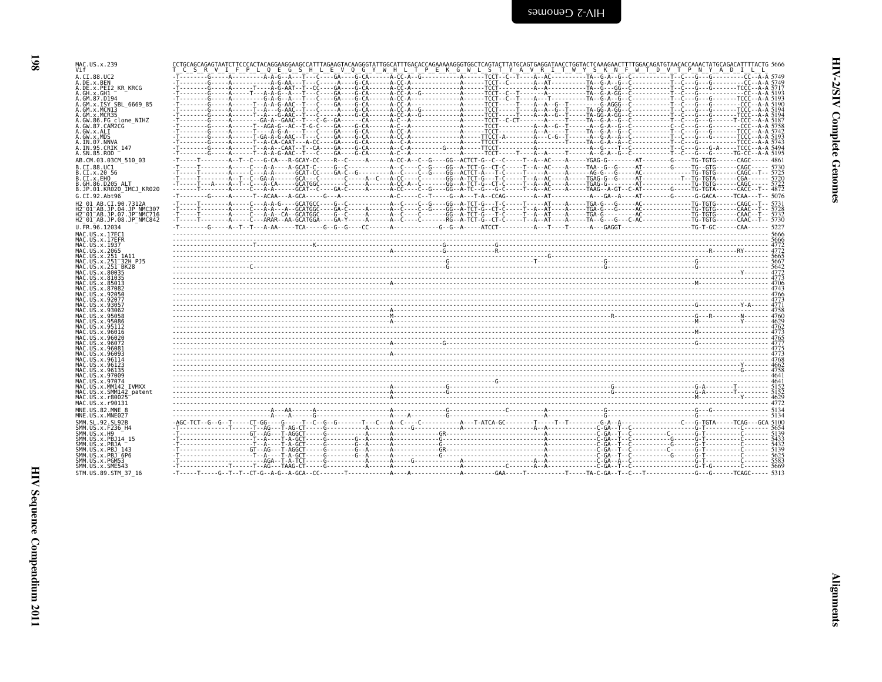| ויי ה<br>י |  |
|------------|--|
| ì<br>i     |  |
| í          |  |

| MAC.US.x.239                                    | CCTGCAGCAGAGTAATCTTCCCACTACAGGAAGGAAGCATTTAGAAGTACAAGGGTATTGGCATTTGACACCAGAAAAAGGGTGGCTCAGTACTTATGCAGTGAGGATAACCTGGTACTCAAAGAACTTTTGGACAGATGTAACACCAAACTATGCAGACATTTTACTG 5666 |  |
|-------------------------------------------------|--------------------------------------------------------------------------------------------------------------------------------------------------------------------------------|--|
| Vif                                             | <u>UCUS RUVUILE PULOLE GUS HULLE VUOLG Y WHILMT PUEUR GUNLLIS TI Y ALVURUINT WYS SORON FI WOTOD VOTPOR PUNIX ADDILLOLI</u>                                                     |  |
| A.CI.88.UC2                                     |                                                                                                                                                                                |  |
| A.DE.x.BEN                                      |                                                                                                                                                                                |  |
| A.DE.x.PEI2 KR KRCG                             |                                                                                                                                                                                |  |
| A.GH.x.GH1                                      |                                                                                                                                                                                |  |
| A.GM.87.D194                                    |                                                                                                                                                                                |  |
| A.GM.x.ISY SBL 6669 85                          |                                                                                                                                                                                |  |
| A.GM.x.MCN13                                    |                                                                                                                                                                                |  |
| A.GM.x.MCR35                                    |                                                                                                                                                                                |  |
| A.GW.86.FG clone NIHZ                           |                                                                                                                                                                                |  |
| A. GW. 87. CAM2CG                               |                                                                                                                                                                                |  |
| A.GW.x.ALI                                      |                                                                                                                                                                                |  |
| A.GW.x.MDS                                      |                                                                                                                                                                                |  |
| A.IN.07.NNVA                                    |                                                                                                                                                                                |  |
| A.IN.95.CRIK 147                                |                                                                                                                                                                                |  |
| A.SN.85.ROD                                     |                                                                                                                                                                                |  |
|                                                 |                                                                                                                                                                                |  |
| AB.CM.03.03CM 510 03                            |                                                                                                                                                                                |  |
| B.CI.88.UC1                                     |                                                                                                                                                                                |  |
| B.CI.X.20 56                                    |                                                                                                                                                                                |  |
| B.CI.X.EHO                                      |                                                                                                                                                                                |  |
| B.GH.86.D205 ALT                                |                                                                                                                                                                                |  |
| B.JP.01.KR020 IMCJ KR020                        |                                                                                                                                                                                |  |
| G.CI.92.Abt96                                   |                                                                                                                                                                                |  |
|                                                 |                                                                                                                                                                                |  |
| H2 01 AB.CI.90.7312A                            |                                                                                                                                                                                |  |
| H2 <sup>-01-AB.JP.04.JP NMC307</sup>            |                                                                                                                                                                                |  |
| H2-01-AB.JP.07.JP-NMC716                        |                                                                                                                                                                                |  |
| H2 <sup>-01-AB.JP.08.JP<sup>-</sup>NMC842</sup> |                                                                                                                                                                                |  |
| U.FR.96.12034                                   |                                                                                                                                                                                |  |
| MAC.US.x.17EC1                                  |                                                                                                                                                                                |  |
| MAC.US.x.17EFR                                  |                                                                                                                                                                                |  |
|                                                 |                                                                                                                                                                                |  |
| MAC.US.x.1937<br>MAC.US.x.2065                  |                                                                                                                                                                                |  |
|                                                 |                                                                                                                                                                                |  |
| MAC.US.x.251_1A11<br>MAC.US.x.251 32H PJ5       |                                                                                                                                                                                |  |
| MAC. US. x. 251 BK28                            |                                                                                                                                                                                |  |
| MAC. US. x.80035                                |                                                                                                                                                                                |  |
| MAC.US.x.81035                                  |                                                                                                                                                                                |  |
| MAC.US.x.85013                                  |                                                                                                                                                                                |  |
| MAC.US.x.87082                                  |                                                                                                                                                                                |  |
| MAC.US.x.92050                                  |                                                                                                                                                                                |  |
| MAC.US.x.92077                                  |                                                                                                                                                                                |  |
| MAC. US. x. 93057                               |                                                                                                                                                                                |  |
| MAC. US. x.93062                                |                                                                                                                                                                                |  |
| MAC.US.x.95058                                  |                                                                                                                                                                                |  |
| MAC.US.x.95086                                  |                                                                                                                                                                                |  |
| MAC.US.x.95112                                  |                                                                                                                                                                                |  |
| MAC.US.x.96016                                  |                                                                                                                                                                                |  |
| MAC.US.x.96020                                  |                                                                                                                                                                                |  |
| MAC.US.x.96072                                  |                                                                                                                                                                                |  |
| MAC.US.x.96081                                  |                                                                                                                                                                                |  |
| MAC.US.x.96093                                  |                                                                                                                                                                                |  |
| MAC.US.x.96114                                  |                                                                                                                                                                                |  |
| MAC.US.x.96123                                  |                                                                                                                                                                                |  |
| MAC.US.x.96135                                  |                                                                                                                                                                                |  |
| MAC.US.x.97009                                  |                                                                                                                                                                                |  |
| MAC.US.x.97074                                  |                                                                                                                                                                                |  |
| MAC.US.x.MM142 IVMXX                            |                                                                                                                                                                                |  |
| MAC.US.x.SMM142 patent                          |                                                                                                                                                                                |  |
| MAC.US.x.r80025                                 |                                                                                                                                                                                |  |
| MAC.US.x.r90131                                 |                                                                                                                                                                                |  |
|                                                 |                                                                                                                                                                                |  |
| MNE.US.82.MNE 8                                 |                                                                                                                                                                                |  |
| MNE.US.x.MNE027                                 |                                                                                                                                                                                |  |
| SMM. SL. 92. SL92B                              |                                                                                                                                                                                |  |
| SMM. US. x. F236_H4                             |                                                                                                                                                                                |  |
| SMM.US.x.H9                                     |                                                                                                                                                                                |  |
| SMM.US.x.PBJ14 15                               |                                                                                                                                                                                |  |
| SMM.US.x.PBJA                                   |                                                                                                                                                                                |  |
| SMM. US. x. PBJ 143                             |                                                                                                                                                                                |  |
| SMM.US.x.PBJ <sup>-6P6</sup>                    |                                                                                                                                                                                |  |
| SMM.US.x.PGM53                                  |                                                                                                                                                                                |  |
|                                                 |                                                                                                                                                                                |  |
|                                                 |                                                                                                                                                                                |  |
| SMM.US.x.SME543<br>STM.US.89.STM 37 16          |                                                                                                                                                                                |  |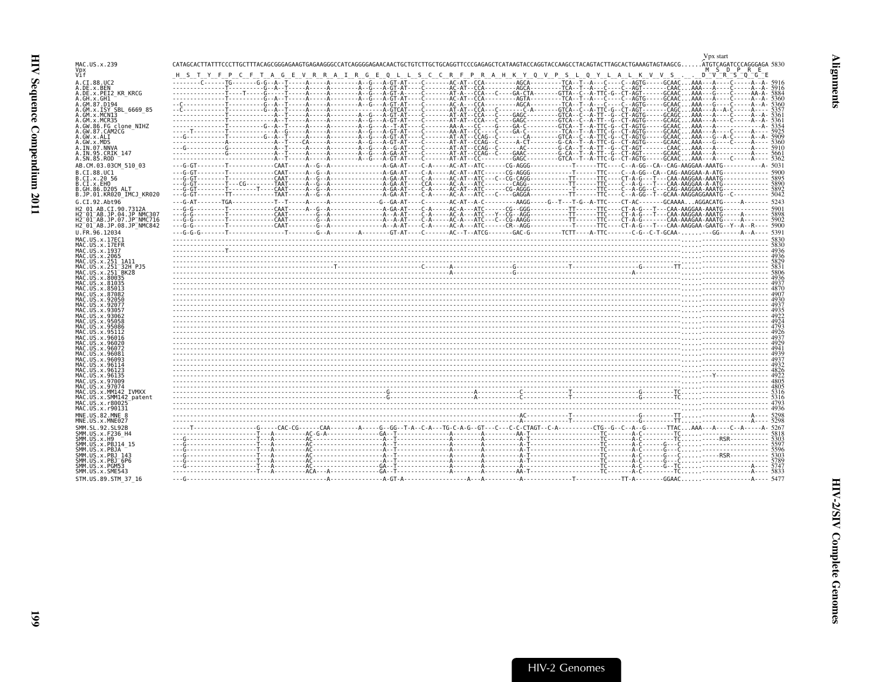<span id="page-40-0"></span>

| MAC.US.x.239                                                                                                       | CATAGCACTTATTTCCCTTGCTTTACAGCGGGAGAAGTGAGAAGGGCCATCAGGGGAGAACAACTGCTGTCTTGCTGCAGGTTCCCGAGAGCTCATAAGTACCAAGCTACCAAGCCTACAGTACTTAGCACTGAAAGTAGTAAGCGATGTCAGATCCCAGGGAGA 5830 |  |
|--------------------------------------------------------------------------------------------------------------------|----------------------------------------------------------------------------------------------------------------------------------------------------------------------------|--|
| Vpx<br>Vìf                                                                                                         | M S D P R E<br>$D - V - R - S - O - G - E$<br>F P C F T A G E V R R A I R G E Q L L S C C R F P R A H K Y Q V P S L Q Y L A L K V V S                                      |  |
| A.CI.88.UC2<br>A.DE.x.BEN                                                                                          |                                                                                                                                                                            |  |
| A.DE.x.PEI2 KR KRCG<br>A.GH.x.GH1                                                                                  |                                                                                                                                                                            |  |
| A.GM.87.D194<br>A.GM.x.ISY SBL 6669 85                                                                             |                                                                                                                                                                            |  |
| A.GM.x.MCNI3                                                                                                       |                                                                                                                                                                            |  |
| A.GM.x.MCR35<br>A.GW.86.FG clone NIHZ                                                                              |                                                                                                                                                                            |  |
| A.GW.87.CAM2CG<br>A.GW.x.ALI                                                                                       |                                                                                                                                                                            |  |
| A.GW.x.MDS<br>A.IN.07.NNVA                                                                                         |                                                                                                                                                                            |  |
| A.IN.95.CRIK 147<br>A.SN.85.ROD                                                                                    |                                                                                                                                                                            |  |
| AB.CM.03.03CM 510 03                                                                                               |                                                                                                                                                                            |  |
| B.CI.88.UC1<br>B.CI.X.20 56                                                                                        |                                                                                                                                                                            |  |
| B.CI.x.EHO                                                                                                         |                                                                                                                                                                            |  |
| B.GH.86.D205 ALT<br>B.JP.01.KR020 IMCJ KR020                                                                       |                                                                                                                                                                            |  |
| G.CI.92.Abt96                                                                                                      |                                                                                                                                                                            |  |
| H2 01 AB.CI.90.7312A<br>H2 <sup>-01-AB.JP.04.JP NMC307</sup>                                                       |                                                                                                                                                                            |  |
| H2 <sup>-</sup> 01 <sup>-</sup> AB.JP.07.JP <sup>-</sup> NMC716<br>H2 <sup>-01-AB.JP.08.JP<sup>-</sup>NMC842</sup> |                                                                                                                                                                            |  |
| U.FR.96.12034                                                                                                      |                                                                                                                                                                            |  |
| MAC.US.x.17EC1<br>MAC.US.x.17EFR                                                                                   |                                                                                                                                                                            |  |
| MAC.US.x.1937<br>MAC.US.x.2065                                                                                     |                                                                                                                                                                            |  |
| MAC. US. x. 251 1A11<br>MAC.US.x.251 32H PJ5                                                                       |                                                                                                                                                                            |  |
| MAC.US.x.251 <sup>-</sup> BK28<br>MAC.US.x.80035                                                                   |                                                                                                                                                                            |  |
| MAC.US.x.81035                                                                                                     |                                                                                                                                                                            |  |
| MAC.US.x.85013<br>MAC.US.x.87082                                                                                   |                                                                                                                                                                            |  |
| MAC.US.x.92050<br>MAC.US.x.92077                                                                                   |                                                                                                                                                                            |  |
| MAC.US.x.93057<br>MAC.US.x.93062                                                                                   |                                                                                                                                                                            |  |
| MAC. U.S. x. 95058<br>MAC. U.S. x. 95086                                                                           |                                                                                                                                                                            |  |
| MAC.US.x.95112<br>MAC.US.x.96016                                                                                   |                                                                                                                                                                            |  |
| MAC.US.x.96020                                                                                                     |                                                                                                                                                                            |  |
| MAC.US.x.96072<br>MAC.US.x.96081                                                                                   |                                                                                                                                                                            |  |
| MAC.US.x.96093<br>MAC. US. x. 96114                                                                                |                                                                                                                                                                            |  |
| MAC.US.x.96123<br>MAC.US.x.96135                                                                                   |                                                                                                                                                                            |  |
| MAC.US.x.97009<br>MAC.US.x.97074                                                                                   |                                                                                                                                                                            |  |
| MAC.US.x.MM142 IVMXX<br>MAC.US.x.SMM142 patent                                                                     |                                                                                                                                                                            |  |
| MAC.US.x.r80025                                                                                                    |                                                                                                                                                                            |  |
| MAC.US.x.r90131<br>MNE.US.82.MNE 8                                                                                 |                                                                                                                                                                            |  |
| MNE.US.x.MNE027                                                                                                    |                                                                                                                                                                            |  |
| SMM.SL.92.SL92B<br>SMM.US.x.F236 H4                                                                                |                                                                                                                                                                            |  |
| SMM, US, x. H9<br>SMM.US.x.PBJ14 15                                                                                |                                                                                                                                                                            |  |
| SMM.US.x.PBJA<br>SMM.US.x.PBJ 143                                                                                  |                                                                                                                                                                            |  |
| $SMM. US. x. PBJ-6P6$<br>SMM.US.x.PGM53                                                                            |                                                                                                                                                                            |  |
| SMM.US.x.SME543                                                                                                    |                                                                                                                                                                            |  |
| STM.US.89.STM 37 16                                                                                                |                                                                                                                                                                            |  |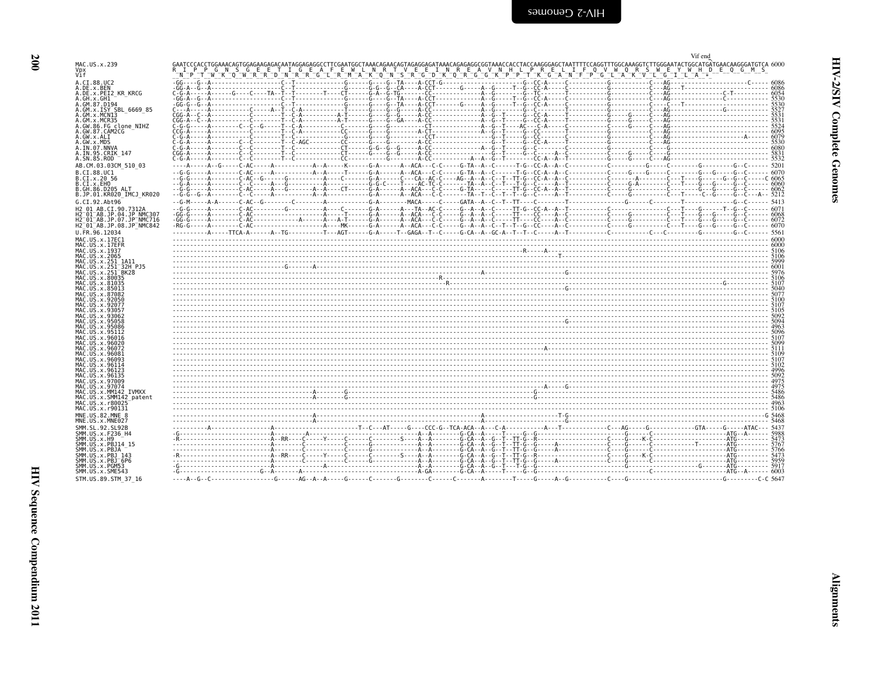<span id="page-41-0"></span>

|                                                                 | Vif end                                                                                                                                                                                            |  |
|-----------------------------------------------------------------|----------------------------------------------------------------------------------------------------------------------------------------------------------------------------------------------------|--|
| MAC.US.x.239                                                    |                                                                                                                                                                                                    |  |
| Vpx<br>Vif                                                      | P P G N S G E E T I G E A F E W L N R T V E E I N R E A V N H L P R E L I F Q V W Q R S W E Y W H D E Q G M S<br>™҇₽҅ℸℹ™Ӝ҄ҵ҄ѿӁЋҀҧ҇ѸӍ҄ҠӁҧӓѤӥҵӥҧѬӆѬѴҵ҄ӝѴҧѴҧӠҧѬѴѻ҃ҧѸ҄ҧҜѸѸҧѸѸѸѸѸҧѴҧѴҧѴҧѴҧѴҧѴҧѴҧѴҧѸѸѸѸѸ |  |
| A.CI.88.UC2                                                     |                                                                                                                                                                                                    |  |
| A.DE.x.BEN                                                      |                                                                                                                                                                                                    |  |
| A.DE.X.PEI2 KR KRCG                                             |                                                                                                                                                                                                    |  |
| A.GH.x.GH1<br>A.GM.87.D194                                      |                                                                                                                                                                                                    |  |
| A.GM.x.ISY SBL 6669 85                                          |                                                                                                                                                                                                    |  |
| A.GM.x.MCNI3                                                    |                                                                                                                                                                                                    |  |
| A.GM.x.MCR35<br>A.GW.86.FG clone NIHZ                           |                                                                                                                                                                                                    |  |
| A.GW.87.CAM2CG                                                  |                                                                                                                                                                                                    |  |
| A.GW.x.ALI                                                      |                                                                                                                                                                                                    |  |
| A.GW.x.MDS<br>A.IN.07.NNVA                                      |                                                                                                                                                                                                    |  |
| A.IN.95.CRIK 147                                                |                                                                                                                                                                                                    |  |
| A.SN.85.ROD                                                     |                                                                                                                                                                                                    |  |
| AB.CM.03.03CM 510 03                                            |                                                                                                                                                                                                    |  |
| B.CI.88.UC1                                                     |                                                                                                                                                                                                    |  |
| B.CI.x.20 56<br>B.CI.x.EHO                                      |                                                                                                                                                                                                    |  |
| B.GH.86.D205 ALT                                                |                                                                                                                                                                                                    |  |
| B.JP.01.KR020 IMCJ KR020                                        |                                                                                                                                                                                                    |  |
| G.CI.92.Abt96                                                   |                                                                                                                                                                                                    |  |
| H2 01 AB.CI.90.7312A<br>H2 <sup>-01-AB.JP.04.JP NMC307</sup>    |                                                                                                                                                                                                    |  |
| H2 <sup>-</sup> 01 <sup>-</sup> AB.JP.07.JP <sup>-</sup> NMC716 |                                                                                                                                                                                                    |  |
| H2 <sup>-01-AB.JP.08.JP<sup>-</sup>NMC842</sup>                 |                                                                                                                                                                                                    |  |
| U.FR.96.12034                                                   |                                                                                                                                                                                                    |  |
| MAC.US.x.17EC1<br>MAC.US.x.17EFR                                |                                                                                                                                                                                                    |  |
| MAC.US.x.1937                                                   |                                                                                                                                                                                                    |  |
| MAC.US.x.2065                                                   |                                                                                                                                                                                                    |  |
| MAC.US.x.251 1A11<br>MAC.US.x.251 32H PJ5                       |                                                                                                                                                                                                    |  |
| MAC.US.x.251 <sup>-</sup> BK28                                  |                                                                                                                                                                                                    |  |
| MAC.US.x.80035                                                  |                                                                                                                                                                                                    |  |
| MAC.US.x.81035<br>MAC.US.x.85013                                |                                                                                                                                                                                                    |  |
| MAC.US.x.87082                                                  |                                                                                                                                                                                                    |  |
| MAC.US.x.92050                                                  |                                                                                                                                                                                                    |  |
| MAC.US.x.92077<br>MAC.US.x.93057                                |                                                                                                                                                                                                    |  |
| MAC.US.x.93062                                                  |                                                                                                                                                                                                    |  |
| MAC.US.x.95058<br>MAC.US.x.95086                                |                                                                                                                                                                                                    |  |
| MAC.US.x.95112                                                  |                                                                                                                                                                                                    |  |
| MAC.US.x.96016                                                  |                                                                                                                                                                                                    |  |
| MAC.US.x.96020<br>MAC.US.x.96072                                |                                                                                                                                                                                                    |  |
| MAC.US.x.96081                                                  |                                                                                                                                                                                                    |  |
| MAC.US.x.96093                                                  |                                                                                                                                                                                                    |  |
| MAC.US.x.96114<br>MAC.US.x.96123                                |                                                                                                                                                                                                    |  |
| MAC.US.x.96135                                                  |                                                                                                                                                                                                    |  |
| MAC.US.x.97009<br>MAC.US.x.97074                                |                                                                                                                                                                                                    |  |
| MAC.US.x.MM142 IVMXX                                            |                                                                                                                                                                                                    |  |
| MAC.US.x.SMM142 patent                                          |                                                                                                                                                                                                    |  |
| MAC.US.x.r80025<br>MAC.US.x.r90131                              |                                                                                                                                                                                                    |  |
| MNE.US.82.MNE 8                                                 |                                                                                                                                                                                                    |  |
| MNE.US.x.MNE027                                                 |                                                                                                                                                                                                    |  |
| SMM.SL.92.SL92B                                                 |                                                                                                                                                                                                    |  |
| SMM.US.x.F236_H4<br>SMM.US.x.H9                                 |                                                                                                                                                                                                    |  |
| SMM.US.x.PBJ14 15                                               |                                                                                                                                                                                                    |  |
| SMM.US.x.PBJA                                                   |                                                                                                                                                                                                    |  |
| SMM.US.x.PBJ 143<br>SMM.US.x.PBJ <sup>-6P6</sup>                |                                                                                                                                                                                                    |  |
| SMM.US.x.PGM53                                                  |                                                                                                                                                                                                    |  |
| SMM.US.x.SME543                                                 |                                                                                                                                                                                                    |  |
| STM.US.89.STM 37 16                                             |                                                                                                                                                                                                    |  |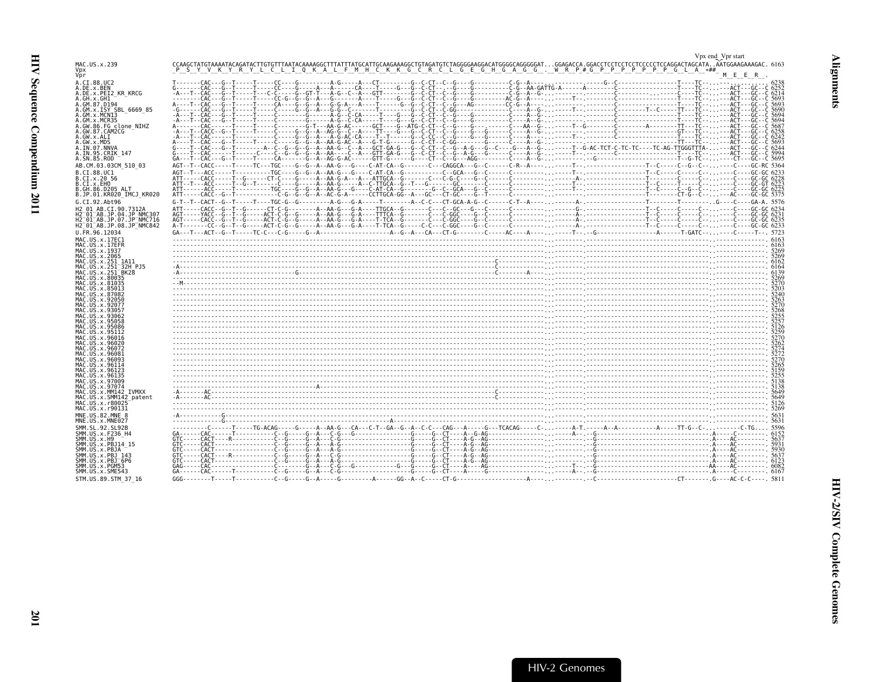<span id="page-42-0"></span>

| MAC.US.x.239<br>Vpx                                                                        |                                                                                                                                                                                                                                                                                                                                                                                                                                                             |        |
|--------------------------------------------------------------------------------------------|-------------------------------------------------------------------------------------------------------------------------------------------------------------------------------------------------------------------------------------------------------------------------------------------------------------------------------------------------------------------------------------------------------------------------------------------------------------|--------|
| Vbr<br>A.CI.88.UC2                                                                         | $A \cdot \frac{1}{1} \cdot \frac{1}{1} \cdot \frac{1}{1} \cdot \frac{1}{1} \cdot \frac{1}{1} \cdot \frac{1}{1} \cdot \frac{1}{1} \cdot \frac{1}{1} \cdot \frac{1}{1} \cdot \frac{1}{1} \cdot \frac{1}{1} \cdot \frac{1}{1} \cdot \frac{1}{1} \cdot \frac{1}{1} \cdot \frac{1}{1} \cdot \frac{1}{1} \cdot \frac{1}{1} \cdot \frac{1}{1} \cdot \frac{1}{1} \cdot \frac{1}{1} \cdot \frac{1}{1} \cdot \frac{1}{1} \cdot \frac{1}{1} \cdot \frac{1}{1} \cdot \$ | E E R. |
| A.DE.x.BEN<br>A.DE.x.PEI2 KR KRCG<br>A.GH.x.GH1                                            |                                                                                                                                                                                                                                                                                                                                                                                                                                                             |        |
| A.GM.87.D194<br>A.GM.x.ISY SBL 6669 85                                                     |                                                                                                                                                                                                                                                                                                                                                                                                                                                             |        |
| A.GM.X.MCNI3<br>A.GM.x.MCR35                                                               |                                                                                                                                                                                                                                                                                                                                                                                                                                                             |        |
| A.GW.86.FG clone NIHZ<br>A.GW.87.CAM2CG<br>A.GW.x.ALI                                      |                                                                                                                                                                                                                                                                                                                                                                                                                                                             |        |
| A.GW.x.MDS<br>A.IN.07.NNVA                                                                 |                                                                                                                                                                                                                                                                                                                                                                                                                                                             |        |
| A.IN.95.CRIK 147<br>A.SN.85.ROD                                                            |                                                                                                                                                                                                                                                                                                                                                                                                                                                             |        |
| AB.CM.03.03CM 510 03<br>B.CI.88.UC1                                                        |                                                                                                                                                                                                                                                                                                                                                                                                                                                             |        |
| B.CI.X.20 56<br>B.CI.X.EHO                                                                 |                                                                                                                                                                                                                                                                                                                                                                                                                                                             |        |
| B.GH.86.D205 ALT<br>B.JP.01.KR020 IMCJ KR020                                               |                                                                                                                                                                                                                                                                                                                                                                                                                                                             |        |
| G.CI.92.Abt96<br>H2 01 AB.CI.90.7312A                                                      |                                                                                                                                                                                                                                                                                                                                                                                                                                                             |        |
| H2 <sup>-</sup> 01 <sup>-</sup> AB.JP.04.JP NMC307<br>H2 <sup>-01-AB.JP.07.JP-NMC716</sup> |                                                                                                                                                                                                                                                                                                                                                                                                                                                             |        |
| H2 <sup>-01-AB.JP.08.JP<sup>-</sup>NMC842</sup><br>U.FR.96.12034                           |                                                                                                                                                                                                                                                                                                                                                                                                                                                             |        |
| MAC.US.x.17EC1<br>MAC.US.x.17EER<br>MAC. US. x. 1937                                       |                                                                                                                                                                                                                                                                                                                                                                                                                                                             |        |
| MAC.US.x.2065<br>MAC.US.x.251 1A11                                                         |                                                                                                                                                                                                                                                                                                                                                                                                                                                             |        |
| MAC.US.x.251 32H PJ5<br>MAC.US.x.251 <sup>-</sup> BK28                                     |                                                                                                                                                                                                                                                                                                                                                                                                                                                             |        |
| MAC.US.x.80035<br>MAC.US.x.81035<br>MAC.US.x.85013                                         |                                                                                                                                                                                                                                                                                                                                                                                                                                                             |        |
| MAC.US.x.87082<br>MAC.US.x.92056                                                           | وستنت المستقل المستقل المستقل المستقل المستقل المستقل المستقل المستقل المستقل المستقل المستقل المستقل المستقل المستقل المستقل المستقل المستقل المستقل المستقل المستقل المستقل المستقل المستقل المستقل المستقل المستقل المستقل                                                                                                                                                                                                                               |        |
| MAC. US. x. 9207<br>MAC.US.x.9305                                                          |                                                                                                                                                                                                                                                                                                                                                                                                                                                             |        |
| MAC.US.x.93062<br>MAC.US.x.95058                                                           |                                                                                                                                                                                                                                                                                                                                                                                                                                                             |        |
| MAC.US.x.95086<br>MAC.US.x.95112<br>MAC.US.x.96016                                         |                                                                                                                                                                                                                                                                                                                                                                                                                                                             |        |
| MAC.US.x.96020<br>MAC.US.x.96072                                                           |                                                                                                                                                                                                                                                                                                                                                                                                                                                             |        |
| MAC. US. x. 96081<br>MAC.US.x.96093                                                        |                                                                                                                                                                                                                                                                                                                                                                                                                                                             |        |
| MAC.US.x.96114<br>MAC.US.x.96123<br>MAC.US.x.96135                                         |                                                                                                                                                                                                                                                                                                                                                                                                                                                             |        |
| MAC.US.x.97009<br>MAC.US.x.97074                                                           |                                                                                                                                                                                                                                                                                                                                                                                                                                                             |        |
| MAC.US.x.MM142 IVMXX<br>MAC.US.x.SMM142 patent                                             |                                                                                                                                                                                                                                                                                                                                                                                                                                                             |        |
| MAC.US.x.r80025<br>MAC.US.x.r90131<br>MNE.US.82.MNE 8                                      |                                                                                                                                                                                                                                                                                                                                                                                                                                                             |        |
| MNE.US.x.MNE027                                                                            |                                                                                                                                                                                                                                                                                                                                                                                                                                                             |        |
| SMM. SL. 92. SL92B<br>SMM.US.x.F236 H4<br>SMM.US.x.H9                                      |                                                                                                                                                                                                                                                                                                                                                                                                                                                             |        |
| SMM.US.x.PBJ14 15<br>SMM.US.x.PBJA                                                         |                                                                                                                                                                                                                                                                                                                                                                                                                                                             |        |
| SMM.US.x.PBJ 143<br>SMM.US.x.PBJ <sup>-6P6</sup>                                           |                                                                                                                                                                                                                                                                                                                                                                                                                                                             |        |
| SMM.US.x.PGM53<br>SMM.US.x.SME543                                                          |                                                                                                                                                                                                                                                                                                                                                                                                                                                             |        |
| STM.US.89.STM 37 16                                                                        |                                                                                                                                                                                                                                                                                                                                                                                                                                                             |        |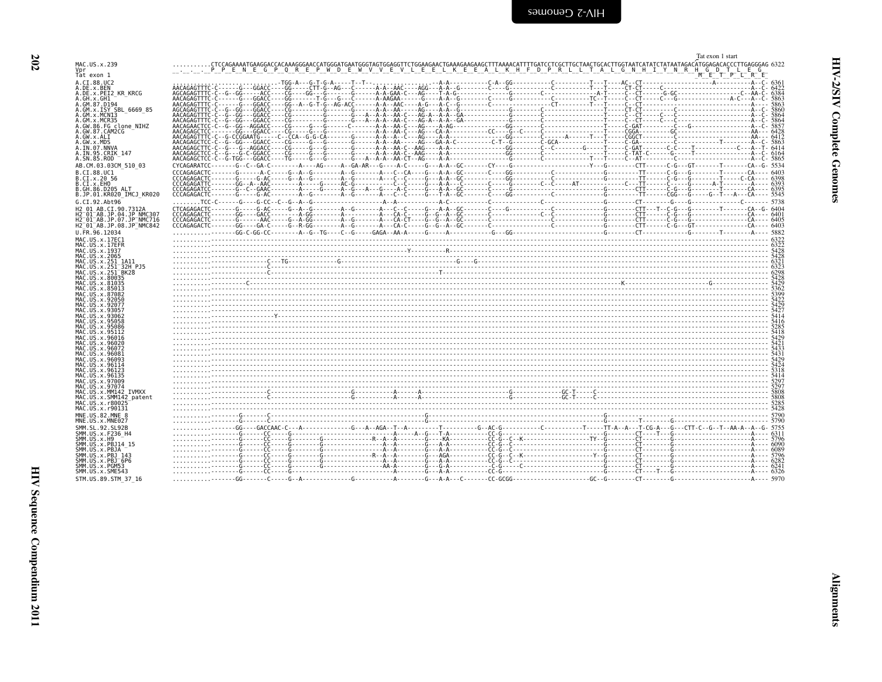<span id="page-43-0"></span>

|                                                                              | Tat exon 1 start                                                                                                                                                      |  |
|------------------------------------------------------------------------------|-----------------------------------------------------------------------------------------------------------------------------------------------------------------------|--|
| MAC.US.x.239                                                                 | .CTCCAGAAAATGAAGGACCACAAAGGGAACCATGGGATGAATGGGTAGTGGAGGTTCTGGAAGAACTGAAAGAAGAAGCTTTAAAACATTTTGATCCTTGGTTACTGCACTTGGTAATCATATTATATAGTAATAGACATGGAGACACCCTTGAGGGAG 6322 |  |
|                                                                              | <u>I DIE NEGPORE PWD E W V VE VILLE ELIK E RALLY PRILLIP RILLIP ALL'IN HIT Y MRAHO GODI LE G</u>                                                                      |  |
| Tat exon 1                                                                   | M E T P L R E                                                                                                                                                         |  |
| A.CI.88.UC2                                                                  |                                                                                                                                                                       |  |
| A.DE.x.BEN                                                                   |                                                                                                                                                                       |  |
| A.DE.x.PEI2 KR KRCG                                                          |                                                                                                                                                                       |  |
| A.GH.x.GH1<br>A.GM.87.D194                                                   |                                                                                                                                                                       |  |
| A.GM.x.ISY SBL 6669 85                                                       |                                                                                                                                                                       |  |
| A.GM.x.MCN13                                                                 |                                                                                                                                                                       |  |
| A.GM.x.MCR35                                                                 |                                                                                                                                                                       |  |
| A.GW.86.FG clone NIHZ                                                        |                                                                                                                                                                       |  |
| A.GW.87.CAM2CG                                                               |                                                                                                                                                                       |  |
| A.GW.x.ALI                                                                   |                                                                                                                                                                       |  |
| A.GW.x.MDS                                                                   |                                                                                                                                                                       |  |
| A.IN.07.NNVA<br>A.IN.95.CRIK 147                                             |                                                                                                                                                                       |  |
| A.SN.85.ROD                                                                  |                                                                                                                                                                       |  |
|                                                                              |                                                                                                                                                                       |  |
| AB.CM.03.03CM 510 03                                                         |                                                                                                                                                                       |  |
| B.CI.88.UC1                                                                  |                                                                                                                                                                       |  |
| B.CI.x.20 56                                                                 |                                                                                                                                                                       |  |
| B.CI.X.EHO<br>B.GH.86.D205 ALT                                               |                                                                                                                                                                       |  |
| B.JP.01.KR020 IMCJ KR020                                                     |                                                                                                                                                                       |  |
| G.CI.92.Abt96                                                                |                                                                                                                                                                       |  |
|                                                                              |                                                                                                                                                                       |  |
| H2 01 AB.CI.90.7312A                                                         |                                                                                                                                                                       |  |
| H2 <sup>-01-AB.JP.04.JP NMC307</sup><br>H2 <sup>-01-AB.JP.07.JP-NMC716</sup> |                                                                                                                                                                       |  |
| H2 <sup>-01-AB.JP.08.JP<sup>-</sup>NMC842</sup>                              |                                                                                                                                                                       |  |
| U.FR.96.12034                                                                |                                                                                                                                                                       |  |
|                                                                              |                                                                                                                                                                       |  |
| MAC.US.x.17EC1                                                               |                                                                                                                                                                       |  |
| MAC.US.x.17EFR<br>MAC.US.x.1937                                              |                                                                                                                                                                       |  |
| MAC.US.x.2065                                                                |                                                                                                                                                                       |  |
| MAC.US.x.251 1A11                                                            |                                                                                                                                                                       |  |
| MAC.US.x.251 32H PJ5                                                         |                                                                                                                                                                       |  |
| MAC.US.x.251 <sup>-</sup> BK28                                               |                                                                                                                                                                       |  |
| MAC.US.x.80035                                                               |                                                                                                                                                                       |  |
| MAC.US.x.81035                                                               |                                                                                                                                                                       |  |
| MAC.US.x.85013<br>MAC.US.x.87082                                             |                                                                                                                                                                       |  |
| MAC.US.x.92050                                                               |                                                                                                                                                                       |  |
| MAC.US.x.92077                                                               |                                                                                                                                                                       |  |
| MAC. US. x. 93057                                                            |                                                                                                                                                                       |  |
| MAC. US. x. 93062                                                            |                                                                                                                                                                       |  |
| MAC.US.x.95058                                                               |                                                                                                                                                                       |  |
| MAC.US.x.95086                                                               |                                                                                                                                                                       |  |
| MAC.US.x.95112                                                               |                                                                                                                                                                       |  |
| MAC.US.x.96016<br>MAC.US.x.96020                                             |                                                                                                                                                                       |  |
| MAC.US.x.96072                                                               |                                                                                                                                                                       |  |
| MAC. US. x. 96081                                                            |                                                                                                                                                                       |  |
| MAC. US. x. 96093                                                            |                                                                                                                                                                       |  |
| MAC.US.x.96114                                                               |                                                                                                                                                                       |  |
| MAC.US.x.96123                                                               |                                                                                                                                                                       |  |
| MAC.US.x.96135                                                               |                                                                                                                                                                       |  |
| MAC.US.x.97009<br>MAC.US.x.97074                                             |                                                                                                                                                                       |  |
| MAC.US.x.MM142 IVMXX                                                         |                                                                                                                                                                       |  |
| MAC.US.x.SMM142 patent                                                       | $-2808$<br>$-8000$ 5088<br>$-8000$ 5088<br>$-8000$ 5088<br>$-8000$ 5088<br>$-8000$ 5088<br>$-800$ 5088                                                                |  |
| MAC.US.x.r80025                                                              |                                                                                                                                                                       |  |
| MAC. U.S. x. r90131                                                          |                                                                                                                                                                       |  |
| MNE.US.82.MNE 8                                                              |                                                                                                                                                                       |  |
| MNE.US.x.MNE027                                                              |                                                                                                                                                                       |  |
| SMM. SL. 92. SL92B                                                           |                                                                                                                                                                       |  |
| SMM.US.x.F236 H4                                                             |                                                                                                                                                                       |  |
| SMM.US.x.H9                                                                  |                                                                                                                                                                       |  |
| SMM.US.x.PBJ14 15                                                            |                                                                                                                                                                       |  |
| SMM.US.x.PBJA                                                                |                                                                                                                                                                       |  |
| SMM. US. x. PBJ 143<br>$SMM. US. x. PBJ-6P6$                                 |                                                                                                                                                                       |  |
| SMM.US.x.PGM53                                                               |                                                                                                                                                                       |  |
| SMM.US.x.SME543                                                              |                                                                                                                                                                       |  |
| STM.US.89.STM 37 16                                                          |                                                                                                                                                                       |  |
|                                                                              |                                                                                                                                                                       |  |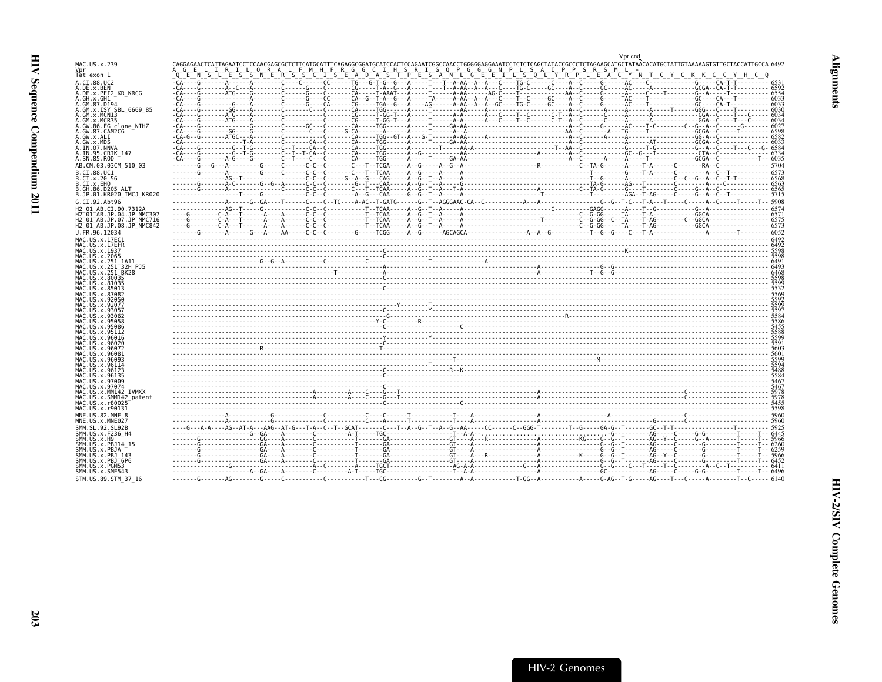<span id="page-44-0"></span>

|                                                                                                    | Vpr end                                                                                                                                                                    |  |
|----------------------------------------------------------------------------------------------------|----------------------------------------------------------------------------------------------------------------------------------------------------------------------------|--|
| MAC.US.x.239                                                                                       | CAGGAGAACTCATTAGAATCCTCCAACGAGCGCTCTTCATGCATTTCAGAGGCGGATGCATCCACTCCAGAATCGGCCAACCTGGGGGAAATCCTCTCTCAGCTATACCGCCCTCTAGAAGCATGCTATAACACATGCTATTGTAAAAAGTGTTGCTACCATGCCACA92 |  |
| Tat exon 1                                                                                         | "LIRIL" QRALF MHF RGGCIH SRIGQPGGCNPLSAIPPPSRSML".<br>FSLESSNERSSONERS GLISTET SRIGQPGGCNPLSAIPPPSRTPSRTIPPSRSML".<br>$E^ N^-$                                             |  |
| A.CI.88.UC2                                                                                        |                                                                                                                                                                            |  |
| A.DE.x.BEN<br>A.DE.x.PEI2 KR KRCG                                                                  |                                                                                                                                                                            |  |
| A.GH.x.GH1<br>A.GM.87.D194                                                                         |                                                                                                                                                                            |  |
| A.GM.x.ISY SBL 6669 85                                                                             |                                                                                                                                                                            |  |
| A.GM.x.MCN13<br>A. GM. x. MCR35                                                                    |                                                                                                                                                                            |  |
| A.GW.86.FG clone NIHZ<br>A.GW.87.CAM2CG                                                            |                                                                                                                                                                            |  |
| A.GW.x.ALI                                                                                         |                                                                                                                                                                            |  |
| A.GW.x.MDS<br>A.IN.07.NNVA                                                                         |                                                                                                                                                                            |  |
| A.IN.95.CRIK 147                                                                                   |                                                                                                                                                                            |  |
| A.SN.85.ROD<br>AB.CM.03.03CM 510 03                                                                |                                                                                                                                                                            |  |
| B.CI.88.UC1                                                                                        |                                                                                                                                                                            |  |
| B.CI.X.20 56                                                                                       |                                                                                                                                                                            |  |
| B.CI.X.EHO<br>B.GH.86.D205 ALT                                                                     |                                                                                                                                                                            |  |
| B.JP.01.KR020 IMCJ KR020                                                                           |                                                                                                                                                                            |  |
| G.CI.92.Abt96<br>H2 01 AB.CI.90.7312A                                                              |                                                                                                                                                                            |  |
| H2 <sup>-01-AB.JP.04.JP NMC307</sup>                                                               |                                                                                                                                                                            |  |
| H2 <sup>-01-AB.JP.07.JP<sup>-</sup>NMC716</sup><br>H2 <sup>-01-AB.JP.08.JP<sup>-</sup>NMC842</sup> |                                                                                                                                                                            |  |
| U.FR.96.12034                                                                                      |                                                                                                                                                                            |  |
| MAC.US.x.17EC1                                                                                     |                                                                                                                                                                            |  |
| MAC.US.x.17EFR<br>MAC.US.x.1937                                                                    |                                                                                                                                                                            |  |
| MAC.US.x.2065<br>MAC.US.x.251 1A11                                                                 |                                                                                                                                                                            |  |
| MAC.US.x.251 <sup>-</sup> 32H PJ5                                                                  |                                                                                                                                                                            |  |
| MAC.US.x.251 <sup>-</sup> BK28<br>MAC.US.x.80035                                                   |                                                                                                                                                                            |  |
| MAC.US.x.81035<br>MAC.US.x.85013                                                                   |                                                                                                                                                                            |  |
| MAC. US. x.87082                                                                                   |                                                                                                                                                                            |  |
| MAC. US. x.92050<br>MAC.US.x.92077                                                                 |                                                                                                                                                                            |  |
| MAC.US.x.93057                                                                                     |                                                                                                                                                                            |  |
| MAC.US.x.93062<br>MAC.US.x.95058                                                                   |                                                                                                                                                                            |  |
| MAC.US.x.95086<br>MAC.US.x.95112                                                                   |                                                                                                                                                                            |  |
| MAC US x 96016                                                                                     |                                                                                                                                                                            |  |
| MAC.US.x.96020<br>MAC.US.x.96072                                                                   |                                                                                                                                                                            |  |
| MAC.US.x.96081<br>MAC.US.x.96093                                                                   |                                                                                                                                                                            |  |
| MAC.US.x.96114                                                                                     |                                                                                                                                                                            |  |
| MAC.US.x.96123<br>MAC.US.x.96135                                                                   |                                                                                                                                                                            |  |
| MAC.US.x.97009                                                                                     |                                                                                                                                                                            |  |
| MAC. US. x. 97074<br>MAC.US.x.MM142 IVMXX                                                          |                                                                                                                                                                            |  |
| MAC.US.x.SMM142 patent<br>MAC.US.x.r80025                                                          |                                                                                                                                                                            |  |
| MAC.US.x.r90131                                                                                    |                                                                                                                                                                            |  |
| MNE.US.82.MNE 8<br>MNE.US.x.MNE027                                                                 |                                                                                                                                                                            |  |
| SMM. SL. 92. SL92B                                                                                 |                                                                                                                                                                            |  |
| SMM.US.x.F236 H4                                                                                   |                                                                                                                                                                            |  |
| SMM.US.x.H9<br>SMM.US.x.PBJ14 15                                                                   |                                                                                                                                                                            |  |
| SMM.US.x.PBJA<br>SMM.US.x.PBJ 143                                                                  |                                                                                                                                                                            |  |
| SMM.US.x.PBJ <sup>-6P6</sup>                                                                       |                                                                                                                                                                            |  |
| SMM.US.x.PGM53<br>SMM.US.x.SME543                                                                  |                                                                                                                                                                            |  |
| STM.US.89.STM 37 16                                                                                |                                                                                                                                                                            |  |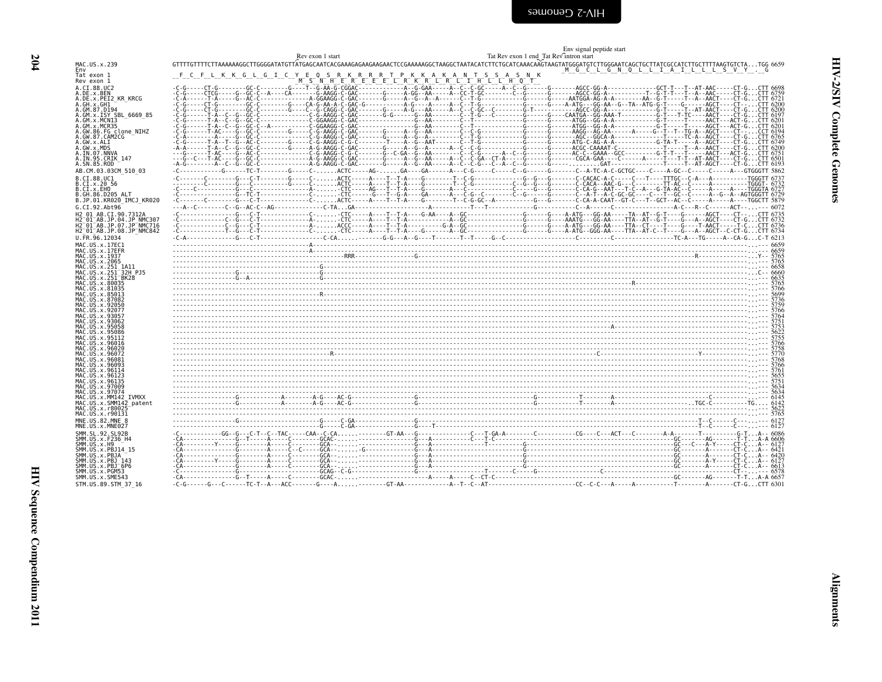<span id="page-45-0"></span>

|                                                        | Env signal peptide start                                                                                                                                                                                                                                                                                                                                                                                     |
|--------------------------------------------------------|--------------------------------------------------------------------------------------------------------------------------------------------------------------------------------------------------------------------------------------------------------------------------------------------------------------------------------------------------------------------------------------------------------------|
| MAC.US.x.239                                           | Rev exon 1 start<br>Tat Rev exon 1 end Tat Rev intron start                                                                                                                                                                                                                                                                                                                                                  |
| Env                                                    | M G C L G N Q L L I A I L L L S V Y . G                                                                                                                                                                                                                                                                                                                                                                      |
| Tat exon 1<br>Rev exon 1                               | $\frac{\text{F\_C\_F\_L\_K\_K\_G\_L\_G\_I\_C\_Y\_I\_G}}{\text{C\_G_1} \cdot \text{C\_G_2} \cdot \text{C\_G_3} \cdot \text{C\_G_4} \cdot \text{C\_G_5} \cdot \text{C\_G_6} \cdot \text{C\_G_6} \cdot \text{C\_G_7} \cdot \text{C\_G_7} \cdot \text{C\_G_7} \cdot \text{C\_G_7} \cdot \text{C\_G_7} \cdot \text{C\_G_7} \cdot \text{C\_G_7} \cdot \text{C\_G_7} \cdot \text{C\_G_7} \cdot \text{C\_G_7} \cdot$ |
| A.CI.88.UC2                                            |                                                                                                                                                                                                                                                                                                                                                                                                              |
| A.DE.x.BEN<br>A.DE.x.PEI2 KR KRCG                      |                                                                                                                                                                                                                                                                                                                                                                                                              |
| A.GH.x.GH1<br>A.GM.87.D194                             |                                                                                                                                                                                                                                                                                                                                                                                                              |
| A.GM.x.ISY SBL 6669 85                                 |                                                                                                                                                                                                                                                                                                                                                                                                              |
| A.GM.X.MCNI3<br>A.GM.x.MCR35                           |                                                                                                                                                                                                                                                                                                                                                                                                              |
| A.GW.86.FG clone NIHZ<br>A.GW.87.CAM2CG                |                                                                                                                                                                                                                                                                                                                                                                                                              |
| A.GW.x.ALI                                             |                                                                                                                                                                                                                                                                                                                                                                                                              |
| A.GW.x.MDS<br>A.IN.07.NNVA                             |                                                                                                                                                                                                                                                                                                                                                                                                              |
| A.IN.95.CRIK 147<br>A.SN.85.ROD                        |                                                                                                                                                                                                                                                                                                                                                                                                              |
| AB.CM.03.03CM 510 03                                   |                                                                                                                                                                                                                                                                                                                                                                                                              |
| B.CI.88.UC1<br>B.CI.x.20 56                            |                                                                                                                                                                                                                                                                                                                                                                                                              |
| B.CI.X.EHO                                             |                                                                                                                                                                                                                                                                                                                                                                                                              |
| B.GH.86.D205 ALT<br>B.JP.01.KR020 IMCJ KR020           |                                                                                                                                                                                                                                                                                                                                                                                                              |
| G.CI.92.Abt96                                          |                                                                                                                                                                                                                                                                                                                                                                                                              |
| H2 01_AB.CI.90.7312A                                   |                                                                                                                                                                                                                                                                                                                                                                                                              |
| H2-01-AB.JP.04.JP_NMC307<br>H2-01-AB.JP.07.JP_NMC716   |                                                                                                                                                                                                                                                                                                                                                                                                              |
| H2 <sup>-01-AB.JP.08.JP<sup>-</sup>NMC842</sup>        |                                                                                                                                                                                                                                                                                                                                                                                                              |
| U.FR.96.12034<br>MAC.US.x.17EC1                        |                                                                                                                                                                                                                                                                                                                                                                                                              |
| MAC.US.x.17EFR                                         |                                                                                                                                                                                                                                                                                                                                                                                                              |
| MAC.US.x.1937<br>MAC.US.x.2065                         |                                                                                                                                                                                                                                                                                                                                                                                                              |
| MAC.US.x.251 1A11<br>MAC.US.x.251 <sup>-</sup> 32H PJ5 |                                                                                                                                                                                                                                                                                                                                                                                                              |
| MAC.US.x.251 BK28                                      |                                                                                                                                                                                                                                                                                                                                                                                                              |
| MAC. US. x.80035<br>MAC. US. x.81035                   |                                                                                                                                                                                                                                                                                                                                                                                                              |
| MAC.US.x.85013<br>MAC.US.x.87082                       |                                                                                                                                                                                                                                                                                                                                                                                                              |
| MAC.US.x.92050<br>MAC.US.x.92077                       |                                                                                                                                                                                                                                                                                                                                                                                                              |
| MAC. US. x. 93057                                      |                                                                                                                                                                                                                                                                                                                                                                                                              |
| MAC. US. x. 93062<br>MAC.US.x.95058                    |                                                                                                                                                                                                                                                                                                                                                                                                              |
| MAC.US.x.95086<br>MAC. US. x. 95112                    |                                                                                                                                                                                                                                                                                                                                                                                                              |
| MAC.US.x.96016                                         |                                                                                                                                                                                                                                                                                                                                                                                                              |
| MAC. US. x. 96020<br>MAC.US.x.96072                    |                                                                                                                                                                                                                                                                                                                                                                                                              |
| MAC.US.x.96081                                         |                                                                                                                                                                                                                                                                                                                                                                                                              |
| MAC.US.x.96093<br>MAC.US.x.96114                       |                                                                                                                                                                                                                                                                                                                                                                                                              |
| MAC.US.x.96123<br>MAC. US. x. 96135                    |                                                                                                                                                                                                                                                                                                                                                                                                              |
| MAC.US.x.97009                                         |                                                                                                                                                                                                                                                                                                                                                                                                              |
| MAC.US.x.97074<br>MAC.US.x.MM142 IVMXX                 |                                                                                                                                                                                                                                                                                                                                                                                                              |
| MAC.US.x.SMM142 patent<br>MAC.US.x.r80025              |                                                                                                                                                                                                                                                                                                                                                                                                              |
| MAC.US.x.r90131                                        |                                                                                                                                                                                                                                                                                                                                                                                                              |
| MNE.US.82.MNE 8<br>MNE.US.x.MNE027                     |                                                                                                                                                                                                                                                                                                                                                                                                              |
| SMM. SL. 92. SL92B                                     |                                                                                                                                                                                                                                                                                                                                                                                                              |
| SMM.US.x.F236 H4<br>SMM.US.x.H9                        |                                                                                                                                                                                                                                                                                                                                                                                                              |
| SMM. US. x. PBJ14 15<br>SMM.US.x.PBJA                  |                                                                                                                                                                                                                                                                                                                                                                                                              |
| SMM.US.x.PBJ 143                                       |                                                                                                                                                                                                                                                                                                                                                                                                              |
| SMM.US.x.PBJ <sup>6P6</sup><br>SMM.US.x.PGM53          |                                                                                                                                                                                                                                                                                                                                                                                                              |
| SMM.US.x.SME543                                        |                                                                                                                                                                                                                                                                                                                                                                                                              |
| STM.US.89.STM 37 16                                    |                                                                                                                                                                                                                                                                                                                                                                                                              |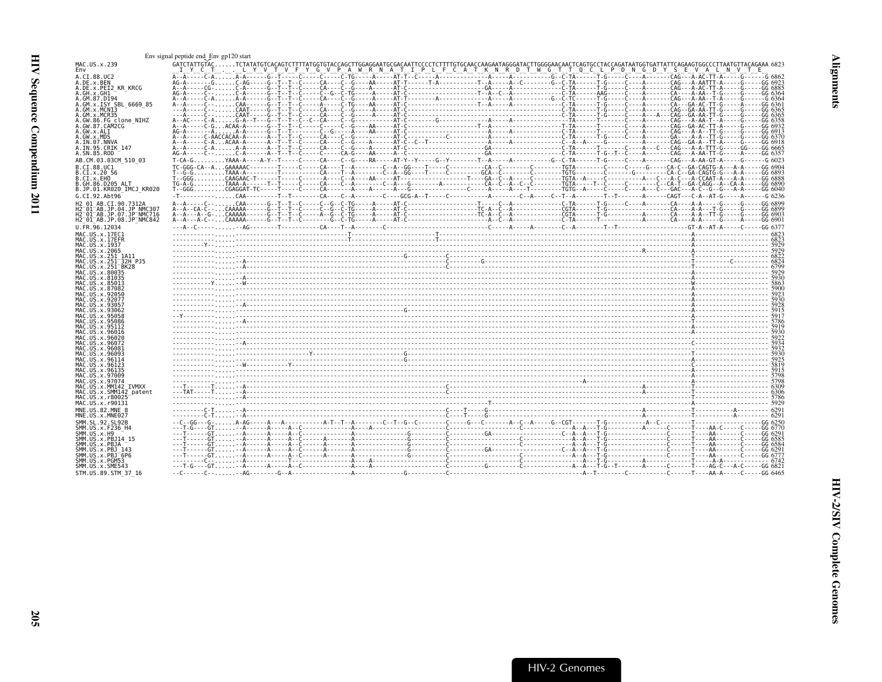<span id="page-46-0"></span>

| MAC.US.x.239                                                                                                          | Env gpl2U start<br>GAICTATTATTGLACACITTITATGENGARI GEOGRAPHICACACITE CACACITE DESCALDARI TECCOTOTITITATGCAACAAAAAGGARIATGGGAACAAE<br>GAICTATTGLACAA COLLITATTGLACAAE 6823<br>T V F Y G V P A W R N A T I P L F C A T K N R D T W G T T Q C L P D N G D Y S E V A L N V T E<br>IYCT. .LYV                                                                                                                                                                                                                                                                                                              |  |
|-----------------------------------------------------------------------------------------------------------------------|-------------------------------------------------------------------------------------------------------------------------------------------------------------------------------------------------------------------------------------------------------------------------------------------------------------------------------------------------------------------------------------------------------------------------------------------------------------------------------------------------------------------------------------------------------------------------------------------------------|--|
| A.CI.88.UC2                                                                                                           |                                                                                                                                                                                                                                                                                                                                                                                                                                                                                                                                                                                                       |  |
| A.DE.x.BEN<br>A.DE.x.PEI2 KR KRCG                                                                                     |                                                                                                                                                                                                                                                                                                                                                                                                                                                                                                                                                                                                       |  |
| A.GH.x.GH1                                                                                                            |                                                                                                                                                                                                                                                                                                                                                                                                                                                                                                                                                                                                       |  |
| A.GM.87.D194<br>A.GM.x.ISY SBL 6669 85                                                                                |                                                                                                                                                                                                                                                                                                                                                                                                                                                                                                                                                                                                       |  |
| A.GM.x.MCNI3                                                                                                          | $A \cdot A \cdot \ldots \cdot C \cdot A \cdot \ldots \cdot A \cdot A \cdot \ldots \cdot C \cdot A \cdot \ldots \cdot A \cdot A \cdot \ldots \cdot C \cdot A \cdot \ldots \cdot C \cdot A \cdot \ldots \cdot C \cdot A \cdot \ldots \cdot C \cdot A \cdot \ldots \cdot C \cdot A \cdot \ldots \cdot C \cdot A \cdot \ldots \cdot C \cdot A \cdot \ldots \cdot C \cdot A \cdot \ldots \cdot C \cdot A \cdot \ldots \cdot C \cdot A \cdot \ldots \cdot C \cdot A \cdot \ldots \cdot C \cdot A \cdot \ldots \cdot C \cdot A \cdot \ldots \cdot C \cdot A \cdot \ldots \cdot C \cdot A \cdot \ldots \cdot$ |  |
| 4.GM.x.MCR35                                                                                                          |                                                                                                                                                                                                                                                                                                                                                                                                                                                                                                                                                                                                       |  |
| A.GW.86.FG clone NIHZ<br>A.GW.87.CAM2CG                                                                               |                                                                                                                                                                                                                                                                                                                                                                                                                                                                                                                                                                                                       |  |
| A.GW.x.ALI                                                                                                            |                                                                                                                                                                                                                                                                                                                                                                                                                                                                                                                                                                                                       |  |
| A.GW.x.MDS<br>A.IN.07.NNVA                                                                                            |                                                                                                                                                                                                                                                                                                                                                                                                                                                                                                                                                                                                       |  |
|                                                                                                                       |                                                                                                                                                                                                                                                                                                                                                                                                                                                                                                                                                                                                       |  |
| AB.CM.03.03CM 510 03                                                                                                  | T-CA-GYAAA-A----A-Y--T-----C-----CA----C-C--G-----RA-----AT-Y--Y-----G--Y--------T-A-----G-C-TA------T-G-----C---------CA------GA-GT-A-----G023                                                                                                                                                                                                                                                                                                                                                                                                                                                       |  |
| B.CI.88.UC1                                                                                                           |                                                                                                                                                                                                                                                                                                                                                                                                                                                                                                                                                                                                       |  |
| B.CI.x.20 56                                                                                                          |                                                                                                                                                                                                                                                                                                                                                                                                                                                                                                                                                                                                       |  |
| B.CI.x.EHO<br>B.GH.86.D205 ALT                                                                                        |                                                                                                                                                                                                                                                                                                                                                                                                                                                                                                                                                                                                       |  |
| B.JP.01.KR020 IMCJ KR020                                                                                              |                                                                                                                                                                                                                                                                                                                                                                                                                                                                                                                                                                                                       |  |
| G.CI.92.Abt96                                                                                                         | -T-----------CAA---------T--T-------CA----C--A-------C---GCG-A--T-----C---------A-------C-A------C-T--A-------T--T------T--T-----C-AGT---C-A--AT-G-----A-------G 6236                                                                                                                                                                                                                                                                                                                                                                                                                                 |  |
| H2 01 AB.CI.90.7312A                                                                                                  |                                                                                                                                                                                                                                                                                                                                                                                                                                                                                                                                                                                                       |  |
| H2 <sup>-</sup> 01 <sup>-</sup> AB.JP.04.JP NMC307<br>H2 <sup>-</sup> 01 <sup>-</sup> AB.JP.07.JP <sup>-</sup> NMC716 |                                                                                                                                                                                                                                                                                                                                                                                                                                                                                                                                                                                                       |  |
| H2 <sup>-</sup> 01 <sup>-</sup> AB.JP.08.JP <sup>-</sup> NMC842                                                       |                                                                                                                                                                                                                                                                                                                                                                                                                                                                                                                                                                                                       |  |
| U.FR.96.12034                                                                                                         |                                                                                                                                                                                                                                                                                                                                                                                                                                                                                                                                                                                                       |  |
| MAC.US.x.17EC1                                                                                                        |                                                                                                                                                                                                                                                                                                                                                                                                                                                                                                                                                                                                       |  |
| MAC.US.x.17EFR<br>MAC.US.x.1937                                                                                       |                                                                                                                                                                                                                                                                                                                                                                                                                                                                                                                                                                                                       |  |
| MAC.US.x.2065                                                                                                         |                                                                                                                                                                                                                                                                                                                                                                                                                                                                                                                                                                                                       |  |
| MAC.US.x.251 1A11<br>MAC.US.x.251 <sup>-</sup> 32H PJ5                                                                |                                                                                                                                                                                                                                                                                                                                                                                                                                                                                                                                                                                                       |  |
| MAC.US.x.251 <sup>-</sup> BK28                                                                                        |                                                                                                                                                                                                                                                                                                                                                                                                                                                                                                                                                                                                       |  |
| MAC.US.x.80035<br>MAC.US.x.81035                                                                                      |                                                                                                                                                                                                                                                                                                                                                                                                                                                                                                                                                                                                       |  |
| MAC.US.x.85013                                                                                                        |                                                                                                                                                                                                                                                                                                                                                                                                                                                                                                                                                                                                       |  |
|                                                                                                                       |                                                                                                                                                                                                                                                                                                                                                                                                                                                                                                                                                                                                       |  |
|                                                                                                                       |                                                                                                                                                                                                                                                                                                                                                                                                                                                                                                                                                                                                       |  |
| MAC US x 9305.<br>MAC.US.x.93062                                                                                      |                                                                                                                                                                                                                                                                                                                                                                                                                                                                                                                                                                                                       |  |
| MAC.US.x.95058                                                                                                        |                                                                                                                                                                                                                                                                                                                                                                                                                                                                                                                                                                                                       |  |
| MAC.US.x.95086<br>MAC.US.x.95112                                                                                      |                                                                                                                                                                                                                                                                                                                                                                                                                                                                                                                                                                                                       |  |
| MAC.US.x.96016                                                                                                        |                                                                                                                                                                                                                                                                                                                                                                                                                                                                                                                                                                                                       |  |
| MAC.US.x.96020<br>MAC.US.x.96072                                                                                      |                                                                                                                                                                                                                                                                                                                                                                                                                                                                                                                                                                                                       |  |
| MAC.US.x.96081                                                                                                        |                                                                                                                                                                                                                                                                                                                                                                                                                                                                                                                                                                                                       |  |
| MAC.US.x.96093<br>MAC.US.x.96114                                                                                      |                                                                                                                                                                                                                                                                                                                                                                                                                                                                                                                                                                                                       |  |
| MAC.US.x.96123                                                                                                        |                                                                                                                                                                                                                                                                                                                                                                                                                                                                                                                                                                                                       |  |
| MAC.US.x.96135<br>MAC.US.x.97009                                                                                      |                                                                                                                                                                                                                                                                                                                                                                                                                                                                                                                                                                                                       |  |
| MAC.US.x.97074                                                                                                        |                                                                                                                                                                                                                                                                                                                                                                                                                                                                                                                                                                                                       |  |
| MAC.US.x.MM142 IVMXX                                                                                                  |                                                                                                                                                                                                                                                                                                                                                                                                                                                                                                                                                                                                       |  |
| MAC.US.x.SMM142 patent<br>MAC.US.x.r80025                                                                             |                                                                                                                                                                                                                                                                                                                                                                                                                                                                                                                                                                                                       |  |
| MAC.US.x.r90131                                                                                                       |                                                                                                                                                                                                                                                                                                                                                                                                                                                                                                                                                                                                       |  |
| MNE.US.82.MNE                                                                                                         |                                                                                                                                                                                                                                                                                                                                                                                                                                                                                                                                                                                                       |  |
| MNE.US.x.MNE027<br>SMM.SL.92.SL92B                                                                                    |                                                                                                                                                                                                                                                                                                                                                                                                                                                                                                                                                                                                       |  |
| SMM.US.x.F236 H4                                                                                                      |                                                                                                                                                                                                                                                                                                                                                                                                                                                                                                                                                                                                       |  |
| SMM.US.x.H9                                                                                                           |                                                                                                                                                                                                                                                                                                                                                                                                                                                                                                                                                                                                       |  |
| SMM.US.x.PBJ14 15<br>SMM.US.x.PBJA                                                                                    |                                                                                                                                                                                                                                                                                                                                                                                                                                                                                                                                                                                                       |  |
| SMM.US.x.PBJ 143                                                                                                      |                                                                                                                                                                                                                                                                                                                                                                                                                                                                                                                                                                                                       |  |
| SMM.US.x.PBJ <sup>-</sup> 6P6<br>SMM.US.x.PGM53                                                                       |                                                                                                                                                                                                                                                                                                                                                                                                                                                                                                                                                                                                       |  |
| SMM.US.x.SME543                                                                                                       |                                                                                                                                                                                                                                                                                                                                                                                                                                                                                                                                                                                                       |  |
| STM.US.89.STM 37 16                                                                                                   |                                                                                                                                                                                                                                                                                                                                                                                                                                                                                                                                                                                                       |  |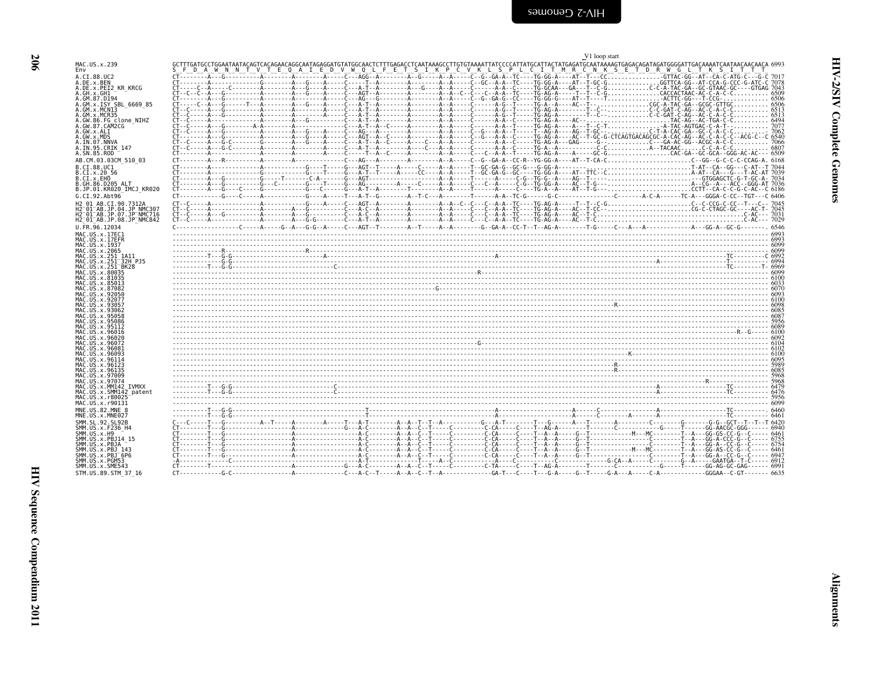| I |  |
|---|--|

<span id="page-47-0"></span>

|                                                                                | V1 loop start                                                                                                                                                                                                                                                                                      |
|--------------------------------------------------------------------------------|----------------------------------------------------------------------------------------------------------------------------------------------------------------------------------------------------------------------------------------------------------------------------------------------------|
| MAC.US.x.239<br>Env                                                            | GCTTTGATGCCTGGAATAATACAGTCACAGAACAGGCAATAGAGGATGTATGGCAACTCTTTGAGACCTCAATAAAGCCTTGTGTAAAATTATCCCCATTATGCATTACTATGAGATGCAATAAAAGTGAGACAGATAGAGTGGGGATTGACAAAATCAATAACAACAACA 6993<br>SLELD ALW NUN TUVIT ELO ALILELD VUW OLL FLELT SIILK PLC VUK LUSIPLL CII TUMIR C'N KIS ETT DIR WYS LYTTY STILLY |
| A.CI.88.UC2                                                                    |                                                                                                                                                                                                                                                                                                    |
| A.DE.x.BEN<br>A.DE.x.PEI2 KR KRCG                                              |                                                                                                                                                                                                                                                                                                    |
| A.GH.x.GH1<br>A.GM.87.D194                                                     |                                                                                                                                                                                                                                                                                                    |
| A.GM.x.ISY SBL 6669 85<br>A.GM.x.MCNI3                                         |                                                                                                                                                                                                                                                                                                    |
| A.GM.x.MCR35                                                                   |                                                                                                                                                                                                                                                                                                    |
| A.GW.86.FG clone_NIHZ<br>A.GW.87.CAM2CG<br>A.GW.x.ALI                          |                                                                                                                                                                                                                                                                                                    |
| A.GW.x.MDS<br>A.IN.07.NNVA                                                     |                                                                                                                                                                                                                                                                                                    |
| A.IN.95.CRIK 147<br>A.SN.85.ROD                                                |                                                                                                                                                                                                                                                                                                    |
| AB.CM.03.03CM 510 03                                                           |                                                                                                                                                                                                                                                                                                    |
| B.CI.88.UC1<br>B.CI.X.20 56                                                    |                                                                                                                                                                                                                                                                                                    |
| B.CI.x.EHO<br>B.GH.86.D205 ALT                                                 |                                                                                                                                                                                                                                                                                                    |
| B.JP.01.KR020 IMCJ KR020                                                       |                                                                                                                                                                                                                                                                                                    |
| G.CI.92.Abt96<br>H2 01 AB.CI.90.7312A                                          |                                                                                                                                                                                                                                                                                                    |
| H2 <sup>-</sup> 01 <sup>-</sup> AB.JP.04.JP NMC307<br>H2-01-AB.JP.07.JP-NMC716 |                                                                                                                                                                                                                                                                                                    |
| H2 <sup>-01-AB.JP.08.JP<sup>-</sup>NMC842</sup>                                |                                                                                                                                                                                                                                                                                                    |
| U.FR.96.12034<br>MAC.US.x.17EC1                                                | C ----------------C -----A ----G --A ---G -G --A ----C ---AGT --T -------A --T -----A -A ------G --GA-A --CC -T --T --AGA --------T -G ----C ----A ---A ------------------ GG-A --GC -G -------- 6546                                                                                              |
| MAC.US.x.17EFR<br>MAC.US.x.1937                                                |                                                                                                                                                                                                                                                                                                    |
| MAC.US.x.2065                                                                  |                                                                                                                                                                                                                                                                                                    |
| MAC.US.x.251 1A11<br>MAC.US.x.251 32H PJ5                                      |                                                                                                                                                                                                                                                                                                    |
| MAC.US.x.251 <sup>-</sup> BK28<br>MAC.US.x.80035                               |                                                                                                                                                                                                                                                                                                    |
| MAC.US.x.81035<br>MAC.US.x.85013                                               |                                                                                                                                                                                                                                                                                                    |
| MAC.US.x.87082<br>MAC. US. x. 92050                                            |                                                                                                                                                                                                                                                                                                    |
| MAC.US.x.92077<br>MAC.US.x.93057                                               |                                                                                                                                                                                                                                                                                                    |
| MAC.US.x.93062<br>MAC.US.x.95058                                               |                                                                                                                                                                                                                                                                                                    |
| MAC.US.x.95086<br>MAC.US.x.95112                                               |                                                                                                                                                                                                                                                                                                    |
| MAC.US.x.96016<br>MAC.US.x.96020                                               |                                                                                                                                                                                                                                                                                                    |
| MAC.US.x.96072<br>MAC.US.x.96081                                               |                                                                                                                                                                                                                                                                                                    |
| MAC.US.x.96093                                                                 |                                                                                                                                                                                                                                                                                                    |
| MAC.US.x.96114<br>MAC.US.x.96123                                               |                                                                                                                                                                                                                                                                                                    |
| MAC.US.x.96135<br>MAC.US.x.97009                                               |                                                                                                                                                                                                                                                                                                    |
| MAC.US.x.97074<br>MAC.US.x.MM142 IVMXX                                         | 5968                                                                                                                                                                                                                                                                                               |
| MAC.US.x.SMM142 patent<br>MAC.US.x.r80025                                      |                                                                                                                                                                                                                                                                                                    |
| MAC.US.x.r90131<br>MNE.US.82.MNE 8                                             |                                                                                                                                                                                                                                                                                                    |
| MNE.US.x.MNE027                                                                |                                                                                                                                                                                                                                                                                                    |
| SMM. SL. 92. SL92B<br>SMM.US.x.F236 H4                                         |                                                                                                                                                                                                                                                                                                    |
| SMM.US.x.H9<br>SMM.US.x.PBJ14 15                                               |                                                                                                                                                                                                                                                                                                    |
| SMM.US.x.PBJA<br>SMM.US.x.PBJ 143                                              |                                                                                                                                                                                                                                                                                                    |
| SMM.US.x.PBJ <sup>-6P6</sup><br>SMM.US.x.PGM53                                 |                                                                                                                                                                                                                                                                                                    |
| SMM.US.x.SME543                                                                |                                                                                                                                                                                                                                                                                                    |
| STM.US.89.STM 37 16                                                            |                                                                                                                                                                                                                                                                                                    |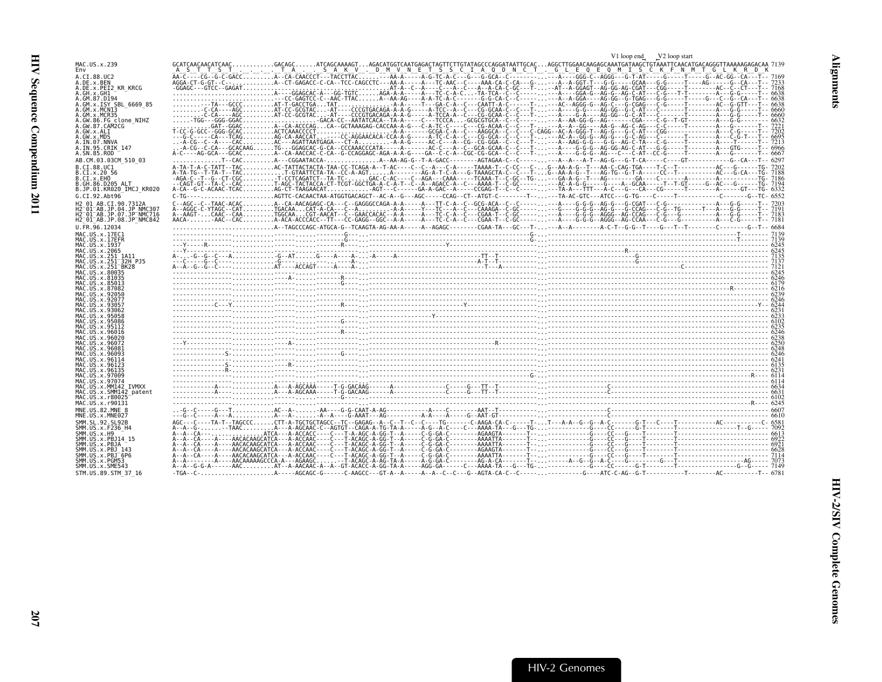<span id="page-48-0"></span>

|                                                                  |                                                                                                                                                                       | V1 loop end<br>V <sub>2</sub> loop start |  |
|------------------------------------------------------------------|-----------------------------------------------------------------------------------------------------------------------------------------------------------------------|------------------------------------------|--|
| MAC.US.x.239<br>Env                                              |                                                                                                                                                                       |                                          |  |
| A.CI.88.UC2                                                      |                                                                                                                                                                       |                                          |  |
| A.DE.x.BEN                                                       |                                                                                                                                                                       |                                          |  |
| A.DE.x.PEI2 KR KRCG<br>A.GH.X.GH1                                |                                                                                                                                                                       |                                          |  |
| A.GM.87.D194                                                     |                                                                                                                                                                       |                                          |  |
| A.GM.x.ISY SBL_6669_85<br>A.GM.x.MCN13                           |                                                                                                                                                                       |                                          |  |
| A.GM.x.MCR35                                                     |                                                                                                                                                                       |                                          |  |
| A.GW.86.FG clone NIHZ<br>A.GW.87.CAM2CG                          |                                                                                                                                                                       |                                          |  |
| A.GW.x.ALI                                                       |                                                                                                                                                                       |                                          |  |
| A.GW.x.MDS                                                       |                                                                                                                                                                       |                                          |  |
| A.IN.07.NNVA<br>A. IN. 95. CRIK 147                              |                                                                                                                                                                       |                                          |  |
| A.SN.85.ROD                                                      |                                                                                                                                                                       |                                          |  |
| AB.CM.03.03CM 510 03                                             |                                                                                                                                                                       |                                          |  |
| B.CI.88.UC1                                                      |                                                                                                                                                                       |                                          |  |
| B.CI.x.20 56<br>B.CI.x.EHO                                       |                                                                                                                                                                       |                                          |  |
| B.GH.86.D205 ALT                                                 |                                                                                                                                                                       |                                          |  |
| B.JP.01.KR020 IMCJ KR020                                         | C-TG----AGTTC-CACAACTAA-ATGGTGACAGCT--AC-A--G---AGC-----CCAG--CT--ATGT-C-------T-----TA-AC-GTC---ATCC---G-TG----C-----T---------C-------C-------G--TC------G---C----- |                                          |  |
| G.CI.92.Abt96<br>H2 01 AB.CI.90.7312A                            |                                                                                                                                                                       |                                          |  |
| H2 01 AB.JP.04.JP NMC307                                         |                                                                                                                                                                       |                                          |  |
| H2 <sup>-01-AB.JP.07.JP-NMC716</sup>                             |                                                                                                                                                                       |                                          |  |
| H2 <sup>-01-AB.JP.08.JP<sup>-</sup>NMC842</sup><br>U.FR.96.12034 |                                                                                                                                                                       |                                          |  |
| MAC.US.x.17EC1                                                   |                                                                                                                                                                       |                                          |  |
| MAC.US.x.17EFR                                                   |                                                                                                                                                                       |                                          |  |
| MAC.US.x.1937<br>MAC.US.x.2065                                   |                                                                                                                                                                       |                                          |  |
| MAC.US.x.251 1A11                                                |                                                                                                                                                                       |                                          |  |
| MAC.US.x.251 <sup>-32H</sup> PJ5                                 |                                                                                                                                                                       |                                          |  |
| MAC.US.x.251 <sup>-</sup> BK28<br>MAC. US. x. 80035              |                                                                                                                                                                       |                                          |  |
| MAC.US.x.81035                                                   |                                                                                                                                                                       |                                          |  |
| MAC.US.x.85013<br>MAC.US.x.87082                                 |                                                                                                                                                                       |                                          |  |
|                                                                  |                                                                                                                                                                       |                                          |  |
|                                                                  |                                                                                                                                                                       |                                          |  |
|                                                                  |                                                                                                                                                                       |                                          |  |
| MAC.US.x.95086                                                   |                                                                                                                                                                       |                                          |  |
| MAC. US. x.95112                                                 |                                                                                                                                                                       |                                          |  |
| MAC.US.x.96016                                                   |                                                                                                                                                                       |                                          |  |
| MAC.US.x.96020<br>MAC.US.x.96072                                 |                                                                                                                                                                       |                                          |  |
| MAC.US.x.96081                                                   |                                                                                                                                                                       |                                          |  |
| MAC.US.x.96093<br>MAC.US.x.96114                                 |                                                                                                                                                                       |                                          |  |
| MAC.US.x.96123                                                   |                                                                                                                                                                       |                                          |  |
| MAC.US.x.96135<br>MAC.US.x.97009                                 |                                                                                                                                                                       |                                          |  |
| MAC.US.x.97074                                                   |                                                                                                                                                                       |                                          |  |
| MAC.US.x.MM142 IVMXX<br>MAC.US.x.SMM142 patent                   |                                                                                                                                                                       |                                          |  |
| MAC. US. x. r80025                                               |                                                                                                                                                                       |                                          |  |
| MAC.US.x.r90131                                                  |                                                                                                                                                                       |                                          |  |
| MNE.US.82.MNE 8<br>MNE.US.x.MNE027                               |                                                                                                                                                                       |                                          |  |
| SMM.SL.92.SL92B                                                  |                                                                                                                                                                       |                                          |  |
| SMM. US. x. F236 H4                                              |                                                                                                                                                                       |                                          |  |
| SMM.US.x.H9<br>SMM. US. x. PBJ14 15                              |                                                                                                                                                                       |                                          |  |
| SMM.US.x.PBJA                                                    |                                                                                                                                                                       |                                          |  |
| SMM.US.x.PBJ 143<br>SMM.US.x.PBJ 6P6                             |                                                                                                                                                                       |                                          |  |
| SMM.US.x.PGM53                                                   |                                                                                                                                                                       |                                          |  |
| SMM.US.x.SME543                                                  |                                                                                                                                                                       |                                          |  |
| STM.US.89.STM 37 16                                              |                                                                                                                                                                       |                                          |  |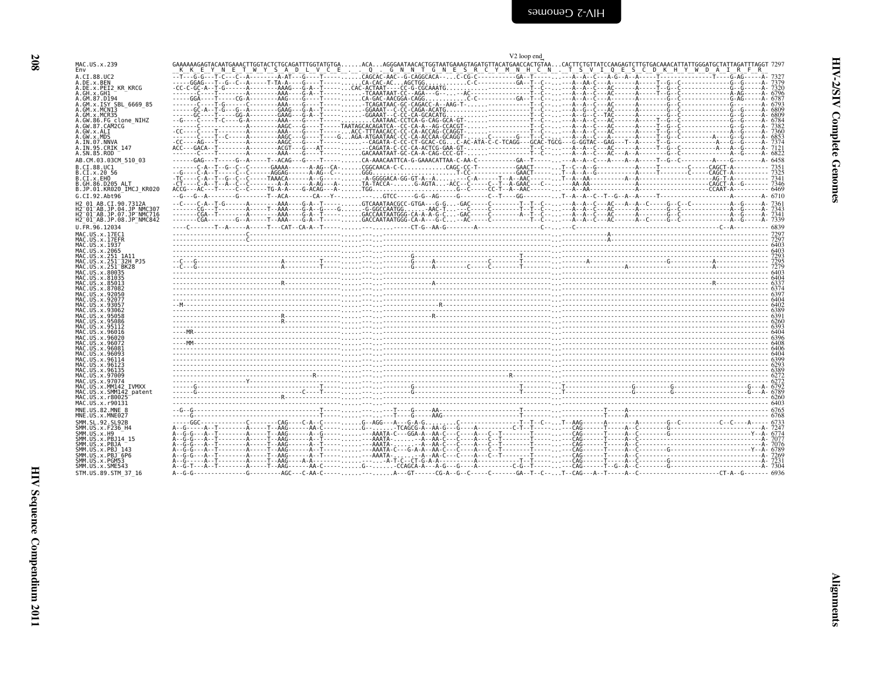| ŗ, |   |
|----|---|
| ⋍  | Е |

<span id="page-49-0"></span>

|                                                                                  | V <sub>2</sub> loop end                                                                                                                                                                                                          |
|----------------------------------------------------------------------------------|----------------------------------------------------------------------------------------------------------------------------------------------------------------------------------------------------------------------------------|
| MAC.US.x.239<br>Fnv                                                              | GAAAAAAGAGTACAATGAAACTTGGTACTCTGCAGATTTGGTATGTGAACAAGGGAATAACACTGGTAATGAAAGTAGATGTTACATGAACCACTGTAACACTTCTGTTATCCAAGAGTCTTGTGACAAACATTATTGGGATGCTATTAGATTTAGGT 7297                                                              |
| A.CI.88.UC2                                                                      |                                                                                                                                                                                                                                  |
| A.DE.x.BEN<br>A.DE.x.PEI2 KR KRCG                                                |                                                                                                                                                                                                                                  |
| A.GH.x.GH1                                                                       |                                                                                                                                                                                                                                  |
| A.GM.87.D194<br>A.GM.x.ISY SBL 6669 85                                           |                                                                                                                                                                                                                                  |
| A.GM.x.MCNI3                                                                     |                                                                                                                                                                                                                                  |
| .GM.x.MCR35<br>.GW.86.FG clone NIHZ                                              |                                                                                                                                                                                                                                  |
| .GW.87.CAM2CG                                                                    |                                                                                                                                                                                                                                  |
| .GW.x.ALI<br>.GW.x.MDS                                                           |                                                                                                                                                                                                                                  |
| A.IN.07.NNVA                                                                     |                                                                                                                                                                                                                                  |
| A.IN.95.CRIK 147<br>A.SN.85.ROD                                                  |                                                                                                                                                                                                                                  |
| AB.CM.03.03CM 510 03                                                             |                                                                                                                                                                                                                                  |
| B.CI.88.UC1                                                                      |                                                                                                                                                                                                                                  |
| B.CI.x.20 56<br>B.CI.x.EHO                                                       |                                                                                                                                                                                                                                  |
| .GH.86.D205 ALT                                                                  |                                                                                                                                                                                                                                  |
| B.JP.01.KR020 IMCJ KR020                                                         |                                                                                                                                                                                                                                  |
| G.CI.92.Abt96                                                                    |                                                                                                                                                                                                                                  |
| H2 01 AB.CI.90.7312A<br>H2 <sup>-</sup> 01 <sup>-</sup> AB.JP.04.JP NMC307       |                                                                                                                                                                                                                                  |
| H2 <sup>-</sup> 01 <sup>-</sup> AB.JP.07.JP <sup>-</sup> NMC716                  |                                                                                                                                                                                                                                  |
| H2 <sup>-</sup> 01 <sup>-</sup> AB.JP.08.JP <sup>-</sup> NMC842<br>U.FR.96.12034 |                                                                                                                                                                                                                                  |
| MAC.US.x.17EC1                                                                   |                                                                                                                                                                                                                                  |
| MAC.US.x.17EFR                                                                   |                                                                                                                                                                                                                                  |
| MAC.US.x.1937<br>MAC.US.x.2065                                                   |                                                                                                                                                                                                                                  |
| MAC.US.x.251 1A11                                                                |                                                                                                                                                                                                                                  |
| MAC.US.x.251 <sup>-</sup> 32H PJ5                                                |                                                                                                                                                                                                                                  |
| MAC.US.x.251 <sup>-</sup> BK28<br>MAC.US.x.80035                                 |                                                                                                                                                                                                                                  |
| MAC.US.x.81035                                                                   |                                                                                                                                                                                                                                  |
| MAC.US.x.85013<br>MAC.US.x.87082                                                 |                                                                                                                                                                                                                                  |
| MAC.US.x.92056<br>MAC.US.x.92077                                                 |                                                                                                                                                                                                                                  |
| MAC US x 93057                                                                   |                                                                                                                                                                                                                                  |
| MAC.US.x.93062<br>MAC.US.x.95058                                                 |                                                                                                                                                                                                                                  |
| MAC.US.x.95086                                                                   |                                                                                                                                                                                                                                  |
| MAC.US.x.95112                                                                   |                                                                                                                                                                                                                                  |
| MAC.US.x.96016<br>MAC.US.x.96020                                                 |                                                                                                                                                                                                                                  |
| MAC.US.x.96072                                                                   |                                                                                                                                                                                                                                  |
| MAC.US.x.96081<br>MAC US x 9609                                                  |                                                                                                                                                                                                                                  |
| MAC.US.x.96114                                                                   |                                                                                                                                                                                                                                  |
| MAC.US.x.96123<br>MAC.US.x.96135                                                 |                                                                                                                                                                                                                                  |
| MAC.US.x.97009                                                                   |                                                                                                                                                                                                                                  |
| MAC.US.x.97074<br>MAC.US.x.MM142 IVMXX                                           |                                                                                                                                                                                                                                  |
| MAC.US.x.SMM142 patent                                                           |                                                                                                                                                                                                                                  |
| MAC.US.x.r80025<br>MAC.US.x.r90131                                               | $\frac{272}{276}$ . The contract of the contract of the contract of the contract of the contract of the contract of the contract of the contract of the contract of the contract of the contract of the contract of the contract |
| MNE.US.82.MNE 8                                                                  |                                                                                                                                                                                                                                  |
| MNE.US.x.MNE027                                                                  |                                                                                                                                                                                                                                  |
| SMM.SL.92.SL92B<br>SMM.US.x.F236 H4                                              |                                                                                                                                                                                                                                  |
| SMM.US.x.H9                                                                      |                                                                                                                                                                                                                                  |
| SMM.US.x.PBJ14 15<br>SMM US x PBJA                                               |                                                                                                                                                                                                                                  |
| SMM.US.x.PBJ 143                                                                 |                                                                                                                                                                                                                                  |
| SMM.US.x.PBJ <sup>-</sup> 6P6<br>SMM.US.x.PGM53                                  |                                                                                                                                                                                                                                  |
| SMM.US.x.SME543                                                                  |                                                                                                                                                                                                                                  |
|                                                                                  |                                                                                                                                                                                                                                  |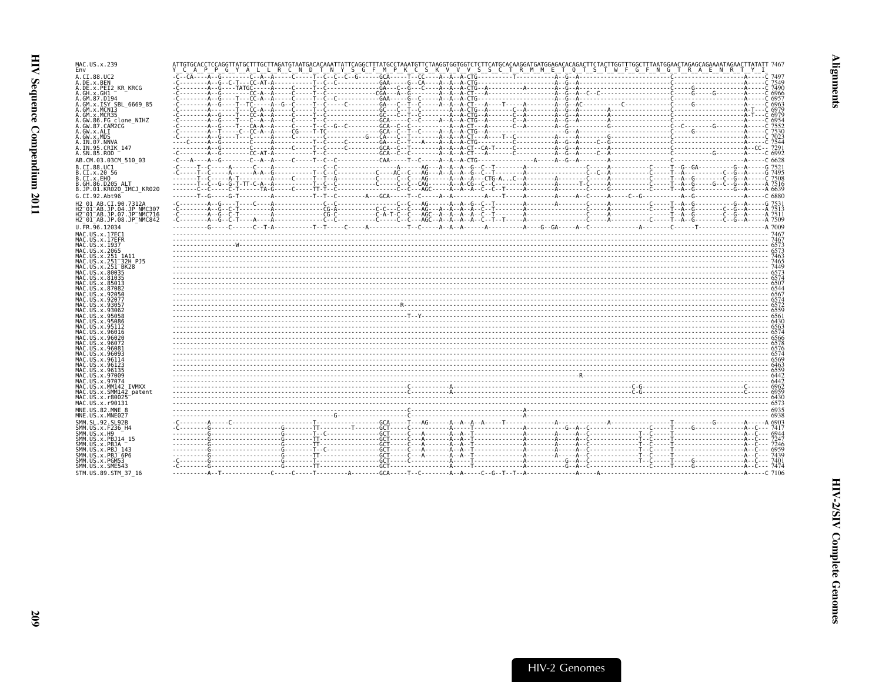| MAC.US.x.239<br>Env                                                                                                   | ATTGTGCACCTCCAGGTTATGCTTTGCTTAGATGTAATGACACAAATTATTCAGGCTTTATGCCTAAATGTTCTAGGTGTGTCTCTTCACTGGAGACACAGACACTCCTTTAGTGGCTTTAGGCAGCAGAAAGTAGAACTTAGACTTATATTT7467<br>Y_C_A_P_P_G_Y_A_L_L_R_C_N_D_T_N_Y_S_G_F_M_P_K_C_S_K_V_V_V_S_S_C_ |  |
|-----------------------------------------------------------------------------------------------------------------------|-----------------------------------------------------------------------------------------------------------------------------------------------------------------------------------------------------------------------------------|--|
| A.CI.88.UC2<br>A.DE.x.BEN                                                                                             |                                                                                                                                                                                                                                   |  |
| A.DE.X.PEI2 KR KRCG<br>A.GH.x.GH1                                                                                     |                                                                                                                                                                                                                                   |  |
| A.GM.87.D194<br>A.GM.x.ISY SBL 6669 85                                                                                |                                                                                                                                                                                                                                   |  |
| A.GM.x.MCNI3<br>A.GM.x.MCR35                                                                                          |                                                                                                                                                                                                                                   |  |
| A.GW.86.FG clone NIHZ<br>A.GW.87.CAM2CG                                                                               |                                                                                                                                                                                                                                   |  |
| A.GW.x.ALI<br>A.GW.x.MDS                                                                                              |                                                                                                                                                                                                                                   |  |
| A.IN.07.NNVA<br>A.IN.95.CRIK 147                                                                                      |                                                                                                                                                                                                                                   |  |
| A.SN.85.ROD<br>AB.CM.03.03CM 510 03                                                                                   |                                                                                                                                                                                                                                   |  |
| B.CI.88.UC1<br>B.CI.X.20 56                                                                                           |                                                                                                                                                                                                                                   |  |
| B.CI.x.EHO<br>B.GH.86.D205 ALT                                                                                        |                                                                                                                                                                                                                                   |  |
| B.JP.01.KR020 IMCJ KR020                                                                                              |                                                                                                                                                                                                                                   |  |
| G.CI.92.Abt96<br>H2 01 AB.CI.90.7312A                                                                                 |                                                                                                                                                                                                                                   |  |
| H2 <sup>-</sup> 01 <sup>-</sup> AB.JP.04.JP NMC307<br>H2 <sup>-</sup> 01 <sup>-</sup> AB.JP.07.JP <sup>-</sup> NMC716 |                                                                                                                                                                                                                                   |  |
| H2 <sup>-</sup> 01 <sup>-</sup> AB.JP.08.JP <sup>-</sup> NMC842<br>U.FR.96.12034                                      |                                                                                                                                                                                                                                   |  |
| MAC.US.x.17EC1<br>MAC.US.x.17EFR                                                                                      |                                                                                                                                                                                                                                   |  |
| MAC.US.x.1937<br>MAC.US.x.2065                                                                                        |                                                                                                                                                                                                                                   |  |
| MAC.US.x.251 1A11<br>MAC.US.x.251 <sup>-</sup> 32H PJ5                                                                |                                                                                                                                                                                                                                   |  |
| MAC.US.x.251 <sup>-</sup> BK28<br>MAC.US.x.80035                                                                      |                                                                                                                                                                                                                                   |  |
| MAC.US.x.81035<br>MAC.US.x.85013                                                                                      |                                                                                                                                                                                                                                   |  |
| MAC.US.x.87082<br>MAC.US.x.92050                                                                                      |                                                                                                                                                                                                                                   |  |
| MAC.US.x.92077<br>MAC.US.x.93057                                                                                      |                                                                                                                                                                                                                                   |  |
| MAC.US.x.93062<br>MAC.US.x.95058                                                                                      |                                                                                                                                                                                                                                   |  |
| MAC.US.x.95086<br>MAC.US.x.95112                                                                                      |                                                                                                                                                                                                                                   |  |
| MAC.US.x.96016<br>MAC.US.x.96020                                                                                      |                                                                                                                                                                                                                                   |  |
| MAC.US.x.96072<br>MAC.US.x.96081                                                                                      |                                                                                                                                                                                                                                   |  |
| MAC.US.x.96093<br>MAC.US.x.96114                                                                                      |                                                                                                                                                                                                                                   |  |
| MAC.US.x.96123<br>MAC.US.x.96135                                                                                      |                                                                                                                                                                                                                                   |  |
| MAC.US.x.97009<br>MAC.US.x.97074                                                                                      |                                                                                                                                                                                                                                   |  |
| MAC.US.x.MM142 IVMXX<br>MAC.US.x.SMM142 patent                                                                        |                                                                                                                                                                                                                                   |  |
| MAC.US.x.r80025<br>MAC.US.x.r90131                                                                                    |                                                                                                                                                                                                                                   |  |
| MNE.US.82.MNE 8<br>MNE.US.x.MNE027                                                                                    |                                                                                                                                                                                                                                   |  |
| SMM.SL.92.SL92B<br>SMM.US.x.F236 H4                                                                                   |                                                                                                                                                                                                                                   |  |
| SMM.US.x.H9<br>SMM.US.x.PBJ14 15                                                                                      |                                                                                                                                                                                                                                   |  |
| SMM.US.x.PBJA<br>SMM. US. x. PBJ 143                                                                                  |                                                                                                                                                                                                                                   |  |
|                                                                                                                       |                                                                                                                                                                                                                                   |  |
| SMM.US.x.PBJ <sup>-6P6</sup><br>SMM.US.x.PGM53<br>SMM.US.x.SME543                                                     |                                                                                                                                                                                                                                   |  |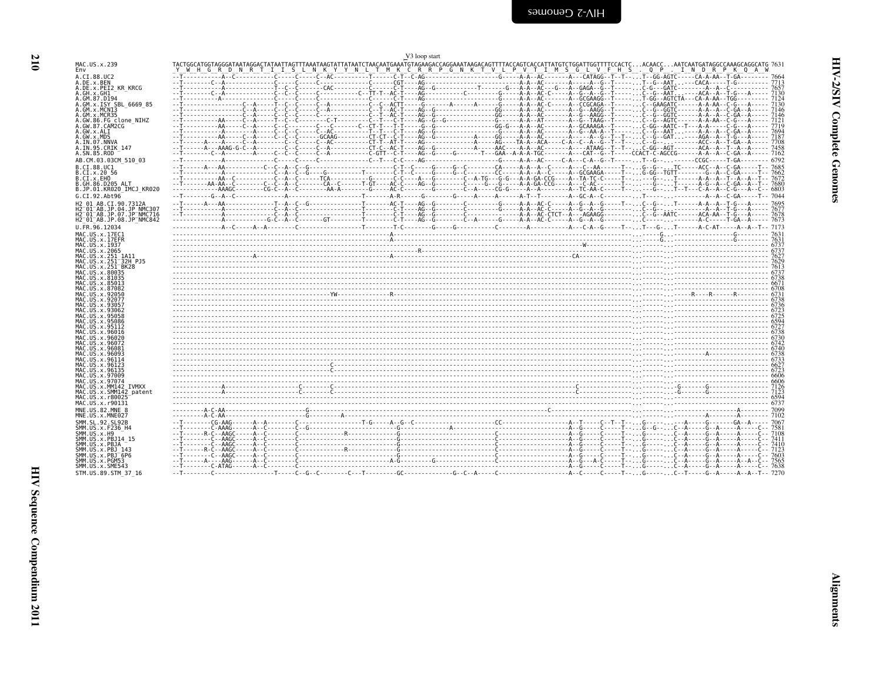210

<span id="page-51-0"></span>

|                                                                                         | V3 loop start                                                           |  |              |
|-----------------------------------------------------------------------------------------|-------------------------------------------------------------------------|--|--------------|
| MAC.US.x.239<br>Env                                                                     | Y WH GRD NRTIISLNKYYNLTMK CRRP GNKT V LP V TIMS GLV FHS. QP. INDRPK QAW |  |              |
| A.CI.88.UC2<br>A.DE.x.BEN                                                               |                                                                         |  |              |
| A.DE.x.PEI2 KR KRCG                                                                     |                                                                         |  |              |
| A.GH.x.GH1<br>A.GM.87.D194                                                              |                                                                         |  |              |
| A.GM.x.ISY SBL 6669 85                                                                  |                                                                         |  | 7130<br>7146 |
| A.GM.x.MCNI3<br>A.GM.x.MCR35                                                            |                                                                         |  | 7146         |
| A.GW.86.FG clone NIHZ<br>A.GW.87.CAM2CG                                                 |                                                                         |  | 7719         |
| A.GW.x.ALI                                                                              |                                                                         |  | 7694         |
| A.GW.x.MDS<br>A.IN.07.NNVA                                                              |                                                                         |  | 7187         |
| A.IN.95.CRIK 147<br>A.SN.85.ROD                                                         |                                                                         |  |              |
| AB.CM.03.03CM 510 03                                                                    |                                                                         |  |              |
| B.CI.88.UC1                                                                             |                                                                         |  |              |
| B.CI.x.20 56<br>B.CI.x.EHO                                                              |                                                                         |  |              |
| B.GH.86.D205 ALT<br>B.JP.01.KR020 IMCJ KR020                                            |                                                                         |  |              |
| G.CI.92.Abt96                                                                           |                                                                         |  |              |
| H2 01 AB.CI.90.7312A                                                                    |                                                                         |  |              |
| H2 <sup>-01-AB.JP.04.JP NMC307</sup><br>H2 <sup>-01-AB.JP.07.JP<sup>-</sup>NMC716</sup> |                                                                         |  |              |
| $H2^-01^-AB$ .JP.08.JP $^-$ NMC842<br>U.FR.96.12034                                     |                                                                         |  |              |
| MAC.US.x.17EC1                                                                          |                                                                         |  |              |
| MAC.US.x.17EFR                                                                          |                                                                         |  |              |
| MAC.US.x.1937<br>MAC.US.x.2065                                                          |                                                                         |  |              |
| MAC.US.x.251_1A11<br>MAC.US.x.251 32H PJ5                                               |                                                                         |  |              |
| MAC.US.x.251 BK28                                                                       |                                                                         |  |              |
| MAC.US.x.80035<br>MAC.US.x.81035                                                        |                                                                         |  |              |
| MAC.US.x.85013<br>MAC.US.x.87082                                                        |                                                                         |  |              |
| MAC.US.x.92050<br>MAC.US.x.92077                                                        |                                                                         |  |              |
| MAC.US.x.93057                                                                          |                                                                         |  |              |
| MAC.US.x.93062<br>MAC.US.x.95058                                                        |                                                                         |  |              |
| MAC.US.x.95086<br>MAC. US. x. 95112                                                     |                                                                         |  |              |
| MAC.US.x.96016                                                                          |                                                                         |  |              |
| MAC.US.x.96020<br>MAC.US.x.96072                                                        |                                                                         |  |              |
| MAC.US.x.96081<br>MAC.US.x.96093                                                        |                                                                         |  |              |
| MAC.US.x.96114                                                                          |                                                                         |  |              |
| MAC.US.x.96123<br>MAC.US.x.96135                                                        |                                                                         |  |              |
| MAC.US.x.97009<br>MAC.US.x.97074                                                        |                                                                         |  |              |
| MAC.US.x.MM142 IVMXX                                                                    |                                                                         |  |              |
| MAC.US.x.SMM142 patent<br>MAC. US. x. r80025                                            |                                                                         |  |              |
| MAC.US.x.r90131<br>MNE.US.82.MNE 8                                                      |                                                                         |  |              |
| MNE.US.x.MNE027                                                                         |                                                                         |  |              |
| SMM.SL.92.SL92B                                                                         |                                                                         |  |              |
| SMM. US. x. F236_H4<br>SMM.US.x.H9                                                      |                                                                         |  |              |
| SMM.US.x.PBJ14 15<br>SMM.US.x.PBJA                                                      |                                                                         |  |              |
| SMM. US. x. PBJ 143<br>SMM.US.x.PBJ <sup>-6P6</sup>                                     |                                                                         |  |              |
| SMM.US.x.PGM53                                                                          |                                                                         |  |              |
| SMM.US.x.SME543<br>STM.US.89.STM 37 16                                                  |                                                                         |  |              |
|                                                                                         |                                                                         |  |              |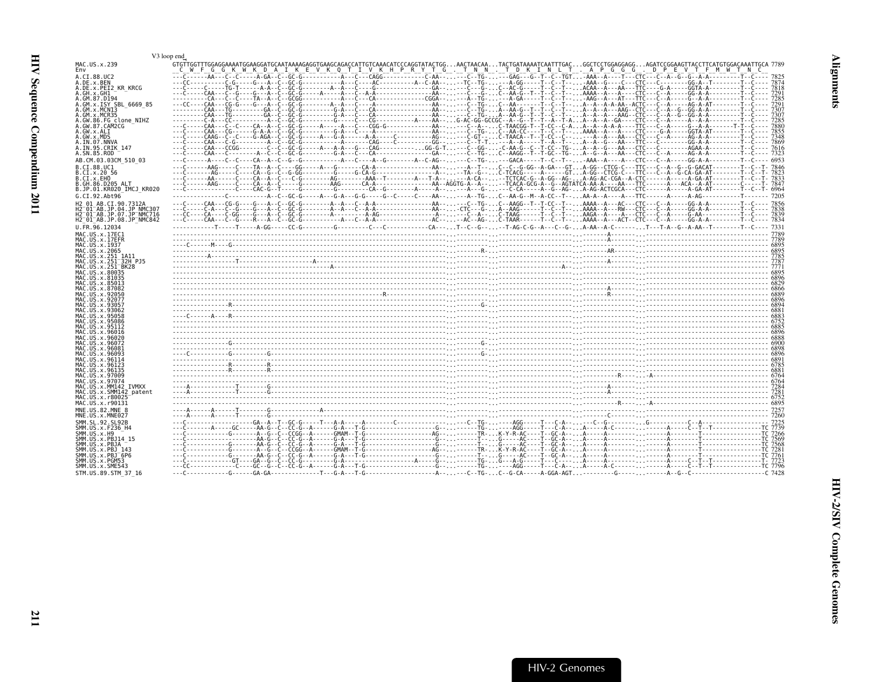<span id="page-52-0"></span>

|                                                                                                                                                                                                                                   | V3 loop end                                                                                                                                                                                                              |  |
|-----------------------------------------------------------------------------------------------------------------------------------------------------------------------------------------------------------------------------------|--------------------------------------------------------------------------------------------------------------------------------------------------------------------------------------------------------------------------|--|
| MAC.US.x.239<br>Env                                                                                                                                                                                                               | GTGTTGGTTTGGAGGAAAATGGAAGGATGCAATAAAAGAGGTGAAGCAGACCATGTCAAACATCCCAGGTATACTGGACTGATAAAATCAATTTGACGGCTCCTGGAGGAGGAGATCCGGAAGTTACCTTCATGTGGACAAATTGCA 7789<br>__C__W__F__G__G__K__W__K__D__A__I__K__E__V__K__Q__T__N__N___ |  |
| A.CI.88.UC2<br>A.DE.x.BEN<br>A.DE.x.PEI2 KR KRCG<br>A.GH.x.GH1                                                                                                                                                                    |                                                                                                                                                                                                                          |  |
| A.GM.87.D194<br>A.GM.x.ISY SBL 6669 85<br>A.GM.x.MCNI3<br>A.GM.x.MCR35                                                                                                                                                            |                                                                                                                                                                                                                          |  |
| A.GW.86.FG clone NIHZ<br>A.GW.87.CAM2CG<br>A.GW.x.ALI<br>A.GW.x.MDS                                                                                                                                                               |                                                                                                                                                                                                                          |  |
| A.IN.07.NNVA<br>A.IN.95.CRIK 147<br>A.SN.85.ROD<br>AB.CM.03.03CM 510 03                                                                                                                                                           |                                                                                                                                                                                                                          |  |
| B.CI.88.UC1<br>B.CI.X.20 56<br>B.CI.X.EHO<br>B.GH.86.D205 ALT<br>B.JP.01.KR020 IMCJ KR020                                                                                                                                         |                                                                                                                                                                                                                          |  |
| G.CI.92.Abt96<br>H2 01 AB.CI.90.7312A<br>H2 <sup>-</sup> 01 <sup>-</sup> AB.JP.04.JP NMC307<br>H2 <sup>-</sup> 01 <sup>-</sup> AB.JP.07.JP <sup>-</sup> NMC716<br>H2 <sup>-</sup> 01 <sup>-</sup> AB.JP.08.JP <sup>-</sup> NMC842 |                                                                                                                                                                                                                          |  |
| U.FR.96.12034<br>MAC.US.x.17EC1<br>MAC.US.x.17EFR<br>MAC.US.x.1937                                                                                                                                                                |                                                                                                                                                                                                                          |  |
| MAC.US.x.2065<br>MAC.US.x.251 1A11<br>MAC.US.x.251 <sup>-</sup> 32H PJ5<br>MAC.US.x.251 <sup>-</sup> BK28<br>MAC.US.x.80035                                                                                                       |                                                                                                                                                                                                                          |  |
| MAC.US.x.81035<br>MAC.US.x.85013<br>MAC.US.x.87082<br>MAC.US.x.92050                                                                                                                                                              |                                                                                                                                                                                                                          |  |
| MAC.US.x.92077<br>MAC.US.x.93057<br>MAC.US.x.93062<br>MAC.US.x.95058<br>MAC.US.x.95086                                                                                                                                            |                                                                                                                                                                                                                          |  |
| MAC.US.x.95112<br>MAC.US.x.96016<br>MAC.US.x.96020<br>MAC.US.x.96072                                                                                                                                                              |                                                                                                                                                                                                                          |  |
| MAC.US.x.96081<br>MAC.US.x.96093<br>MAC.US.x.96114<br>MAC.US.x.96123<br>MAC.US.x.96135                                                                                                                                            |                                                                                                                                                                                                                          |  |
| MAC.US.x.97009<br>MAC.US.x.97074<br>MAC.US.x.MM142 IVMXX<br>MAC.US.x.SMM142 patent                                                                                                                                                | $7281$                                                                                                                                                                                                                   |  |
| MAC.US.x.r80025<br>MAC.US.x.r90131<br>MNE.US.82.MNE 8<br>MNE.US.x.MNE027                                                                                                                                                          |                                                                                                                                                                                                                          |  |
| SMM. SL. 92. SL92B<br>SMM.US.x.F236 H4<br>SMM.US.x.H9<br>SMM.US.x.PBJ14 15                                                                                                                                                        |                                                                                                                                                                                                                          |  |
| SMM.US.x.PBJA<br>SMM.US.x.PBJ 143<br>SMM.US.x.PBJ 6P6<br>SMM.US.x.PGM53<br>SMM.US.x.SME543                                                                                                                                        |                                                                                                                                                                                                                          |  |
| STM.US.89.STM 37 16                                                                                                                                                                                                               |                                                                                                                                                                                                                          |  |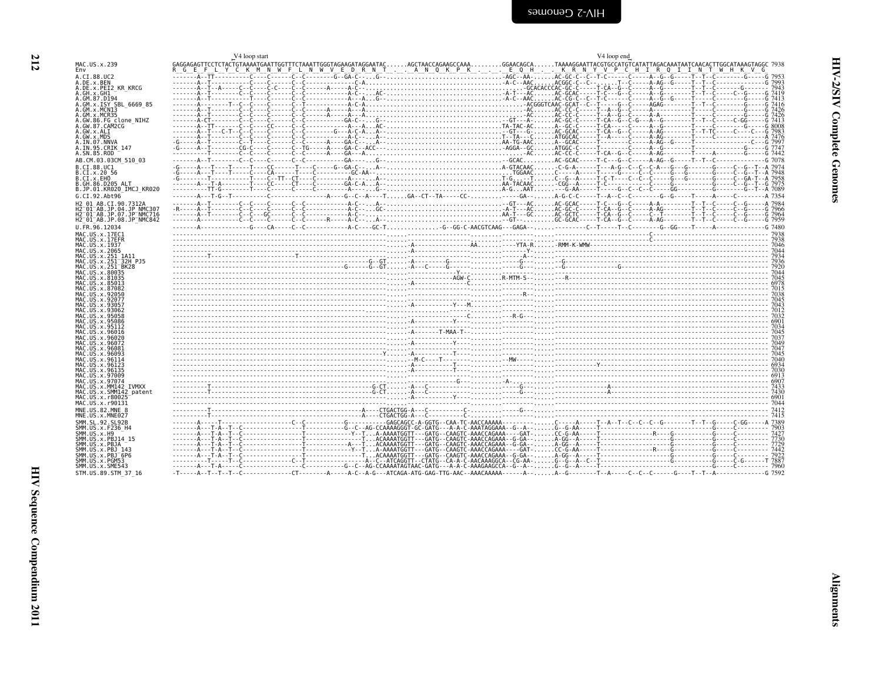<span id="page-53-0"></span>

|                                                                              | V <sub>4</sub> loop start                                                                                                                                                                                                           | V4 loop end                                    |
|------------------------------------------------------------------------------|-------------------------------------------------------------------------------------------------------------------------------------------------------------------------------------------------------------------------------------|------------------------------------------------|
| MAC.US.x.239<br>Env                                                          | GAGGAGAGTTCCTCTACTGTAAAATGAATTGGTTTCTAAATTGGGTAGAAGATAGGAATACAGCTAACCAGAAGCCAAAGGAACAGCATAAAAGGAATTACGTGCCATGTCATATTAGACAAATAATCAACACTTGGCATAAAGTAGGC 7938<br>G E                                                                   | LYCKMNWFLNWVEDRNTANQKPKEQHKRNYVPCHIRQIINTWHKVG |
| A.CI.88.UC2<br>A.DE.X.BEN                                                    |                                                                                                                                                                                                                                     |                                                |
| A.DE.x.PEI2 KR KRCG                                                          |                                                                                                                                                                                                                                     |                                                |
| A.GH.x.GH1<br>A.GM.87.D194                                                   |                                                                                                                                                                                                                                     |                                                |
| A.GM.x.ISY SBL 6669 85                                                       |                                                                                                                                                                                                                                     |                                                |
| A.GM.x.MCNI3<br>A.GM.x.MCR35                                                 |                                                                                                                                                                                                                                     |                                                |
| A.GW.86.FG clone NIHZ<br>A.GW.87.CAM2CG                                      |                                                                                                                                                                                                                                     |                                                |
| A.GW.x.ALI                                                                   |                                                                                                                                                                                                                                     |                                                |
| A.GW.x.MDS<br>A.IN.07.NNVA                                                   |                                                                                                                                                                                                                                     |                                                |
| A.IN.95.CRIK 147<br>A.SN.85.ROD                                              |                                                                                                                                                                                                                                     |                                                |
| AB.CM.03.03CM 510 03                                                         |                                                                                                                                                                                                                                     |                                                |
| B.CT.88.UC1                                                                  |                                                                                                                                                                                                                                     |                                                |
| B.CI.x.20 56<br>B.CI.x.EHO                                                   |                                                                                                                                                                                                                                     |                                                |
| B.GH.86.D205 ALT                                                             |                                                                                                                                                                                                                                     |                                                |
| B.JP.01.KR020 IMCJ KR020<br>G.CI.92.Abt96                                    |                                                                                                                                                                                                                                     |                                                |
| H2 01 AB.CI.90.7312A                                                         |                                                                                                                                                                                                                                     |                                                |
| H2 <sup>-01-AB.JP.04.JP NMC307</sup><br>H2 <sup>-01-AB.JP.07.JP-NMC716</sup> |                                                                                                                                                                                                                                     |                                                |
| H2 01 AB.JP.08.JP NMC842                                                     |                                                                                                                                                                                                                                     |                                                |
| U.FR.96.12034<br>MAC.US.x.17EC1                                              |                                                                                                                                                                                                                                     |                                                |
| MAC.US.x.17EFR                                                               |                                                                                                                                                                                                                                     |                                                |
| MAC.US.x.1937<br>MAC.US.x.2065                                               |                                                                                                                                                                                                                                     |                                                |
| MAC.US.x.251 1A11<br>MAC.US.x.251 32H PJ5                                    |                                                                                                                                                                                                                                     |                                                |
| MAC.US.x.251 <sup>-</sup> BK28                                               |                                                                                                                                                                                                                                     |                                                |
| MAC.US.x.80035<br>MAC.US.x.81035                                             | 044<br>1936 - محمد المساحة المساحة المساحة المساحة المساحة المساحة المساحة المساحة المساحة المساحة المساحة المساحة ال<br>1940 - محمد المساحة المساحة المساحة المساحة المساحة المساحة المساحة المساحة المساحة المساحة المساحة المساح |                                                |
| MAC.US.x.85013<br>MAC.US.x.87082                                             |                                                                                                                                                                                                                                     |                                                |
| MAC.US.x.92050                                                               |                                                                                                                                                                                                                                     |                                                |
| MAC.US.x.92077<br>MAC.US.x.93057                                             |                                                                                                                                                                                                                                     |                                                |
| MAC.US.x.93062<br>MAC.US.x.95058                                             | $\frac{701}{002}$                                                                                                                                                                                                                   |                                                |
| MAC.US.x.95086                                                               |                                                                                                                                                                                                                                     |                                                |
| MAC.US.x.95112<br>MAC.US.x.96016                                             |                                                                                                                                                                                                                                     |                                                |
| MAC.US.x.96020<br>MAC.US.x.96072                                             |                                                                                                                                                                                                                                     |                                                |
| MAC.US.x.96081                                                               |                                                                                                                                                                                                                                     |                                                |
| MAC.US.x.96093<br>MAC.US.x.96114                                             |                                                                                                                                                                                                                                     |                                                |
| MAC.US.x.96123<br>MAC.US.x.96135                                             | . מי היה במה המורכז במה המורכז במה המורכז במה המורכז במה המורכז במה המורכז במה המורכז במה המורכז במה המורכז במ<br>1046 – המורכז במה המורכז במה המורכז במה המורכז במה המורכז במה המורכז במה המורכז במה המורכז במה המורכז במה המור    |                                                |
| MAC.US.x.97009                                                               |                                                                                                                                                                                                                                     |                                                |
| MAC.US.x.97074<br>MAC.US.x.MM142 IVMXX                                       |                                                                                                                                                                                                                                     |                                                |
| MAC.US.x.SMM142 patent<br>MAC.US.x.r80025                                    |                                                                                                                                                                                                                                     |                                                |
| MAC.US.x.r90131                                                              |                                                                                                                                                                                                                                     |                                                |
| MNE.US.82.MNE 8<br>MNE.US.x.MNE027                                           |                                                                                                                                                                                                                                     |                                                |
| SMM. SL. 92. SL92B                                                           |                                                                                                                                                                                                                                     |                                                |
| SMM.US.x.F236 H4<br>SMM.US.x.H9                                              |                                                                                                                                                                                                                                     |                                                |
| SMM. US. x. PBJ14 15                                                         |                                                                                                                                                                                                                                     |                                                |
| SMM.US.x.PBJA<br>SMM.US.x.PBJ 143                                            |                                                                                                                                                                                                                                     |                                                |
| SMM.US.x.PBJ <sup>-6P6</sup><br>SMM.US.x.PGM53                               |                                                                                                                                                                                                                                     |                                                |
| SMM.US.x.SME543                                                              |                                                                                                                                                                                                                                     |                                                |
| STM.US.89.STM 37 16                                                          |                                                                                                                                                                                                                                     |                                                |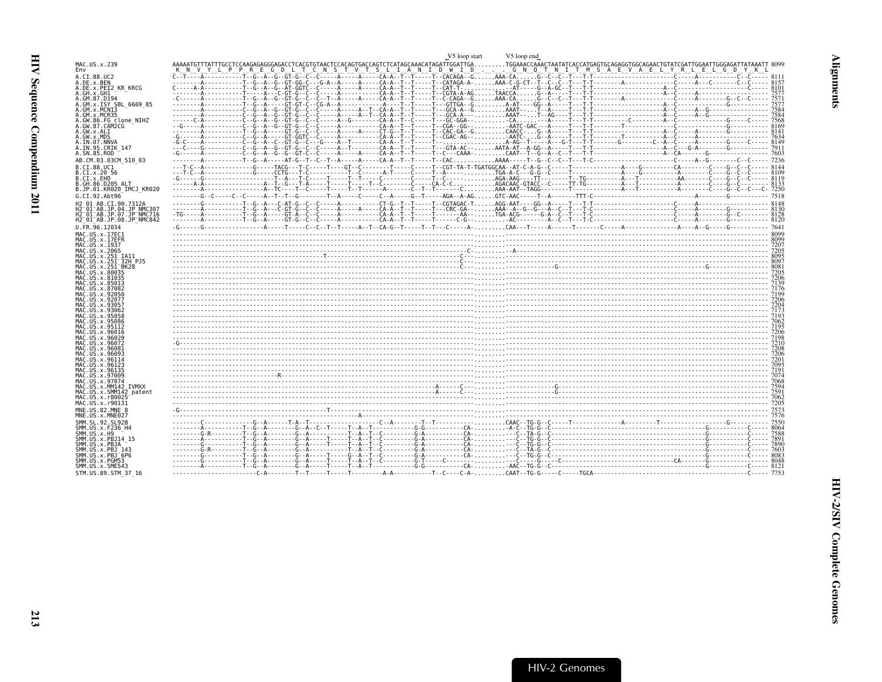<span id="page-54-0"></span>

|                                                                                                         | V5 loop end<br>V5 loop start                                                                                                                                                                                                                                                   |  |
|---------------------------------------------------------------------------------------------------------|--------------------------------------------------------------------------------------------------------------------------------------------------------------------------------------------------------------------------------------------------------------------------------|--|
| MAC.US.x.239<br>Env                                                                                     | AAAAATGTTTATTTGCCTCCAAGAGAGGGAGACCTCACGTGTAACTCCACAGTGACCAGTCTCATAGCAAACATAGATTGGATTGATGGAAACCAAACTAATATCACCATGAGTGGCAGAGGTGGCAGAACTGTATCGATTGGAATTGGGAGTTTATAAATT<br>Y L P P R E G<br>D L T C N S T V T S L I A N I D W I D G N Q T N I T M S A E V A E L Y R L E L G D Y K L |  |
| A.CI.88.UC2                                                                                             |                                                                                                                                                                                                                                                                                |  |
| A.DE.x.BEN<br>A.DE.x.PEI2 KR KRCG                                                                       |                                                                                                                                                                                                                                                                                |  |
| A.GH.x.GH1<br>A.GM.87.D194                                                                              |                                                                                                                                                                                                                                                                                |  |
| A.GM.x.ISY SBL 6669 85                                                                                  |                                                                                                                                                                                                                                                                                |  |
| A.GM.x.MCN13<br>A.GM.x.MCR35                                                                            |                                                                                                                                                                                                                                                                                |  |
| A.GW.86.FG clone NIHZ<br>A.GW.87.CAM2CG                                                                 |                                                                                                                                                                                                                                                                                |  |
| A.GW.x.ALI                                                                                              |                                                                                                                                                                                                                                                                                |  |
| A.GW.x.MDS<br>A.IN.07.NNVA                                                                              |                                                                                                                                                                                                                                                                                |  |
| A.IN.95.CRIK 147<br>A.SN.85.ROD                                                                         |                                                                                                                                                                                                                                                                                |  |
| AB.CM.03.03CM 510 03                                                                                    |                                                                                                                                                                                                                                                                                |  |
| B.CI.88.UC1                                                                                             |                                                                                                                                                                                                                                                                                |  |
| B.CI.X.20 56<br>B.CI.X.EHO                                                                              |                                                                                                                                                                                                                                                                                |  |
| B.GH.86.D205 ALT<br>B.JP.01.KR020 IMCJ KR020                                                            |                                                                                                                                                                                                                                                                                |  |
| G.CI.92.Abt96                                                                                           |                                                                                                                                                                                                                                                                                |  |
| H2 01 AB.CI.90.7312A                                                                                    |                                                                                                                                                                                                                                                                                |  |
| H2 <sup>-01-AB.JP.04.JP NMC307</sup><br>H2 <sup>-</sup> 01 <sup>-</sup> AB.JP.07.JP <sup>-</sup> NMC716 |                                                                                                                                                                                                                                                                                |  |
| H2 01 AB.JP.08.JP NMC842                                                                                |                                                                                                                                                                                                                                                                                |  |
| U.FR.96.12034<br>MAC.US.x.17EC1                                                                         |                                                                                                                                                                                                                                                                                |  |
| MAC.US.x.17EFR                                                                                          |                                                                                                                                                                                                                                                                                |  |
| MAC.US.x.1937<br>MAC.US.x.2065                                                                          |                                                                                                                                                                                                                                                                                |  |
| MAC.US.x.251 1A11<br>MAC.US.x.251 32H PJ5                                                               | $\frac{203}{003}$                                                                                                                                                                                                                                                              |  |
| MAC.US.x.251 <sup>-</sup> BK28                                                                          |                                                                                                                                                                                                                                                                                |  |
| MAC.US.x.80035<br>MAC.US.x.81035                                                                        |                                                                                                                                                                                                                                                                                |  |
| MAC.US.x.85013<br>MAC.US.x.87082                                                                        |                                                                                                                                                                                                                                                                                |  |
| MAC.US.x.92050<br>MAC. US. x. 92077                                                                     |                                                                                                                                                                                                                                                                                |  |
| MAC.US.x.93057                                                                                          |                                                                                                                                                                                                                                                                                |  |
| MAC.US.x.93062<br>MAC. US. x. 95058                                                                     |                                                                                                                                                                                                                                                                                |  |
| MAC.US.x.95086<br>MAC.US.x.95112                                                                        |                                                                                                                                                                                                                                                                                |  |
| MAC.US.x.96016                                                                                          |                                                                                                                                                                                                                                                                                |  |
| MAC.US.x.96020<br>MAC. US. x.96072                                                                      |                                                                                                                                                                                                                                                                                |  |
| MAC.US.x.96083<br>MAC.US.x.96093                                                                        |                                                                                                                                                                                                                                                                                |  |
| MAC.US.x.96114                                                                                          |                                                                                                                                                                                                                                                                                |  |
| MAC.US.x.96123<br>MAC.US.x.96135                                                                        |                                                                                                                                                                                                                                                                                |  |
| MAC.US.x.97009<br>MAC.US.x.97074                                                                        |                                                                                                                                                                                                                                                                                |  |
| MAC.US.x.MM142 IVMXX                                                                                    |                                                                                                                                                                                                                                                                                |  |
| MAC.US.x.SMM142 patent<br>MAC.US.x.r80025                                                               |                                                                                                                                                                                                                                                                                |  |
| MAC.US.x.r90131                                                                                         |                                                                                                                                                                                                                                                                                |  |
| MNE.US.82.MNE 8<br>MNE.US.x.MNE027                                                                      |                                                                                                                                                                                                                                                                                |  |
| SMM. SL. 92. SL92B                                                                                      |                                                                                                                                                                                                                                                                                |  |
| SMM. US. x. F236 H4<br>SMM.US.x.H9                                                                      |                                                                                                                                                                                                                                                                                |  |
| SMM.US.x.PBJ14 15<br>SMM.US.x.PBJA                                                                      |                                                                                                                                                                                                                                                                                |  |
| SMM. US. x. PBJ 143                                                                                     |                                                                                                                                                                                                                                                                                |  |
| SMM.US.x.PBJ <sup>-6P6</sup><br>SMM.US.x.PGM53                                                          |                                                                                                                                                                                                                                                                                |  |
| SMM.US.x.SME543                                                                                         |                                                                                                                                                                                                                                                                                |  |
| STM.US.89.STM 37 16                                                                                     |                                                                                                                                                                                                                                                                                |  |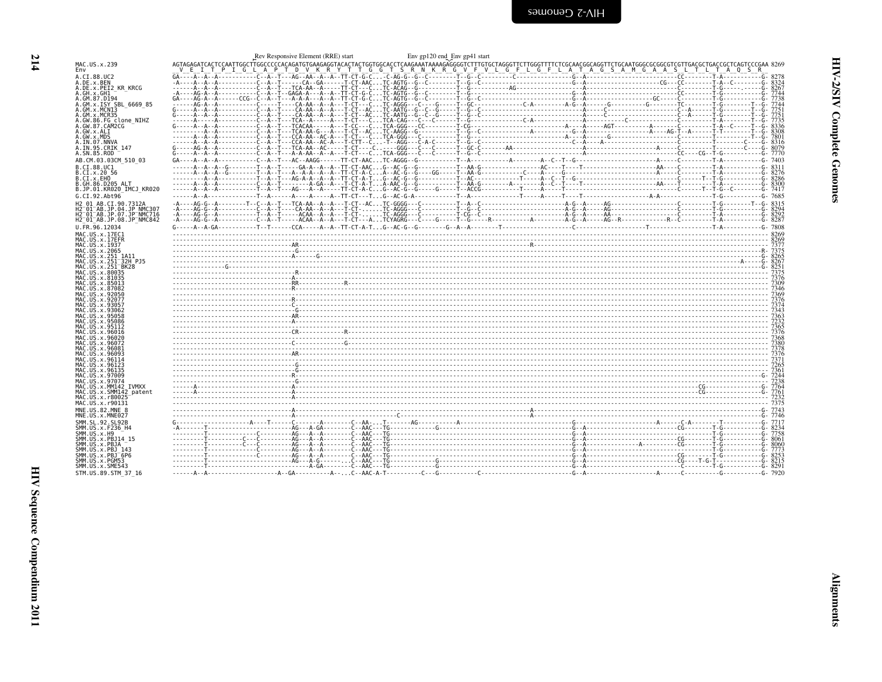<span id="page-55-0"></span>

| MAC.US.x.239<br>Env                                                        |  |  | $A\overline{t}A\overline{A}A\overline{A}A\overline{A}A\overline{A}A\overline{A}A\overline{A}A\overline{A}A\overline{A}A\overline{A}A\overline{A}A\overline{A}A\overline{A}A\overline{A}A\overline{A}A\overline{A}A\overline{A}A\overline{A}A\overline{A}A\overline{A}A\overline{A}A\overline{A}A\overline{A}A\overline{A}A\overline{A}A\overline{A}A\overline{A}A\overline{A}A\overline{A}A\overline{A}A\overline{A}A\over$ |  |
|----------------------------------------------------------------------------|--|--|-----------------------------------------------------------------------------------------------------------------------------------------------------------------------------------------------------------------------------------------------------------------------------------------------------------------------------------------------------------------------------------------------------------------------------|--|
| A.CI.88.UC2                                                                |  |  |                                                                                                                                                                                                                                                                                                                                                                                                                             |  |
| A.DE.x.BEN<br>A.DE.x.PEI2 KR KRCG                                          |  |  |                                                                                                                                                                                                                                                                                                                                                                                                                             |  |
| A.GH.x.GH1                                                                 |  |  |                                                                                                                                                                                                                                                                                                                                                                                                                             |  |
| A.GM.87.D194<br>A.GM.x.ISY SBL_6669_85<br>A.GM.x.MCN13                     |  |  |                                                                                                                                                                                                                                                                                                                                                                                                                             |  |
| A.GM.x.MCR35                                                               |  |  |                                                                                                                                                                                                                                                                                                                                                                                                                             |  |
| A.GW.86.FG clone NIHZ                                                      |  |  |                                                                                                                                                                                                                                                                                                                                                                                                                             |  |
| A.GW.87.CAM2CG<br>A.GW.x.ALI                                               |  |  |                                                                                                                                                                                                                                                                                                                                                                                                                             |  |
| A.GW.x.MDS                                                                 |  |  |                                                                                                                                                                                                                                                                                                                                                                                                                             |  |
| A.IN.07.NNVA<br>A.IN.95.CRIK 147                                           |  |  |                                                                                                                                                                                                                                                                                                                                                                                                                             |  |
| A.SN.85.ROD                                                                |  |  |                                                                                                                                                                                                                                                                                                                                                                                                                             |  |
| AB.CM.03.03CM 510 03                                                       |  |  |                                                                                                                                                                                                                                                                                                                                                                                                                             |  |
| B.CI.88.UC1<br>B.CI.X.20 56                                                |  |  |                                                                                                                                                                                                                                                                                                                                                                                                                             |  |
| B.CI.x.EHO<br>B.GH.86.D205 ALT                                             |  |  |                                                                                                                                                                                                                                                                                                                                                                                                                             |  |
| B.JP.01.KR020 IMCJ KR020                                                   |  |  |                                                                                                                                                                                                                                                                                                                                                                                                                             |  |
| G.CI.92.Ah <sub>t</sub> 96                                                 |  |  |                                                                                                                                                                                                                                                                                                                                                                                                                             |  |
| H2_01_AB.CI.90.7312A<br>H2 <sup>-</sup> 01 <sup>-</sup> AB.JP.04.JP NMC307 |  |  |                                                                                                                                                                                                                                                                                                                                                                                                                             |  |
| H2 <sup>-</sup> 01 <sup>-</sup> AB.JP.07.JP <sup>-</sup> NMC716            |  |  |                                                                                                                                                                                                                                                                                                                                                                                                                             |  |
| H2 <sup>-01-AB.JP.08.JP<sup>-</sup>NMC842</sup><br>U.FR.96.12034           |  |  |                                                                                                                                                                                                                                                                                                                                                                                                                             |  |
| MAC.US.x.17EC1                                                             |  |  |                                                                                                                                                                                                                                                                                                                                                                                                                             |  |
| MAC.US.x.17EFR                                                             |  |  |                                                                                                                                                                                                                                                                                                                                                                                                                             |  |
| MAC. US. x. 1937<br>MAC.US.x.2065                                          |  |  |                                                                                                                                                                                                                                                                                                                                                                                                                             |  |
| MAC.US.x.251 1A11                                                          |  |  |                                                                                                                                                                                                                                                                                                                                                                                                                             |  |
| MAC.US.x.251 <sup>-</sup> 32H PJ5<br>MAC.US.x.251 <sup>-</sup> BK28        |  |  |                                                                                                                                                                                                                                                                                                                                                                                                                             |  |
| MAC.US.x.80035<br>MAC.US.x.81035                                           |  |  |                                                                                                                                                                                                                                                                                                                                                                                                                             |  |
| MAC.US.x.85013                                                             |  |  |                                                                                                                                                                                                                                                                                                                                                                                                                             |  |
| MAC.US.x.87082<br>MAC.US.x.92050                                           |  |  |                                                                                                                                                                                                                                                                                                                                                                                                                             |  |
| MAC.US.x.92077                                                             |  |  |                                                                                                                                                                                                                                                                                                                                                                                                                             |  |
| MAC.US.x.9305<br>MAC.US.x.93062                                            |  |  |                                                                                                                                                                                                                                                                                                                                                                                                                             |  |
| MAC.US.x.95058<br>MAC.US.x.95086                                           |  |  | $\frac{363}{363}$<br>$\frac{732}{363}$<br>$\frac{732}{365}$<br>$\frac{732}{365}$                                                                                                                                                                                                                                                                                                                                            |  |
| MAC.US.x.95112                                                             |  |  |                                                                                                                                                                                                                                                                                                                                                                                                                             |  |
| MAC.US.x.96016<br>MAC.US.x.96020                                           |  |  |                                                                                                                                                                                                                                                                                                                                                                                                                             |  |
| MAC.US.x.96072                                                             |  |  |                                                                                                                                                                                                                                                                                                                                                                                                                             |  |
| MAC.US.x.96081<br>MAC.US.x.96093                                           |  |  |                                                                                                                                                                                                                                                                                                                                                                                                                             |  |
| MAC.US.x.96114<br>MAC.US.x.96123                                           |  |  |                                                                                                                                                                                                                                                                                                                                                                                                                             |  |
| MAC.US.x.96135                                                             |  |  |                                                                                                                                                                                                                                                                                                                                                                                                                             |  |
| MAC.US.x.97009<br>MAC.US.x.97074                                           |  |  |                                                                                                                                                                                                                                                                                                                                                                                                                             |  |
| MAC.US.x.MM142 IVMXX                                                       |  |  |                                                                                                                                                                                                                                                                                                                                                                                                                             |  |
| MAC.US.x.SMM142 patent<br>MAC.US.x.r80025                                  |  |  |                                                                                                                                                                                                                                                                                                                                                                                                                             |  |
| MAC.US.x.r90131                                                            |  |  |                                                                                                                                                                                                                                                                                                                                                                                                                             |  |
| MNE.U.S.82.MNE 8<br>MNE.US.x.MNE027                                        |  |  |                                                                                                                                                                                                                                                                                                                                                                                                                             |  |
| SMM.SL.92.SL92B                                                            |  |  |                                                                                                                                                                                                                                                                                                                                                                                                                             |  |
| SMM. US. x. F236_H4<br>SMM.US.x.H9                                         |  |  |                                                                                                                                                                                                                                                                                                                                                                                                                             |  |
| SMM.US.x.PBJ14 15                                                          |  |  |                                                                                                                                                                                                                                                                                                                                                                                                                             |  |
| SMM.US.x.PBJA<br>SMM.US.x.PBJ 143                                          |  |  |                                                                                                                                                                                                                                                                                                                                                                                                                             |  |
| SMM.US.x.PBJ <sup>-6P6</sup>                                               |  |  |                                                                                                                                                                                                                                                                                                                                                                                                                             |  |
| SMM.US.x.PGM53<br>SMM.US.x.SME543                                          |  |  |                                                                                                                                                                                                                                                                                                                                                                                                                             |  |
| STM.US.89.STM 37 16                                                        |  |  |                                                                                                                                                                                                                                                                                                                                                                                                                             |  |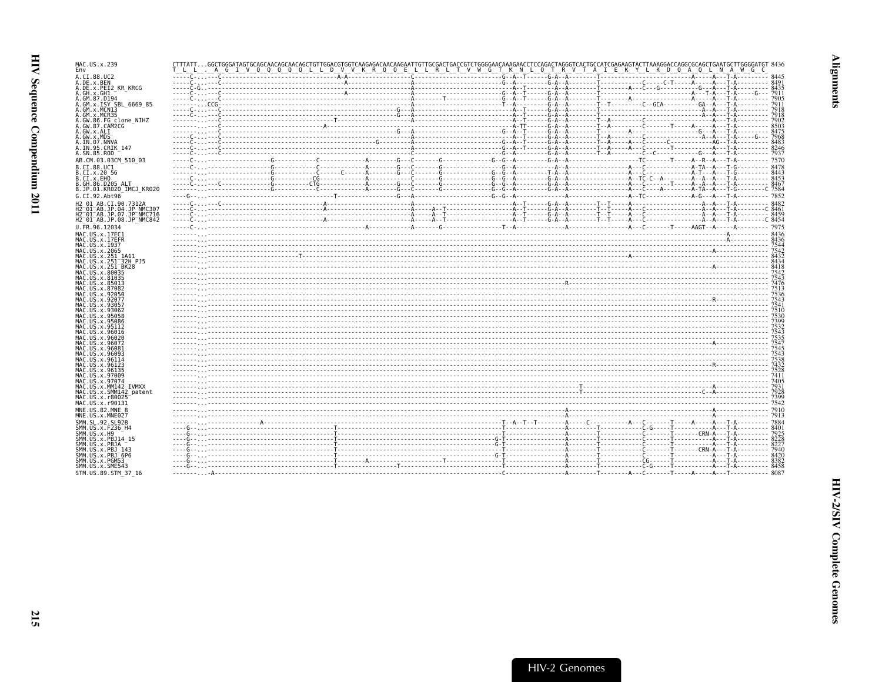| MAC.US.x.239<br>Env                                                                         |                                                                                                                                                                                                                                                                                                                                                                   |  |  |  |  |  |      |
|---------------------------------------------------------------------------------------------|-------------------------------------------------------------------------------------------------------------------------------------------------------------------------------------------------------------------------------------------------------------------------------------------------------------------------------------------------------------------|--|--|--|--|--|------|
| A.CI.88.UC2                                                                                 |                                                                                                                                                                                                                                                                                                                                                                   |  |  |  |  |  |      |
| A.DE.x.BEN<br>A.DE.x.PEI2 KR KRCG                                                           |                                                                                                                                                                                                                                                                                                                                                                   |  |  |  |  |  |      |
| A.GH.X.GH1                                                                                  |                                                                                                                                                                                                                                                                                                                                                                   |  |  |  |  |  |      |
| A.GM.87.D194<br>A.GM.x.ISY SBL 6669 85                                                      |                                                                                                                                                                                                                                                                                                                                                                   |  |  |  |  |  |      |
| A.GM.x.MCNI3                                                                                |                                                                                                                                                                                                                                                                                                                                                                   |  |  |  |  |  |      |
| A.GM.x.MCR35<br>A.GW.86.FG clone NIHZ                                                       |                                                                                                                                                                                                                                                                                                                                                                   |  |  |  |  |  |      |
| A.GW.87.CAM2CG                                                                              |                                                                                                                                                                                                                                                                                                                                                                   |  |  |  |  |  | 8503 |
| A.GW.x.ALI<br>A.GW.x.MDS                                                                    |                                                                                                                                                                                                                                                                                                                                                                   |  |  |  |  |  |      |
| A.IN.07.NNVA                                                                                |                                                                                                                                                                                                                                                                                                                                                                   |  |  |  |  |  |      |
| A.IN.95.CRIK 147<br>A.SN.85.ROD                                                             |                                                                                                                                                                                                                                                                                                                                                                   |  |  |  |  |  |      |
| AB.CM.03.03CM 510 03                                                                        |                                                                                                                                                                                                                                                                                                                                                                   |  |  |  |  |  |      |
| B.CT.88.UC1                                                                                 |                                                                                                                                                                                                                                                                                                                                                                   |  |  |  |  |  |      |
| B.CI.x.20 56<br>B.CI.x.EHO                                                                  |                                                                                                                                                                                                                                                                                                                                                                   |  |  |  |  |  |      |
| B.GH.86.D205 ALT                                                                            |                                                                                                                                                                                                                                                                                                                                                                   |  |  |  |  |  |      |
| B.JP.01.KR020 IMCJ KR020                                                                    |                                                                                                                                                                                                                                                                                                                                                                   |  |  |  |  |  |      |
| G.CI.92.Abt96<br>H2 01 AB.CI.90.7312A                                                       |                                                                                                                                                                                                                                                                                                                                                                   |  |  |  |  |  |      |
| H2 <sup>-</sup> 01 <sup>-</sup> AB.JP.04.JP NMC307                                          |                                                                                                                                                                                                                                                                                                                                                                   |  |  |  |  |  |      |
| H2 01 AB.JP.07.JP NMC716<br>H2 <sup>-</sup> 01 <sup>-</sup> AB.JP.08.JP <sup>-</sup> NMC842 |                                                                                                                                                                                                                                                                                                                                                                   |  |  |  |  |  |      |
| U.FR.96.12034                                                                               |                                                                                                                                                                                                                                                                                                                                                                   |  |  |  |  |  |      |
| MAC.US.x.17EC1                                                                              |                                                                                                                                                                                                                                                                                                                                                                   |  |  |  |  |  |      |
| MAC.US.x.17EFR<br>MAC.US.x.1937                                                             |                                                                                                                                                                                                                                                                                                                                                                   |  |  |  |  |  |      |
| MAC.US.x.2065                                                                               |                                                                                                                                                                                                                                                                                                                                                                   |  |  |  |  |  |      |
| MAC.US.x.251 1A11<br>MAC.US.x.251 <sup>-</sup> 32H PJ5                                      |                                                                                                                                                                                                                                                                                                                                                                   |  |  |  |  |  |      |
| MAC.US.x.251 <sup>-</sup> BK28                                                              | $\begin{picture}(100,100)(0,0) \put(0,0){\vector(1,0){100}} \put(10,0){\vector(1,0){100}} \put(10,0){\vector(1,0){100}} \put(10,0){\vector(1,0){100}} \put(10,0){\vector(1,0){100}} \put(10,0){\vector(1,0){100}} \put(10,0){\vector(1,0){100}} \put(10,0){\vector(1,0){100}} \put(10,0){\vector(1,0){100}} \put(10,0){\vector(1,0){100}} \put(10,0){\vector(1,0$ |  |  |  |  |  |      |
| MAC.US.x.80035<br>MAC.US.x.81035                                                            |                                                                                                                                                                                                                                                                                                                                                                   |  |  |  |  |  |      |
| MAC.US.x.85013                                                                              |                                                                                                                                                                                                                                                                                                                                                                   |  |  |  |  |  |      |
| MAC.US.x.87082<br>MAC US x 92050                                                            |                                                                                                                                                                                                                                                                                                                                                                   |  |  |  |  |  |      |
| MAC.US.x.9207                                                                               |                                                                                                                                                                                                                                                                                                                                                                   |  |  |  |  |  |      |
| MAC.US.x.9305.<br>MAC.US.x.93062                                                            |                                                                                                                                                                                                                                                                                                                                                                   |  |  |  |  |  |      |
| MAC.US.x.95058                                                                              |                                                                                                                                                                                                                                                                                                                                                                   |  |  |  |  |  | 7530 |
| MAC.US.x.95086<br>MAC.US.x.95112                                                            |                                                                                                                                                                                                                                                                                                                                                                   |  |  |  |  |  | 7399 |
| MAC.US.x.96016                                                                              |                                                                                                                                                                                                                                                                                                                                                                   |  |  |  |  |  |      |
| MAC.US.x.96020<br>MAC.US.x.96072                                                            |                                                                                                                                                                                                                                                                                                                                                                   |  |  |  |  |  |      |
| MAC US x 9608                                                                               |                                                                                                                                                                                                                                                                                                                                                                   |  |  |  |  |  |      |
| MAC.US.x.96114                                                                              |                                                                                                                                                                                                                                                                                                                                                                   |  |  |  |  |  |      |
| MAC.US.x.96123                                                                              |                                                                                                                                                                                                                                                                                                                                                                   |  |  |  |  |  |      |
| MAC.US.x.96135<br>MAC.US.x.97009                                                            |                                                                                                                                                                                                                                                                                                                                                                   |  |  |  |  |  |      |
| MAC.US.x.97074                                                                              |                                                                                                                                                                                                                                                                                                                                                                   |  |  |  |  |  |      |
| MAC.US.x.MM142 IVMXX<br>MAC.US.x.SMM142 patent                                              |                                                                                                                                                                                                                                                                                                                                                                   |  |  |  |  |  |      |
| MAC.US.x.r80025                                                                             | $\frac{1}{300}$                                                                                                                                                                                                                                                                                                                                                   |  |  |  |  |  |      |
| MAC.US.x.r90131<br>MNE.US.82.MNE 8                                                          |                                                                                                                                                                                                                                                                                                                                                                   |  |  |  |  |  |      |
| MNE.US.x.MNE027                                                                             |                                                                                                                                                                                                                                                                                                                                                                   |  |  |  |  |  |      |
| SMM. SL.92. SL92B                                                                           |                                                                                                                                                                                                                                                                                                                                                                   |  |  |  |  |  |      |
| SMM.US.x.F236 H4<br>SMM.US.x.H9                                                             |                                                                                                                                                                                                                                                                                                                                                                   |  |  |  |  |  |      |
| SMM.US.x.PBJ14 15                                                                           |                                                                                                                                                                                                                                                                                                                                                                   |  |  |  |  |  | 8228 |
| SMM.US.x.PBJA<br>SMM.US.x.PBJ 143                                                           |                                                                                                                                                                                                                                                                                                                                                                   |  |  |  |  |  | 8227 |
| SMM.US.x.PBJ <sup>-</sup> 6P6                                                               |                                                                                                                                                                                                                                                                                                                                                                   |  |  |  |  |  |      |
| SMM.US.x.PGM53<br>SMM.US.x.SME543                                                           | <u> 1938 - 1941 - 1942 - 1943 - 1948 - 1948 - 1948 - 1948 - 1948 - 1948 - 1948 - 1948 - 1948 - 1948 - 1948 - 1948 - 1948 - 1948 - 1948 - 1948 - 1948 - 1948 - 1948 - 1948 - 1948 - 1948 - 1948 - 1948 - 1948 - 1948 - 1948 - 194</u>                                                                                                                              |  |  |  |  |  |      |
| STM.US.89.STM 37 16                                                                         |                                                                                                                                                                                                                                                                                                                                                                   |  |  |  |  |  |      |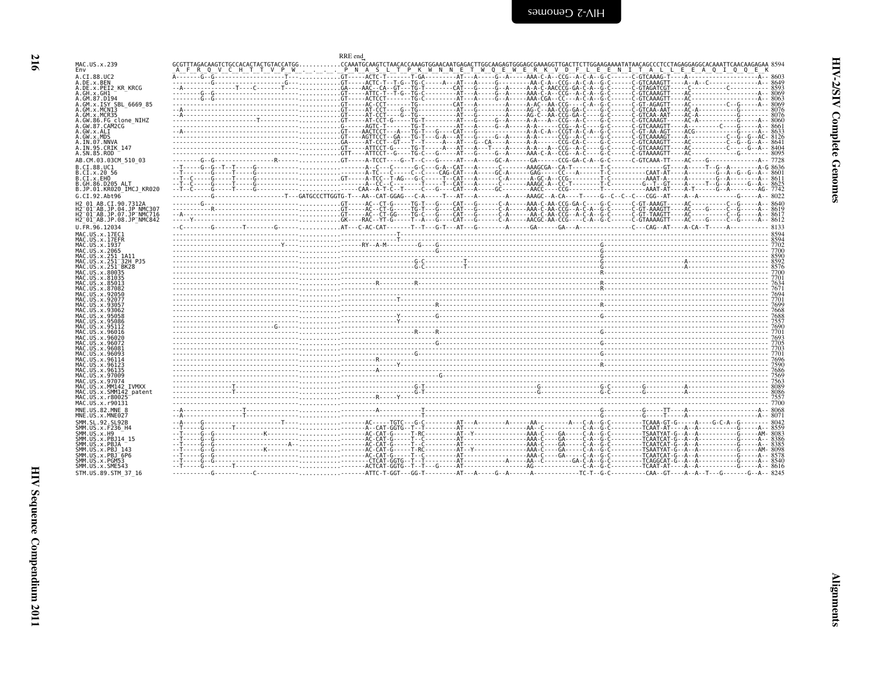| I      |  |
|--------|--|
|        |  |
| ×<br>٠ |  |
|        |  |

<span id="page-57-0"></span>

|                                                                                  | RRE end                                                                                                              |
|----------------------------------------------------------------------------------|----------------------------------------------------------------------------------------------------------------------|
| 1AC.US.x.239                                                                     | A F R Q V C H T T V P W P N A S L T P K W N N E T W Q E W E R K V D F L E E N Y D T L T T T A L L L E E WA COME ON D |
| .CI.88.UC2                                                                       |                                                                                                                      |
| .DE.x.BEN                                                                        |                                                                                                                      |
| .DE.x.PEI2 KR KRCG<br>. GH . x . GH1                                             |                                                                                                                      |
| .GM.87.D194                                                                      |                                                                                                                      |
| .GM.x.ISY SBL 6669 85<br>GM.x.MCN13                                              |                                                                                                                      |
| GM.x.MCR35                                                                       |                                                                                                                      |
| .GW.86.FG clone NIHZ<br>.GW.87.CAM2CG                                            |                                                                                                                      |
| .GW.x.ALI                                                                        |                                                                                                                      |
| .GW.x.MDS                                                                        |                                                                                                                      |
| .IN.07.NNVA<br>.IN.95.CRIK 147                                                   |                                                                                                                      |
| .SN.85.ROD                                                                       |                                                                                                                      |
| AB.CM.03.03CM 510 03                                                             |                                                                                                                      |
| 3.CI.88.UC1<br>.CI.x.20 56                                                       |                                                                                                                      |
| .CI.x.EHO                                                                        |                                                                                                                      |
| .GH.86.D205 ALT                                                                  |                                                                                                                      |
| 3.JP.01.KR020 IMCJ KR020                                                         |                                                                                                                      |
| G.CI.92.Abt96<br>12 01 AB.CI.90.7312A                                            |                                                                                                                      |
| i2 01 AB.JP.04.JP NMC307                                                         |                                                                                                                      |
| 12 <sup>-</sup> 01 <sup>-</sup> AB.JP.07.JP <sup>-</sup> NMC716                  |                                                                                                                      |
| H2 <sup>−</sup> 01 <sup>−</sup> AB.JP.08.JP <sup>−</sup> NMC842<br>J.FR.96.12034 |                                                                                                                      |
| 1AC.US.x.17EC1                                                                   |                                                                                                                      |
| 1AC.US.x.17EFR                                                                   |                                                                                                                      |
| 1AC.US.x.1937<br>1AC.US.x.2065                                                   |                                                                                                                      |
| 4AC.US.x.251 1A11                                                                |                                                                                                                      |
| 4AC.US.x.251 <sup>-</sup> 32H PJ5                                                |                                                                                                                      |
| 4AC.US.x.251 <sup>-</sup> BK28<br>4AC.US.x.80035                                 | $\frac{6590}{35700}$                                                                                                 |
| 4AC.US.x.81035<br>1AC.US.x.85013                                                 |                                                                                                                      |
| 4AC.US.x.87082                                                                   |                                                                                                                      |
| 4AC.US.x.92050                                                                   |                                                                                                                      |
| 4AC.US.x.92077<br>1AC.US.x.93057                                                 |                                                                                                                      |
| 1AC.US.x.93062                                                                   |                                                                                                                      |
| 4AC.US.x.95058<br>1AC.US.x.95086                                                 |                                                                                                                      |
| 1AC.US.x.95112                                                                   |                                                                                                                      |
| 4AC.US.x.96016<br>1AC.US.x.96020                                                 |                                                                                                                      |
| 1AC.US.x.96072                                                                   |                                                                                                                      |
| 1AC.US.x.96081<br>1AC.US.x.96093                                                 |                                                                                                                      |
| 1AC.US.x.96114                                                                   |                                                                                                                      |
| 4AC.US.x.96123<br>4AC.US.x.96135                                                 |                                                                                                                      |
| 4AC US x 97009                                                                   |                                                                                                                      |
| 1AC.US.x.97074                                                                   |                                                                                                                      |
| 4AC.US.x.MM142 IVMXX<br>AAC.US.x.SMM142 patent                                   |                                                                                                                      |
| 4AC.US.x.r80025                                                                  |                                                                                                                      |
| 4AC.US.x.r90131<br>NE.US.82.MNE 8                                                |                                                                                                                      |
| INE.US.x.MNE027                                                                  |                                                                                                                      |
| SMM.SL.92.SL92B                                                                  |                                                                                                                      |
| SMM.US.x.F236_H4<br>SMM.US.x.H9                                                  |                                                                                                                      |
| SMM.US.x.PBJ14 15                                                                |                                                                                                                      |
| SMM.US.x.PBJA                                                                    |                                                                                                                      |
| SMM.US.x.PBJ 143<br>SMM.US.x.PBJ <sup>-</sup> 6P6                                |                                                                                                                      |
| SMM.US.x.PGM53                                                                   |                                                                                                                      |
| SMM.US.x.SME543<br>STM.US.89.STM 37 16                                           |                                                                                                                      |
|                                                                                  |                                                                                                                      |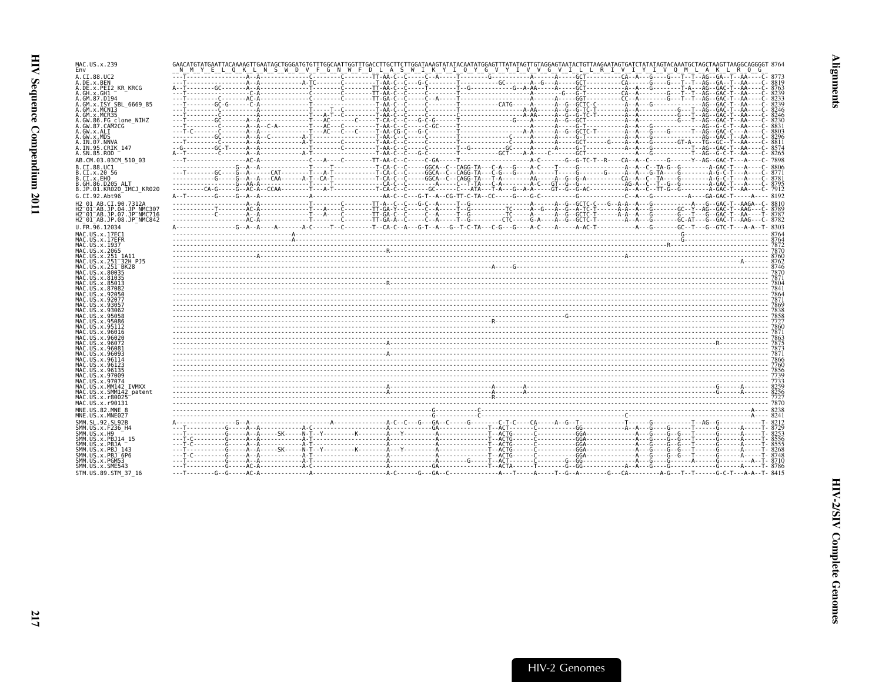| MAC.US.x.239                                                 |                                                                                                                 |  |  |
|--------------------------------------------------------------|-----------------------------------------------------------------------------------------------------------------|--|--|
| Fny                                                          | N M Y E L O K L N S W D V F G N W F D L A S W I K Y I O Y G V Y I V V G V I L L R I V I Y I V O M L A K L R O G |  |  |
| A.CI.88.UC2<br>A.DE.x.BEN                                    |                                                                                                                 |  |  |
| A.DE.x.PEI2 KR KRCG                                          |                                                                                                                 |  |  |
| A.GH.X.GH1<br>A.GM.87.D194                                   |                                                                                                                 |  |  |
| A.GM.x.ISY SBL 6669 85                                       |                                                                                                                 |  |  |
| A.GM.x.MCN13<br>A.GM.x.MCR35                                 |                                                                                                                 |  |  |
| A.GW.86.FG clone NIHZ                                        |                                                                                                                 |  |  |
| A.GW.87.CAM2CG<br>A.GW.x.ALI                                 |                                                                                                                 |  |  |
| A.GW.x.MDS                                                   |                                                                                                                 |  |  |
| A.IN.07.NNVA<br>A.IN.95.CRIK 147                             |                                                                                                                 |  |  |
| A.SN.85.ROD                                                  |                                                                                                                 |  |  |
| AB.CM.03.03CM 510 03<br>B.CI.88.UC1                          |                                                                                                                 |  |  |
| B.CI.X.20 56                                                 |                                                                                                                 |  |  |
| B.CI.X.EHO                                                   |                                                                                                                 |  |  |
| B.GH.86.D205 ALT<br>B.JP.01.KR020 IMCJ KR020                 |                                                                                                                 |  |  |
| G.CI.92.Abt96                                                |                                                                                                                 |  |  |
| H2 01 AB.CI.90.7312A<br>H2 <sup>-01-AB.JP.04.JP NMC307</sup> |                                                                                                                 |  |  |
| H2 <sup>-01-AB.JP.07.JP-NMC716</sup>                         |                                                                                                                 |  |  |
| H2 <sup>-01-AB.JP.08.JP<sup>-</sup>NMC842</sup>              |                                                                                                                 |  |  |
| U.FR.96.12034<br>MAC.US.x.17EC1                              |                                                                                                                 |  |  |
| MAC.US.x.17EFR                                               |                                                                                                                 |  |  |
| MAC.US.x.1937<br>MAC.US.x.2065                               |                                                                                                                 |  |  |
| MAC.US.x.251 1A11                                            |                                                                                                                 |  |  |
| MAC.US.x.251 32H PJ5<br>MAC.US.x.251 <sup>-</sup> BK28       |                                                                                                                 |  |  |
| MAC.US.x.80035                                               |                                                                                                                 |  |  |
| MAC.US.x.81035<br>MAC.US.x.85013                             |                                                                                                                 |  |  |
| MAC. US. x.87082<br>MAC.US.x.92050                           |                                                                                                                 |  |  |
| MAC.US.x.92077                                               |                                                                                                                 |  |  |
| MAC.US.x.9305<br>MAC.US.x.9306                               |                                                                                                                 |  |  |
| MAC.US.x.95058                                               |                                                                                                                 |  |  |
| MAC.US.x.95086<br>MAC. U.S. x. 95112                         |                                                                                                                 |  |  |
| MAC.US.x.96016                                               |                                                                                                                 |  |  |
| MAC.US.x.96020<br>MAC.US.x.96072                             |                                                                                                                 |  |  |
| MAC.US.x.96081<br>MAC.US.x.96093                             |                                                                                                                 |  |  |
| MAC.US.x.96114                                               |                                                                                                                 |  |  |
| MAC.US.x.96123<br>MAC.US.x.96135                             |                                                                                                                 |  |  |
| MAC.US.x.97009                                               |                                                                                                                 |  |  |
| MAC.US.x.97074<br>MAC.US.x.MM142 IVMXX                       |                                                                                                                 |  |  |
| MAC.US.x.SMM142 patent                                       |                                                                                                                 |  |  |
| MAC.US.x.r80025<br>MAC.US.x.r90131                           |                                                                                                                 |  |  |
| MNE.US.82.MNE 8                                              |                                                                                                                 |  |  |
| MNE.US.x.MNE027<br>SMM.SL.92.SL92B                           |                                                                                                                 |  |  |
| SMM. US. x. F236 H4                                          |                                                                                                                 |  |  |
| SMM.US.x.H9<br>SMM. US. x. PBJ14 15                          |                                                                                                                 |  |  |
| SMM.US.x.PBJA                                                |                                                                                                                 |  |  |
| SMM.US.x.PBJ 143<br>SMM.US.x.PBJ <sup>-6P6</sup>             |                                                                                                                 |  |  |
| SMM.US.x.PGM53                                               |                                                                                                                 |  |  |
| SMM.US.x.SME543<br>STM.US.89.STM 37 16                       |                                                                                                                 |  |  |
|                                                              |                                                                                                                 |  |  |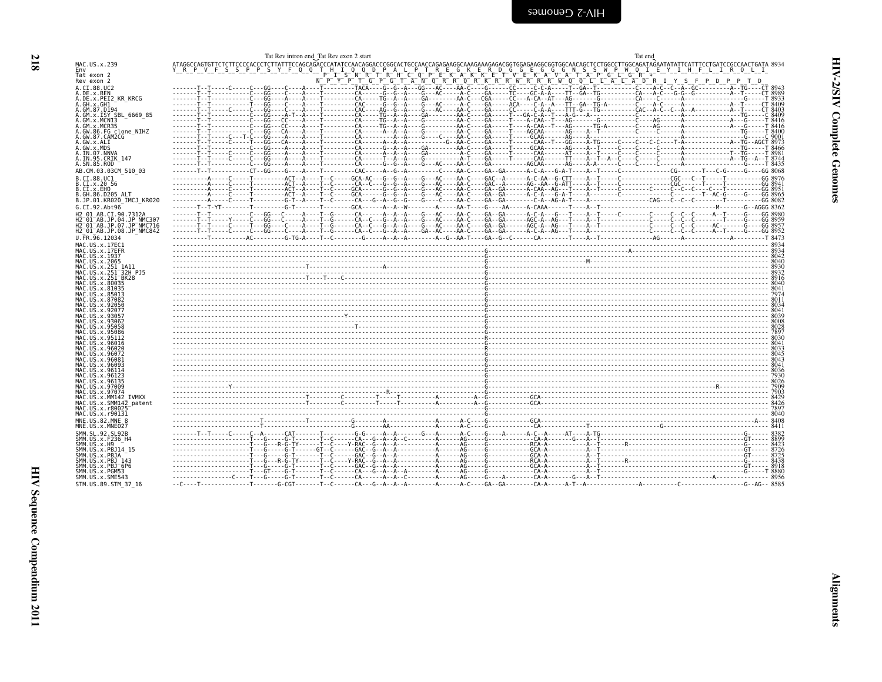<span id="page-59-0"></span>

|                                                                                                                    | Tat Rev intron end Tat Rev exon 2 start                                                                                                                                                                                                                                                          | Tat end                                                                                                                        |
|--------------------------------------------------------------------------------------------------------------------|--------------------------------------------------------------------------------------------------------------------------------------------------------------------------------------------------------------------------------------------------------------------------------------------------|--------------------------------------------------------------------------------------------------------------------------------|
| MAC.US.x.239                                                                                                       |                                                                                                                                                                                                                                                                                                  |                                                                                                                                |
| Env<br>Tat exon 2                                                                                                  | S P P S Y F Q Q T H I<br>T.                                                                                                                                                                                                                                                                      | A L P T R E G K E R D G G E G G G N S S W P W O T E Y I H F<br>H C O P E K A K K E T V E K A V A T A P G L G R * - - - - - - - |
| Rev exon 2                                                                                                         |                                                                                                                                                                                                                                                                                                  | NPYPTGPGTANQRRPGRKRRKRRKWQCLLALADRIYSFPDP                                                                                      |
| A.CI.88.UC2<br>A.DE.x.BEN                                                                                          |                                                                                                                                                                                                                                                                                                  |                                                                                                                                |
| A.DE.x.PEI2 KR KRCG                                                                                                |                                                                                                                                                                                                                                                                                                  |                                                                                                                                |
| A.GH.x.GH1<br>A.GM.87.D194                                                                                         | -------T--T-------------T---GG----C----A---T---------CAC-----G--G--A----G---AC-----AC-----ACA----CA--AC----TT--GA--TT--GA--TG-A-------C----A-C-----A--T-----CT 8409                                                                                                                              |                                                                                                                                |
| A.GM.x.ISY SBL_6669_85                                                                                             |                                                                                                                                                                                                                                                                                                  |                                                                                                                                |
| A.GM.x.MCN13                                                                                                       |                                                                                                                                                                                                                                                                                                  |                                                                                                                                |
| A.GM.x.MCR35<br>A.GW.86.FG clone NIHZ                                                                              |                                                                                                                                                                                                                                                                                                  |                                                                                                                                |
| A.GW.87.CAM2CG                                                                                                     |                                                                                                                                                                                                                                                                                                  |                                                                                                                                |
| A.GW.x.ALI<br>A.GW.x.MDS                                                                                           |                                                                                                                                                                                                                                                                                                  |                                                                                                                                |
| A.IN.07.NNVA                                                                                                       |                                                                                                                                                                                                                                                                                                  |                                                                                                                                |
| A.IN.95.CRIK 147<br>A.SN.85.ROD                                                                                    |                                                                                                                                                                                                                                                                                                  |                                                                                                                                |
| AB.CM.03.03CM 510 03                                                                                               |                                                                                                                                                                                                                                                                                                  |                                                                                                                                |
| B.CI.88.UC1                                                                                                        |                                                                                                                                                                                                                                                                                                  |                                                                                                                                |
| B.CI.x.20 56<br>B.CI.x.EHO                                                                                         |                                                                                                                                                                                                                                                                                                  |                                                                                                                                |
| B.GH.86.D205 ALT                                                                                                   |                                                                                                                                                                                                                                                                                                  |                                                                                                                                |
| B.JP.01.KR020 IMCJ KR020<br>G.CI.92.Abt96                                                                          |                                                                                                                                                                                                                                                                                                  |                                                                                                                                |
| H2 01 AB.CI.90.7312A                                                                                               |                                                                                                                                                                                                                                                                                                  |                                                                                                                                |
| H2 <sup>-</sup> 01 <sup>-</sup> AB.JP.04.JP NMC30.                                                                 |                                                                                                                                                                                                                                                                                                  |                                                                                                                                |
| H2 <sup>-</sup> 01 <sup>-</sup> AB.JP.07.JP <sup>-</sup> NMC716<br>H2 <sup>-01-AB.JP.08.JP<sup>-</sup>NMC842</sup> |                                                                                                                                                                                                                                                                                                  |                                                                                                                                |
| U.FR.96.12034                                                                                                      |                                                                                                                                                                                                                                                                                                  |                                                                                                                                |
| MAC.US.x.17EC1                                                                                                     |                                                                                                                                                                                                                                                                                                  |                                                                                                                                |
| MAC.US.x.17EFR<br>MAC. US. x. 1937                                                                                 |                                                                                                                                                                                                                                                                                                  |                                                                                                                                |
| MAC.US.x.2065                                                                                                      |                                                                                                                                                                                                                                                                                                  |                                                                                                                                |
| MAC.US.x.251 1A11<br>MAC.US.x.251 32H PJ5                                                                          |                                                                                                                                                                                                                                                                                                  |                                                                                                                                |
| MAC.US.x.251 <sup>-</sup> BK28                                                                                     |                                                                                                                                                                                                                                                                                                  |                                                                                                                                |
| MAC.US.x.80035<br>MAC.US.x.81035                                                                                   |                                                                                                                                                                                                                                                                                                  |                                                                                                                                |
| MAC.US.x.85013                                                                                                     |                                                                                                                                                                                                                                                                                                  |                                                                                                                                |
| MAC.US.x.87082<br>MAC.US.x.92050                                                                                   |                                                                                                                                                                                                                                                                                                  |                                                                                                                                |
| MAC.US.x.92077<br>MAC.US.x.93057                                                                                   |                                                                                                                                                                                                                                                                                                  |                                                                                                                                |
| MAC.US.x.93062                                                                                                     | $\frac{1}{2028}$ $\frac{1}{2028}$ $\frac{1}{2028}$ $\frac{1}{2028}$ $\frac{1}{2028}$ $\frac{1}{2028}$ $\frac{1}{2028}$ $\frac{1}{2028}$ $\frac{1}{2028}$ $\frac{1}{2028}$ $\frac{1}{2028}$ $\frac{1}{2028}$ $\frac{1}{2028}$ $\frac{1}{2028}$ $\frac{1}{2028}$ $\frac{1}{2028}$ $\frac{1}{2028}$ |                                                                                                                                |
| MAC.US.x.95058<br>MAC.US.x.95086                                                                                   |                                                                                                                                                                                                                                                                                                  |                                                                                                                                |
| MAC.US.x.95112                                                                                                     |                                                                                                                                                                                                                                                                                                  |                                                                                                                                |
| MAC.US.x.96016<br>MAC.US.x.96020                                                                                   |                                                                                                                                                                                                                                                                                                  |                                                                                                                                |
| MAC.US.x.96072                                                                                                     |                                                                                                                                                                                                                                                                                                  |                                                                                                                                |
| MAC.US.x.96081<br>MAC.US.x.96093                                                                                   |                                                                                                                                                                                                                                                                                                  |                                                                                                                                |
| MAC.US.x.96114                                                                                                     |                                                                                                                                                                                                                                                                                                  |                                                                                                                                |
| MAC.US.x.96123<br>MAC.US.x.96135                                                                                   |                                                                                                                                                                                                                                                                                                  |                                                                                                                                |
| MAC.US.x.97009                                                                                                     |                                                                                                                                                                                                                                                                                                  |                                                                                                                                |
| MAC.US.x.97074<br>MAC.US.x.MM142 IVMXX                                                                             |                                                                                                                                                                                                                                                                                                  |                                                                                                                                |
| MAC.US.x.SMM142 patent                                                                                             |                                                                                                                                                                                                                                                                                                  |                                                                                                                                |
| MAC.US.x.r80025<br>MAC.US.x.r90131                                                                                 |                                                                                                                                                                                                                                                                                                  |                                                                                                                                |
| MNE.US.82.MNE 8                                                                                                    |                                                                                                                                                                                                                                                                                                  |                                                                                                                                |
| MNE.US.x.MNE027                                                                                                    |                                                                                                                                                                                                                                                                                                  |                                                                                                                                |
| SMM. SL. 92. SL92B<br>SMM.US.x.F236 H4                                                                             |                                                                                                                                                                                                                                                                                                  |                                                                                                                                |
| SMM.US.x.H9                                                                                                        |                                                                                                                                                                                                                                                                                                  |                                                                                                                                |
| SMM.US.x.PBJ14 15<br>SMM.US.x.PBJA                                                                                 |                                                                                                                                                                                                                                                                                                  |                                                                                                                                |
| SMM.US.x.PBJ 143                                                                                                   |                                                                                                                                                                                                                                                                                                  |                                                                                                                                |
| SMM.US.x.PBJ <sup>-6P6</sup><br>SMM.US.x.PGM53                                                                     |                                                                                                                                                                                                                                                                                                  |                                                                                                                                |
| SMM.US.x.SME543                                                                                                    |                                                                                                                                                                                                                                                                                                  |                                                                                                                                |
| STM.US.89.STM 37 16                                                                                                |                                                                                                                                                                                                                                                                                                  |                                                                                                                                |

HIV Sequence Compendium 2011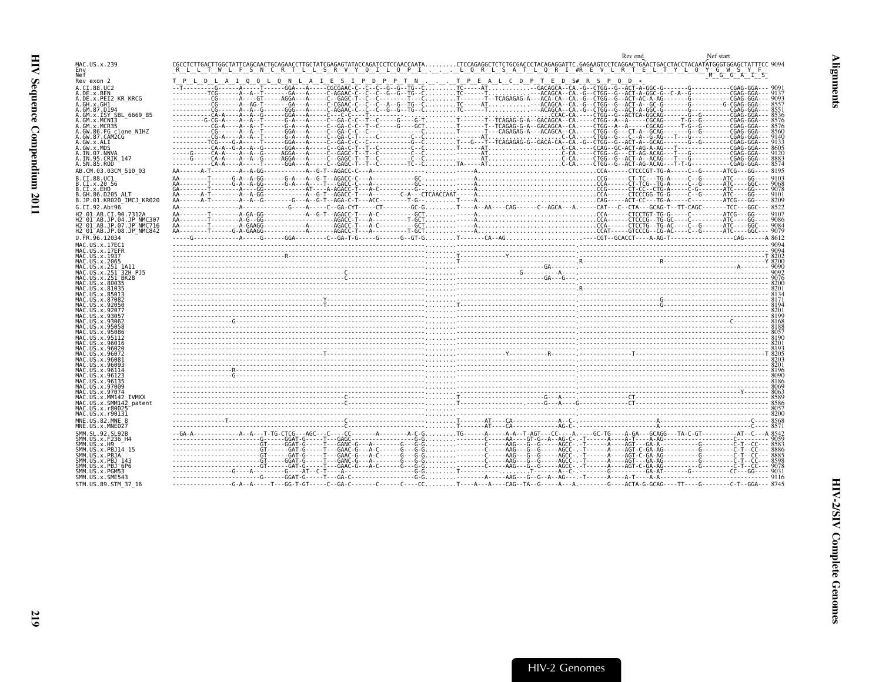<span id="page-60-0"></span>

|                                                                                                                    | Rev end                                                                                                                                                                                                                             |  |
|--------------------------------------------------------------------------------------------------------------------|-------------------------------------------------------------------------------------------------------------------------------------------------------------------------------------------------------------------------------------|--|
| MAC.US.x.239                                                                                                       | TLLS<br>R V Y Q<br>-I Li<br>0 P I L O R L S A T L O R I #R E V L R T E L T Y L O Y G W S Y F<br>W L F S N C R                                                                                                                       |  |
| Nef<br>Rev exon 2                                                                                                  | M G G A I S<br>T P L D L A I Q Q L Q N L A I E S I P D P P T N T P E A L C D P T E D S# R S P Q D *                                                                                                                                 |  |
| A.CI.88.UC2                                                                                                        |                                                                                                                                                                                                                                     |  |
| A.DE.x.BEN<br>A.DE.X.PEI2 KR KRCG                                                                                  |                                                                                                                                                                                                                                     |  |
| A.GH.x.GH1<br>A.GM.87.D194                                                                                         |                                                                                                                                                                                                                                     |  |
| A.GM.x.ISY SBL 6669 85                                                                                             |                                                                                                                                                                                                                                     |  |
| A.GM.x.MCNI3<br>A.GM.x.MCR35                                                                                       |                                                                                                                                                                                                                                     |  |
| A.GW.86.FG clone NIHZ<br>A.GW.87.CAM2CG                                                                            |                                                                                                                                                                                                                                     |  |
| A.GW.x.ALI<br>A.GW.x.MDS                                                                                           |                                                                                                                                                                                                                                     |  |
| A. IN. 07. NNVA                                                                                                    |                                                                                                                                                                                                                                     |  |
| A.IN.95.CRIK 147<br>A.SN.85.ROD                                                                                    |                                                                                                                                                                                                                                     |  |
| AB.CM.03.03CM 510 03                                                                                               |                                                                                                                                                                                                                                     |  |
| B.CI.88.UC1<br>B.CI.x.20 56                                                                                        |                                                                                                                                                                                                                                     |  |
| B.CI.x.EHO<br>B.GH.86.D205 ALT                                                                                     |                                                                                                                                                                                                                                     |  |
| B.JP.01.KR020 IMCJ KR020                                                                                           |                                                                                                                                                                                                                                     |  |
| G.CI.92.Abt96<br>H2 01 AB.CI.90.7312A                                                                              |                                                                                                                                                                                                                                     |  |
| H2 <sup>-01-AB.JP.04.JP NMC307</sup>                                                                               |                                                                                                                                                                                                                                     |  |
| H2 <sup>-</sup> 01 <sup>-</sup> AB.JP.07.JP <sup>-</sup> NMC716<br>H2 <sup>-01-AB.JP.08.JP<sup>-</sup>NMC842</sup> |                                                                                                                                                                                                                                     |  |
| U.FR.96.12034                                                                                                      |                                                                                                                                                                                                                                     |  |
| MAC.US.x.17EC1<br>MAC.US.x.17EFR                                                                                   |                                                                                                                                                                                                                                     |  |
| MAC.US.x.1937<br>MAC.US.x.2065                                                                                     |                                                                                                                                                                                                                                     |  |
| MAC.US.x.251 1A11<br>MAC.US.x.251 32H PJ5                                                                          |                                                                                                                                                                                                                                     |  |
| MAC.US.x.251 <sup>-</sup> BK28                                                                                     |                                                                                                                                                                                                                                     |  |
| MAC.US.x.80035<br>MAC.US.x.81035                                                                                   |                                                                                                                                                                                                                                     |  |
| MAC.US.x.85013<br>MAC.US.x.87082                                                                                   |                                                                                                                                                                                                                                     |  |
| MAC.US.x.92050<br>MAC.US.x.92077                                                                                   |                                                                                                                                                                                                                                     |  |
| MAC.US.x.93057                                                                                                     |                                                                                                                                                                                                                                     |  |
| MAC US x 93062<br>MAC.US.x.95058                                                                                   | ו המוצר המוצרים במשפט המוצרים במוצרים במוצרים במוצרים במוצרים במוצרים במוצרים במוצרים במוצרים במוצרים במוצרים<br>הפעם המוצרים במוצרים במוצרים במוצרים במוצרים במוצרים במוצרים במוצרים במוצרים במוצרים במוצרים במוצרים במוצרים ב<br> |  |
| MAC.US.x.95086<br>MAC.US.x.95112                                                                                   |                                                                                                                                                                                                                                     |  |
| MAC.US.x.96016<br>MAC.US.x.96020                                                                                   |                                                                                                                                                                                                                                     |  |
| MAC.US.x.96072<br>MAC.US.x.96081                                                                                   |                                                                                                                                                                                                                                     |  |
| MAC.US.x.96093                                                                                                     | $\mathbb{R}^{200}$ . The contract of the contract of the contract of $\mathbb{R}^{200}$ .                                                                                                                                           |  |
| MAC.US.x.96114<br>MAC.US.x.96123                                                                                   |                                                                                                                                                                                                                                     |  |
| MAC.US.x.96135<br>MAC.US.x.97009                                                                                   |                                                                                                                                                                                                                                     |  |
| MAC.US.x.97074<br>MAC.US.x.MM142 IVMXX                                                                             |                                                                                                                                                                                                                                     |  |
| MAC.US.x.SMM142 patent                                                                                             |                                                                                                                                                                                                                                     |  |
| MAC.US.x.r80025<br>MAC.US.x.r90131                                                                                 |                                                                                                                                                                                                                                     |  |
| MNE.US.82.MNE 8<br>MNE.US.x.MNE027                                                                                 |                                                                                                                                                                                                                                     |  |
| SMM.SL.92.SL92B                                                                                                    |                                                                                                                                                                                                                                     |  |
| SMM.US.x.F236 H4<br>SMM.US.x.H9                                                                                    |                                                                                                                                                                                                                                     |  |
| SMM.US.x.PBJ14 15<br>SMM.US.x.PBJA                                                                                 |                                                                                                                                                                                                                                     |  |
| SMM. US. x. PBJ 143                                                                                                |                                                                                                                                                                                                                                     |  |
| SMM.US.x.PBJ <sup>-</sup> 6P6<br>SMM.US.x.PGM53                                                                    |                                                                                                                                                                                                                                     |  |
| SMM.US.x.SME543<br>STM.US.89.STM 37 16                                                                             |                                                                                                                                                                                                                                     |  |
|                                                                                                                    |                                                                                                                                                                                                                                     |  |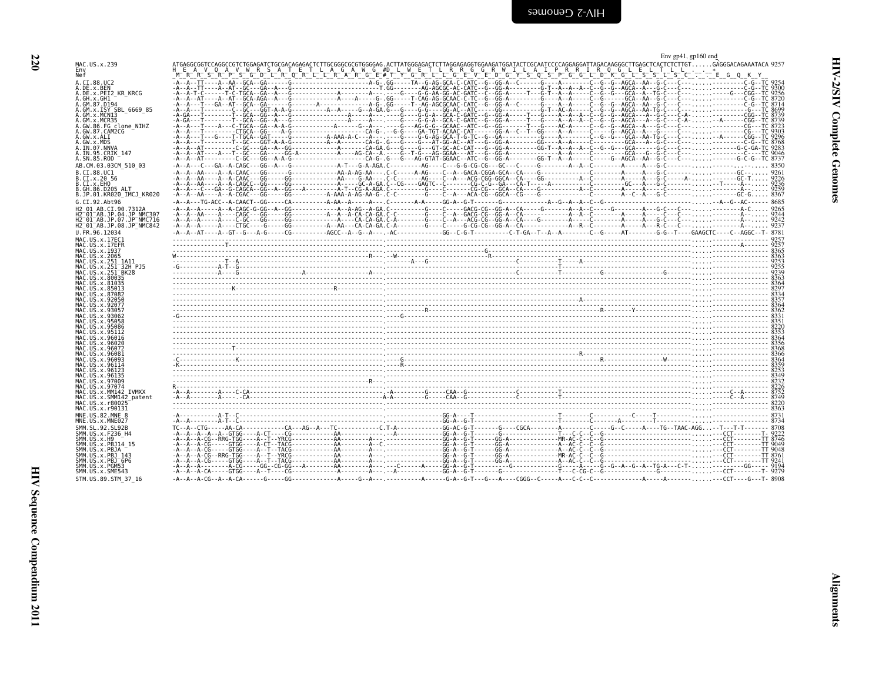<span id="page-61-0"></span>

|                                                                                         | Env $gp41$ , $gp160$ end                                                                                                                                                                                                                                                                                                                                                                                                        |
|-----------------------------------------------------------------------------------------|---------------------------------------------------------------------------------------------------------------------------------------------------------------------------------------------------------------------------------------------------------------------------------------------------------------------------------------------------------------------------------------------------------------------------------|
| MAC.US.x.239<br>Env                                                                     | ATGAGGCGGTCCAGGCCGTCTGGAGATCTGCGACAGAGACTCTTGCGGGCGCGTGGGGAG.ACTTATGGGAGACTCTTAGGAGAGGTGGAAGATGGATACTCCCAAGGAGGATTAGACAAGGGCTTGAGCTCACTCTCTTGTGAGGGACAGAAATACA 9257                                                                                                                                                                                                                                                             |
| Nef                                                                                     |                                                                                                                                                                                                                                                                                                                                                                                                                                 |
| A.CI.88.UC2<br>A.DE.x.BEN                                                               |                                                                                                                                                                                                                                                                                                                                                                                                                                 |
| A.DE.x.PEI2 KR KRCG<br>A.GH.x.GH1                                                       |                                                                                                                                                                                                                                                                                                                                                                                                                                 |
| A.GM.87.D194<br>A.GM.x.ISY SBL 6669 85                                                  |                                                                                                                                                                                                                                                                                                                                                                                                                                 |
| A.GM.x.MCN13                                                                            |                                                                                                                                                                                                                                                                                                                                                                                                                                 |
| A.GM.x.MCR35<br>A.GW.86.FG clone NIHZ                                                   |                                                                                                                                                                                                                                                                                                                                                                                                                                 |
| A.GW.87.CAM2CG<br>A.GW.x.ALI                                                            |                                                                                                                                                                                                                                                                                                                                                                                                                                 |
| A.GW.x.MDS<br>A.IN.07.NNVA                                                              |                                                                                                                                                                                                                                                                                                                                                                                                                                 |
| A.IN.95.CRIK_147                                                                        |                                                                                                                                                                                                                                                                                                                                                                                                                                 |
| A.SN.85.ROD<br>AB.CM.03.03CM 510 03                                                     |                                                                                                                                                                                                                                                                                                                                                                                                                                 |
| B.CI.88.UC1                                                                             |                                                                                                                                                                                                                                                                                                                                                                                                                                 |
| B.CI.x.20 56<br>B.CI.x.EHO                                                              |                                                                                                                                                                                                                                                                                                                                                                                                                                 |
| B.GH.86.D205 ALT<br>B.JP.01.KR020 IMCJ KR020                                            |                                                                                                                                                                                                                                                                                                                                                                                                                                 |
| G.CI.92.Abt96                                                                           |                                                                                                                                                                                                                                                                                                                                                                                                                                 |
| H2 01 AB.CI.90.7312A<br>H2 <sup>-01-AB.JP.04.JP NMC307</sup>                            |                                                                                                                                                                                                                                                                                                                                                                                                                                 |
| H2 <sup>-01-AB.JP.07.JP-NMC716</sup><br>H2 <sup>-01-AB.JP.08.JP<sup>-</sup>NMC842</sup> |                                                                                                                                                                                                                                                                                                                                                                                                                                 |
| U.FR.96.12034                                                                           |                                                                                                                                                                                                                                                                                                                                                                                                                                 |
| MAC.US.x.17EC1<br>MAC.US.x.17EFR                                                        |                                                                                                                                                                                                                                                                                                                                                                                                                                 |
| MAC.US.x.1937                                                                           |                                                                                                                                                                                                                                                                                                                                                                                                                                 |
| MAC. US. x. 2065<br>MAC.US.x.251 1A11                                                   |                                                                                                                                                                                                                                                                                                                                                                                                                                 |
| MAC.US.x.251 <sup>-32H</sup> PJ5<br>MAC.US.x.251 <sup>-</sup> BK28                      |                                                                                                                                                                                                                                                                                                                                                                                                                                 |
| MAC.US.x.80035<br>MAC.US.x.81035                                                        |                                                                                                                                                                                                                                                                                                                                                                                                                                 |
| MAC. US. x.85013<br>MAC.US.x.87082                                                      |                                                                                                                                                                                                                                                                                                                                                                                                                                 |
| MAC.US.x.92050                                                                          |                                                                                                                                                                                                                                                                                                                                                                                                                                 |
| MAC.US.x.92077<br>MAC.US.x.93057                                                        |                                                                                                                                                                                                                                                                                                                                                                                                                                 |
| MAC.US.x.93062<br>MAC.US.x.95058                                                        | $\frac{3397}{3321}$ and $\frac{3397}{3321}$ and $\frac{3397}{3321}$ and $\frac{3397}{3321}$ and $\frac{3397}{3321}$ and $\frac{3397}{3321}$ and $\frac{3397}{3321}$ and $\frac{3397}{3321}$ and $\frac{3397}{3321}$ and $\frac{3397}{3321}$ and $\frac{3397}{3321}$ and                                                                                                                                                         |
| MAC.US.x.95086<br>MAC.US.x.95112                                                        |                                                                                                                                                                                                                                                                                                                                                                                                                                 |
| MAC.US.x.96016<br>MAC.US.x.96020                                                        |                                                                                                                                                                                                                                                                                                                                                                                                                                 |
| MAC.US.x.96072                                                                          |                                                                                                                                                                                                                                                                                                                                                                                                                                 |
| MAC.US.x.96081<br>MAC. US. x. 96093                                                     |                                                                                                                                                                                                                                                                                                                                                                                                                                 |
| MAC.US.x.96114<br>MAC.US.x.96123                                                        |                                                                                                                                                                                                                                                                                                                                                                                                                                 |
| MAC.US.x.96135<br>MAC.US.x.97009                                                        | $R_{1} \cdot R_{2} \cdot R_{3} \cdot R_{4} \cdot R_{5} \cdot R_{6} \cdot R_{7} \cdot R_{8} \cdot R_{9} \cdot R_{10} \cdot R_{11} \cdot R_{12} \cdot R_{13} \cdot R_{14} \cdot R_{15} \cdot R_{16} \cdot R_{17} \cdot R_{18} \cdot R_{19} \cdot R_{10} \cdot R_{11} \cdot R_{12} \cdot R_{13} \cdot R_{14} \cdot R_{15} \cdot R_{16} \cdot R_{17} \cdot R_{18} \cdot R_{19} \cdot R_{10} \cdot R_{11} \cdot R_{12} \cdot R_{13}$ |
| MAC.US.x.97074<br>MAC.US.x.MM142 IVMXX                                                  |                                                                                                                                                                                                                                                                                                                                                                                                                                 |
| MAC.US.x.SMM142 patent                                                                  |                                                                                                                                                                                                                                                                                                                                                                                                                                 |
| MAC.US.x.r80025<br>MAC.US.x.r90131                                                      |                                                                                                                                                                                                                                                                                                                                                                                                                                 |
| MNE.US.82.MNE 8<br>MNE.US.x.MNE027                                                      |                                                                                                                                                                                                                                                                                                                                                                                                                                 |
| SMM. SL. 92. SL92B                                                                      |                                                                                                                                                                                                                                                                                                                                                                                                                                 |
| SMM.US.x.F236 H4<br>SMM. US. x.H9                                                       |                                                                                                                                                                                                                                                                                                                                                                                                                                 |
| SMM.US.x.PBJ14 15<br>SMM.US.x.PBJA                                                      |                                                                                                                                                                                                                                                                                                                                                                                                                                 |
| SMM.US.x.PBJ 143<br>SMM.US.x.PBJ <sup>-6P6</sup>                                        |                                                                                                                                                                                                                                                                                                                                                                                                                                 |
| SMM.US.x.PGM53                                                                          |                                                                                                                                                                                                                                                                                                                                                                                                                                 |
| SMM.US.x.SME543<br>STM.US.89.STM 37 16                                                  |                                                                                                                                                                                                                                                                                                                                                                                                                                 |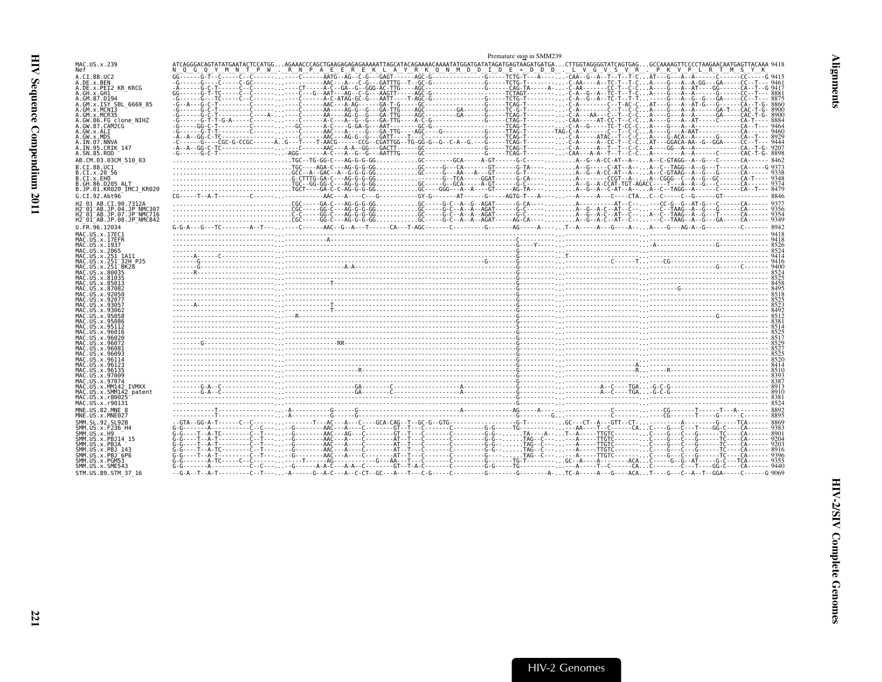<span id="page-62-0"></span>

|                                                                                                                       | Premature stop in SMM239                                                                                                                                                                                                                          |  |
|-----------------------------------------------------------------------------------------------------------------------|---------------------------------------------------------------------------------------------------------------------------------------------------------------------------------------------------------------------------------------------------|--|
| MAC.US.x.239                                                                                                          | ATCAGGGACAGTATATGAATACTCCATGCAGAAACCCAGCTGAAGAGAGAGAAAATTAGCATACAGAAAACAAAATATGGATGATGATGAGTAAGATGAGTATCAGTAGGGGTATCAGTGAGGCCAAAAGTTCCCCTAAGAACAATGAGTTACAAA 9418<br>TPW.RNPAEEREKLAYRKONMDDIDE*DDD.LVGVSVR.PKVPLRTMSYK                           |  |
| A.CI.88.UC2                                                                                                           |                                                                                                                                                                                                                                                   |  |
| A.DE.x.BEN<br>A.DE.x.PEI2 KR KRCG                                                                                     |                                                                                                                                                                                                                                                   |  |
| A.GH.x.GH1<br>A.GM.87.D194                                                                                            |                                                                                                                                                                                                                                                   |  |
| A.GM.x.ISY SBL 6669 85                                                                                                |                                                                                                                                                                                                                                                   |  |
| A.GM.x.MCNI3<br>A.GM.x.MCR35                                                                                          |                                                                                                                                                                                                                                                   |  |
| A.GW.86.FG clone NIHZ                                                                                                 |                                                                                                                                                                                                                                                   |  |
| A.GW.87.CAM2CG<br>A.GW.x.ALI                                                                                          |                                                                                                                                                                                                                                                   |  |
| A.GW.x.MDS                                                                                                            |                                                                                                                                                                                                                                                   |  |
| A.IN.07.NNVA<br>A.IN.95.CRIK 147                                                                                      |                                                                                                                                                                                                                                                   |  |
| A.SN.85.ROD                                                                                                           |                                                                                                                                                                                                                                                   |  |
| AB.CM.03.03CM 510 03                                                                                                  | TGC--TG-GG-C---AG-G-G-GGC-------GCA-----AGT-----G-C------C-C-----A--G--A-CC-AT--A--A--C-GTAGG--A--G---C----------- 8462<br>TGC----AG-A-C---AG-G-G-GGGC-----G---CA------GT-----G-TA----A--G----C-AT--A--A--C--TAGG--A--G---T------C-AT------G 9373 |  |
| B.CI.88.UC1<br>B.CI.x.20 56                                                                                           |                                                                                                                                                                                                                                                   |  |
| B.CI.x.EHO                                                                                                            |                                                                                                                                                                                                                                                   |  |
| B.GH.86.D205 ALT<br>B.JP.01.KR020 IMCJ KR020                                                                          | $3349\n350\n360\n371\n381\n393\n394\n397\n398\n399\n399\n399\n399\n399\n391\n391\n399\n391\n391\n392\n393\n399\n399\n391\n399\n391\n391\n392\n393\n394\n399\n399\n399\n391\n391\n392\n393$                                                        |  |
| G.CI.92.Abt96                                                                                                         |                                                                                                                                                                                                                                                   |  |
| H2 01 AB.CI.90.7312A                                                                                                  |                                                                                                                                                                                                                                                   |  |
| H2 <sup>-</sup> 01 <sup>-</sup> AB.JP.04.JP NMC307<br>H2 <sup>-</sup> 01 <sup>-</sup> AB.JP.07.JP <sup>-</sup> NMC716 |                                                                                                                                                                                                                                                   |  |
| H2 <sup>-</sup> 01 <sup>-</sup> AB.JP.08.JP <sup>-</sup> NMC842                                                       |                                                                                                                                                                                                                                                   |  |
| U.FR.96.12034                                                                                                         |                                                                                                                                                                                                                                                   |  |
| MAC.US.x.17EC1<br>MAC.US.x.17EFR                                                                                      |                                                                                                                                                                                                                                                   |  |
| MAC.US.x.1937                                                                                                         |                                                                                                                                                                                                                                                   |  |
| MAC.US.x.2065<br>MAC.US.x.251 1A11                                                                                    |                                                                                                                                                                                                                                                   |  |
| MAC.US.x.251 <sup>-</sup> 32H PJ5<br>MAC.US.x.251 <sup>-</sup> BK28                                                   |                                                                                                                                                                                                                                                   |  |
| MAC.US.x.80035                                                                                                        |                                                                                                                                                                                                                                                   |  |
| MAC.US.x.81035<br>MAC.US.x.85013                                                                                      |                                                                                                                                                                                                                                                   |  |
| MAC.US.x.87082                                                                                                        |                                                                                                                                                                                                                                                   |  |
| MAC.US.x.92050<br>MAC.US.x.92077                                                                                      |                                                                                                                                                                                                                                                   |  |
| MAC.US.x.93057                                                                                                        |                                                                                                                                                                                                                                                   |  |
| MAC.US.x.93062<br>MAC.US.x.95058                                                                                      |                                                                                                                                                                                                                                                   |  |
| MAC.US.x.95086                                                                                                        |                                                                                                                                                                                                                                                   |  |
| MAC.US.x.95112<br>MAC.US.x.96016                                                                                      |                                                                                                                                                                                                                                                   |  |
| MAC.US.x.96020                                                                                                        |                                                                                                                                                                                                                                                   |  |
| MAC.US.x.96072<br>MAC.US.x.96081                                                                                      |                                                                                                                                                                                                                                                   |  |
| MAC.US.x.9609.<br>MAC.US.x.96114                                                                                      |                                                                                                                                                                                                                                                   |  |
| MAC.US.x.96123                                                                                                        |                                                                                                                                                                                                                                                   |  |
| MAC.US.x.96135<br>MAC.US.x.97009                                                                                      | 844 - 1420 - 1420 - 1420 - 1420 - 1420 - 1420 - 1420 - 1420 - 1420 - 1420 - 1420 - 1420 - 1420 - 1420 - 1420 -<br>8899 - 1420 - 1420 - 1420 - 1420 - 1420 - 1420 - 1420 - 1420 - 1420 - 1420 - 1420 - 1420 - 1420 - 1420 - 1420<br>               |  |
| MAC.US.x.97074                                                                                                        |                                                                                                                                                                                                                                                   |  |
| MAC.US.x.MM142 IVMXX<br>MAC.US.x.SMM142 patent                                                                        |                                                                                                                                                                                                                                                   |  |
| MAC.US.x.r80025                                                                                                       |                                                                                                                                                                                                                                                   |  |
| MAC.US.x.r90131<br>MNE.US.82.MNE 8                                                                                    |                                                                                                                                                                                                                                                   |  |
| MNE.US.x.MNE027                                                                                                       |                                                                                                                                                                                                                                                   |  |
| SMM.SL.92.SL92B                                                                                                       |                                                                                                                                                                                                                                                   |  |
| SMM. US. x. F236_H4<br>SMM.US.x.H9                                                                                    |                                                                                                                                                                                                                                                   |  |
| SMM.US.x.PBJ14 15                                                                                                     |                                                                                                                                                                                                                                                   |  |
| SMM.US.x.PBJA<br>SMM.US.x.PBJ 143                                                                                     |                                                                                                                                                                                                                                                   |  |
| SMM.US.x.PBJ <sup>-6P6</sup>                                                                                          |                                                                                                                                                                                                                                                   |  |
| SMM.US.x.PGM53<br>SMM.US.x.SME543                                                                                     |                                                                                                                                                                                                                                                   |  |
| STM.US.89.STM 37 16                                                                                                   |                                                                                                                                                                                                                                                   |  |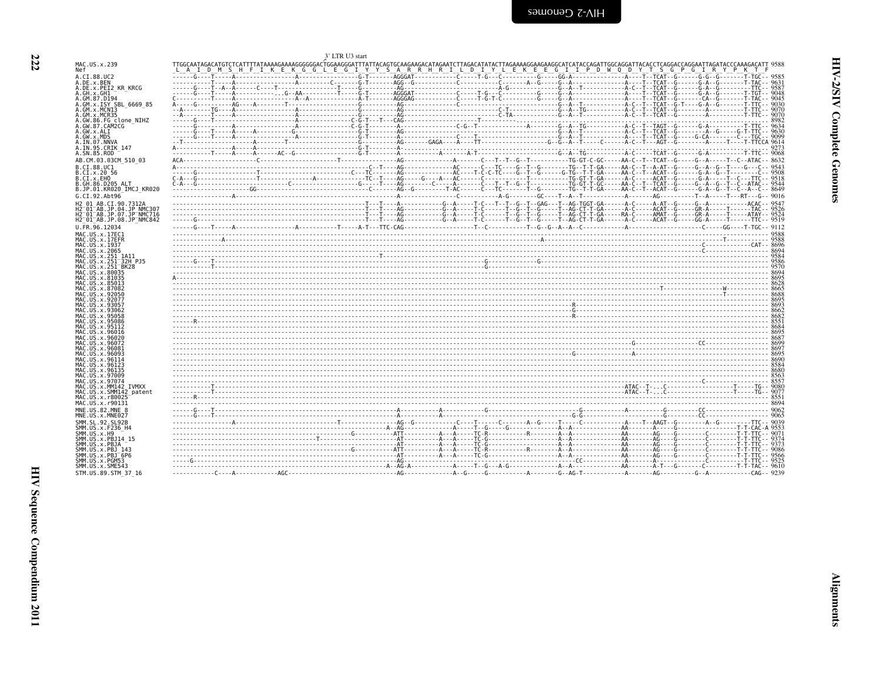| !<br>? |
|--------|
| Î<br>i |
| ì<br>ì |

<span id="page-63-0"></span>

| <b>Example 7-MIN</b> |  |  |  |
|----------------------|--|--|--|
|                      |  |  |  |

|                                                                                                    | LTR U3 start                                                                                                                                                                                                                                                               |      |
|----------------------------------------------------------------------------------------------------|----------------------------------------------------------------------------------------------------------------------------------------------------------------------------------------------------------------------------------------------------------------------------|------|
| MAC.US.x.239<br>Nef                                                                                | LAIDMSHFIKEKGGLEGIYYSARRHRILDIYYLEKEEGIIPDOWOODYTSGPOGTIRYOPRYT                                                                                                                                                                                                            |      |
| A.CI.88.UC2                                                                                        |                                                                                                                                                                                                                                                                            |      |
| A.DE.x.BEN<br>A.DE.x.PEI2 KR KRCG                                                                  |                                                                                                                                                                                                                                                                            |      |
| A.GH.x.GH1<br>A.GM.87.D194                                                                         |                                                                                                                                                                                                                                                                            |      |
| A.GM.X.ISY SBL_6669_85<br>A.GM.x.MCN13                                                             |                                                                                                                                                                                                                                                                            |      |
| A.GM.x.MCR35                                                                                       |                                                                                                                                                                                                                                                                            |      |
| A.GW.86.FG clone NIHZ<br>A.GW.87.CAM2CG                                                            |                                                                                                                                                                                                                                                                            |      |
| A.GW.x.ALI<br>A.GW.x.MDS                                                                           |                                                                                                                                                                                                                                                                            |      |
| A.IN.07.NNVA                                                                                       |                                                                                                                                                                                                                                                                            |      |
| A.IN.95.CRIK 147<br>A.SN.85.ROD                                                                    |                                                                                                                                                                                                                                                                            |      |
| AB.CM.03.03CM 510 03                                                                               |                                                                                                                                                                                                                                                                            |      |
| B.CI.88.UC1<br>B.CI.x.20 56                                                                        |                                                                                                                                                                                                                                                                            |      |
| B.CI.x.EHO<br>B.GH.86.D205 ALT                                                                     |                                                                                                                                                                                                                                                                            |      |
| B.JP.01.KR020 IMCJ KR020                                                                           |                                                                                                                                                                                                                                                                            |      |
| G.CI.92.Abt96<br>H2 01 AB.CI.90.7312A                                                              |                                                                                                                                                                                                                                                                            |      |
| H2 01 AB.JP.04.JP NMC307                                                                           |                                                                                                                                                                                                                                                                            |      |
| H2 <sup>-01-AB.JP.07.JP<sup>-</sup>NMC716</sup><br>H2 <sup>-01-AB.JP.08.JP<sup>-</sup>NMC842</sup> |                                                                                                                                                                                                                                                                            |      |
| U.FR.96.12034                                                                                      |                                                                                                                                                                                                                                                                            |      |
| MAC.US.x.17EC1<br>MAC.US.x.17EFR                                                                   |                                                                                                                                                                                                                                                                            |      |
| MAC.US.x.1937<br>MAC.US.x.2065                                                                     |                                                                                                                                                                                                                                                                            |      |
| MAC.US.x.251 1A11                                                                                  |                                                                                                                                                                                                                                                                            |      |
| MAC.US.x.251 <sup>-32H</sup> PJ5<br>MAC.US.x.251 BK28                                              |                                                                                                                                                                                                                                                                            |      |
| MAC.US.x.80035<br>MAC.US.x.81035                                                                   |                                                                                                                                                                                                                                                                            |      |
| MAC.US.x.85013<br>MAC.US.x.87082                                                                   |                                                                                                                                                                                                                                                                            |      |
| MAC.US.x.92050<br>MAC. US. x. 92077                                                                |                                                                                                                                                                                                                                                                            |      |
| MAC. US. x. 93057                                                                                  |                                                                                                                                                                                                                                                                            |      |
| MAC. US. x. 93062<br>MAC.US.x.95058                                                                | $\begin{bmatrix} 6662 & 6662 & 6662 & 6662 & 6662 & 6662 & 6662 & 6662 & 6662 & 6662 & 6662 & 6662 & 6662 & 6662 & 6662 & 6662 & 6662 & 6662 & 6662 & 6662 & 6662 & 6662 & 6662 & 6662 & 6662 & 6662 & 6662 & 6662 & 6662 & 6662 & 6662 & 6662 & 6662 & 6662 & 6662 & 666$ |      |
| MAC.US.x.95086<br>MAC.US.x.95112                                                                   |                                                                                                                                                                                                                                                                            |      |
| MAC.US.x.96016<br>MAC.US.x.96020                                                                   |                                                                                                                                                                                                                                                                            |      |
| MAC. US. x. 96072                                                                                  |                                                                                                                                                                                                                                                                            |      |
| MAC.US.x.96081<br>MAC.US.x.96093                                                                   |                                                                                                                                                                                                                                                                            |      |
| MAC.US.x.96114<br>MAC.US.x.96123                                                                   |                                                                                                                                                                                                                                                                            |      |
| MAC.US.x.96135<br>MAC.US.x.97009                                                                   |                                                                                                                                                                                                                                                                            |      |
| MAC.US.x.97074<br>MAC.US.x.MM142 IVMXX                                                             |                                                                                                                                                                                                                                                                            |      |
| MAC.US.x.SMM142 patent                                                                             |                                                                                                                                                                                                                                                                            |      |
| MAC. US. x. r80025<br>MAC.US.x.r90131                                                              |                                                                                                                                                                                                                                                                            | 8551 |
| MNE.US.82.MNE 8<br>MNE.US.x.MNE027                                                                 |                                                                                                                                                                                                                                                                            |      |
| SMM. SL. 92. SL92B                                                                                 |                                                                                                                                                                                                                                                                            |      |
| SMM.US.x.F236_H4<br>SMM.US.x.H9                                                                    |                                                                                                                                                                                                                                                                            |      |
| SMM.US.x.PBJ14 15<br>SMM.US.x.PBJA                                                                 |                                                                                                                                                                                                                                                                            |      |
| SMM. US. x. PBJ 143                                                                                |                                                                                                                                                                                                                                                                            |      |
| SMM.US.x.PBJ <sup>-6P6</sup><br>SMM.US.x.PGM53                                                     |                                                                                                                                                                                                                                                                            |      |
| SMM.US.x.SME543                                                                                    |                                                                                                                                                                                                                                                                            |      |
| STM.US.89.STM 37 16                                                                                |                                                                                                                                                                                                                                                                            |      |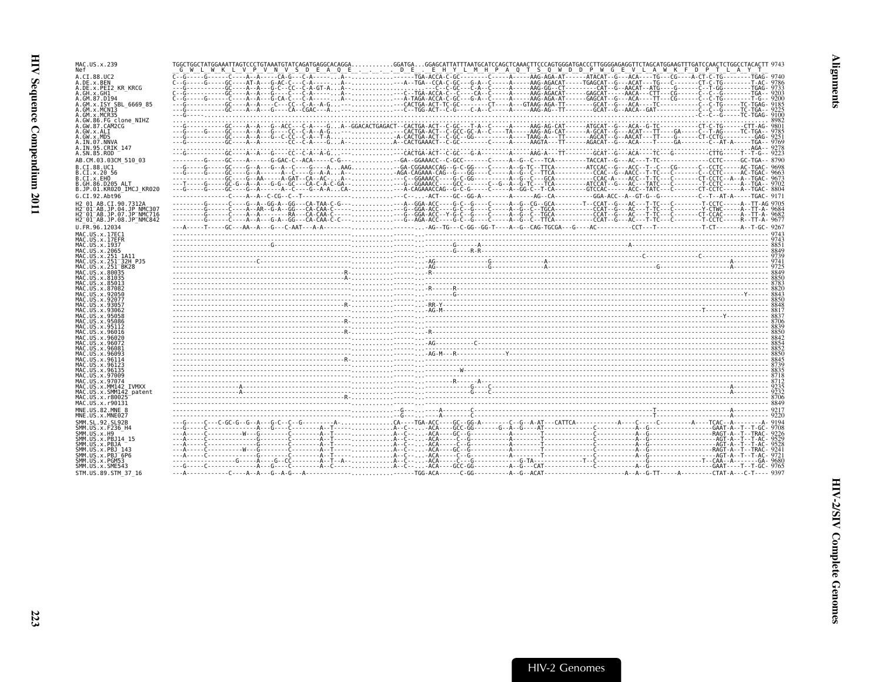HIV Sequence Compendium 2011

| MAC.US.x.239<br>Nef                                                                        |                                                                                                                                                                                                                                                                                                                                                                                                                                                                           |  |  |
|--------------------------------------------------------------------------------------------|---------------------------------------------------------------------------------------------------------------------------------------------------------------------------------------------------------------------------------------------------------------------------------------------------------------------------------------------------------------------------------------------------------------------------------------------------------------------------|--|--|
| A.CI.88.UC2<br>A.DE.X.BEN                                                                  |                                                                                                                                                                                                                                                                                                                                                                                                                                                                           |  |  |
| A.DE.X.PEI2 KR KRCG<br>A.GH.x.GH1                                                          |                                                                                                                                                                                                                                                                                                                                                                                                                                                                           |  |  |
| A.GM.87.D194<br>A.GM.X.ISY SBL 6669 85                                                     |                                                                                                                                                                                                                                                                                                                                                                                                                                                                           |  |  |
| A.GM.x.MCNI3<br>A.GM.x.MCR35                                                               |                                                                                                                                                                                                                                                                                                                                                                                                                                                                           |  |  |
| A.GW.86.FG clone NIHZ<br>A.GW.87.CAM2CG                                                    |                                                                                                                                                                                                                                                                                                                                                                                                                                                                           |  |  |
| A.GW.x.ALI                                                                                 |                                                                                                                                                                                                                                                                                                                                                                                                                                                                           |  |  |
| A.GW.x.MDS<br>A.IN.07.NNVA<br>A.IN.95.CRIK 147                                             | $\frac{\lambda^{02}}{223} \cdot \frac{\lambda^{03}}{223} \cdot \frac{\lambda^{04}}{223} \cdot \frac{\lambda^{05}}{223} \cdot \frac{\lambda^{06}}{223} \cdot \frac{\lambda^{06}}{223} \cdot \frac{\lambda^{05}}{223} \cdot \frac{\lambda^{06}}{223} \cdot \frac{\lambda^{06}}{223} \cdot \frac{\lambda^{06}}{223} \cdot \frac{\lambda^{06}}{223} \cdot \frac{\lambda^{06}}{223} \cdot \frac{\lambda^{06}}{223} \cdot \frac{\lambda^{06}}{223} \cdot \frac{\lambda^{06}}{2$ |  |  |
| A.SN.85.ROD<br>AB.CM.03.03CM 510 03                                                        |                                                                                                                                                                                                                                                                                                                                                                                                                                                                           |  |  |
| B.CI.88.UC1                                                                                |                                                                                                                                                                                                                                                                                                                                                                                                                                                                           |  |  |
| B.CI.X.20 56<br>B.CI.X.EHO                                                                 |                                                                                                                                                                                                                                                                                                                                                                                                                                                                           |  |  |
| B.GH.86.D205 ALT<br>B.JP.01.KR020 IMCJ KR020                                               |                                                                                                                                                                                                                                                                                                                                                                                                                                                                           |  |  |
| G.CI.92.Abt96<br>H2 01 AB.CI.90.7312A                                                      |                                                                                                                                                                                                                                                                                                                                                                                                                                                                           |  |  |
| H2 <sup>-</sup> 01 <sup>-</sup> AB.JP.04.JP NMC307<br>H2 <sup>-01-AB.JP.07.JP-NMC716</sup> |                                                                                                                                                                                                                                                                                                                                                                                                                                                                           |  |  |
| H2 <sup>-01-AB.JP.08.JP-NMC842</sup><br>U.FR.96.12034                                      |                                                                                                                                                                                                                                                                                                                                                                                                                                                                           |  |  |
| MAC.US.x.17EC1                                                                             |                                                                                                                                                                                                                                                                                                                                                                                                                                                                           |  |  |
| MAC.US.x.17EFR<br>MAC.US.x.1937                                                            |                                                                                                                                                                                                                                                                                                                                                                                                                                                                           |  |  |
| MAC.US.x.2065<br>MAC.US.x.251 1A11                                                         |                                                                                                                                                                                                                                                                                                                                                                                                                                                                           |  |  |
| MAC.US.x.251 32H PJ5<br>MAC.US.x.251 <sup>-</sup> BK28                                     | $\begin{bmatrix} 743 \ 8849 \ 8849 \ 8849 \ 8849 \ 8849 \ 8849 \ 8849 \ 8840 \ 8840 \ 8840 \ 8840 \ 8840 \ 8840 \ 8840 \ 8840 \ 8840 \ 8840 \ 8840 \ 8840 \ 8840 \ 8840 \ 8840 \ 8840 \ 8840 \ 8840 \ 8840 \ 8840 \ 8840 \ 8840 \ 8840 \ 8840 \ 8840 \ 8840 \ 8840 \ 8840$                                                                                                                                                                                                |  |  |
| MAC.US.x.80035<br>MAC.US.x.81035                                                           |                                                                                                                                                                                                                                                                                                                                                                                                                                                                           |  |  |
| MAC.US.x.85013<br>MAC.US.x.87082                                                           |                                                                                                                                                                                                                                                                                                                                                                                                                                                                           |  |  |
| MAC. US. x.92056<br>MAC.US.x.92077                                                         |                                                                                                                                                                                                                                                                                                                                                                                                                                                                           |  |  |
| MAC.US.x.93057<br>MAC.US.x.93062                                                           |                                                                                                                                                                                                                                                                                                                                                                                                                                                                           |  |  |
| MAC.US.x.95058<br>MAC.US.x.95086                                                           |                                                                                                                                                                                                                                                                                                                                                                                                                                                                           |  |  |
| MAC. US. x.95112<br>MAC.US.x.96016                                                         |                                                                                                                                                                                                                                                                                                                                                                                                                                                                           |  |  |
| MAC.US.x.96020<br>MAC.US.x.96072<br>MAC.US.x.96081                                         |                                                                                                                                                                                                                                                                                                                                                                                                                                                                           |  |  |
| MAC.US.x.96093<br>MAC.US.x.96114                                                           |                                                                                                                                                                                                                                                                                                                                                                                                                                                                           |  |  |
| MAC.US.x.9612<br>MAC.US.x.96135                                                            |                                                                                                                                                                                                                                                                                                                                                                                                                                                                           |  |  |
| MAC.US.x.97009<br>MAC.US.x.97074                                                           |                                                                                                                                                                                                                                                                                                                                                                                                                                                                           |  |  |
| MAC.US.x.MM142 IVMXX<br>MAC.US.x.SMM142 patent                                             |                                                                                                                                                                                                                                                                                                                                                                                                                                                                           |  |  |
| MAC.US.x.r80025<br>MAC.US.x.r90131                                                         |                                                                                                                                                                                                                                                                                                                                                                                                                                                                           |  |  |
| MNE.US.82.MNE 8<br>MNE.US.x.MNE027                                                         |                                                                                                                                                                                                                                                                                                                                                                                                                                                                           |  |  |
| SMM. SL. 92. SL92B                                                                         |                                                                                                                                                                                                                                                                                                                                                                                                                                                                           |  |  |
| SMM.US.x.F236 H4<br>SMM.US.x.H9                                                            |                                                                                                                                                                                                                                                                                                                                                                                                                                                                           |  |  |
| SMM.US.x.PBJ14 15<br>SMM.US.x.PBJA                                                         |                                                                                                                                                                                                                                                                                                                                                                                                                                                                           |  |  |
| SMM. US. x. PBJ 143<br>SMM.US.x.PBJ <sup>-6P6</sup>                                        |                                                                                                                                                                                                                                                                                                                                                                                                                                                                           |  |  |
| SMM.US.x.PGM53<br>SMM.US.x.SME543                                                          |                                                                                                                                                                                                                                                                                                                                                                                                                                                                           |  |  |
| STM.US.89.STM 37 16                                                                        |                                                                                                                                                                                                                                                                                                                                                                                                                                                                           |  |  |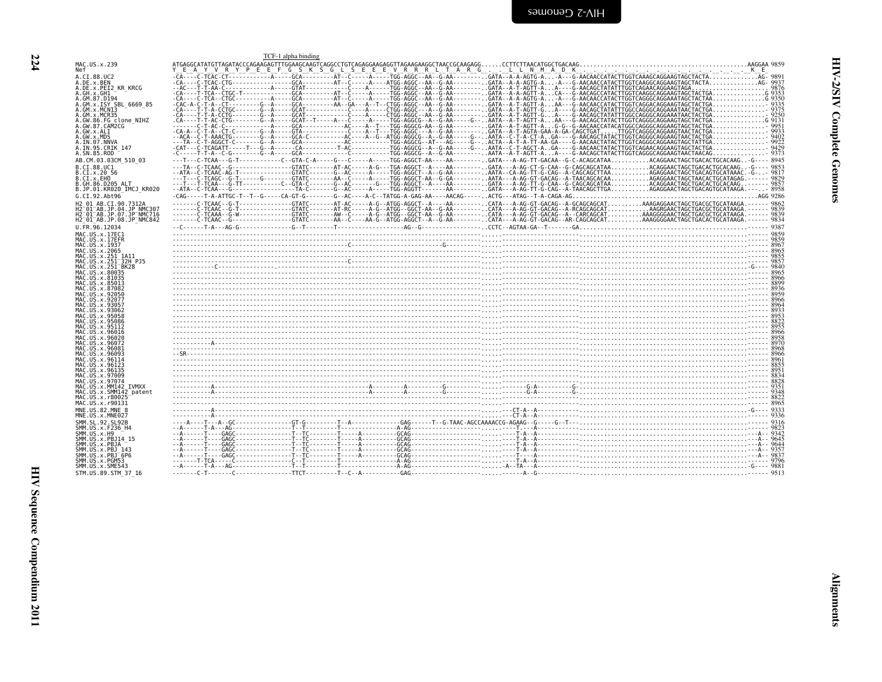<span id="page-65-0"></span>

|                                                                                                                    |                                                                                                                                                                                            | TCF-1 alpha binding |  |  |  |  |  |
|--------------------------------------------------------------------------------------------------------------------|--------------------------------------------------------------------------------------------------------------------------------------------------------------------------------------------|---------------------|--|--|--|--|--|
| MAC.US.x.239<br>Nef                                                                                                |                                                                                                                                                                                            |                     |  |  |  |  |  |
| A.CI.88.UC2                                                                                                        |                                                                                                                                                                                            |                     |  |  |  |  |  |
| A.DE.x.BEN<br>A.DE.x.PEI2 KR KRCG                                                                                  |                                                                                                                                                                                            |                     |  |  |  |  |  |
| .GH.x.GH1                                                                                                          |                                                                                                                                                                                            |                     |  |  |  |  |  |
| A.GM.87.D194                                                                                                       |                                                                                                                                                                                            |                     |  |  |  |  |  |
| A.GM.x.ISY SBL_6669_85<br>A.GM.x.MCNI3                                                                             |                                                                                                                                                                                            |                     |  |  |  |  |  |
| GM.x.MCR35                                                                                                         |                                                                                                                                                                                            |                     |  |  |  |  |  |
| A.GW.86.FG clone NIHZ<br>A.GW.87.CAM2CG                                                                            |                                                                                                                                                                                            |                     |  |  |  |  |  |
| A.GW.x.ALI                                                                                                         |                                                                                                                                                                                            |                     |  |  |  |  |  |
| A.GW.x.MDS<br>A.IN.07.NNVA                                                                                         |                                                                                                                                                                                            |                     |  |  |  |  |  |
| A.IN.95.CRIK 147                                                                                                   |                                                                                                                                                                                            |                     |  |  |  |  |  |
| A.SN.85.ROD                                                                                                        |                                                                                                                                                                                            |                     |  |  |  |  |  |
| AB.CM.03.03CM 510 03                                                                                               | ---T---C-TCAA---G-T-----------C--GTA-C-A-----G---C----A-----TGG-AGGCT-AA----AA--------GATA---A-AG-TT-GACAA--G-C-ACAGCATAAACAGGAACTAGCTGACAAGC-G---- 8945                                   |                     |  |  |  |  |  |
| B.CI.88.UC1<br>B.CI.x.20 56                                                                                        |                                                                                                                                                                                            |                     |  |  |  |  |  |
| B.CI.X.EHO                                                                                                         |                                                                                                                                                                                            |                     |  |  |  |  |  |
| B.GH.86.D205 ALT<br>B.JP.01.KR020 IMCJ KR020                                                                       |                                                                                                                                                                                            |                     |  |  |  |  |  |
| G.CI.92.Abt96                                                                                                      |                                                                                                                                                                                            |                     |  |  |  |  |  |
| H2 01 AB.CI.90.7312A                                                                                               | C-TCAAC--G-T-------------GTATC-------AT-AC-----AT-G--ATGG-AGGCT--A----AA---------.CATA---AAG---A-GC-AAG------ CATA---AG-GT-GACAG--A-GCAGCAGCATAAAGAGGAACTAGCTGACTACGCTGCATAAGA.------ 9862 |                     |  |  |  |  |  |
| H2 01 AB.JP.04.JP NMC307                                                                                           |                                                                                                                                                                                            |                     |  |  |  |  |  |
| H2 <sup>-</sup> 01 <sup>-</sup> AB.JP.07.JP <sup>-</sup> NMC716<br>H2 <sup>-01-AB.JP.08.JP<sup>-</sup>NMC842</sup> |                                                                                                                                                                                            |                     |  |  |  |  |  |
| U.FR.96.12034                                                                                                      |                                                                                                                                                                                            |                     |  |  |  |  |  |
| MAC.US.x.17EC1                                                                                                     |                                                                                                                                                                                            |                     |  |  |  |  |  |
| MAC.US.x.17EFR<br>MAC.US.x.1937                                                                                    |                                                                                                                                                                                            |                     |  |  |  |  |  |
| MAC.US.x.2065                                                                                                      |                                                                                                                                                                                            |                     |  |  |  |  |  |
| MAC.US.x.251 1A11<br>MAC.US.x.251 <sup>-</sup> 32H PJ5                                                             |                                                                                                                                                                                            |                     |  |  |  |  |  |
| MAC.US.x.251 <sup>-</sup> BK28                                                                                     |                                                                                                                                                                                            |                     |  |  |  |  |  |
| MAC.US.x.80035<br>MAC.US.x.81035                                                                                   |                                                                                                                                                                                            |                     |  |  |  |  |  |
| MAC.US.x.85013                                                                                                     |                                                                                                                                                                                            |                     |  |  |  |  |  |
| MAC.US.x.87082<br>MAC.US.x.92050                                                                                   |                                                                                                                                                                                            |                     |  |  |  |  |  |
| MAC.US.x.92077                                                                                                     |                                                                                                                                                                                            |                     |  |  |  |  |  |
| MAC.US.x.93057<br>MAC.US.x.93062                                                                                   |                                                                                                                                                                                            |                     |  |  |  |  |  |
| MAC. US. x. 95058                                                                                                  |                                                                                                                                                                                            |                     |  |  |  |  |  |
| MAC. US. x. 95086                                                                                                  |                                                                                                                                                                                            |                     |  |  |  |  |  |
| MAC.US.x.95112<br>MAC.US.x.96016                                                                                   |                                                                                                                                                                                            |                     |  |  |  |  |  |
| MAC.US.x.96020                                                                                                     |                                                                                                                                                                                            |                     |  |  |  |  |  |
| MAC.US.x.96072<br>MAC.US.x.9608                                                                                    |                                                                                                                                                                                            |                     |  |  |  |  |  |
| MAC.US.x.96093                                                                                                     |                                                                                                                                                                                            |                     |  |  |  |  |  |
| MAC.US.x.96114<br>MAC.US.x.96123                                                                                   |                                                                                                                                                                                            |                     |  |  |  |  |  |
| MAC.US.x.96135                                                                                                     |                                                                                                                                                                                            |                     |  |  |  |  |  |
| MAC.US.x.97009<br>MAC.US.x.97074                                                                                   |                                                                                                                                                                                            |                     |  |  |  |  |  |
| MAC.US.x.MM142 IVMXX                                                                                               |                                                                                                                                                                                            |                     |  |  |  |  |  |
| MAC.US.x.SMM142 patent<br>MAC.US.x.r80025                                                                          |                                                                                                                                                                                            |                     |  |  |  |  |  |
| MAC.US.x.r90131                                                                                                    |                                                                                                                                                                                            |                     |  |  |  |  |  |
| MNE.US.82.MNE 8                                                                                                    |                                                                                                                                                                                            |                     |  |  |  |  |  |
| MNE.US.x.MNE027<br>SMM. SL.92. SL92B                                                                               |                                                                                                                                                                                            |                     |  |  |  |  |  |
| SMM.US.x.F236_H4                                                                                                   |                                                                                                                                                                                            |                     |  |  |  |  |  |
| SMM.US.x.H9<br>SMM.US.x.PBJ14 15                                                                                   |                                                                                                                                                                                            |                     |  |  |  |  |  |
| SMM.US.x.PBJA                                                                                                      |                                                                                                                                                                                            |                     |  |  |  |  |  |
| SMM.US.x.PBJ 143<br>SMM.US.x.PBJ <sup>-6P6</sup>                                                                   |                                                                                                                                                                                            |                     |  |  |  |  |  |
| SMM.US.x.PGM53                                                                                                     |                                                                                                                                                                                            |                     |  |  |  |  |  |
| SMM.US.x.SME543                                                                                                    |                                                                                                                                                                                            |                     |  |  |  |  |  |
| STM.US.89.STM 37 16                                                                                                |                                                                                                                                                                                            |                     |  |  |  |  |  |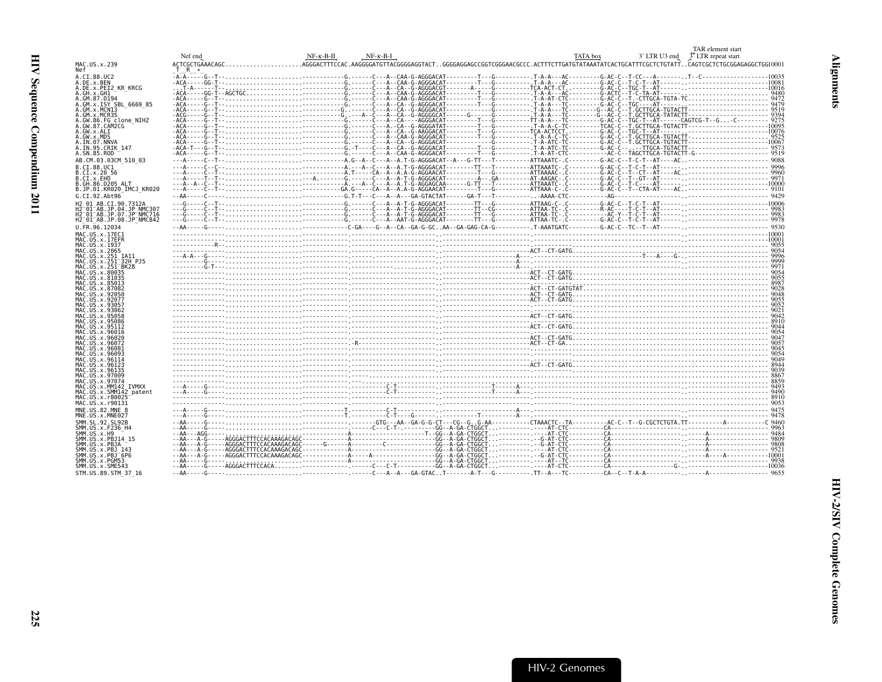<span id="page-66-0"></span>

|                                                                 | Nef end | $NF-K-B-H$<br>$NF-\kappa-\kappa-\kappa$                                                                                                                                                                                                                                                                                                                                                                                                                                                                                         | TAR element start<br>3 <sup>7</sup> LTR repeat start<br>TATA box<br>3' LTR U3 end |      |
|-----------------------------------------------------------------|---------|---------------------------------------------------------------------------------------------------------------------------------------------------------------------------------------------------------------------------------------------------------------------------------------------------------------------------------------------------------------------------------------------------------------------------------------------------------------------------------------------------------------------------------|-----------------------------------------------------------------------------------|------|
| MAC.US.x.239<br>Nef                                             | T R     |                                                                                                                                                                                                                                                                                                                                                                                                                                                                                                                                 |                                                                                   |      |
| A.CI.88.UC2                                                     |         |                                                                                                                                                                                                                                                                                                                                                                                                                                                                                                                                 |                                                                                   |      |
| A.DE.x.BEN<br>A.DE.x.PEI2 KR KRCG                               |         | $\begin{tabular}{cccccccccccc} $\mathsf{A} & \mathsf{A} & \mathsf{A} & \mathsf{B} & \mathsf{B} & \mathsf{B} & \mathsf{B} & \mathsf{B} & \mathsf{B} & \mathsf{B} & \mathsf{B} & \mathsf{B} & \mathsf{B} & \mathsf{B} & \mathsf{B} & \mathsf{B} & \mathsf{B} & \mathsf{B} & \mathsf{B} & \mathsf{B} & \mathsf{B} & \mathsf{B} & \mathsf{B} & \mathsf{B} & \mathsf{B} & \mathsf{B} & \mathsf{B} & \mathsf{B} & \mathsf{B} & \mathsf{B} &$                                                                                          |                                                                                   |      |
| A.GH.x.GH1                                                      |         |                                                                                                                                                                                                                                                                                                                                                                                                                                                                                                                                 |                                                                                   |      |
| A.GM.87.D194                                                    |         |                                                                                                                                                                                                                                                                                                                                                                                                                                                                                                                                 |                                                                                   |      |
| A.GM.x.ISY SBL 6669 85<br>A.GM.x.MCNI3                          |         |                                                                                                                                                                                                                                                                                                                                                                                                                                                                                                                                 |                                                                                   |      |
| A.GM.x.MCR35                                                    |         |                                                                                                                                                                                                                                                                                                                                                                                                                                                                                                                                 |                                                                                   |      |
| A.GW.86.FG clone NIHZ<br>A.GW.87.CAM2CG                         |         |                                                                                                                                                                                                                                                                                                                                                                                                                                                                                                                                 |                                                                                   |      |
| A.GW.x.ALI                                                      |         |                                                                                                                                                                                                                                                                                                                                                                                                                                                                                                                                 |                                                                                   |      |
| A.GW.x.MDS<br>A.IN.07.NNVA                                      |         |                                                                                                                                                                                                                                                                                                                                                                                                                                                                                                                                 |                                                                                   |      |
| A.IN.95.CRIK 147                                                |         |                                                                                                                                                                                                                                                                                                                                                                                                                                                                                                                                 |                                                                                   |      |
| A.SN.85.ROD                                                     |         |                                                                                                                                                                                                                                                                                                                                                                                                                                                                                                                                 |                                                                                   |      |
| AB.CM.03.03CM 510 03<br>B.CI.88.UC1                             |         |                                                                                                                                                                                                                                                                                                                                                                                                                                                                                                                                 |                                                                                   |      |
| B.CI.x.20 56                                                    |         |                                                                                                                                                                                                                                                                                                                                                                                                                                                                                                                                 |                                                                                   |      |
| B.CI.x.EHO                                                      |         |                                                                                                                                                                                                                                                                                                                                                                                                                                                                                                                                 |                                                                                   |      |
| B.GH.86.D205 ALT<br>B.JP.01.KR020 IMCJ KR020                    |         |                                                                                                                                                                                                                                                                                                                                                                                                                                                                                                                                 |                                                                                   |      |
| G.CI.92.Abt96                                                   |         |                                                                                                                                                                                                                                                                                                                                                                                                                                                                                                                                 |                                                                                   |      |
| H2 01 AB.CI.90.7312A                                            |         |                                                                                                                                                                                                                                                                                                                                                                                                                                                                                                                                 |                                                                                   |      |
| H2 01 AB.JP.04.JP NMC30<br>H2 <sup>-01-AB.JP.07.JP-NMC716</sup> |         |                                                                                                                                                                                                                                                                                                                                                                                                                                                                                                                                 |                                                                                   |      |
| H2 <sup>-01-AB.JP.08.JP<sup>-</sup>NMC842</sup>                 |         |                                                                                                                                                                                                                                                                                                                                                                                                                                                                                                                                 |                                                                                   |      |
| U.FR.96.12034                                                   |         |                                                                                                                                                                                                                                                                                                                                                                                                                                                                                                                                 |                                                                                   |      |
| MAC.US.x.17EC1                                                  |         |                                                                                                                                                                                                                                                                                                                                                                                                                                                                                                                                 |                                                                                   |      |
| MAC.US.x.17EFR<br>MAC.US.x.1937                                 |         |                                                                                                                                                                                                                                                                                                                                                                                                                                                                                                                                 |                                                                                   |      |
| MAC.US.x.2065                                                   |         |                                                                                                                                                                                                                                                                                                                                                                                                                                                                                                                                 |                                                                                   |      |
| MAC.US.x.251 1A11<br>MAC.US.x.251 <sup>-</sup> 32H P.15         |         |                                                                                                                                                                                                                                                                                                                                                                                                                                                                                                                                 |                                                                                   |      |
| MAC.US.x.251 <sup>-</sup> BK28                                  |         |                                                                                                                                                                                                                                                                                                                                                                                                                                                                                                                                 |                                                                                   |      |
| MAC.US.x.80035<br>MAC.US.x.81035                                |         |                                                                                                                                                                                                                                                                                                                                                                                                                                                                                                                                 |                                                                                   |      |
| MAC.US.x.85013                                                  |         |                                                                                                                                                                                                                                                                                                                                                                                                                                                                                                                                 |                                                                                   |      |
| MAC.US.x.87082<br>MAC.US.x.92050                                |         |                                                                                                                                                                                                                                                                                                                                                                                                                                                                                                                                 |                                                                                   |      |
| MAC.US.x.92077                                                  |         |                                                                                                                                                                                                                                                                                                                                                                                                                                                                                                                                 |                                                                                   |      |
| MAC.US.x.9305.                                                  |         |                                                                                                                                                                                                                                                                                                                                                                                                                                                                                                                                 |                                                                                   |      |
| MAC.US.x.93062<br>MAC.US.x.95058                                |         |                                                                                                                                                                                                                                                                                                                                                                                                                                                                                                                                 |                                                                                   |      |
| MAC.US.x.95086                                                  |         | $\mathcal{L}(\mathsf{T}\text{-}\mathsf{C}\mathsf{T}\text{-}\mathsf{G}\mathsf{A}\mathsf{T}\text{-}\mathsf{C}\mathsf{T}\text{-}\mathsf{C}\mathsf{T}\text{-}\mathsf{C}\mathsf{T}\text{-}\mathsf{C}\mathsf{T}\text{-}\mathsf{C}\mathsf{T}\text{-}\mathsf{C}\mathsf{T}\text{-}\mathsf{C}\mathsf{T}\text{-}\mathsf{C}\mathsf{T}\text{-}\mathsf{C}\mathsf{T}\text{-}\mathsf{C}\mathsf{T}\text{-}\mathsf{C}\mathsf{T}\text{-}\mathsf{C}\mathsf{T}\text{-}\mathsf{C}\mathsf{T}\text{-}\mathsf{C}\mathsf{T}\text{-}\mathsf{C}\mathsf{T}\$ |                                                                                   | 9044 |
| MAC.US.x.95112<br>MAC.US.x.96016                                |         |                                                                                                                                                                                                                                                                                                                                                                                                                                                                                                                                 |                                                                                   |      |
| MAC.US.x.96020                                                  |         |                                                                                                                                                                                                                                                                                                                                                                                                                                                                                                                                 |                                                                                   |      |
| MAC.US.x.96072<br>MAC.US.x.96081                                |         |                                                                                                                                                                                                                                                                                                                                                                                                                                                                                                                                 |                                                                                   |      |
| MAC.US.x.96093                                                  |         |                                                                                                                                                                                                                                                                                                                                                                                                                                                                                                                                 |                                                                                   |      |
| MAC.US.x.96114<br>MAC.US.x.96123                                |         |                                                                                                                                                                                                                                                                                                                                                                                                                                                                                                                                 |                                                                                   |      |
| MAC.US.x.96135                                                  |         |                                                                                                                                                                                                                                                                                                                                                                                                                                                                                                                                 |                                                                                   |      |
| MAC.US.x.97009<br>MAC.US.x.97074                                |         |                                                                                                                                                                                                                                                                                                                                                                                                                                                                                                                                 |                                                                                   |      |
| MAC.US.x.MM142 IVMXX                                            |         |                                                                                                                                                                                                                                                                                                                                                                                                                                                                                                                                 |                                                                                   |      |
| MAC.US.x.SMM142 patent<br>MAC.US.x.r80025                       |         |                                                                                                                                                                                                                                                                                                                                                                                                                                                                                                                                 |                                                                                   |      |
| MAC.US.x.r90131                                                 |         |                                                                                                                                                                                                                                                                                                                                                                                                                                                                                                                                 |                                                                                   |      |
| MNE.US.82.MNE 8                                                 |         |                                                                                                                                                                                                                                                                                                                                                                                                                                                                                                                                 |                                                                                   |      |
| MNE.US.x.MNE027<br>SMM. SL. 92. SL92B                           |         |                                                                                                                                                                                                                                                                                                                                                                                                                                                                                                                                 |                                                                                   |      |
| SMM. US. x. F236 H4                                             |         |                                                                                                                                                                                                                                                                                                                                                                                                                                                                                                                                 |                                                                                   |      |
| SMM. US. x. H9                                                  |         |                                                                                                                                                                                                                                                                                                                                                                                                                                                                                                                                 |                                                                                   |      |
| SMM.US.x.PBJ14 15<br>SMM.US.x.PBJA                              |         |                                                                                                                                                                                                                                                                                                                                                                                                                                                                                                                                 |                                                                                   |      |
| SMM.US.x.PBJ 143                                                |         |                                                                                                                                                                                                                                                                                                                                                                                                                                                                                                                                 |                                                                                   |      |
| SMM.US.x.PBJ <sup>-6P6</sup><br>SMM.US.x.PGM53                  |         |                                                                                                                                                                                                                                                                                                                                                                                                                                                                                                                                 |                                                                                   |      |
| SMM.US.x.SME543                                                 |         |                                                                                                                                                                                                                                                                                                                                                                                                                                                                                                                                 |                                                                                   |      |
| STM. US. 89. STM 37 16                                          |         |                                                                                                                                                                                                                                                                                                                                                                                                                                                                                                                                 |                                                                                   |      |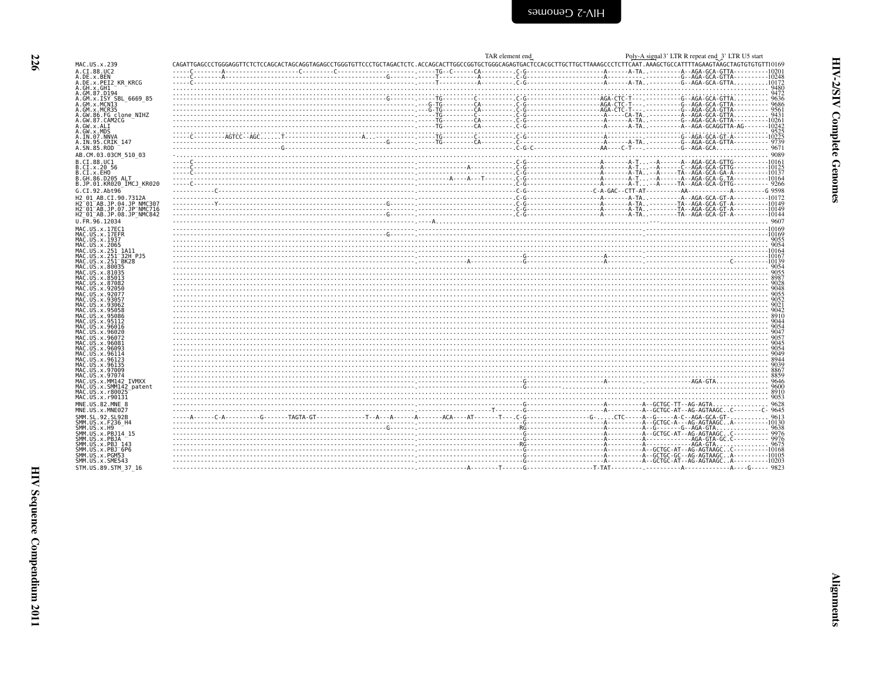<span id="page-67-0"></span>

|                                                                                         |                                                                                                                                                                                                                                     | TAR element end | Poly-A signal 3' LTR R repeat end 3' LTR U5 start |
|-----------------------------------------------------------------------------------------|-------------------------------------------------------------------------------------------------------------------------------------------------------------------------------------------------------------------------------------|-----------------|---------------------------------------------------|
| MAC.US.x.239                                                                            |                                                                                                                                                                                                                                     |                 |                                                   |
| A.CI.88.UC2<br>A.DE.x.BEN                                                               |                                                                                                                                                                                                                                     |                 |                                                   |
| A.DE.x.PEI2 KR KRCG                                                                     |                                                                                                                                                                                                                                     |                 |                                                   |
| A.GH.x.GH1<br>A.GM.87.D194                                                              |                                                                                                                                                                                                                                     |                 |                                                   |
| A.GM.x.ISY SBL 6669 85                                                                  |                                                                                                                                                                                                                                     |                 |                                                   |
| A.GM.x.MCNI3                                                                            |                                                                                                                                                                                                                                     |                 |                                                   |
| A.GM.x.MCR35<br>A.GW.86.FG clone NIHZ                                                   |                                                                                                                                                                                                                                     |                 |                                                   |
| A.GW.87.CAM2CG                                                                          |                                                                                                                                                                                                                                     |                 |                                                   |
| A.GW.x.ALI<br>A.GW.x.MDS                                                                |                                                                                                                                                                                                                                     |                 |                                                   |
|                                                                                         |                                                                                                                                                                                                                                     |                 |                                                   |
| A.IN.07.NNVA<br>A.IN.95.CRIK 147                                                        |                                                                                                                                                                                                                                     |                 |                                                   |
| A.SN.85.ROD                                                                             |                                                                                                                                                                                                                                     |                 |                                                   |
| AB.CM.03.03CM 510 03<br>B.CI.88.UC1                                                     | . من المستخدم المستخدم المستخدم المستخدم المستخدم المستخدم المستخدم المستخدم المستخدم المستخدم المستخدم المستخ<br>1013 - المستخدم المستخدم المستخدم المستخدم المستخدم المستخدم المستخدم المستخدم المستخدم المستخدم المستخدم المس    |                 |                                                   |
| B.CI.x.20 56                                                                            |                                                                                                                                                                                                                                     |                 |                                                   |
| B.CI.x.EHO                                                                              |                                                                                                                                                                                                                                     |                 |                                                   |
| B.GH.86.D205 ALT<br>B.JP.01.KR020_IMCJ_KR020                                            |                                                                                                                                                                                                                                     |                 |                                                   |
| G.CI.92.Abt96                                                                           |                                                                                                                                                                                                                                     |                 |                                                   |
| H2 01 AB.CI.90.7312A                                                                    |                                                                                                                                                                                                                                     |                 |                                                   |
| H2-01-AB.JP.04.JP NMC301                                                                |                                                                                                                                                                                                                                     |                 |                                                   |
| H2 <sup>-01-AB.JP.07.JP-NMC716</sup><br>H2 <sup>-01-AB.JP.08.JP<sup>-</sup>NMC842</sup> |                                                                                                                                                                                                                                     |                 |                                                   |
| U.FR.96.12034                                                                           |                                                                                                                                                                                                                                     |                 |                                                   |
| MAC.US.x.17EC1                                                                          |                                                                                                                                                                                                                                     |                 |                                                   |
| MAC.US.x.17EFR<br>MAC. US. x. 1937                                                      |                                                                                                                                                                                                                                     |                 |                                                   |
| MAC.US.x.2065                                                                           |                                                                                                                                                                                                                                     |                 |                                                   |
| MAC.US.x.251 1A11                                                                       |                                                                                                                                                                                                                                     |                 |                                                   |
| MAC.US.x.251 <sup>-</sup> 32H PJ5<br>MAC.US.x.251 <sup>-</sup> BK28                     |                                                                                                                                                                                                                                     |                 |                                                   |
| MAC.US.x.80035                                                                          |                                                                                                                                                                                                                                     |                 |                                                   |
| MAC.US.x.81035<br>MAC.US.x.85013                                                        |                                                                                                                                                                                                                                     |                 |                                                   |
| MAC.US.x.87082                                                                          |                                                                                                                                                                                                                                     |                 |                                                   |
| MAC.US.x.92050                                                                          |                                                                                                                                                                                                                                     |                 |                                                   |
| MAC. U.S. x. 92077<br>MAC.US.x.93057                                                    |                                                                                                                                                                                                                                     |                 |                                                   |
| MAC. US. x. 93062                                                                       |                                                                                                                                                                                                                                     |                 |                                                   |
| MAC.US.x.95058<br>MAC.US.x.95086                                                        |                                                                                                                                                                                                                                     |                 |                                                   |
| MAC.US.x.95112                                                                          |                                                                                                                                                                                                                                     |                 |                                                   |
| MAC.US.x.96016<br>MAC.US.x.96020                                                        |                                                                                                                                                                                                                                     |                 |                                                   |
| MAC.US.x.96072                                                                          |                                                                                                                                                                                                                                     |                 |                                                   |
| MAC.US.x.96081                                                                          |                                                                                                                                                                                                                                     |                 |                                                   |
| MAC.US.x.96093<br>MAC. US. x. 96114                                                     |                                                                                                                                                                                                                                     |                 |                                                   |
| MAC.US.x.96123                                                                          |                                                                                                                                                                                                                                     |                 |                                                   |
| MAC.US.x.96135<br>MAC.US.x.97009                                                        |                                                                                                                                                                                                                                     |                 |                                                   |
| MAC.US.x.97074                                                                          |                                                                                                                                                                                                                                     |                 |                                                   |
| MAC.US.x.MM142 IVMXX                                                                    | 888<br>864 - المستند المحمد المستند المحمد المستند المحمد المستند المحمد المحمد المحمد المحمد المحمد المحمد المحمد ال<br>8600 - 1400 - 1400 - 1400 - 1400 - 1400 - 1400 - 1400 - 1400 - 1400 - 1400 - 1400 - 1400 - 1400 - 1400 - 1 |                 |                                                   |
| MAC.US.x.SMM142 patent                                                                  |                                                                                                                                                                                                                                     |                 |                                                   |
| MAC.US.x.r80025<br>MAC.US.x.r90131                                                      |                                                                                                                                                                                                                                     |                 |                                                   |
| MNE.US.82.MNE                                                                           |                                                                                                                                                                                                                                     |                 |                                                   |
| MNE.US.x.MNE027<br>SMM.SL.92.SL92B                                                      |                                                                                                                                                                                                                                     |                 |                                                   |
| SMM. US. x. F236 H4                                                                     |                                                                                                                                                                                                                                     |                 |                                                   |
| SMM.US.x.H9                                                                             |                                                                                                                                                                                                                                     |                 |                                                   |
| SMM. US. x. PBJ14 15<br>SMM.US.x.PBJA                                                   |                                                                                                                                                                                                                                     |                 |                                                   |
| SMM.US.x.PBJ 143                                                                        |                                                                                                                                                                                                                                     |                 |                                                   |
| SMM.US.x.PBJ <sup>-6P6</sup><br>SMM.US.x.PGM53                                          |                                                                                                                                                                                                                                     |                 |                                                   |
| SMM.US.x.SME543                                                                         |                                                                                                                                                                                                                                     |                 |                                                   |
| STM.US.89.STM 37 16                                                                     |                                                                                                                                                                                                                                     |                 |                                                   |